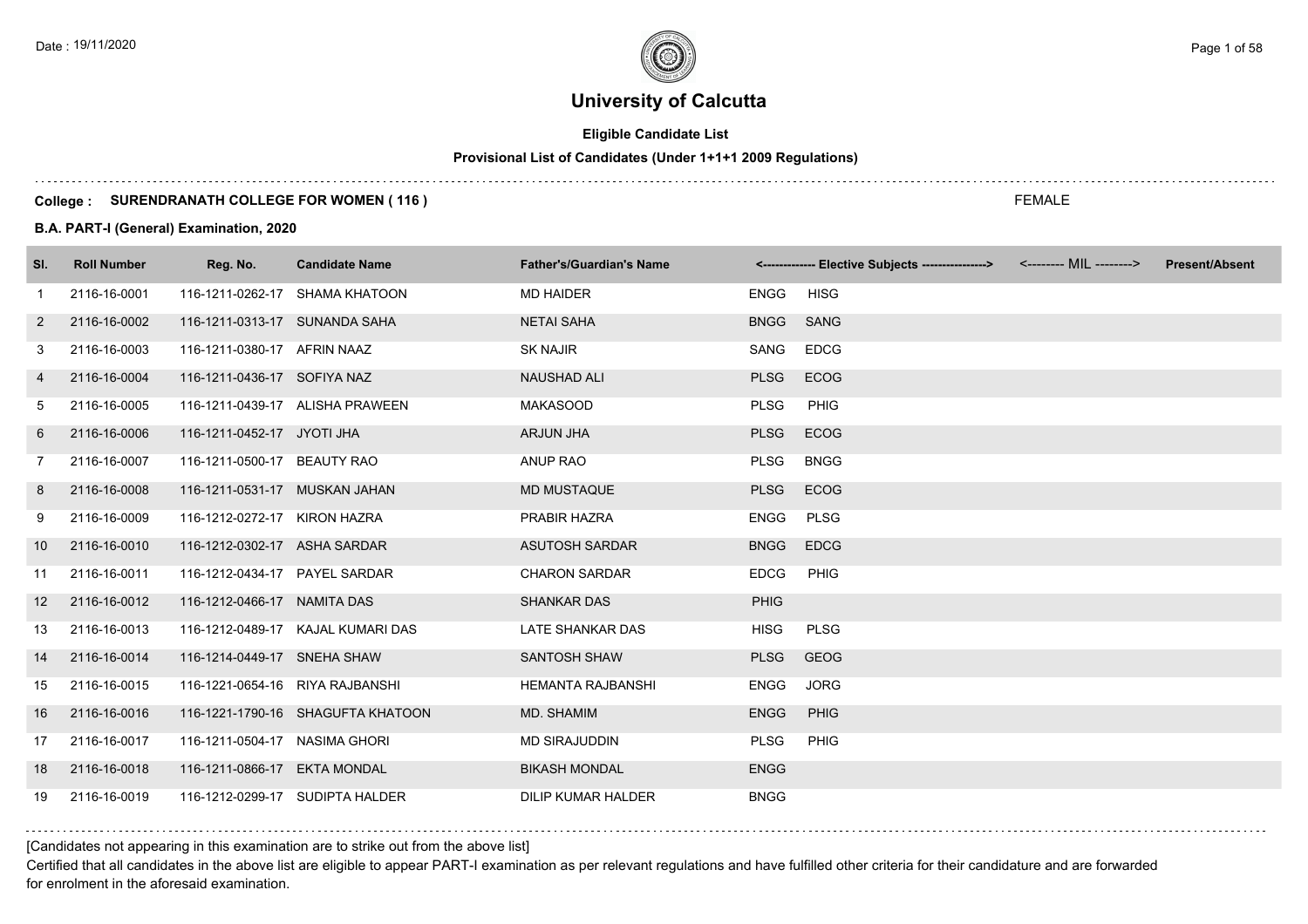# **Eligible Candidate List**

# **Provisional List of Candidates (Under 1+1+1 2009 Regulations)**

#### **College : SURENDRANATH COLLEGE FOR WOMEN ( 116 )**

#### **B.A. PART-I (General) Examination, 2020**

| SI.            | <b>Roll Number</b> | Reg. No.                        | <b>Candidate Name</b>             | <b>Father's/Guardian's Name</b> |             | <------------- Elective Subjects ----------------> <-------- MIL --------> | <b>Present/Absent</b> |
|----------------|--------------------|---------------------------------|-----------------------------------|---------------------------------|-------------|----------------------------------------------------------------------------|-----------------------|
| $\mathbf{1}$   | 2116-16-0001       |                                 | 116-1211-0262-17 SHAMA KHATOON    | <b>MD HAIDER</b>                | <b>ENGG</b> | <b>HISG</b>                                                                |                       |
| 2              | 2116-16-0002       | 116-1211-0313-17 SUNANDA SAHA   |                                   | <b>NETAI SAHA</b>               | BNGG SANG   |                                                                            |                       |
| 3              | 2116-16-0003       | 116-1211-0380-17 AFRIN NAAZ     |                                   | <b>SK NAJIR</b>                 | SANG        | <b>EDCG</b>                                                                |                       |
| 4              | 2116-16-0004       | 116-1211-0436-17 SOFIYA NAZ     |                                   | <b>NAUSHAD ALI</b>              | <b>PLSG</b> | ECOG                                                                       |                       |
| 5              | 2116-16-0005       |                                 | 116-1211-0439-17 ALISHA PRAWEEN   | <b>MAKASOOD</b>                 | <b>PLSG</b> | PHIG                                                                       |                       |
| 6              | 2116-16-0006       | 116-1211-0452-17 JYOTI JHA      |                                   | <b>ARJUN JHA</b>                | <b>PLSG</b> | ECOG                                                                       |                       |
| $\overline{7}$ | 2116-16-0007       | 116-1211-0500-17 BEAUTY RAO     |                                   | ANUP RAO                        | <b>PLSG</b> | <b>BNGG</b>                                                                |                       |
| 8              | 2116-16-0008       | 116-1211-0531-17 MUSKAN JAHAN   |                                   | <b>MD MUSTAQUE</b>              | <b>PLSG</b> | ECOG                                                                       |                       |
| 9              | 2116-16-0009       | 116-1212-0272-17 KIRON HAZRA    |                                   | PRABIR HAZRA                    | ENGG        | <b>PLSG</b>                                                                |                       |
| 10             | 2116-16-0010       | 116-1212-0302-17 ASHA SARDAR    |                                   | <b>ASUTOSH SARDAR</b>           | <b>BNGG</b> | <b>EDCG</b>                                                                |                       |
| 11             | 2116-16-0011       | 116-1212-0434-17 PAYEL SARDAR   |                                   | <b>CHARON SARDAR</b>            | <b>EDCG</b> | PHIG                                                                       |                       |
| 12             | 2116-16-0012       | 116-1212-0466-17 NAMITA DAS     |                                   | <b>SHANKAR DAS</b>              | <b>PHIG</b> |                                                                            |                       |
| 13             | 2116-16-0013       |                                 | 116-1212-0489-17 KAJAL KUMARI DAS | LATE SHANKAR DAS                | <b>HISG</b> | <b>PLSG</b>                                                                |                       |
| 14             | 2116-16-0014       | 116-1214-0449-17 SNEHA SHAW     |                                   | <b>SANTOSH SHAW</b>             | <b>PLSG</b> | <b>GEOG</b>                                                                |                       |
| 15             | 2116-16-0015       | 116-1221-0654-16 RIYA RAJBANSHI |                                   | <b>HEMANTA RAJBANSHI</b>        | <b>ENGG</b> | <b>JORG</b>                                                                |                       |
| 16             | 2116-16-0016       |                                 | 116-1221-1790-16 SHAGUFTA KHATOON | MD. SHAMIM                      | <b>ENGG</b> | <b>PHIG</b>                                                                |                       |
| 17             | 2116-16-0017       | 116-1211-0504-17 NASIMA GHORI   |                                   | <b>MD SIRAJUDDIN</b>            | <b>PLSG</b> | PHIG                                                                       |                       |
| 18             | 2116-16-0018       | 116-1211-0866-17 EKTA MONDAL    |                                   | <b>BIKASH MONDAL</b>            | <b>ENGG</b> |                                                                            |                       |
| 19             | 2116-16-0019       |                                 | 116-1212-0299-17 SUDIPTA HALDER   | <b>DILIP KUMAR HALDER</b>       | <b>BNGG</b> |                                                                            |                       |

[Candidates not appearing in this examination are to strike out from the above list]

Certified that all candidates in the above list are eligible to appear PART-I examination as per relevant regulations and have fulfilled other criteria for their candidature and are forwarded for enrolment in the aforesaid examination.

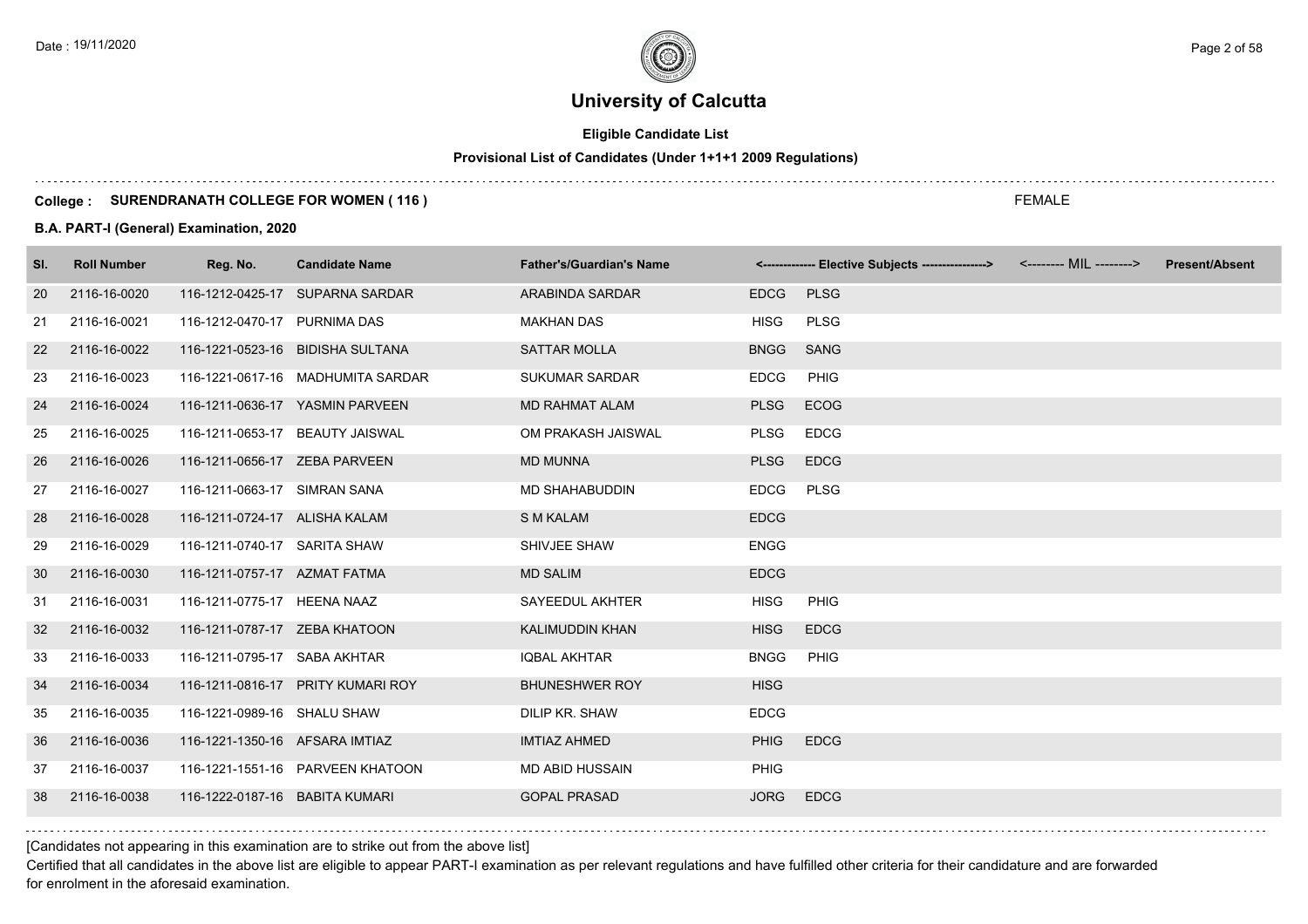# **Eligible Candidate List**

# **Provisional List of Candidates (Under 1+1+1 2009 Regulations)**

#### **College : SURENDRANATH COLLEGE FOR WOMEN ( 116 )**

#### **B.A. PART-I (General) Examination, 2020**

| <b>Roll Number</b> | Reg. No. | <b>Candidate Name</b> | <b>Father's/Guardian's Name</b>                                                                                                                                                                                                                                                                                                                                                                                                                                                                                                                                                                                                                                  |             |             | <b>Present/Absent</b>                                                      |
|--------------------|----------|-----------------------|------------------------------------------------------------------------------------------------------------------------------------------------------------------------------------------------------------------------------------------------------------------------------------------------------------------------------------------------------------------------------------------------------------------------------------------------------------------------------------------------------------------------------------------------------------------------------------------------------------------------------------------------------------------|-------------|-------------|----------------------------------------------------------------------------|
| 2116-16-0020       |          |                       | ARABINDA SARDAR                                                                                                                                                                                                                                                                                                                                                                                                                                                                                                                                                                                                                                                  | <b>EDCG</b> | <b>PLSG</b> |                                                                            |
| 2116-16-0021       |          |                       | <b>MAKHAN DAS</b>                                                                                                                                                                                                                                                                                                                                                                                                                                                                                                                                                                                                                                                | <b>HISG</b> | <b>PLSG</b> |                                                                            |
| 2116-16-0022       |          |                       | <b>SATTAR MOLLA</b>                                                                                                                                                                                                                                                                                                                                                                                                                                                                                                                                                                                                                                              | <b>BNGG</b> | SANG        |                                                                            |
| 2116-16-0023       |          |                       | <b>SUKUMAR SARDAR</b>                                                                                                                                                                                                                                                                                                                                                                                                                                                                                                                                                                                                                                            | <b>EDCG</b> | PHIG        |                                                                            |
| 2116-16-0024       |          |                       | <b>MD RAHMAT ALAM</b>                                                                                                                                                                                                                                                                                                                                                                                                                                                                                                                                                                                                                                            | <b>PLSG</b> | ECOG        |                                                                            |
| 2116-16-0025       |          |                       | OM PRAKASH JAISWAL                                                                                                                                                                                                                                                                                                                                                                                                                                                                                                                                                                                                                                               | PLSG        | <b>EDCG</b> |                                                                            |
| 2116-16-0026       |          |                       | <b>MD MUNNA</b>                                                                                                                                                                                                                                                                                                                                                                                                                                                                                                                                                                                                                                                  | <b>PLSG</b> | <b>EDCG</b> |                                                                            |
| 2116-16-0027       |          |                       | <b>MD SHAHABUDDIN</b>                                                                                                                                                                                                                                                                                                                                                                                                                                                                                                                                                                                                                                            | <b>EDCG</b> | <b>PLSG</b> |                                                                            |
| 2116-16-0028       |          |                       | <b>S M KALAM</b>                                                                                                                                                                                                                                                                                                                                                                                                                                                                                                                                                                                                                                                 | <b>EDCG</b> |             |                                                                            |
| 2116-16-0029       |          |                       | SHIVJEE SHAW                                                                                                                                                                                                                                                                                                                                                                                                                                                                                                                                                                                                                                                     | <b>ENGG</b> |             |                                                                            |
| 2116-16-0030       |          |                       | <b>MD SALIM</b>                                                                                                                                                                                                                                                                                                                                                                                                                                                                                                                                                                                                                                                  | <b>EDCG</b> |             |                                                                            |
| 2116-16-0031       |          |                       | SAYEEDUL AKHTER                                                                                                                                                                                                                                                                                                                                                                                                                                                                                                                                                                                                                                                  | <b>HISG</b> | <b>PHIG</b> |                                                                            |
| 2116-16-0032       |          |                       | KALIMUDDIN KHAN                                                                                                                                                                                                                                                                                                                                                                                                                                                                                                                                                                                                                                                  | <b>HISG</b> | <b>EDCG</b> |                                                                            |
| 2116-16-0033       |          |                       | <b>IQBAL AKHTAR</b>                                                                                                                                                                                                                                                                                                                                                                                                                                                                                                                                                                                                                                              | <b>BNGG</b> | PHIG        |                                                                            |
| 2116-16-0034       |          |                       | <b>BHUNESHWER ROY</b>                                                                                                                                                                                                                                                                                                                                                                                                                                                                                                                                                                                                                                            | <b>HISG</b> |             |                                                                            |
| 2116-16-0035       |          |                       | DILIP KR. SHAW                                                                                                                                                                                                                                                                                                                                                                                                                                                                                                                                                                                                                                                   | <b>EDCG</b> |             |                                                                            |
| 2116-16-0036       |          |                       | <b>IMTIAZ AHMED</b>                                                                                                                                                                                                                                                                                                                                                                                                                                                                                                                                                                                                                                              | <b>PHIG</b> | <b>EDCG</b> |                                                                            |
| 2116-16-0037       |          |                       | <b>MD ABID HUSSAIN</b>                                                                                                                                                                                                                                                                                                                                                                                                                                                                                                                                                                                                                                           | <b>PHIG</b> |             |                                                                            |
| 2116-16-0038       |          |                       | <b>GOPAL PRASAD</b>                                                                                                                                                                                                                                                                                                                                                                                                                                                                                                                                                                                                                                              | <b>JORG</b> | <b>EDCG</b> |                                                                            |
|                    |          |                       | 116-1212-0425-17 SUPARNA SARDAR<br>116-1212-0470-17 PURNIMA DAS<br>116-1221-0523-16 BIDISHA SULTANA<br>116-1221-0617-16 MADHUMITA SARDAR<br>116-1211-0636-17 YASMIN PARVEEN<br>116-1211-0653-17 BEAUTY JAISWAL<br>116-1211-0656-17 ZEBA PARVEEN<br>116-1211-0663-17 SIMRAN SANA<br>116-1211-0724-17 ALISHA KALAM<br>116-1211-0740-17 SARITA SHAW<br>116-1211-0757-17 AZMAT FATMA<br>116-1211-0775-17 HEENA NAAZ<br>116-1211-0787-17     ZEBA KHATOON<br>116-1211-0795-17 SABA AKHTAR<br>116-1211-0816-17 PRITY KUMARI ROY<br>116-1221-0989-16 SHALU SHAW<br>116-1221-1350-16 AFSARA IMTIAZ<br>116-1221-1551-16 PARVEEN KHATOON<br>116-1222-0187-16 BABITA KUMARI |             |             | <------------- Elective Subjects ----------------> <-------- MIL --------> |

[Candidates not appearing in this examination are to strike out from the above list]

Certified that all candidates in the above list are eligible to appear PART-I examination as per relevant regulations and have fulfilled other criteria for their candidature and are forwarded for enrolment in the aforesaid examination.

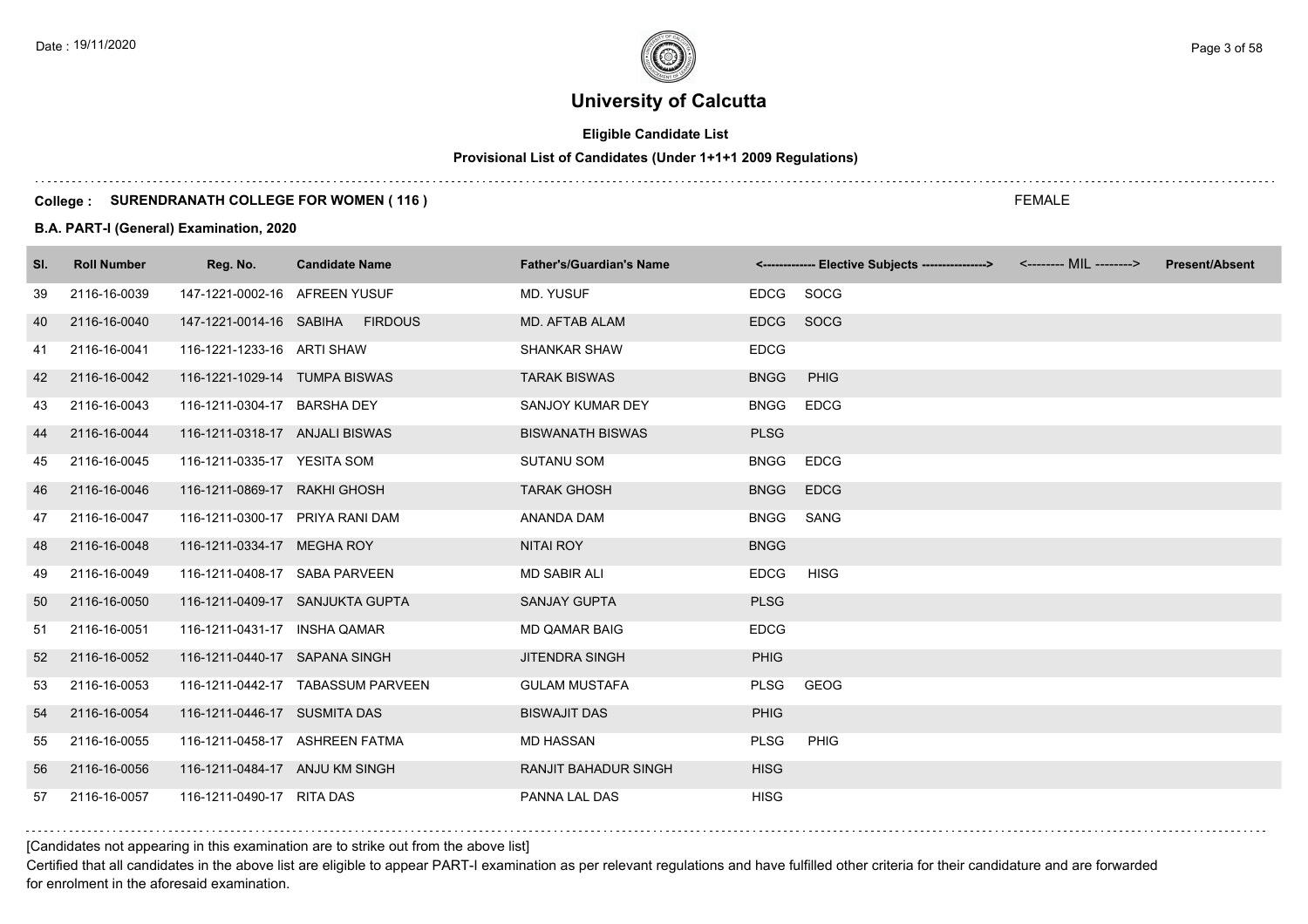# **Eligible Candidate List**

# **Provisional List of Candidates (Under 1+1+1 2009 Regulations)**

#### **College : SURENDRANATH COLLEGE FOR WOMEN ( 116 )**

### **B.A. PART-I (General) Examination, 2020**

| SI. | <b>Roll Number</b> | Reg. No.                        | <b>Candidate Name</b>             | <b>Father's/Guardian's Name</b> |             | <------------- Elective Subjects ----------------> <-------- MIL --------> | <b>Present/Absent</b> |
|-----|--------------------|---------------------------------|-----------------------------------|---------------------------------|-------------|----------------------------------------------------------------------------|-----------------------|
| 39  | 2116-16-0039       | 147-1221-0002-16 AFREEN YUSUF   |                                   | MD. YUSUF                       | EDCG        | SOCG                                                                       |                       |
| 40  | 2116-16-0040       |                                 | 147-1221-0014-16 SABIHA FIRDOUS   | MD. AFTAB ALAM                  | <b>EDCG</b> | SOCG                                                                       |                       |
| 41  | 2116-16-0041       | 116-1221-1233-16 ARTI SHAW      |                                   | <b>SHANKAR SHAW</b>             | <b>EDCG</b> |                                                                            |                       |
| 42  | 2116-16-0042       | 116-1221-1029-14 TUMPA BISWAS   |                                   | <b>TARAK BISWAS</b>             | <b>BNGG</b> | PHIG                                                                       |                       |
| 43  | 2116-16-0043       | 116-1211-0304-17 BARSHA DEY     |                                   | SANJOY KUMAR DEY                | <b>BNGG</b> | <b>EDCG</b>                                                                |                       |
| 44  | 2116-16-0044       | 116-1211-0318-17 ANJALI BISWAS  |                                   | <b>BISWANATH BISWAS</b>         | <b>PLSG</b> |                                                                            |                       |
| 45  | 2116-16-0045       | 116-1211-0335-17 YESITA SOM     |                                   | <b>SUTANU SOM</b>               | <b>BNGG</b> | <b>EDCG</b>                                                                |                       |
| 46  | 2116-16-0046       | 116-1211-0869-17 RAKHI GHOSH    |                                   | <b>TARAK GHOSH</b>              | <b>BNGG</b> | <b>EDCG</b>                                                                |                       |
| 47  | 2116-16-0047       | 116-1211-0300-17 PRIYA RANI DAM |                                   | ANANDA DAM                      | <b>BNGG</b> | SANG                                                                       |                       |
| 48  | 2116-16-0048       | 116-1211-0334-17 MEGHA ROY      |                                   | <b>NITAI ROY</b>                | <b>BNGG</b> |                                                                            |                       |
| 49  | 2116-16-0049       | 116-1211-0408-17 SABA PARVEEN   |                                   | <b>MD SABIR ALI</b>             | <b>EDCG</b> | <b>HISG</b>                                                                |                       |
| 50  | 2116-16-0050       |                                 | 116-1211-0409-17 SANJUKTA GUPTA   | <b>SANJAY GUPTA</b>             | <b>PLSG</b> |                                                                            |                       |
| 51  | 2116-16-0051       | 116-1211-0431-17 INSHA QAMAR    |                                   | <b>MD QAMAR BAIG</b>            | <b>EDCG</b> |                                                                            |                       |
| 52  | 2116-16-0052       | 116-1211-0440-17 SAPANA SINGH   |                                   | <b>JITENDRA SINGH</b>           | <b>PHIG</b> |                                                                            |                       |
| 53  | 2116-16-0053       |                                 | 116-1211-0442-17 TABASSUM PARVEEN | <b>GULAM MUSTAFA</b>            | <b>PLSG</b> | GEOG                                                                       |                       |
| 54  | 2116-16-0054       | 116-1211-0446-17 SUSMITA DAS    |                                   | <b>BISWAJIT DAS</b>             | <b>PHIG</b> |                                                                            |                       |
| 55  | 2116-16-0055       | 116-1211-0458-17 ASHREEN FATMA  |                                   | <b>MD HASSAN</b>                | <b>PLSG</b> | PHIG                                                                       |                       |
| 56  | 2116-16-0056       | 116-1211-0484-17 ANJU KM SINGH  |                                   | <b>RANJIT BAHADUR SINGH</b>     | <b>HISG</b> |                                                                            |                       |
| 57  | 2116-16-0057       | 116-1211-0490-17 RITA DAS       |                                   | PANNA LAL DAS                   | <b>HISG</b> |                                                                            |                       |

[Candidates not appearing in this examination are to strike out from the above list]

Certified that all candidates in the above list are eligible to appear PART-I examination as per relevant regulations and have fulfilled other criteria for their candidature and are forwarded for enrolment in the aforesaid examination.

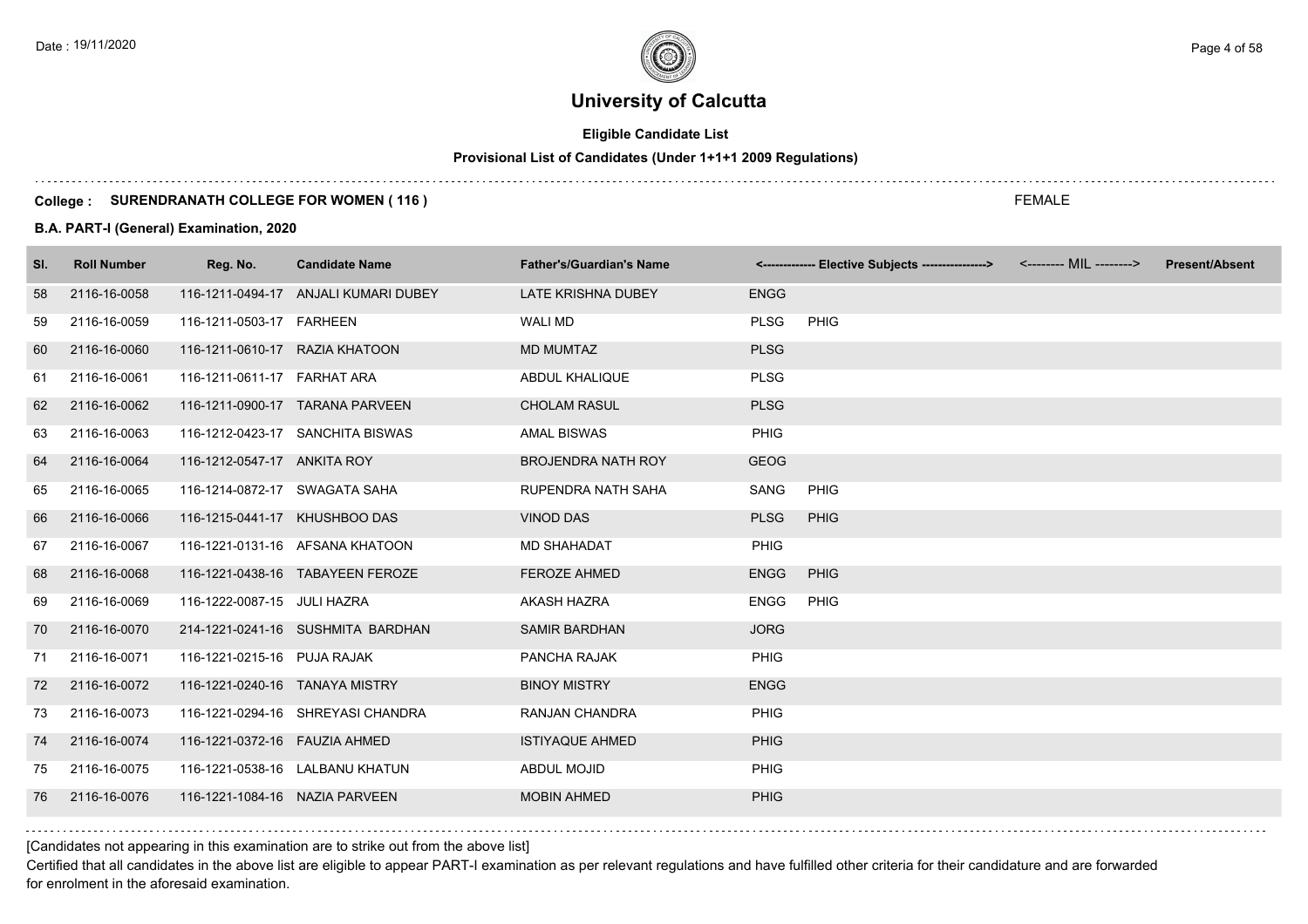# **Eligible Candidate List**

#### **Provisional List of Candidates (Under 1+1+1 2009 Regulations)**

#### **College : SURENDRANATH COLLEGE FOR WOMEN ( 116 )**

#### **B.A. PART-I (General) Examination, 2020**

| SI. | <b>Roll Number</b> | Reg. No.                       | <b>Candidate Name</b>                | <b>Father's/Guardian's Name</b> |             | <------------- Elective Subjects ----------------> <-------- MIL --------> | <b>Present/Absent</b> |
|-----|--------------------|--------------------------------|--------------------------------------|---------------------------------|-------------|----------------------------------------------------------------------------|-----------------------|
| 58  | 2116-16-0058       |                                | 116-1211-0494-17 ANJALI KUMARI DUBEY | LATE KRISHNA DUBEY              | <b>ENGG</b> |                                                                            |                       |
| 59  | 2116-16-0059       | 116-1211-0503-17 FARHEEN       |                                      | <b>WALI MD</b>                  | <b>PLSG</b> | PHIG                                                                       |                       |
| 60  | 2116-16-0060       | 116-1211-0610-17 RAZIA KHATOON |                                      | <b>MD MUMTAZ</b>                | <b>PLSG</b> |                                                                            |                       |
| 61  | 2116-16-0061       | 116-1211-0611-17 FARHAT ARA    |                                      | ABDUL KHALIQUE                  | <b>PLSG</b> |                                                                            |                       |
| 62  | 2116-16-0062       |                                | 116-1211-0900-17 TARANA PARVEEN      | <b>CHOLAM RASUL</b>             | <b>PLSG</b> |                                                                            |                       |
| 63  | 2116-16-0063       |                                | 116-1212-0423-17 SANCHITA BISWAS     | <b>AMAL BISWAS</b>              | PHIG        |                                                                            |                       |
| 64  | 2116-16-0064       | 116-1212-0547-17 ANKITA ROY    |                                      | <b>BROJENDRA NATH ROY</b>       | <b>GEOG</b> |                                                                            |                       |
| 65  | 2116-16-0065       | 116-1214-0872-17 SWAGATA SAHA  |                                      | RUPENDRA NATH SAHA              | SANG        | <b>PHIG</b>                                                                |                       |
| 66  | 2116-16-0066       | 116-1215-0441-17 KHUSHBOO DAS  |                                      | <b>VINOD DAS</b>                | <b>PLSG</b> | <b>PHIG</b>                                                                |                       |
| 67  | 2116-16-0067       |                                | 116-1221-0131-16 AFSANA KHATOON      | <b>MD SHAHADAT</b>              | <b>PHIG</b> |                                                                            |                       |
| 68  | 2116-16-0068       |                                | 116-1221-0438-16 TABAYEEN FEROZE     | <b>FEROZE AHMED</b>             | <b>ENGG</b> | <b>PHIG</b>                                                                |                       |
| 69  | 2116-16-0069       | 116-1222-0087-15 JULI HAZRA    |                                      | AKASH HAZRA                     | <b>ENGG</b> | PHIG                                                                       |                       |
| 70  | 2116-16-0070       |                                | 214-1221-0241-16 SUSHMITA BARDHAN    | <b>SAMIR BARDHAN</b>            | <b>JORG</b> |                                                                            |                       |
| 71  | 2116-16-0071       | 116-1221-0215-16 PUJA RAJAK    |                                      | PANCHA RAJAK                    | <b>PHIG</b> |                                                                            |                       |
| 72  | 2116-16-0072       | 116-1221-0240-16 TANAYA MISTRY |                                      | <b>BINOY MISTRY</b>             | <b>ENGG</b> |                                                                            |                       |
| 73  | 2116-16-0073       |                                | 116-1221-0294-16 SHREYASI CHANDRA    | RANJAN CHANDRA                  | <b>PHIG</b> |                                                                            |                       |
| 74  | 2116-16-0074       | 116-1221-0372-16  FAUZIA AHMED |                                      | <b>ISTIYAQUE AHMED</b>          | <b>PHIG</b> |                                                                            |                       |
| 75  | 2116-16-0075       |                                | 116-1221-0538-16 LALBANU KHATUN      | ABDUL MOJID                     | <b>PHIG</b> |                                                                            |                       |
| 76  | 2116-16-0076       | 116-1221-1084-16 NAZIA PARVEEN |                                      | <b>MOBIN AHMED</b>              | <b>PHIG</b> |                                                                            |                       |

[Candidates not appearing in this examination are to strike out from the above list]

Certified that all candidates in the above list are eligible to appear PART-I examination as per relevant regulations and have fulfilled other criteria for their candidature and are forwarded for enrolment in the aforesaid examination.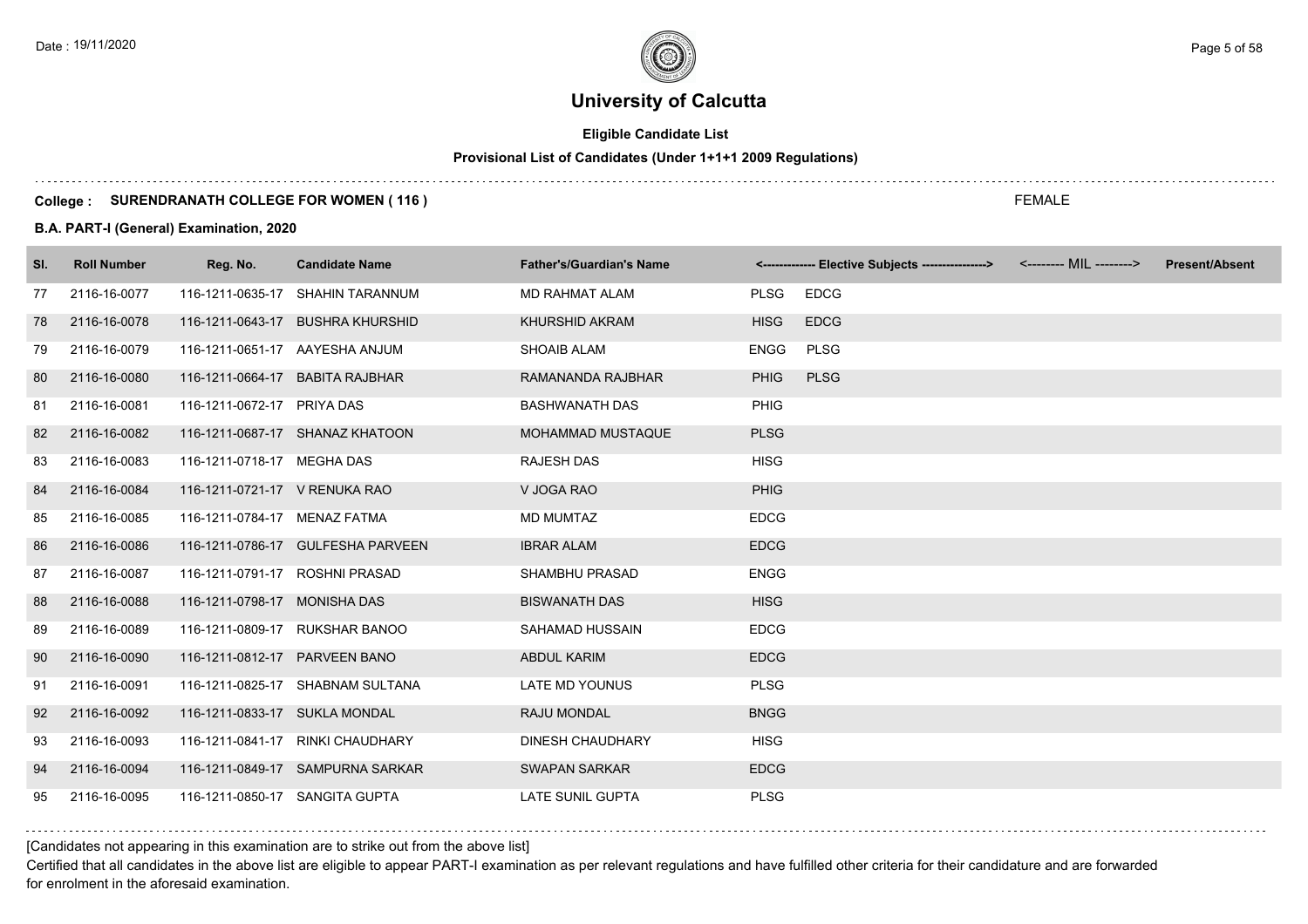# **Eligible Candidate List**

# **Provisional List of Candidates (Under 1+1+1 2009 Regulations)**

#### **College : SURENDRANATH COLLEGE FOR WOMEN ( 116 )**

#### **B.A. PART-I (General) Examination, 2020**

| SI. | <b>Roll Number</b> | Reg. No.                       | <b>Candidate Name</b>             | <b>Father's/Guardian's Name</b> |                            | <-------------- Elective Subjects ----------------> | <-------- MIL --------> | <b>Present/Absent</b> |
|-----|--------------------|--------------------------------|-----------------------------------|---------------------------------|----------------------------|-----------------------------------------------------|-------------------------|-----------------------|
| 77  | 2116-16-0077       |                                | 116-1211-0635-17 SHAHIN TARANNUM  | <b>MD RAHMAT ALAM</b>           | <b>PLSG</b><br><b>EDCG</b> |                                                     |                         |                       |
| 78  | 2116-16-0078       |                                | 116-1211-0643-17 BUSHRA KHURSHID  | <b>KHURSHID AKRAM</b>           | <b>HISG</b><br><b>EDCG</b> |                                                     |                         |                       |
| 79  | 2116-16-0079       | 116-1211-0651-17 AAYESHA ANJUM |                                   | <b>SHOAIB ALAM</b>              | <b>PLSG</b><br><b>ENGG</b> |                                                     |                         |                       |
| 80  | 2116-16-0080       | 116-1211-0664-17               | <b>BABITA RAJBHAR</b>             | RAMANANDA RAJBHAR               | <b>PLSG</b><br><b>PHIG</b> |                                                     |                         |                       |
| 81  | 2116-16-0081       | 116-1211-0672-17 PRIYA DAS     |                                   | <b>BASHWANATH DAS</b>           | <b>PHIG</b>                |                                                     |                         |                       |
| 82  | 2116-16-0082       |                                | 116-1211-0687-17 SHANAZ KHATOON   | MOHAMMAD MUSTAQUE               | <b>PLSG</b>                |                                                     |                         |                       |
| 83  | 2116-16-0083       | 116-1211-0718-17 MEGHA DAS     |                                   | <b>RAJESH DAS</b>               | <b>HISG</b>                |                                                     |                         |                       |
| 84  | 2116-16-0084       | 116-1211-0721-17 V RENUKA RAO  |                                   | V JOGA RAO                      | <b>PHIG</b>                |                                                     |                         |                       |
| 85  | 2116-16-0085       | 116-1211-0784-17 MENAZ FATMA   |                                   | <b>MD MUMTAZ</b>                | <b>EDCG</b>                |                                                     |                         |                       |
| 86  | 2116-16-0086       |                                | 116-1211-0786-17 GULFESHA PARVEEN | <b>IBRAR ALAM</b>               | <b>EDCG</b>                |                                                     |                         |                       |
| 87  | 2116-16-0087       | 116-1211-0791-17 ROSHNI PRASAD |                                   | SHAMBHU PRASAD                  | ENGG                       |                                                     |                         |                       |
| 88  | 2116-16-0088       | 116-1211-0798-17 MONISHA DAS   |                                   | <b>BISWANATH DAS</b>            | <b>HISG</b>                |                                                     |                         |                       |
| 89  | 2116-16-0089       |                                | 116-1211-0809-17 RUKSHAR BANOO    | SAHAMAD HUSSAIN                 | <b>EDCG</b>                |                                                     |                         |                       |
| 90  | 2116-16-0090       | 116-1211-0812-17 PARVEEN BANO  |                                   | <b>ABDUL KARIM</b>              | <b>EDCG</b>                |                                                     |                         |                       |
| 91  | 2116-16-0091       |                                | 116-1211-0825-17 SHABNAM SULTANA  | <b>LATE MD YOUNUS</b>           | <b>PLSG</b>                |                                                     |                         |                       |
| 92  | 2116-16-0092       | 116-1211-0833-17 SUKLA MONDAL  |                                   | RAJU MONDAL                     | <b>BNGG</b>                |                                                     |                         |                       |
| 93  | 2116-16-0093       |                                | 116-1211-0841-17 RINKI CHAUDHARY  | <b>DINESH CHAUDHARY</b>         | <b>HISG</b>                |                                                     |                         |                       |
| 94  | 2116-16-0094       |                                | 116-1211-0849-17 SAMPURNA SARKAR  | <b>SWAPAN SARKAR</b>            | <b>EDCG</b>                |                                                     |                         |                       |
| 95  | 2116-16-0095       | 116-1211-0850-17 SANGITA GUPTA |                                   | LATE SUNIL GUPTA                | <b>PLSG</b>                |                                                     |                         |                       |

[Candidates not appearing in this examination are to strike out from the above list]

Certified that all candidates in the above list are eligible to appear PART-I examination as per relevant regulations and have fulfilled other criteria for their candidature and are forwarded for enrolment in the aforesaid examination.

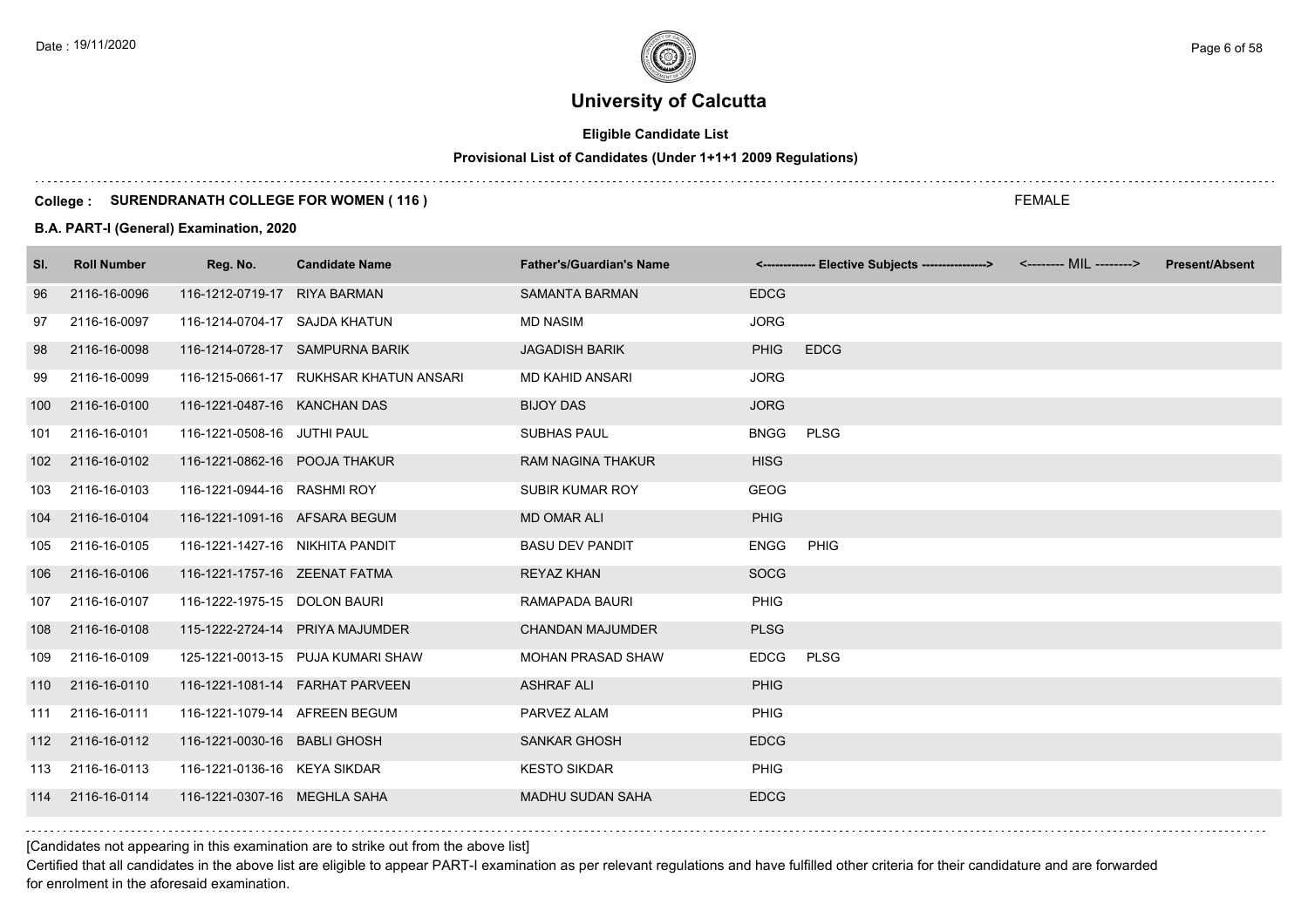# **Eligible Candidate List**

# **Provisional List of Candidates (Under 1+1+1 2009 Regulations)**

#### **College : SURENDRANATH COLLEGE FOR WOMEN ( 116 )**

#### **B.A. PART-I (General) Examination, 2020**

| SI.              | <b>Roll Number</b> | Reg. No.                        | <b>Candidate Name</b>                  | <b>Father's/Guardian's Name</b> |             | <-------------- Elective Subjects ----------------> | <-------- MIL --------> | <b>Present/Absent</b> |
|------------------|--------------------|---------------------------------|----------------------------------------|---------------------------------|-------------|-----------------------------------------------------|-------------------------|-----------------------|
| 96               | 2116-16-0096       | 116-1212-0719-17                | <b>RIYA BARMAN</b>                     | <b>SAMANTA BARMAN</b>           | <b>EDCG</b> |                                                     |                         |                       |
| 97               | 2116-16-0097       | 116-1214-0704-17 SAJDA KHATUN   |                                        | <b>MD NASIM</b>                 | <b>JORG</b> |                                                     |                         |                       |
| 98               | 2116-16-0098       |                                 | 116-1214-0728-17 SAMPURNA BARIK        | <b>JAGADISH BARIK</b>           | <b>PHIG</b> | <b>EDCG</b>                                         |                         |                       |
| 99               | 2116-16-0099       |                                 | 116-1215-0661-17 RUKHSAR KHATUN ANSARI | MD KAHID ANSARI                 | <b>JORG</b> |                                                     |                         |                       |
| 100              | 2116-16-0100       | 116-1221-0487-16 KANCHAN DAS    |                                        | <b>BIJOY DAS</b>                | <b>JORG</b> |                                                     |                         |                       |
| 101              | 2116-16-0101       | 116-1221-0508-16 JUTHI PAUL     |                                        | <b>SUBHAS PAUL</b>              | <b>BNGG</b> | <b>PLSG</b>                                         |                         |                       |
| 102 <sub>2</sub> | 2116-16-0102       | 116-1221-0862-16 POOJA THAKUR   |                                        | <b>RAM NAGINA THAKUR</b>        | <b>HISG</b> |                                                     |                         |                       |
| 103              | 2116-16-0103       | 116-1221-0944-16 RASHMI ROY     |                                        | <b>SUBIR KUMAR ROY</b>          | <b>GEOG</b> |                                                     |                         |                       |
| 104              | 2116-16-0104       | 116-1221-1091-16 AFSARA BEGUM   |                                        | <b>MD OMAR ALI</b>              | <b>PHIG</b> |                                                     |                         |                       |
| 105              | 2116-16-0105       | 116-1221-1427-16 NIKHITA PANDIT |                                        | <b>BASU DEV PANDIT</b>          | <b>ENGG</b> | PHIG                                                |                         |                       |
| 106              | 2116-16-0106       | 116-1221-1757-16 ZEENAT FATMA   |                                        | <b>REYAZ KHAN</b>               | <b>SOCG</b> |                                                     |                         |                       |
| 107              | 2116-16-0107       | 116-1222-1975-15 DOLON BAURI    |                                        | RAMAPADA BAURI                  | PHIG        |                                                     |                         |                       |
| 108              | 2116-16-0108       |                                 | 115-1222-2724-14 PRIYA MAJUMDER        | <b>CHANDAN MAJUMDER</b>         | <b>PLSG</b> |                                                     |                         |                       |
| 109              | 2116-16-0109       |                                 | 125-1221-0013-15 PUJA KUMARI SHAW      | <b>MOHAN PRASAD SHAW</b>        | <b>EDCG</b> | <b>PLSG</b>                                         |                         |                       |
| 110              | 2116-16-0110       |                                 | 116-1221-1081-14    FARHAT PARVEEN     | <b>ASHRAF ALI</b>               | <b>PHIG</b> |                                                     |                         |                       |
| 111              | 2116-16-0111       | 116-1221-1079-14 AFREEN BEGUM   |                                        | PARVEZ ALAM                     | PHIG        |                                                     |                         |                       |
| 112              | 2116-16-0112       | 116-1221-0030-16 BABLI GHOSH    |                                        | <b>SANKAR GHOSH</b>             | <b>EDCG</b> |                                                     |                         |                       |
| 113              | 2116-16-0113       | 116-1221-0136-16 KEYA SIKDAR    |                                        | <b>KESTO SIKDAR</b>             | <b>PHIG</b> |                                                     |                         |                       |
| 114              | 2116-16-0114       | 116-1221-0307-16 MEGHLA SAHA    |                                        | <b>MADHU SUDAN SAHA</b>         | <b>EDCG</b> |                                                     |                         |                       |

[Candidates not appearing in this examination are to strike out from the above list]

Certified that all candidates in the above list are eligible to appear PART-I examination as per relevant regulations and have fulfilled other criteria for their candidature and are forwarded for enrolment in the aforesaid examination.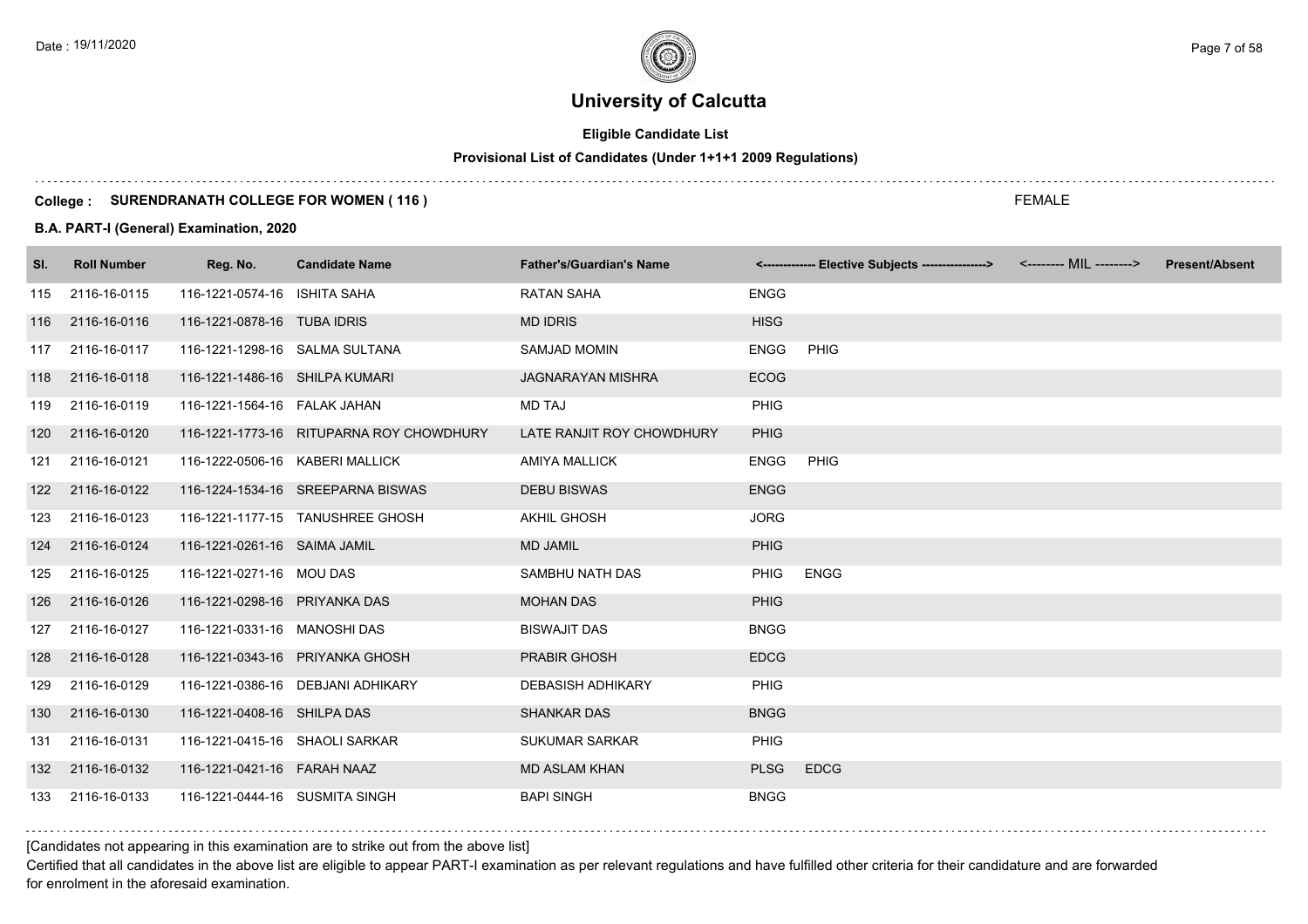# **Eligible Candidate List**

#### **Provisional List of Candidates (Under 1+1+1 2009 Regulations)**

#### **College : SURENDRANATH COLLEGE FOR WOMEN ( 116 )**

#### **B.A. PART-I (General) Examination, 2020**

| SI. | <b>Roll Number</b> | Reg. No.                        | <b>Candidate Name</b>                    | <b>Father's/Guardian's Name</b> |             | <-------------- Elective Subjects ----------------> | <-------- MIL --------> | <b>Present/Absent</b> |
|-----|--------------------|---------------------------------|------------------------------------------|---------------------------------|-------------|-----------------------------------------------------|-------------------------|-----------------------|
| 115 | 2116-16-0115       | 116-1221-0574-16 ISHITA SAHA    |                                          | <b>RATAN SAHA</b>               | <b>ENGG</b> |                                                     |                         |                       |
| 116 | 2116-16-0116       | 116-1221-0878-16 TUBA IDRIS     |                                          | <b>MD IDRIS</b>                 | <b>HISG</b> |                                                     |                         |                       |
| 117 | 2116-16-0117       | 116-1221-1298-16 SALMA SULTANA  |                                          | <b>SAMJAD MOMIN</b>             | <b>ENGG</b> | PHIG                                                |                         |                       |
| 118 | 2116-16-0118       | 116-1221-1486-16 SHILPA KUMARI  |                                          | <b>JAGNARAYAN MISHRA</b>        | <b>ECOG</b> |                                                     |                         |                       |
| 119 | 2116-16-0119       | 116-1221-1564-16 FALAK JAHAN    |                                          | <b>MD TAJ</b>                   | PHIG        |                                                     |                         |                       |
| 120 | 2116-16-0120       |                                 | 116-1221-1773-16 RITUPARNA ROY CHOWDHURY | LATE RANJIT ROY CHOWDHURY       | <b>PHIG</b> |                                                     |                         |                       |
| 121 | 2116-16-0121       | 116-1222-0506-16 KABERI MALLICK |                                          | <b>AMIYA MALLICK</b>            | <b>ENGG</b> | PHIG                                                |                         |                       |
|     | 122 2116-16-0122   |                                 | 116-1224-1534-16 SREEPARNA BISWAS        | <b>DEBU BISWAS</b>              | <b>ENGG</b> |                                                     |                         |                       |
| 123 | 2116-16-0123       |                                 | 116-1221-1177-15 TANUSHREE GHOSH         | <b>AKHIL GHOSH</b>              | <b>JORG</b> |                                                     |                         |                       |
| 124 | 2116-16-0124       | 116-1221-0261-16 SAIMA JAMIL    |                                          | <b>MD JAMIL</b>                 | <b>PHIG</b> |                                                     |                         |                       |
| 125 | 2116-16-0125       | 116-1221-0271-16 MOU DAS        |                                          | SAMBHU NATH DAS                 | <b>PHIG</b> | <b>ENGG</b>                                         |                         |                       |
| 126 | 2116-16-0126       | 116-1221-0298-16 PRIYANKA DAS   |                                          | <b>MOHAN DAS</b>                | <b>PHIG</b> |                                                     |                         |                       |
| 127 | 2116-16-0127       | 116-1221-0331-16 MANOSHI DAS    |                                          | <b>BISWAJIT DAS</b>             | <b>BNGG</b> |                                                     |                         |                       |
| 128 | 2116-16-0128       |                                 | 116-1221-0343-16 PRIYANKA GHOSH          | PRABIR GHOSH                    | <b>EDCG</b> |                                                     |                         |                       |
| 129 | 2116-16-0129       |                                 | 116-1221-0386-16 DEBJANI ADHIKARY        | <b>DEBASISH ADHIKARY</b>        | <b>PHIG</b> |                                                     |                         |                       |
| 130 | 2116-16-0130       | 116-1221-0408-16 SHILPA DAS     |                                          | <b>SHANKAR DAS</b>              | <b>BNGG</b> |                                                     |                         |                       |
| 131 | 2116-16-0131       | 116-1221-0415-16 SHAOLI SARKAR  |                                          | <b>SUKUMAR SARKAR</b>           | <b>PHIG</b> |                                                     |                         |                       |
| 132 | 2116-16-0132       | 116-1221-0421-16 FARAH NAAZ     |                                          | <b>MD ASLAM KHAN</b>            | <b>PLSG</b> | <b>EDCG</b>                                         |                         |                       |
| 133 | 2116-16-0133       | 116-1221-0444-16 SUSMITA SINGH  |                                          | <b>BAPI SINGH</b>               | <b>BNGG</b> |                                                     |                         |                       |

[Candidates not appearing in this examination are to strike out from the above list]

Certified that all candidates in the above list are eligible to appear PART-I examination as per relevant regulations and have fulfilled other criteria for their candidature and are forwarded for enrolment in the aforesaid examination.

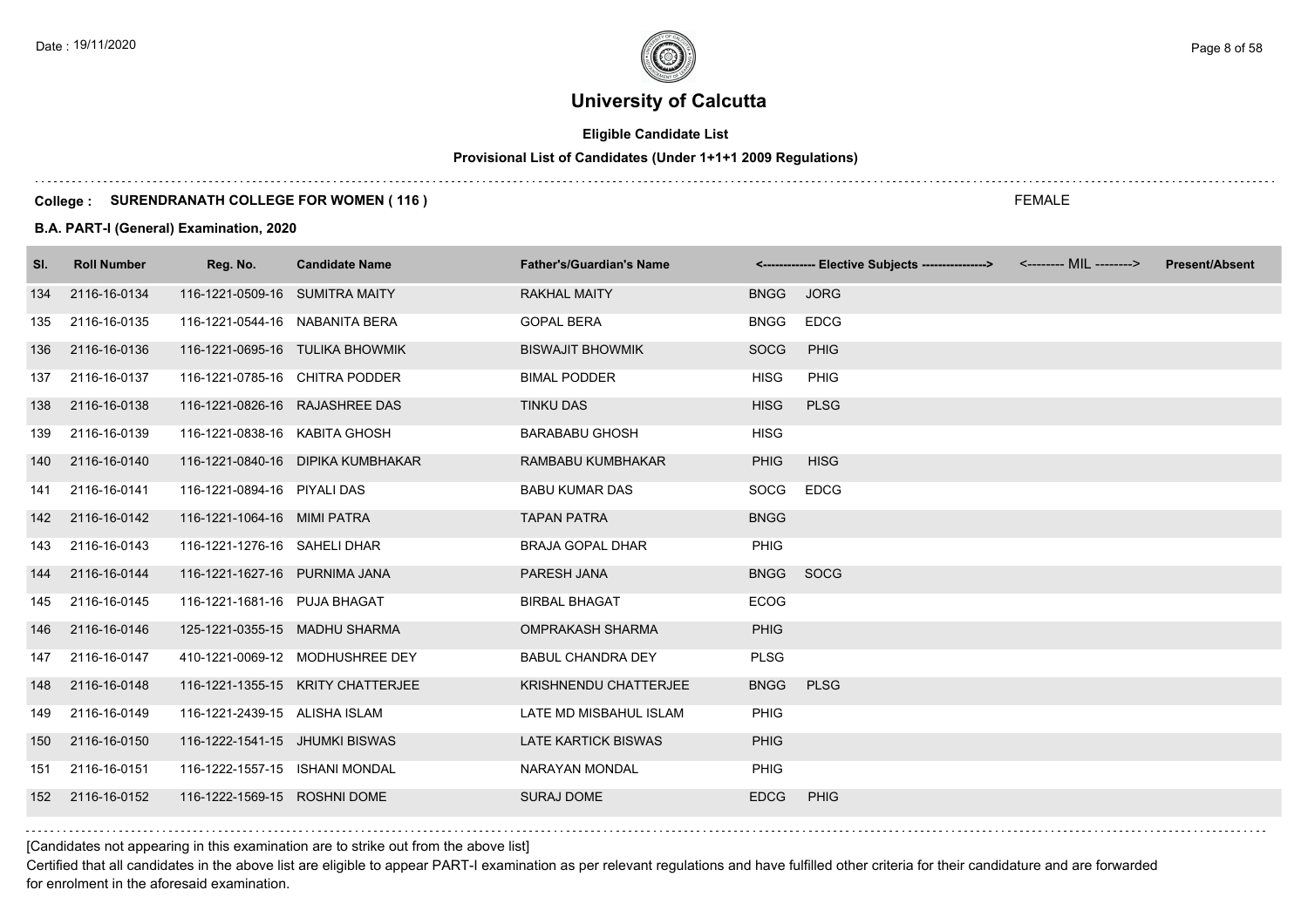# **Eligible Candidate List**

# **Provisional List of Candidates (Under 1+1+1 2009 Regulations)**

#### **College : SURENDRANATH COLLEGE FOR WOMEN ( 116 )**

#### **B.A. PART-I (General) Examination, 2020**

| SI. | <b>Roll Number</b> | Reg. No.                       | <b>Candidate Name</b>             | <b>Father's/Guardian's Name</b> |             | <-------------- Elective Subjects ----------------> | <-------- MIL --------> | <b>Present/Absent</b> |
|-----|--------------------|--------------------------------|-----------------------------------|---------------------------------|-------------|-----------------------------------------------------|-------------------------|-----------------------|
| 134 | 2116-16-0134       | 116-1221-0509-16 SUMITRA MAITY |                                   | <b>RAKHAL MAITY</b>             | <b>BNGG</b> | <b>JORG</b>                                         |                         |                       |
| 135 | 2116-16-0135       | 116-1221-0544-16 NABANITA BERA |                                   | <b>GOPAL BERA</b>               | <b>BNGG</b> | EDCG                                                |                         |                       |
| 136 | 2116-16-0136       |                                | 116-1221-0695-16 TULIKA BHOWMIK   | <b>BISWAJIT BHOWMIK</b>         | <b>SOCG</b> | PHIG                                                |                         |                       |
| 137 | 2116-16-0137       | 116-1221-0785-16 CHITRA PODDER |                                   | <b>BIMAL PODDER</b>             | <b>HISG</b> | PHIG                                                |                         |                       |
| 138 | 2116-16-0138       | 116-1221-0826-16 RAJASHREE DAS |                                   | <b>TINKU DAS</b>                | <b>HISG</b> | <b>PLSG</b>                                         |                         |                       |
| 139 | 2116-16-0139       | 116-1221-0838-16 KABITA GHOSH  |                                   | <b>BARABABU GHOSH</b>           | <b>HISG</b> |                                                     |                         |                       |
| 140 | 2116-16-0140       |                                | 116-1221-0840-16 DIPIKA KUMBHAKAR | RAMBABU KUMBHAKAR               | <b>PHIG</b> | <b>HISG</b>                                         |                         |                       |
| 141 | 2116-16-0141       | 116-1221-0894-16 PIYALI DAS    |                                   | <b>BABU KUMAR DAS</b>           | SOCG        | <b>EDCG</b>                                         |                         |                       |
| 142 | 2116-16-0142       | 116-1221-1064-16 MIMI PATRA    |                                   | <b>TAPAN PATRA</b>              | <b>BNGG</b> |                                                     |                         |                       |
| 143 | 2116-16-0143       | 116-1221-1276-16 SAHELI DHAR   |                                   | <b>BRAJA GOPAL DHAR</b>         | <b>PHIG</b> |                                                     |                         |                       |
| 144 | 2116-16-0144       | 116-1221-1627-16 PURNIMA JANA  |                                   | PARESH JANA                     | BNGG SOCG   |                                                     |                         |                       |
| 145 | 2116-16-0145       | 116-1221-1681-16 PUJA BHAGAT   |                                   | <b>BIRBAL BHAGAT</b>            | <b>ECOG</b> |                                                     |                         |                       |
| 146 | 2116-16-0146       | 125-1221-0355-15 MADHU SHARMA  |                                   | <b>OMPRAKASH SHARMA</b>         | <b>PHIG</b> |                                                     |                         |                       |
| 147 | 2116-16-0147       |                                | 410-1221-0069-12 MODHUSHREE DEY   | <b>BABUL CHANDRA DEY</b>        | <b>PLSG</b> |                                                     |                         |                       |
| 148 | 2116-16-0148       |                                | 116-1221-1355-15 KRITY CHATTERJEE | <b>KRISHNENDU CHATTERJEE</b>    | <b>BNGG</b> | <b>PLSG</b>                                         |                         |                       |
| 149 | 2116-16-0149       | 116-1221-2439-15 ALISHA ISLAM  |                                   | LATE MD MISBAHUL ISLAM          | <b>PHIG</b> |                                                     |                         |                       |
| 150 | 2116-16-0150       | 116-1222-1541-15 JHUMKI BISWAS |                                   | <b>LATE KARTICK BISWAS</b>      | <b>PHIG</b> |                                                     |                         |                       |
| 151 | 2116-16-0151       | 116-1222-1557-15 ISHANI MONDAL |                                   | NARAYAN MONDAL                  | <b>PHIG</b> |                                                     |                         |                       |
| 152 | 2116-16-0152       | 116-1222-1569-15 ROSHNI DOME   |                                   | <b>SURAJ DOME</b>               | <b>EDCG</b> | <b>PHIG</b>                                         |                         |                       |
|     |                    |                                |                                   |                                 |             |                                                     |                         |                       |

FEMALE

[Candidates not appearing in this examination are to strike out from the above list]

Certified that all candidates in the above list are eligible to appear PART-I examination as per relevant regulations and have fulfilled other criteria for their candidature and are forwarded for enrolment in the aforesaid examination.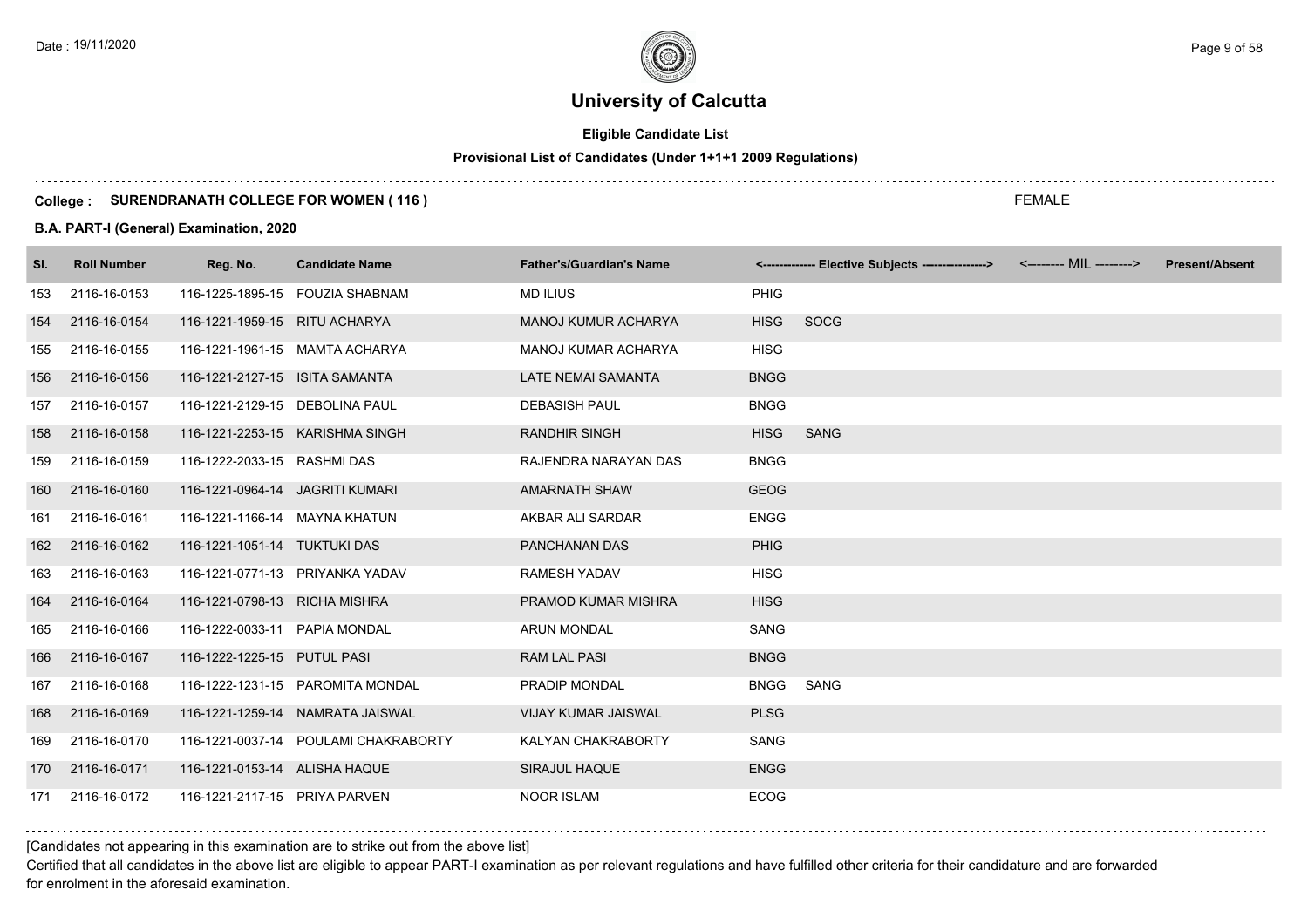# **Eligible Candidate List**

# **Provisional List of Candidates (Under 1+1+1 2009 Regulations)**

#### **College : SURENDRANATH COLLEGE FOR WOMEN ( 116 )**

### **B.A. PART-I (General) Examination, 2020**

| SI. | <b>Roll Number</b> | Reg. No.                        | <b>Candidate Name</b>                | <b>Father's/Guardian's Name</b> |             | <------------- Elective Subjects ----------------> | <-------- MIL --------> | <b>Present/Absent</b> |
|-----|--------------------|---------------------------------|--------------------------------------|---------------------------------|-------------|----------------------------------------------------|-------------------------|-----------------------|
| 153 | 2116-16-0153       |                                 | 116-1225-1895-15 FOUZIA SHABNAM      | <b>MD ILIUS</b>                 | PHIG        |                                                    |                         |                       |
| 154 | 2116-16-0154       | 116-1221-1959-15 RITU ACHARYA   |                                      | <b>MANOJ KUMUR ACHARYA</b>      | <b>HISG</b> | <b>SOCG</b>                                        |                         |                       |
| 155 | 2116-16-0155       |                                 | 116-1221-1961-15 MAMTA ACHARYA       | <b>MANOJ KUMAR ACHARYA</b>      | <b>HISG</b> |                                                    |                         |                       |
| 156 | 2116-16-0156       | 116-1221-2127-15 ISITA SAMANTA  |                                      | <b>LATE NEMAI SAMANTA</b>       | <b>BNGG</b> |                                                    |                         |                       |
| 157 | 2116-16-0157       | 116-1221-2129-15 DEBOLINA PAUL  |                                      | <b>DEBASISH PAUL</b>            | <b>BNGG</b> |                                                    |                         |                       |
| 158 | 2116-16-0158       |                                 | 116-1221-2253-15 KARISHMA SINGH      | <b>RANDHIR SINGH</b>            | <b>HISG</b> | <b>SANG</b>                                        |                         |                       |
| 159 | 2116-16-0159       | 116-1222-2033-15 RASHMI DAS     |                                      | RAJENDRA NARAYAN DAS            | <b>BNGG</b> |                                                    |                         |                       |
| 160 | 2116-16-0160       | 116-1221-0964-14 JAGRITI KUMARI |                                      | <b>AMARNATH SHAW</b>            | <b>GEOG</b> |                                                    |                         |                       |
| 161 | 2116-16-0161       | 116-1221-1166-14 MAYNA KHATUN   |                                      | AKBAR ALI SARDAR                | <b>ENGG</b> |                                                    |                         |                       |
| 162 | 2116-16-0162       | 116-1221-1051-14 TUKTUKI DAS    |                                      | PANCHANAN DAS                   | <b>PHIG</b> |                                                    |                         |                       |
| 163 | 2116-16-0163       |                                 | 116-1221-0771-13 PRIYANKA YADAV      | <b>RAMESH YADAV</b>             | <b>HISG</b> |                                                    |                         |                       |
| 164 | 2116-16-0164       | 116-1221-0798-13 RICHA MISHRA   |                                      | PRAMOD KUMAR MISHRA             | <b>HISG</b> |                                                    |                         |                       |
| 165 | 2116-16-0166       | 116-1222-0033-11 PAPIA MONDAL   |                                      | <b>ARUN MONDAL</b>              | <b>SANG</b> |                                                    |                         |                       |
| 166 | 2116-16-0167       | 116-1222-1225-15 PUTUL PASI     |                                      | <b>RAM LAL PASI</b>             | <b>BNGG</b> |                                                    |                         |                       |
| 167 | 2116-16-0168       |                                 | 116-1222-1231-15 PAROMITA MONDAL     | PRADIP MONDAL                   | <b>BNGG</b> | SANG                                               |                         |                       |
| 168 | 2116-16-0169       |                                 | 116-1221-1259-14 NAMRATA JAISWAL     | <b>VIJAY KUMAR JAISWAL</b>      | <b>PLSG</b> |                                                    |                         |                       |
| 169 | 2116-16-0170       |                                 | 116-1221-0037-14 POULAMI CHAKRABORTY | KALYAN CHAKRABORTY              | SANG        |                                                    |                         |                       |
| 170 | 2116-16-0171       | 116-1221-0153-14 ALISHA HAQUE   |                                      | SIRAJUL HAQUE                   | <b>ENGG</b> |                                                    |                         |                       |
| 171 | 2116-16-0172       | 116-1221-2117-15 PRIYA PARVEN   |                                      | <b>NOOR ISLAM</b>               | <b>ECOG</b> |                                                    |                         |                       |

### [Candidates not appearing in this examination are to strike out from the above list]

Certified that all candidates in the above list are eligible to appear PART-I examination as per relevant regulations and have fulfilled other criteria for their candidature and are forwarded for enrolment in the aforesaid examination.

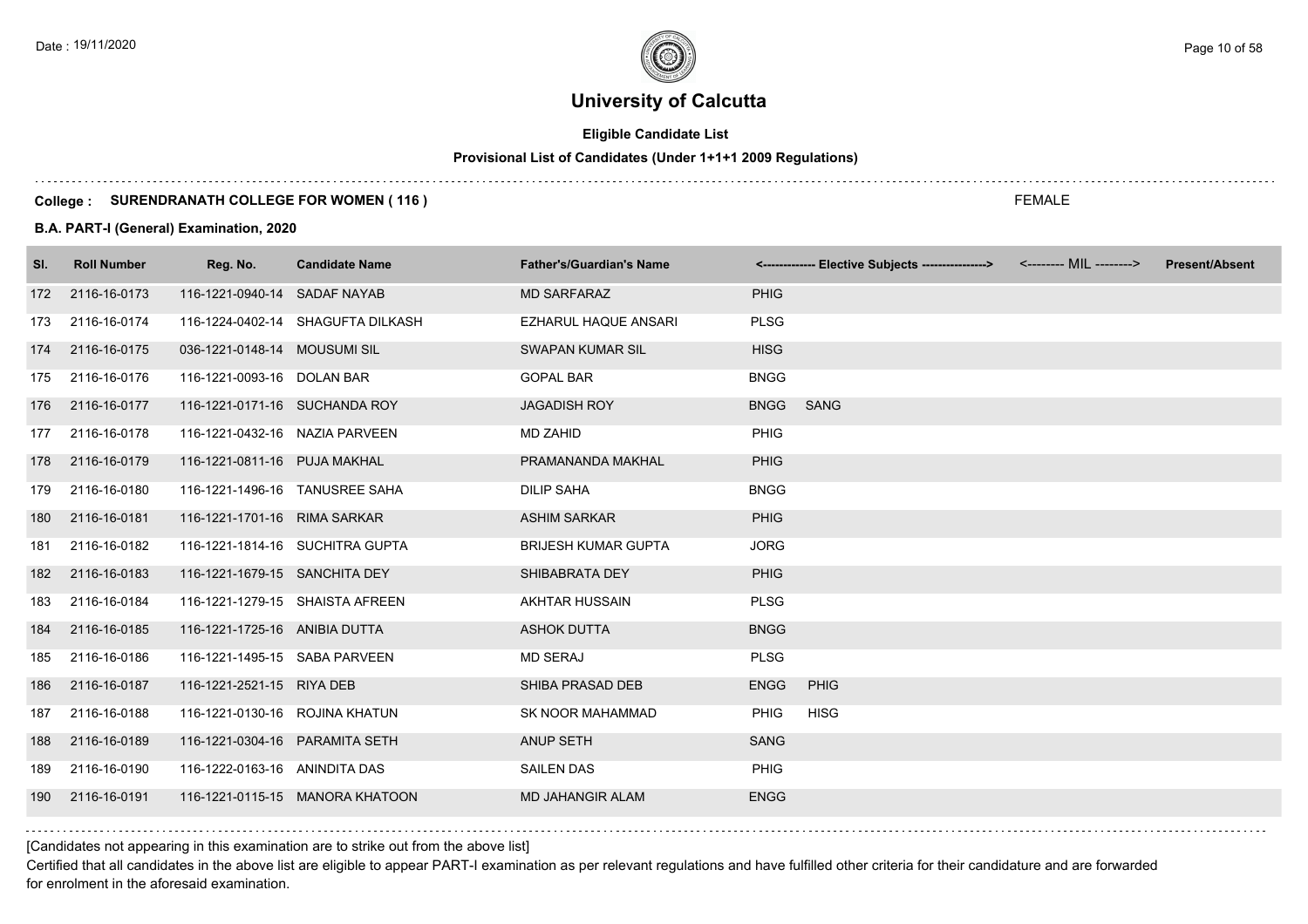# **Eligible Candidate List**

# **Provisional List of Candidates (Under 1+1+1 2009 Regulations)**

#### **College : SURENDRANATH COLLEGE FOR WOMEN ( 116 )**

#### **B.A. PART-I (General) Examination, 2020**

| SI. | <b>Roll Number</b> | Reg. No.                       | <b>Candidate Name</b>             | <b>Father's/Guardian's Name</b> |             | <-------------- Elective Subjects ----------------> | <-------- MIL --------> | <b>Present/Absent</b> |
|-----|--------------------|--------------------------------|-----------------------------------|---------------------------------|-------------|-----------------------------------------------------|-------------------------|-----------------------|
| 172 | 2116-16-0173       | 116-1221-0940-14 SADAF NAYAB   |                                   | <b>MD SARFARAZ</b>              | <b>PHIG</b> |                                                     |                         |                       |
| 173 | 2116-16-0174       |                                | 116-1224-0402-14 SHAGUFTA DILKASH | <b>EZHARUL HAQUE ANSARI</b>     | <b>PLSG</b> |                                                     |                         |                       |
| 174 | 2116-16-0175       | 036-1221-0148-14 MOUSUMI SIL   |                                   | <b>SWAPAN KUMAR SIL</b>         | <b>HISG</b> |                                                     |                         |                       |
| 175 | 2116-16-0176       | 116-1221-0093-16 DOLAN BAR     |                                   | <b>GOPAL BAR</b>                | <b>BNGG</b> |                                                     |                         |                       |
| 176 | 2116-16-0177       | 116-1221-0171-16 SUCHANDA ROY  |                                   | <b>JAGADISH ROY</b>             | <b>BNGG</b> | SANG                                                |                         |                       |
| 177 | 2116-16-0178       | 116-1221-0432-16 NAZIA PARVEEN |                                   | <b>MD ZAHID</b>                 | <b>PHIG</b> |                                                     |                         |                       |
|     | 178 2116-16-0179   | 116-1221-0811-16 PUJA MAKHAL   |                                   | PRAMANANDA MAKHAL               | <b>PHIG</b> |                                                     |                         |                       |
| 179 | 2116-16-0180       | 116-1221-1496-16 TANUSREE SAHA |                                   | <b>DILIP SAHA</b>               | <b>BNGG</b> |                                                     |                         |                       |
| 180 | 2116-16-0181       | 116-1221-1701-16 RIMA SARKAR   |                                   | <b>ASHIM SARKAR</b>             | <b>PHIG</b> |                                                     |                         |                       |
| 181 | 2116-16-0182       |                                | 116-1221-1814-16 SUCHITRA GUPTA   | <b>BRIJESH KUMAR GUPTA</b>      | <b>JORG</b> |                                                     |                         |                       |
| 182 | 2116-16-0183       | 116-1221-1679-15 SANCHITA DEY  |                                   | SHIBABRATA DEY                  | <b>PHIG</b> |                                                     |                         |                       |
| 183 | 2116-16-0184       |                                | 116-1221-1279-15 SHAISTA AFREEN   | AKHTAR HUSSAIN                  | <b>PLSG</b> |                                                     |                         |                       |
| 184 | 2116-16-0185       | 116-1221-1725-16 ANIBIA DUTTA  |                                   | <b>ASHOK DUTTA</b>              | <b>BNGG</b> |                                                     |                         |                       |
| 185 | 2116-16-0186       | 116-1221-1495-15 SABA PARVEEN  |                                   | <b>MD SERAJ</b>                 | <b>PLSG</b> |                                                     |                         |                       |
| 186 | 2116-16-0187       | 116-1221-2521-15 RIYA DEB      |                                   | SHIBA PRASAD DEB                | <b>ENGG</b> | PHIG                                                |                         |                       |
| 187 | 2116-16-0188       | 116-1221-0130-16 ROJINA KHATUN |                                   | SK NOOR MAHAMMAD                | <b>PHIG</b> | <b>HISG</b>                                         |                         |                       |
| 188 | 2116-16-0189       | 116-1221-0304-16 PARAMITA SETH |                                   | <b>ANUP SETH</b>                | <b>SANG</b> |                                                     |                         |                       |
| 189 | 2116-16-0190       | 116-1222-0163-16 ANINDITA DAS  |                                   | <b>SAILEN DAS</b>               | <b>PHIG</b> |                                                     |                         |                       |
| 190 | 2116-16-0191       |                                | 116-1221-0115-15 MANORA KHATOON   | <b>MD JAHANGIR ALAM</b>         | <b>ENGG</b> |                                                     |                         |                       |
|     |                    |                                |                                   |                                 |             |                                                     |                         |                       |

[Candidates not appearing in this examination are to strike out from the above list]

Certified that all candidates in the above list are eligible to appear PART-I examination as per relevant regulations and have fulfilled other criteria for their candidature and are forwarded for enrolment in the aforesaid examination.

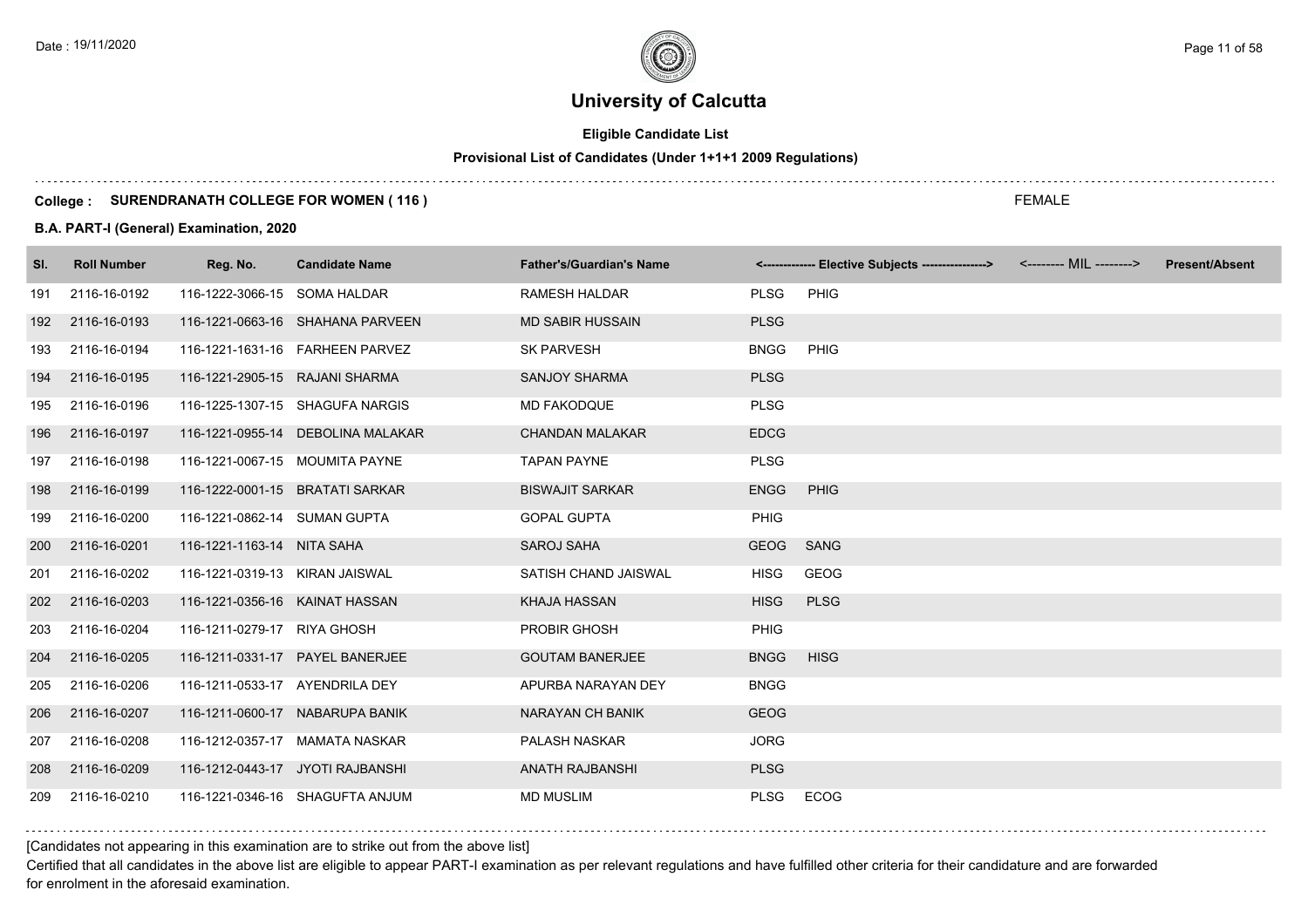# **Eligible Candidate List**

# **Provisional List of Candidates (Under 1+1+1 2009 Regulations)**

#### **College : SURENDRANATH COLLEGE FOR WOMEN ( 116 )**

#### **B.A. PART-I (General) Examination, 2020**

| SI. | <b>Roll Number</b> | Reg. No.                        | <b>Candidate Name</b>             | <b>Father's/Guardian's Name</b> |             | <------------- Elective Subjects ----------------> <-------- MIL --------> | <b>Present/Absent</b> |
|-----|--------------------|---------------------------------|-----------------------------------|---------------------------------|-------------|----------------------------------------------------------------------------|-----------------------|
| 191 | 2116-16-0192       | 116-1222-3066-15 SOMA HALDAR    |                                   | <b>RAMESH HALDAR</b>            | <b>PLSG</b> | PHIG                                                                       |                       |
| 192 | 2116-16-0193       |                                 | 116-1221-0663-16 SHAHANA PARVEEN  | <b>MD SABIR HUSSAIN</b>         | <b>PLSG</b> |                                                                            |                       |
| 193 | 2116-16-0194       |                                 | 116-1221-1631-16 FARHEEN PARVEZ   | <b>SK PARVESH</b>               | <b>BNGG</b> | PHIG                                                                       |                       |
| 194 | 2116-16-0195       | 116-1221-2905-15 RAJANI SHARMA  |                                   | <b>SANJOY SHARMA</b>            | <b>PLSG</b> |                                                                            |                       |
| 195 | 2116-16-0196       |                                 | 116-1225-1307-15 SHAGUFA NARGIS   | <b>MD FAKODQUE</b>              | <b>PLSG</b> |                                                                            |                       |
| 196 | 2116-16-0197       |                                 | 116-1221-0955-14 DEBOLINA MALAKAR | <b>CHANDAN MALAKAR</b>          | <b>EDCG</b> |                                                                            |                       |
| 197 | 2116-16-0198       | 116-1221-0067-15 MOUMITA PAYNE  |                                   | <b>TAPAN PAYNE</b>              | <b>PLSG</b> |                                                                            |                       |
| 198 | 2116-16-0199       | 116-1222-0001-15 BRATATI SARKAR |                                   | <b>BISWAJIT SARKAR</b>          | <b>ENGG</b> | PHIG                                                                       |                       |
| 199 | 2116-16-0200       | 116-1221-0862-14 SUMAN GUPTA    |                                   | <b>GOPAL GUPTA</b>              | <b>PHIG</b> |                                                                            |                       |
| 200 | 2116-16-0201       | 116-1221-1163-14 NITA SAHA      |                                   | SAROJ SAHA                      | <b>GEOG</b> | <b>SANG</b>                                                                |                       |
| 201 | 2116-16-0202       | 116-1221-0319-13 KIRAN JAISWAL  |                                   | SATISH CHAND JAISWAL            | <b>HISG</b> | <b>GEOG</b>                                                                |                       |
| 202 | 2116-16-0203       | 116-1221-0356-16 KAINAT HASSAN  |                                   | <b>KHAJA HASSAN</b>             | <b>HISG</b> | <b>PLSG</b>                                                                |                       |
| 203 | 2116-16-0204       | 116-1211-0279-17 RIYA GHOSH     |                                   | PROBIR GHOSH                    | <b>PHIG</b> |                                                                            |                       |
| 204 | 2116-16-0205       |                                 | 116-1211-0331-17 PAYEL BANERJEE   | <b>GOUTAM BANERJEE</b>          | <b>BNGG</b> | <b>HISG</b>                                                                |                       |
| 205 | 2116-16-0206       | 116-1211-0533-17 AYENDRILA DEY  |                                   | APURBA NARAYAN DEY              | <b>BNGG</b> |                                                                            |                       |
| 206 | 2116-16-0207       |                                 | 116-1211-0600-17 NABARUPA BANIK   | <b>NARAYAN CH BANIK</b>         | <b>GEOG</b> |                                                                            |                       |
| 207 | 2116-16-0208       |                                 | 116-1212-0357-17 MAMATA NASKAR    | PALASH NASKAR                   | <b>JORG</b> |                                                                            |                       |
| 208 | 2116-16-0209       |                                 | 116-1212-0443-17 JYOTI RAJBANSHI  | <b>ANATH RAJBANSHI</b>          | <b>PLSG</b> |                                                                            |                       |
| 209 | 2116-16-0210       |                                 | 116-1221-0346-16 SHAGUFTA ANJUM   | <b>MD MUSLIM</b>                | <b>PLSG</b> | <b>ECOG</b>                                                                |                       |

[Candidates not appearing in this examination are to strike out from the above list]

Certified that all candidates in the above list are eligible to appear PART-I examination as per relevant regulations and have fulfilled other criteria for their candidature and are forwarded for enrolment in the aforesaid examination.

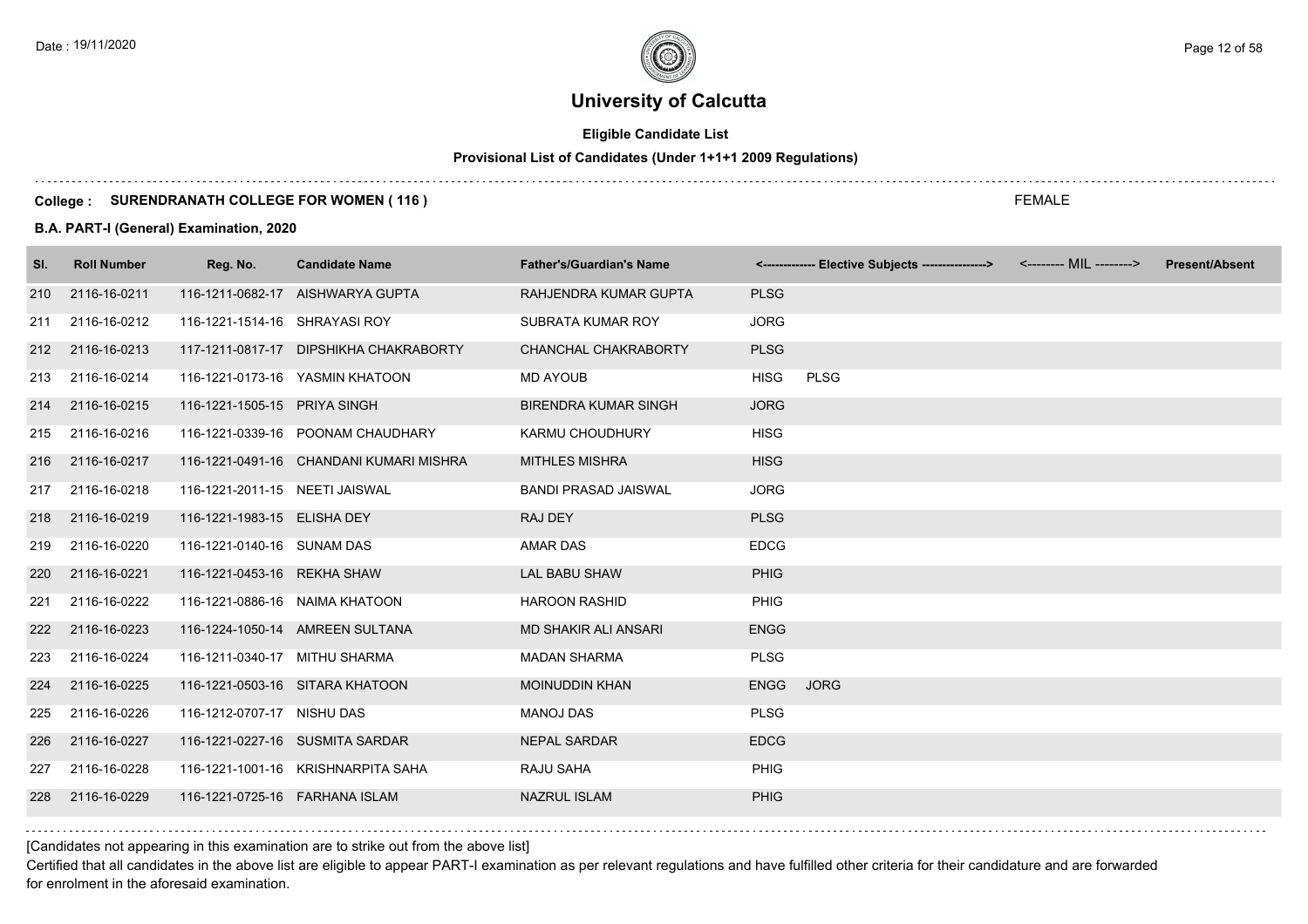# **Eligible Candidate List**

# **Provisional List of Candidates (Under 1+1+1 2009 Regulations)**

#### **College : SURENDRANATH COLLEGE FOR WOMEN ( 116 )**

#### **B.A. PART-I (General) Examination, 2020**

| SI. | <b>Roll Number</b> | Reg. No.                          | <b>Candidate Name</b>                   | <b>Father's/Guardian's Name</b> |             | <------------- Elective Subjects ----------------> | <-------- MIL --------> | <b>Present/Absent</b> |
|-----|--------------------|-----------------------------------|-----------------------------------------|---------------------------------|-------------|----------------------------------------------------|-------------------------|-----------------------|
| 210 | 2116-16-0211       |                                   | 116-1211-0682-17 AISHWARYA GUPTA        | RAHJENDRA KUMAR GUPTA           | <b>PLSG</b> |                                                    |                         |                       |
| 211 | 2116-16-0212       | 116-1221-1514-16 SHRAYASI ROY     |                                         | SUBRATA KUMAR ROY               | <b>JORG</b> |                                                    |                         |                       |
| 212 | 2116-16-0213       |                                   | 117-1211-0817-17 DIPSHIKHA CHAKRABORTY  | CHANCHAL CHAKRABORTY            | <b>PLSG</b> |                                                    |                         |                       |
| 213 | 2116-16-0214       |                                   | 116-1221-0173-16 YASMIN KHATOON         | <b>MD AYOUB</b>                 | <b>HISG</b> | <b>PLSG</b>                                        |                         |                       |
| 214 | 2116-16-0215       | 116-1221-1505-15 PRIYA SINGH      |                                         | <b>BIRENDRA KUMAR SINGH</b>     | <b>JORG</b> |                                                    |                         |                       |
| 215 | 2116-16-0216       |                                   | 116-1221-0339-16 POONAM CHAUDHARY       | KARMU CHOUDHURY                 | <b>HISG</b> |                                                    |                         |                       |
| 216 | 2116-16-0217       |                                   | 116-1221-0491-16 CHANDANI KUMARI MISHRA | <b>MITHLES MISHRA</b>           | <b>HISG</b> |                                                    |                         |                       |
| 217 | 2116-16-0218       | 116-1221-2011-15 NEETI JAISWAL    |                                         | <b>BANDI PRASAD JAISWAL</b>     | <b>JORG</b> |                                                    |                         |                       |
| 218 | 2116-16-0219       | 116-1221-1983-15 ELISHA DEY       |                                         | RAJ DEY                         | <b>PLSG</b> |                                                    |                         |                       |
| 219 | 2116-16-0220       | 116-1221-0140-16 SUNAM DAS        |                                         | <b>AMAR DAS</b>                 | <b>EDCG</b> |                                                    |                         |                       |
| 220 | 2116-16-0221       | 116-1221-0453-16 REKHA SHAW       |                                         | <b>LAL BABU SHAW</b>            | <b>PHIG</b> |                                                    |                         |                       |
| 221 | 2116-16-0222       | 116-1221-0886-16 NAIMA KHATOON    |                                         | <b>HAROON RASHID</b>            | <b>PHIG</b> |                                                    |                         |                       |
| 222 | 2116-16-0223       |                                   | 116-1224-1050-14 AMREEN SULTANA         | <b>MD SHAKIR ALI ANSARI</b>     | <b>ENGG</b> |                                                    |                         |                       |
| 223 | 2116-16-0224       | 116-1211-0340-17 MITHU SHARMA     |                                         | <b>MADAN SHARMA</b>             | <b>PLSG</b> |                                                    |                         |                       |
| 224 | 2116-16-0225       |                                   | 116-1221-0503-16 SITARA KHATOON         | <b>MOINUDDIN KHAN</b>           | <b>ENGG</b> | <b>JORG</b>                                        |                         |                       |
| 225 | 2116-16-0226       | 116-1212-0707-17 NISHU DAS        |                                         | <b>MANOJ DAS</b>                | <b>PLSG</b> |                                                    |                         |                       |
| 226 | 2116-16-0227       |                                   | 116-1221-0227-16 SUSMITA SARDAR         | <b>NEPAL SARDAR</b>             | <b>EDCG</b> |                                                    |                         |                       |
| 227 | 2116-16-0228       |                                   | 116-1221-1001-16 KRISHNARPITA SAHA      | RAJU SAHA                       | PHIG        |                                                    |                         |                       |
| 228 | 2116-16-0229       | 116-1221-0725-16    FARHANA ISLAM |                                         | <b>NAZRUL ISLAM</b>             | <b>PHIG</b> |                                                    |                         |                       |
|     |                    |                                   |                                         |                                 |             |                                                    |                         |                       |

[Candidates not appearing in this examination are to strike out from the above list]

Certified that all candidates in the above list are eligible to appear PART-I examination as per relevant regulations and have fulfilled other criteria for their candidature and are forwarded for enrolment in the aforesaid examination.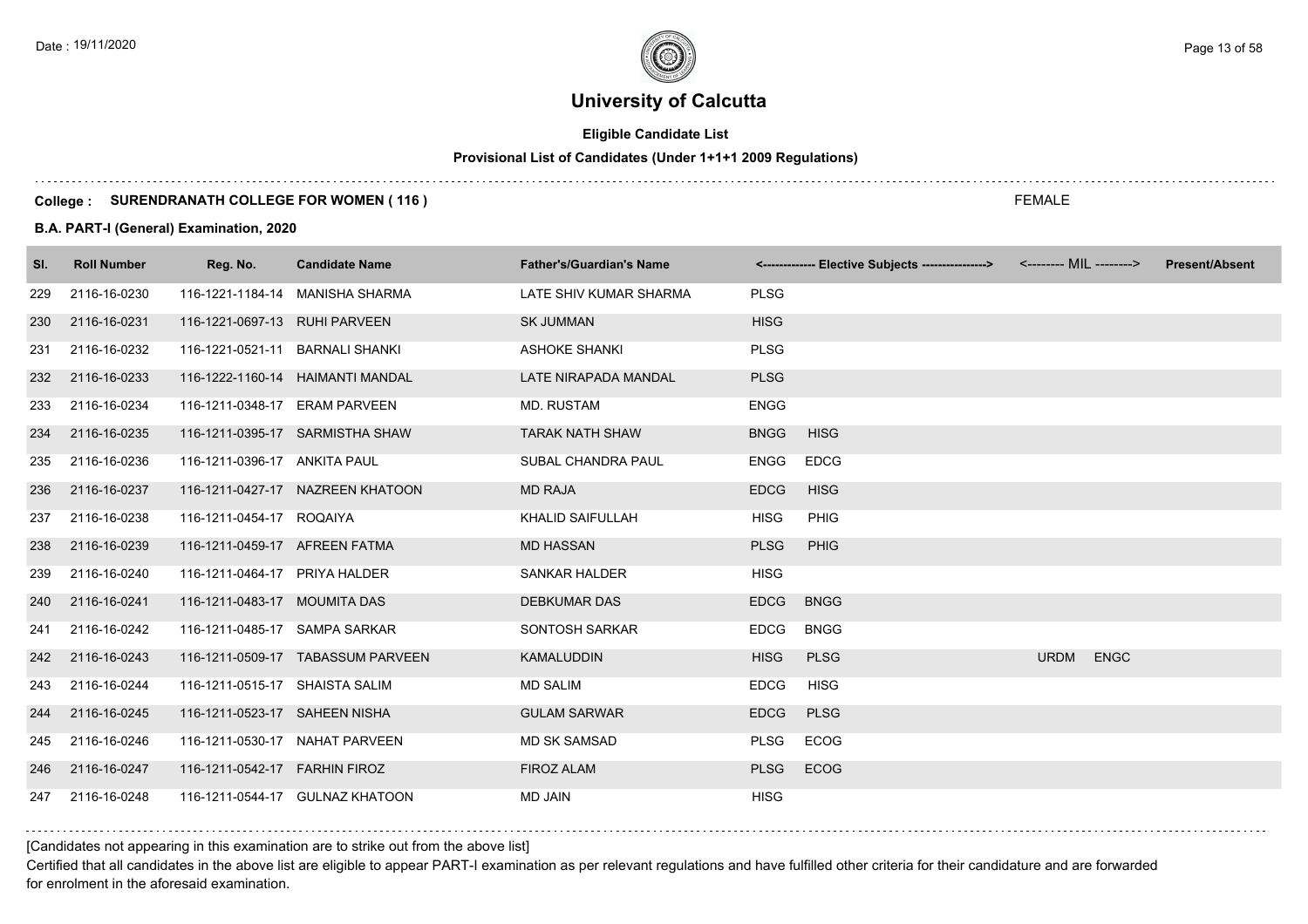# **Eligible Candidate List**

# **Provisional List of Candidates (Under 1+1+1 2009 Regulations)**

#### **College : SURENDRANATH COLLEGE FOR WOMEN ( 116 )**

#### **B.A. PART-I (General) Examination, 2020**

| SI. | <b>Roll Number</b> | Reg. No.                        | <b>Candidate Name</b>             | <b>Father's/Guardian's Name</b> |             | <------------- Elective Subjects ----------------> | <-------- MIL --------> |             | <b>Present/Absent</b> |
|-----|--------------------|---------------------------------|-----------------------------------|---------------------------------|-------------|----------------------------------------------------|-------------------------|-------------|-----------------------|
| 229 | 2116-16-0230       |                                 | 116-1221-1184-14 MANISHA SHARMA   | LATE SHIV KUMAR SHARMA          | <b>PLSG</b> |                                                    |                         |             |                       |
| 230 | 2116-16-0231       | 116-1221-0697-13 RUHI PARVEEN   |                                   | <b>SK JUMMAN</b>                | <b>HISG</b> |                                                    |                         |             |                       |
| 231 | 2116-16-0232       | 116-1221-0521-11 BARNALI SHANKI |                                   | <b>ASHOKE SHANKI</b>            | <b>PLSG</b> |                                                    |                         |             |                       |
| 232 | 2116-16-0233       |                                 | 116-1222-1160-14 HAIMANTI MANDAL  | LATE NIRAPADA MANDAL            | <b>PLSG</b> |                                                    |                         |             |                       |
| 233 | 2116-16-0234       | 116-1211-0348-17 ERAM PARVEEN   |                                   | <b>MD. RUSTAM</b>               | <b>ENGG</b> |                                                    |                         |             |                       |
| 234 | 2116-16-0235       |                                 | 116-1211-0395-17 SARMISTHA SHAW   | <b>TARAK NATH SHAW</b>          | <b>BNGG</b> | <b>HISG</b>                                        |                         |             |                       |
| 235 | 2116-16-0236       | 116-1211-0396-17 ANKITA PAUL    |                                   | SUBAL CHANDRA PAUL              | <b>ENGG</b> | <b>EDCG</b>                                        |                         |             |                       |
| 236 | 2116-16-0237       |                                 | 116-1211-0427-17 NAZREEN KHATOON  | <b>MD RAJA</b>                  | <b>EDCG</b> | <b>HISG</b>                                        |                         |             |                       |
| 237 | 2116-16-0238       | 116-1211-0454-17 ROQAIYA        |                                   | KHALID SAIFULLAH                | <b>HISG</b> | <b>PHIG</b>                                        |                         |             |                       |
| 238 | 2116-16-0239       | 116-1211-0459-17 AFREEN FATMA   |                                   | <b>MD HASSAN</b>                | <b>PLSG</b> | PHIG                                               |                         |             |                       |
| 239 | 2116-16-0240       | 116-1211-0464-17 PRIYA HALDER   |                                   | <b>SANKAR HALDER</b>            | <b>HISG</b> |                                                    |                         |             |                       |
| 240 | 2116-16-0241       | 116-1211-0483-17 MOUMITA DAS    |                                   | <b>DEBKUMAR DAS</b>             | <b>EDCG</b> | <b>BNGG</b>                                        |                         |             |                       |
| 241 | 2116-16-0242       | 116-1211-0485-17 SAMPA SARKAR   |                                   | SONTOSH SARKAR                  | <b>EDCG</b> | <b>BNGG</b>                                        |                         |             |                       |
| 242 | 2116-16-0243       |                                 | 116-1211-0509-17 TABASSUM PARVEEN | <b>KAMALUDDIN</b>               | <b>HISG</b> | <b>PLSG</b>                                        | <b>URDM</b>             | <b>ENGC</b> |                       |
| 243 | 2116-16-0244       | 116-1211-0515-17 SHAISTA SALIM  |                                   | <b>MD SALIM</b>                 | <b>EDCG</b> | <b>HISG</b>                                        |                         |             |                       |
| 244 | 2116-16-0245       | 116-1211-0523-17 SAHEEN NISHA   |                                   | <b>GULAM SARWAR</b>             | <b>EDCG</b> | <b>PLSG</b>                                        |                         |             |                       |
| 245 | 2116-16-0246       | 116-1211-0530-17 NAHAT PARVEEN  |                                   | <b>MD SK SAMSAD</b>             | <b>PLSG</b> | <b>ECOG</b>                                        |                         |             |                       |
| 246 | 2116-16-0247       | 116-1211-0542-17  FARHIN FIROZ  |                                   | <b>FIROZ ALAM</b>               | <b>PLSG</b> | <b>ECOG</b>                                        |                         |             |                       |
| 247 | 2116-16-0248       |                                 | 116-1211-0544-17 GULNAZ KHATOON   | <b>MD JAIN</b>                  | <b>HISG</b> |                                                    |                         |             |                       |

[Candidates not appearing in this examination are to strike out from the above list]

Certified that all candidates in the above list are eligible to appear PART-I examination as per relevant regulations and have fulfilled other criteria for their candidature and are forwarded for enrolment in the aforesaid examination.

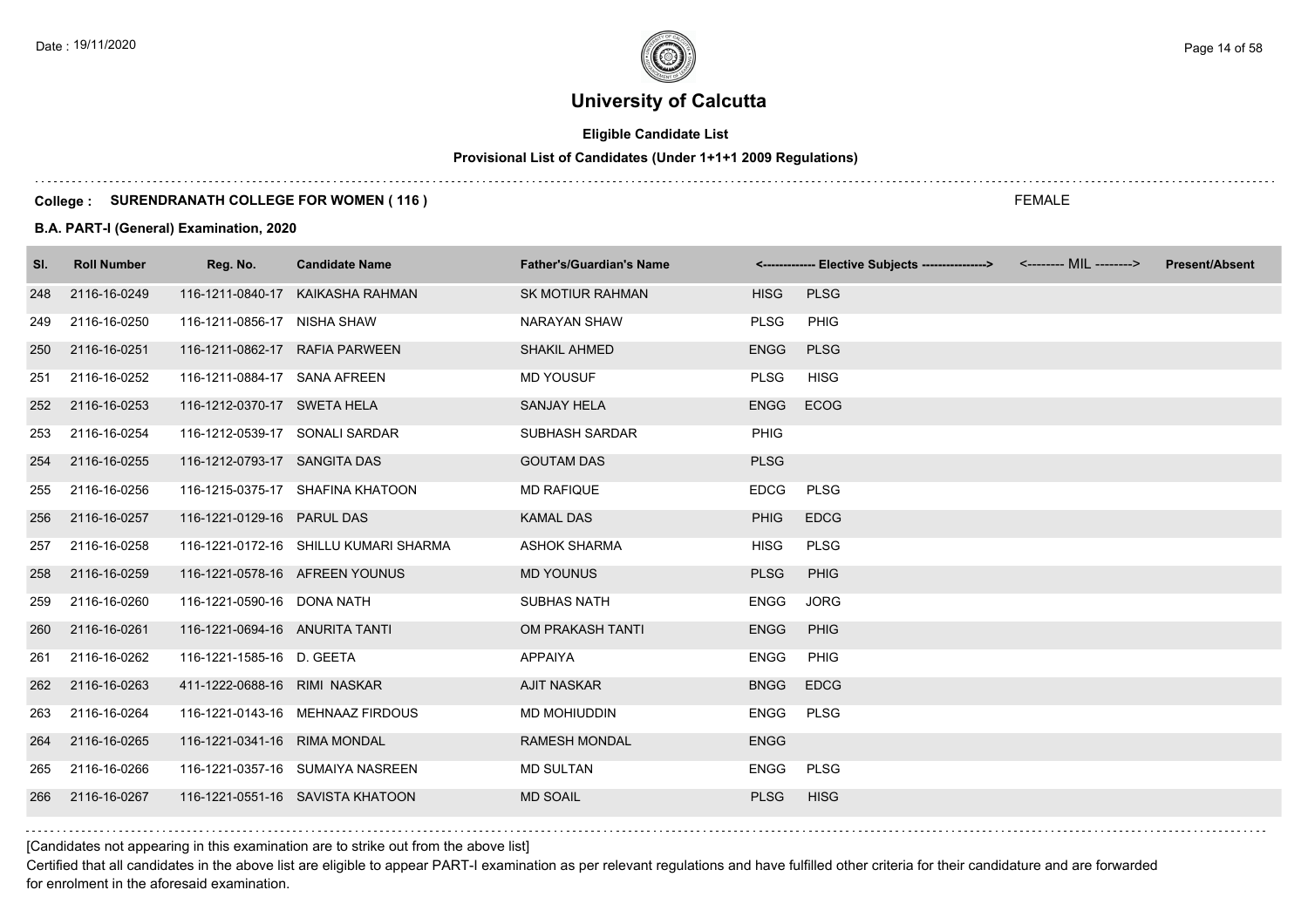# **Eligible Candidate List**

# **Provisional List of Candidates (Under 1+1+1 2009 Regulations)**

#### **College : SURENDRANATH COLLEGE FOR WOMEN ( 116 )**

#### **B.A. PART-I (General) Examination, 2020**

| SI. | <b>Roll Number</b> | Reg. No.                       | <b>Candidate Name</b>                 | <b>Father's/Guardian's Name</b> |             | <-------------- Elective Subjects ----------------> | <b>Present/Absent</b> |
|-----|--------------------|--------------------------------|---------------------------------------|---------------------------------|-------------|-----------------------------------------------------|-----------------------|
| 248 | 2116-16-0249       |                                | 116-1211-0840-17 KAIKASHA RAHMAN      | <b>SK MOTIUR RAHMAN</b>         | <b>HISG</b> | <b>PLSG</b>                                         |                       |
| 249 | 2116-16-0250       | 116-1211-0856-17 NISHA SHAW    |                                       | <b>NARAYAN SHAW</b>             | <b>PLSG</b> | <b>PHIG</b>                                         |                       |
| 250 | 2116-16-0251       | 116-1211-0862-17 RAFIA PARWEEN |                                       | <b>SHAKIL AHMED</b>             | <b>ENGG</b> | <b>PLSG</b>                                         |                       |
| 251 | 2116-16-0252       | 116-1211-0884-17 SANA AFREEN   |                                       | <b>MD YOUSUF</b>                | <b>PLSG</b> | <b>HISG</b>                                         |                       |
| 252 | 2116-16-0253       | 116-1212-0370-17 SWETA HELA    |                                       | <b>SANJAY HELA</b>              | ENGG ECOG   |                                                     |                       |
| 253 | 2116-16-0254       | 116-1212-0539-17 SONALI SARDAR |                                       | <b>SUBHASH SARDAR</b>           | <b>PHIG</b> |                                                     |                       |
| 254 | 2116-16-0255       | 116-1212-0793-17 SANGITA DAS   |                                       | <b>GOUTAM DAS</b>               | <b>PLSG</b> |                                                     |                       |
| 255 | 2116-16-0256       |                                | 116-1215-0375-17 SHAFINA KHATOON      | <b>MD RAFIQUE</b>               | <b>EDCG</b> | PLSG                                                |                       |
| 256 | 2116-16-0257       | 116-1221-0129-16 PARUL DAS     |                                       | <b>KAMAL DAS</b>                | <b>PHIG</b> | <b>EDCG</b>                                         |                       |
| 257 | 2116-16-0258       |                                | 116-1221-0172-16 SHILLU KUMARI SHARMA | <b>ASHOK SHARMA</b>             | <b>HISG</b> | <b>PLSG</b>                                         |                       |
| 258 | 2116-16-0259       | 116-1221-0578-16 AFREEN YOUNUS |                                       | <b>MD YOUNUS</b>                | <b>PLSG</b> | PHIG                                                |                       |
| 259 | 2116-16-0260       | 116-1221-0590-16 DONA NATH     |                                       | <b>SUBHAS NATH</b>              | <b>ENGG</b> | <b>JORG</b>                                         |                       |
| 260 | 2116-16-0261       | 116-1221-0694-16 ANURITA TANTI |                                       | OM PRAKASH TANTI                | <b>ENGG</b> | PHIG                                                |                       |
| 261 | 2116-16-0262       | 116-1221-1585-16 D. GEETA      |                                       | APPAIYA                         | <b>ENGG</b> | PHIG                                                |                       |
|     | 262 2116-16-0263   | 411-1222-0688-16 RIMI NASKAR   |                                       | <b>AJIT NASKAR</b>              | <b>BNGG</b> | <b>EDCG</b>                                         |                       |
| 263 | 2116-16-0264       |                                | 116-1221-0143-16 MEHNAAZ FIRDOUS      | MD MOHIUDDIN                    | ENGG        | <b>PLSG</b>                                         |                       |
| 264 | 2116-16-0265       | 116-1221-0341-16 RIMA MONDAL   |                                       | <b>RAMESH MONDAL</b>            | <b>ENGG</b> |                                                     |                       |
| 265 | 2116-16-0266       |                                | 116-1221-0357-16 SUMAIYA NASREEN      | <b>MD SULTAN</b>                | <b>ENGG</b> | <b>PLSG</b>                                         |                       |
| 266 | 2116-16-0267       |                                | 116-1221-0551-16 SAVISTA KHATOON      | <b>MD SOAIL</b>                 | <b>PLSG</b> | <b>HISG</b>                                         |                       |

[Candidates not appearing in this examination are to strike out from the above list]

Certified that all candidates in the above list are eligible to appear PART-I examination as per relevant regulations and have fulfilled other criteria for their candidature and are forwarded for enrolment in the aforesaid examination.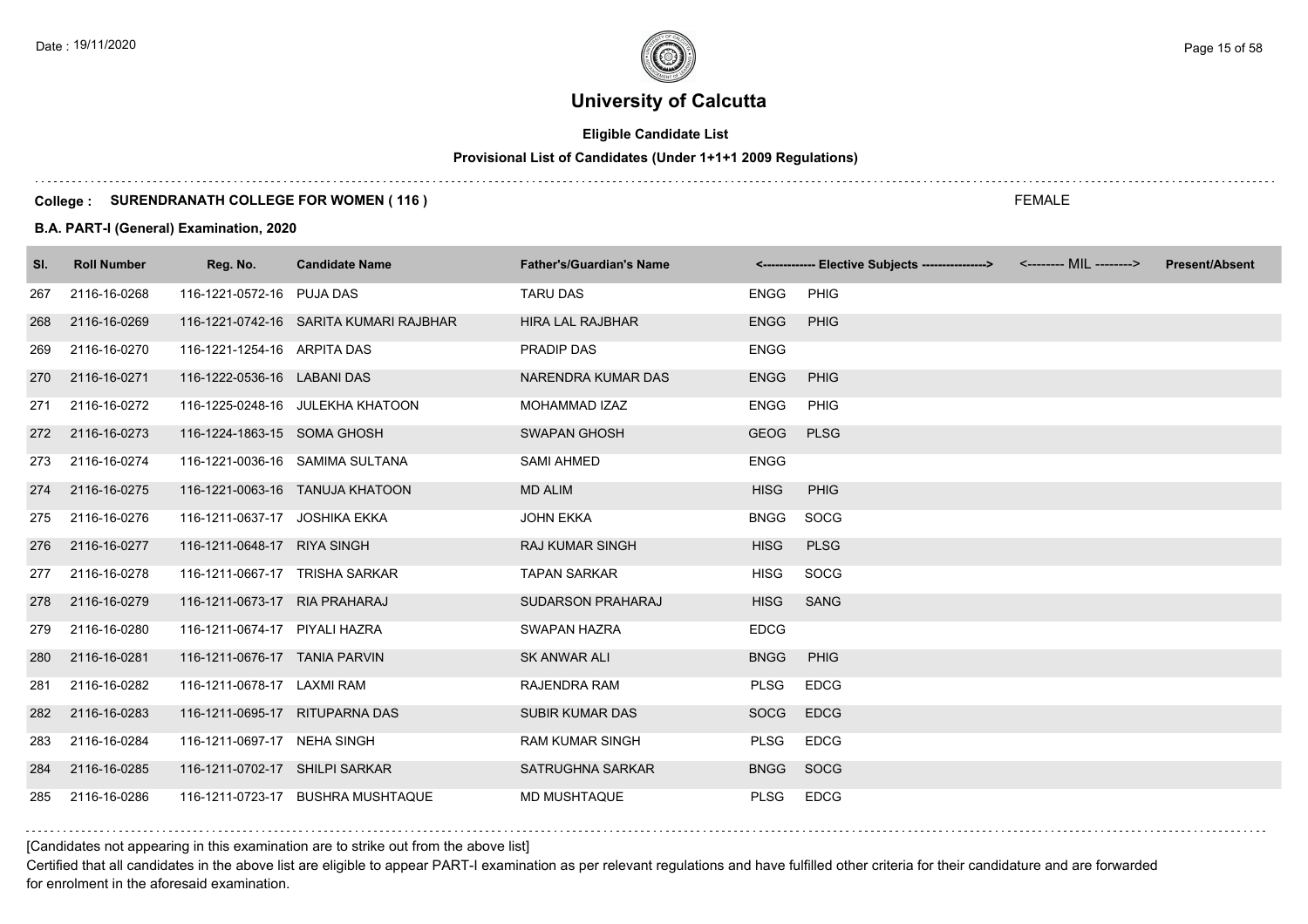# **Eligible Candidate List**

# **Provisional List of Candidates (Under 1+1+1 2009 Regulations)**

#### **College : SURENDRANATH COLLEGE FOR WOMEN ( 116 )**

#### **B.A. PART-I (General) Examination, 2020**

| SI. | <b>Roll Number</b> | Reg. No.                       | <b>Candidate Name</b>                  | <b>Father's/Guardian's Name</b> |             | <------------- Elective Subjects ----------------> <-------- MIL --------> | <b>Present/Absent</b> |
|-----|--------------------|--------------------------------|----------------------------------------|---------------------------------|-------------|----------------------------------------------------------------------------|-----------------------|
| 267 | 2116-16-0268       | 116-1221-0572-16 PUJA DAS      |                                        | <b>TARU DAS</b>                 | <b>ENGG</b> | <b>PHIG</b>                                                                |                       |
| 268 | 2116-16-0269       |                                | 116-1221-0742-16 SARITA KUMARI RAJBHAR | <b>HIRA LAL RAJBHAR</b>         | <b>ENGG</b> | PHIG                                                                       |                       |
| 269 | 2116-16-0270       | 116-1221-1254-16 ARPITA DAS    |                                        | PRADIP DAS                      | <b>ENGG</b> |                                                                            |                       |
| 270 | 2116-16-0271       | 116-1222-0536-16 LABANI DAS    |                                        | NARENDRA KUMAR DAS              | <b>ENGG</b> | <b>PHIG</b>                                                                |                       |
| 271 | 2116-16-0272       |                                | 116-1225-0248-16 JULEKHA KHATOON       | MOHAMMAD IZAZ                   | <b>ENGG</b> | PHIG                                                                       |                       |
| 272 | 2116-16-0273       | 116-1224-1863-15 SOMA GHOSH    |                                        | <b>SWAPAN GHOSH</b>             | <b>GEOG</b> | <b>PLSG</b>                                                                |                       |
| 273 | 2116-16-0274       |                                | 116-1221-0036-16 SAMIMA SULTANA        | <b>SAMI AHMED</b>               | <b>ENGG</b> |                                                                            |                       |
| 274 | 2116-16-0275       |                                | 116-1221-0063-16 TANUJA KHATOON        | <b>MD ALIM</b>                  | <b>HISG</b> | <b>PHIG</b>                                                                |                       |
| 275 | 2116-16-0276       | 116-1211-0637-17 JOSHIKA EKKA  |                                        | <b>JOHN EKKA</b>                | <b>BNGG</b> | SOCG                                                                       |                       |
| 276 | 2116-16-0277       | 116-1211-0648-17 RIYA SINGH    |                                        | <b>RAJ KUMAR SINGH</b>          | <b>HISG</b> | <b>PLSG</b>                                                                |                       |
| 277 | 2116-16-0278       | 116-1211-0667-17 TRISHA SARKAR |                                        | <b>TAPAN SARKAR</b>             | <b>HISG</b> | SOCG                                                                       |                       |
| 278 | 2116-16-0279       | 116-1211-0673-17 RIA PRAHARAJ  |                                        | <b>SUDARSON PRAHARAJ</b>        | <b>HISG</b> | <b>SANG</b>                                                                |                       |
| 279 | 2116-16-0280       | 116-1211-0674-17 PIYALI HAZRA  |                                        | SWAPAN HAZRA                    | <b>EDCG</b> |                                                                            |                       |
| 280 | 2116-16-0281       | 116-1211-0676-17 TANIA PARVIN  |                                        | <b>SK ANWAR ALI</b>             | <b>BNGG</b> | PHIG                                                                       |                       |
| 281 | 2116-16-0282       | 116-1211-0678-17 LAXMI RAM     |                                        | RAJENDRA RAM                    | <b>PLSG</b> | <b>EDCG</b>                                                                |                       |
| 282 | 2116-16-0283       | 116-1211-0695-17 RITUPARNA DAS |                                        | <b>SUBIR KUMAR DAS</b>          | <b>SOCG</b> | <b>EDCG</b>                                                                |                       |
| 283 | 2116-16-0284       | 116-1211-0697-17 NEHA SINGH    |                                        | <b>RAM KUMAR SINGH</b>          | <b>PLSG</b> | <b>EDCG</b>                                                                |                       |
| 284 | 2116-16-0285       | 116-1211-0702-17 SHILPI SARKAR |                                        | SATRUGHNA SARKAR                | <b>BNGG</b> | SOCG                                                                       |                       |
| 285 | 2116-16-0286       |                                | 116-1211-0723-17 BUSHRA MUSHTAQUE      | <b>MD MUSHTAQUE</b>             | <b>PLSG</b> | <b>EDCG</b>                                                                |                       |

[Candidates not appearing in this examination are to strike out from the above list]

Certified that all candidates in the above list are eligible to appear PART-I examination as per relevant regulations and have fulfilled other criteria for their candidature and are forwarded for enrolment in the aforesaid examination.

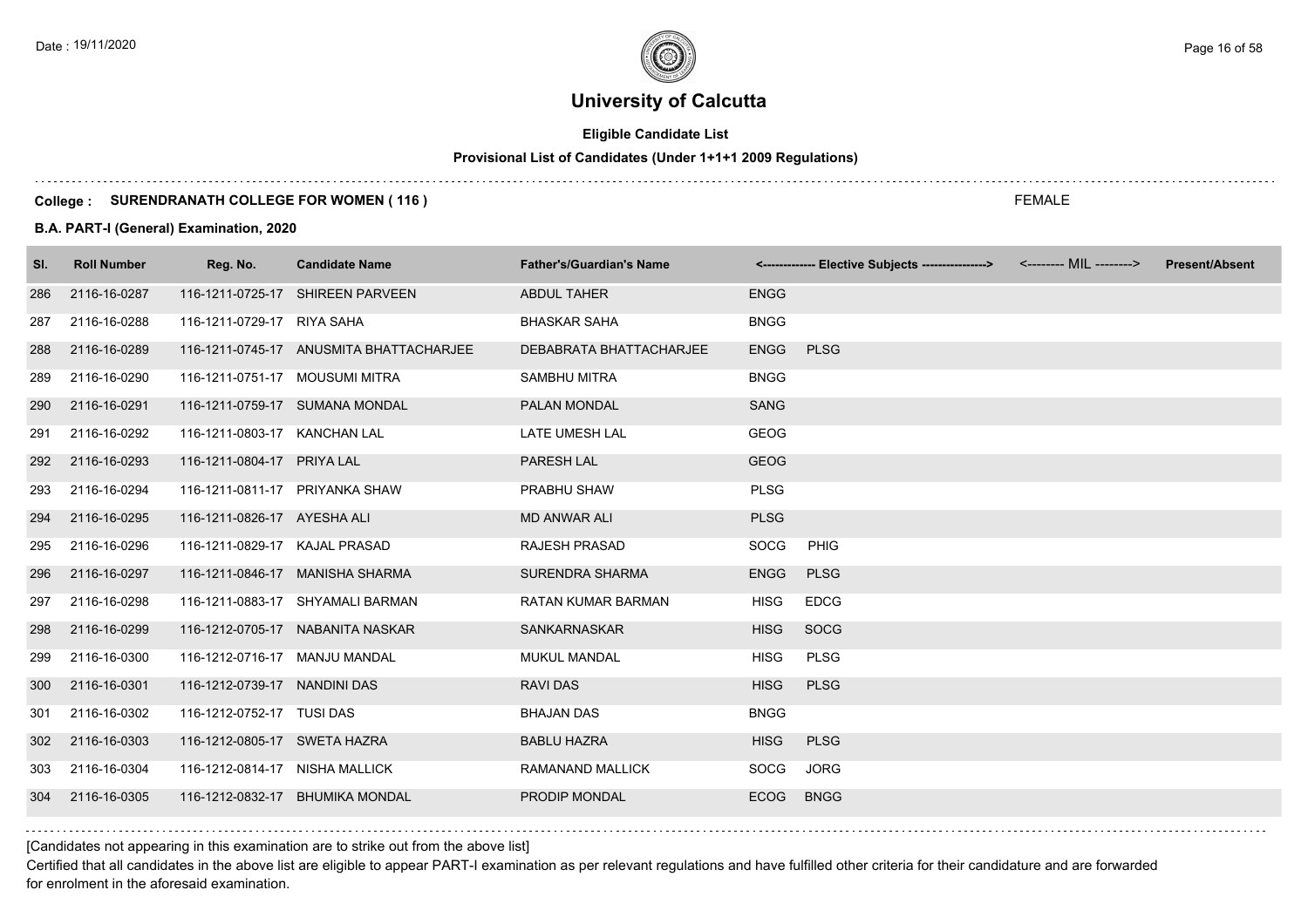# **Eligible Candidate List**

# **Provisional List of Candidates (Under 1+1+1 2009 Regulations)**

#### **College : SURENDRANATH COLLEGE FOR WOMEN ( 116 )**

#### **B.A. PART-I (General) Examination, 2020**

| SI. | <b>Roll Number</b> | Reg. No.                       | <b>Candidate Name</b>                   | <b>Father's/Guardian's Name</b> |             | <------------- Elective Subjects ----------------> <-------- MIL --------> | <b>Present/Absent</b> |
|-----|--------------------|--------------------------------|-----------------------------------------|---------------------------------|-------------|----------------------------------------------------------------------------|-----------------------|
| 286 | 2116-16-0287       |                                | 116-1211-0725-17 SHIREEN PARVEEN        | ABDUL TAHER                     | <b>ENGG</b> |                                                                            |                       |
| 287 | 2116-16-0288       | 116-1211-0729-17 RIYA SAHA     |                                         | <b>BHASKAR SAHA</b>             | <b>BNGG</b> |                                                                            |                       |
| 288 | 2116-16-0289       |                                | 116-1211-0745-17 ANUSMITA BHATTACHARJEE | DEBABRATA BHATTACHARJEE         | <b>ENGG</b> | <b>PLSG</b>                                                                |                       |
| 289 | 2116-16-0290       | 116-1211-0751-17 MOUSUMI MITRA |                                         | <b>SAMBHU MITRA</b>             | <b>BNGG</b> |                                                                            |                       |
| 290 | 2116-16-0291       |                                | 116-1211-0759-17 SUMANA MONDAL          | PALAN MONDAL                    | <b>SANG</b> |                                                                            |                       |
| 291 | 2116-16-0292       | 116-1211-0803-17 KANCHAN LAL   |                                         | LATE UMESH LAL                  | <b>GEOG</b> |                                                                            |                       |
| 292 | 2116-16-0293       | 116-1211-0804-17 PRIYA LAL     |                                         | <b>PARESH LAL</b>               | <b>GEOG</b> |                                                                            |                       |
| 293 | 2116-16-0294       | 116-1211-0811-17 PRIYANKA SHAW |                                         | PRABHU SHAW                     | <b>PLSG</b> |                                                                            |                       |
| 294 | 2116-16-0295       | 116-1211-0826-17 AYESHA ALI    |                                         | <b>MD ANWAR ALI</b>             | <b>PLSG</b> |                                                                            |                       |
| 295 | 2116-16-0296       | 116-1211-0829-17 KAJAL PRASAD  |                                         | <b>RAJESH PRASAD</b>            | SOCG        | PHIG                                                                       |                       |
| 296 | 2116-16-0297       |                                | 116-1211-0846-17 MANISHA SHARMA         | <b>SURENDRA SHARMA</b>          | <b>ENGG</b> | <b>PLSG</b>                                                                |                       |
| 297 | 2116-16-0298       |                                | 116-1211-0883-17 SHYAMALI BARMAN        | <b>RATAN KUMAR BARMAN</b>       | <b>HISG</b> | <b>EDCG</b>                                                                |                       |
| 298 | 2116-16-0299       |                                | 116-1212-0705-17 NABANITA NASKAR        | SANKARNASKAR                    | <b>HISG</b> | SOCG                                                                       |                       |
| 299 | 2116-16-0300       | 116-1212-0716-17 MANJU MANDAL  |                                         | <b>MUKUL MANDAL</b>             | <b>HISG</b> | <b>PLSG</b>                                                                |                       |
| 300 | 2116-16-0301       | 116-1212-0739-17 NANDINI DAS   |                                         | <b>RAVIDAS</b>                  | <b>HISG</b> | <b>PLSG</b>                                                                |                       |
| 301 | 2116-16-0302       | 116-1212-0752-17 TUSI DAS      |                                         | <b>BHAJAN DAS</b>               | <b>BNGG</b> |                                                                            |                       |
| 302 | 2116-16-0303       | 116-1212-0805-17 SWETA HAZRA   |                                         | <b>BABLU HAZRA</b>              | <b>HISG</b> | <b>PLSG</b>                                                                |                       |
| 303 | 2116-16-0304       | 116-1212-0814-17 NISHA MALLICK |                                         | RAMANAND MALLICK                | SOCG        | <b>JORG</b>                                                                |                       |
| 304 | 2116-16-0305       |                                | 116-1212-0832-17 BHUMIKA MONDAL         | PRODIP MONDAL                   | <b>ECOG</b> | <b>BNGG</b>                                                                |                       |

[Candidates not appearing in this examination are to strike out from the above list]

Certified that all candidates in the above list are eligible to appear PART-I examination as per relevant regulations and have fulfilled other criteria for their candidature and are forwarded for enrolment in the aforesaid examination.

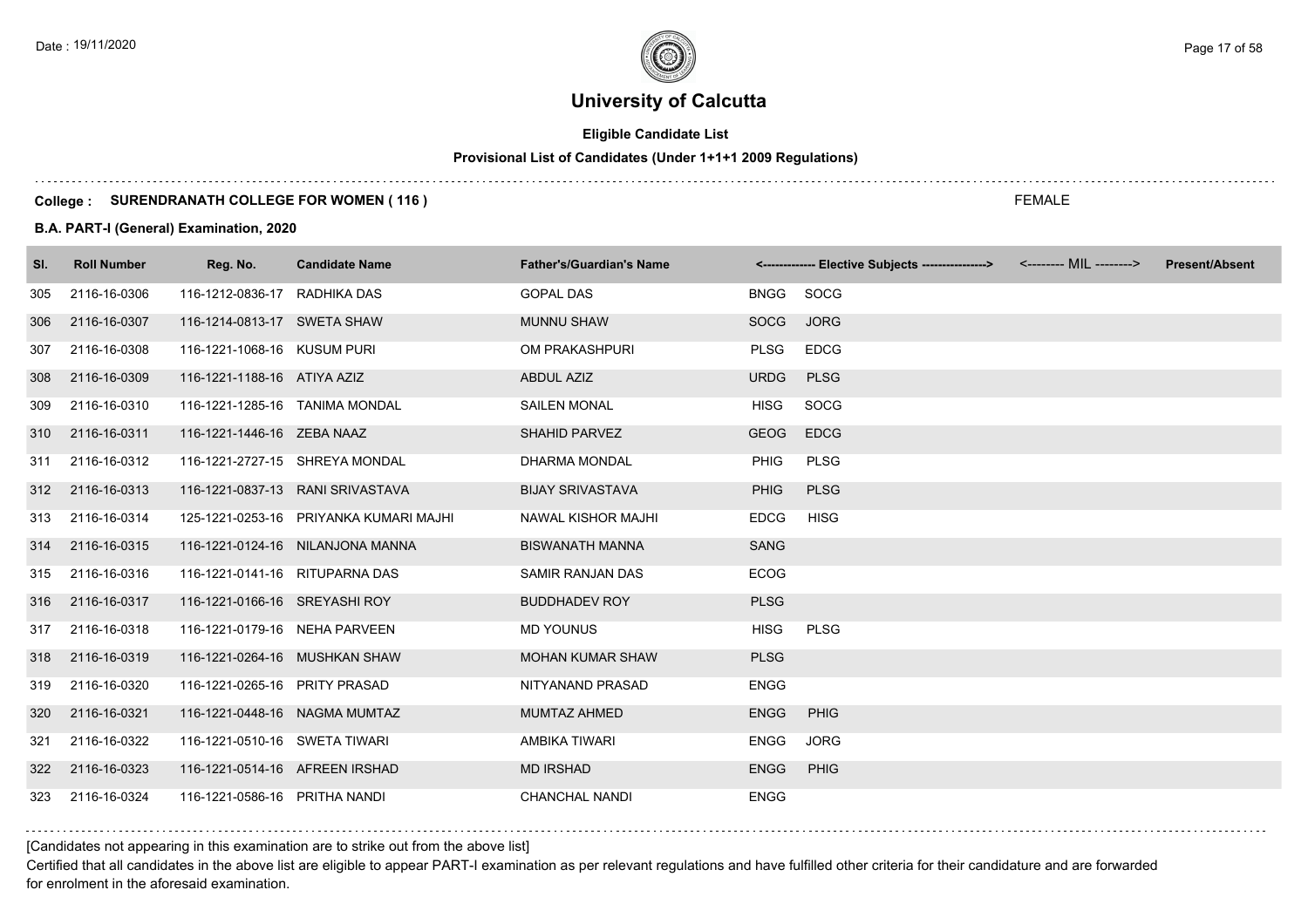# **Eligible Candidate List**

# **Provisional List of Candidates (Under 1+1+1 2009 Regulations)**

#### **College : SURENDRANATH COLLEGE FOR WOMEN ( 116 )**

#### **B.A. PART-I (General) Examination, 2020**

| SI. | <b>Roll Number</b> | Reg. No.                       | <b>Candidate Name</b>                  | <b>Father's/Guardian's Name</b> |             | <------------- Elective Subjects ---------------> <-------- MIL --------> | <b>Present/Absent</b> |
|-----|--------------------|--------------------------------|----------------------------------------|---------------------------------|-------------|---------------------------------------------------------------------------|-----------------------|
| 305 | 2116-16-0306       | 116-1212-0836-17 RADHIKA DAS   |                                        | <b>GOPAL DAS</b>                | <b>BNGG</b> | SOCG                                                                      |                       |
| 306 | 2116-16-0307       | 116-1214-0813-17 SWETA SHAW    |                                        | <b>MUNNU SHAW</b>               | <b>SOCG</b> | <b>JORG</b>                                                               |                       |
| 307 | 2116-16-0308       | 116-1221-1068-16 KUSUM PURI    |                                        | OM PRAKASHPURI                  | <b>PLSG</b> | <b>EDCG</b>                                                               |                       |
| 308 | 2116-16-0309       | 116-1221-1188-16 ATIYA AZIZ    |                                        | <b>ABDUL AZIZ</b>               | <b>URDG</b> | <b>PLSG</b>                                                               |                       |
| 309 | 2116-16-0310       | 116-1221-1285-16 TANIMA MONDAL |                                        | <b>SAILEN MONAL</b>             | <b>HISG</b> | <b>SOCG</b>                                                               |                       |
| 310 | 2116-16-0311       | 116-1221-1446-16 ZEBA NAAZ     |                                        | <b>SHAHID PARVEZ</b>            | <b>GEOG</b> | <b>EDCG</b>                                                               |                       |
| 311 | 2116-16-0312       |                                | 116-1221-2727-15 SHREYA MONDAL         | <b>DHARMA MONDAL</b>            | <b>PHIG</b> | <b>PLSG</b>                                                               |                       |
|     | 312 2116-16-0313   |                                | 116-1221-0837-13 RANI SRIVASTAVA       | <b>BIJAY SRIVASTAVA</b>         | <b>PHIG</b> | <b>PLSG</b>                                                               |                       |
| 313 | 2116-16-0314       |                                | 125-1221-0253-16 PRIYANKA KUMARI MAJHI | <b>NAWAL KISHOR MAJHI</b>       | <b>EDCG</b> | <b>HISG</b>                                                               |                       |
| 314 | 2116-16-0315       |                                | 116-1221-0124-16 NILANJONA MANNA       | <b>BISWANATH MANNA</b>          | <b>SANG</b> |                                                                           |                       |
| 315 | 2116-16-0316       | 116-1221-0141-16 RITUPARNA DAS |                                        | SAMIR RANJAN DAS                | <b>ECOG</b> |                                                                           |                       |
| 316 | 2116-16-0317       | 116-1221-0166-16 SREYASHI ROY  |                                        | <b>BUDDHADEV ROY</b>            | <b>PLSG</b> |                                                                           |                       |
| 317 | 2116-16-0318       | 116-1221-0179-16 NEHA PARVEEN  |                                        | <b>MD YOUNUS</b>                | <b>HISG</b> | <b>PLSG</b>                                                               |                       |
| 318 | 2116-16-0319       | 116-1221-0264-16 MUSHKAN SHAW  |                                        | <b>MOHAN KUMAR SHAW</b>         | <b>PLSG</b> |                                                                           |                       |
| 319 | 2116-16-0320       | 116-1221-0265-16 PRITY PRASAD  |                                        | NITYANAND PRASAD                | <b>ENGG</b> |                                                                           |                       |
| 320 | 2116-16-0321       | 116-1221-0448-16 NAGMA MUMTAZ  |                                        | <b>MUMTAZ AHMED</b>             | <b>ENGG</b> | <b>PHIG</b>                                                               |                       |
| 321 | 2116-16-0322       | 116-1221-0510-16 SWETA TIWARI  |                                        | AMBIKA TIWARI                   | <b>ENGG</b> | <b>JORG</b>                                                               |                       |
| 322 | 2116-16-0323       | 116-1221-0514-16 AFREEN IRSHAD |                                        | <b>MD IRSHAD</b>                | <b>ENGG</b> | PHIG                                                                      |                       |
| 323 | 2116-16-0324       | 116-1221-0586-16 PRITHA NANDI  |                                        | <b>CHANCHAL NANDI</b>           | <b>ENGG</b> |                                                                           |                       |

### [Candidates not appearing in this examination are to strike out from the above list]

Certified that all candidates in the above list are eligible to appear PART-I examination as per relevant regulations and have fulfilled other criteria for their candidature and are forwarded for enrolment in the aforesaid examination.

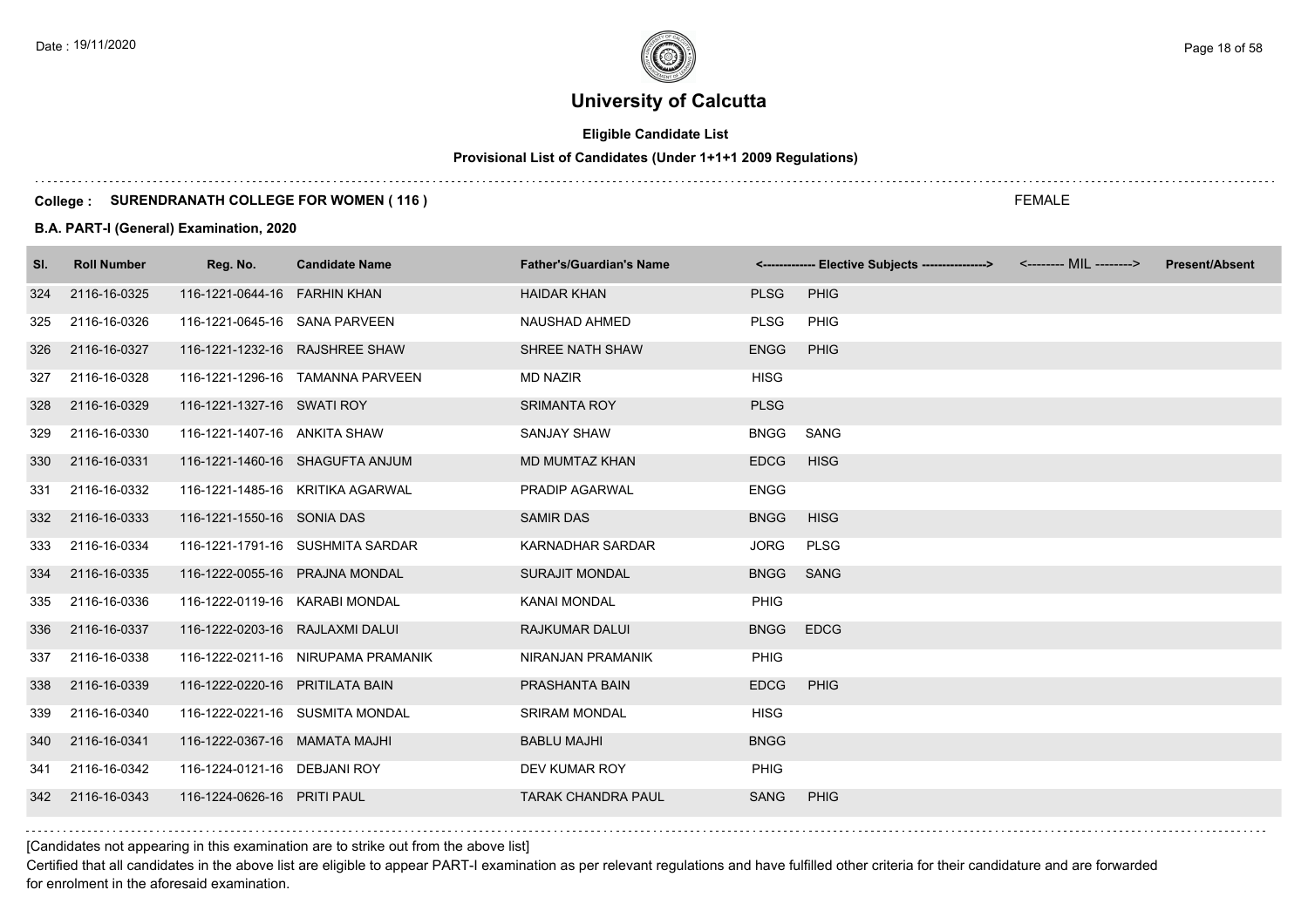# **Eligible Candidate List**

# **Provisional List of Candidates (Under 1+1+1 2009 Regulations)**

#### **College : SURENDRANATH COLLEGE FOR WOMEN ( 116 )**

#### **B.A. PART-I (General) Examination, 2020**

| SI. | <b>Roll Number</b> | Reg. No.                        | <b>Candidate Name</b>              | <b>Father's/Guardian's Name</b> |             | <------------- Elective Subjects ----------------> | <-------- MIL --------> | <b>Present/Absent</b> |
|-----|--------------------|---------------------------------|------------------------------------|---------------------------------|-------------|----------------------------------------------------|-------------------------|-----------------------|
| 324 | 2116-16-0325       | 116-1221-0644-16 FARHIN KHAN    |                                    | <b>HAIDAR KHAN</b>              | <b>PLSG</b> | <b>PHIG</b>                                        |                         |                       |
| 325 | 2116-16-0326       | 116-1221-0645-16 SANA PARVEEN   |                                    | NAUSHAD AHMED                   | <b>PLSG</b> | PHIG                                               |                         |                       |
| 326 | 2116-16-0327       | 116-1221-1232-16 RAJSHREE SHAW  |                                    | SHREE NATH SHAW                 | <b>ENGG</b> | <b>PHIG</b>                                        |                         |                       |
| 327 | 2116-16-0328       |                                 | 116-1221-1296-16 TAMANNA PARVEEN   | <b>MD NAZIR</b>                 | <b>HISG</b> |                                                    |                         |                       |
| 328 | 2116-16-0329       | 116-1221-1327-16 SWATI ROY      |                                    | <b>SRIMANTA ROY</b>             | <b>PLSG</b> |                                                    |                         |                       |
| 329 | 2116-16-0330       | 116-1221-1407-16 ANKITA SHAW    |                                    | <b>SANJAY SHAW</b>              | <b>BNGG</b> | SANG                                               |                         |                       |
| 330 | 2116-16-0331       |                                 | 116-1221-1460-16 SHAGUFTA ANJUM    | <b>MD MUMTAZ KHAN</b>           | <b>EDCG</b> | <b>HISG</b>                                        |                         |                       |
| 331 | 2116-16-0332       |                                 | 116-1221-1485-16 KRITIKA AGARWAL   | <b>PRADIP AGARWAL</b>           | <b>ENGG</b> |                                                    |                         |                       |
| 332 | 2116-16-0333       | 116-1221-1550-16 SONIA DAS      |                                    | <b>SAMIR DAS</b>                | <b>BNGG</b> | <b>HISG</b>                                        |                         |                       |
| 333 | 2116-16-0334       |                                 | 116-1221-1791-16 SUSHMITA SARDAR   | KARNADHAR SARDAR                | <b>JORG</b> | <b>PLSG</b>                                        |                         |                       |
| 334 | 2116-16-0335       | 116-1222-0055-16 PRAJNA MONDAL  |                                    | <b>SURAJIT MONDAL</b>           | <b>BNGG</b> | <b>SANG</b>                                        |                         |                       |
| 335 | 2116-16-0336       | 116-1222-0119-16 KARABI MONDAL  |                                    | <b>KANAI MONDAL</b>             | <b>PHIG</b> |                                                    |                         |                       |
| 336 | 2116-16-0337       | 116-1222-0203-16 RAJLAXMI DALUI |                                    | <b>RAJKUMAR DALUI</b>           | <b>BNGG</b> | <b>EDCG</b>                                        |                         |                       |
| 337 | 2116-16-0338       |                                 | 116-1222-0211-16 NIRUPAMA PRAMANIK | NIRANJAN PRAMANIK               | <b>PHIG</b> |                                                    |                         |                       |
| 338 | 2116-16-0339       | 116-1222-0220-16 PRITILATA BAIN |                                    | PRASHANTA BAIN                  | <b>EDCG</b> | PHIG                                               |                         |                       |
| 339 | 2116-16-0340       |                                 | 116-1222-0221-16 SUSMITA MONDAL    | <b>SRIRAM MONDAL</b>            | <b>HISG</b> |                                                    |                         |                       |
| 340 | 2116-16-0341       | 116-1222-0367-16 MAMATA MAJHI   |                                    | <b>BABLU MAJHI</b>              | <b>BNGG</b> |                                                    |                         |                       |
| 341 | 2116-16-0342       | 116-1224-0121-16 DEBJANI ROY    |                                    | DEV KUMAR ROY                   | PHIG        |                                                    |                         |                       |
| 342 | 2116-16-0343       | 116-1224-0626-16 PRITI PAUL     |                                    | <b>TARAK CHANDRA PAUL</b>       | <b>SANG</b> | <b>PHIG</b>                                        |                         |                       |

[Candidates not appearing in this examination are to strike out from the above list]

Certified that all candidates in the above list are eligible to appear PART-I examination as per relevant regulations and have fulfilled other criteria for their candidature and are forwarded for enrolment in the aforesaid examination.

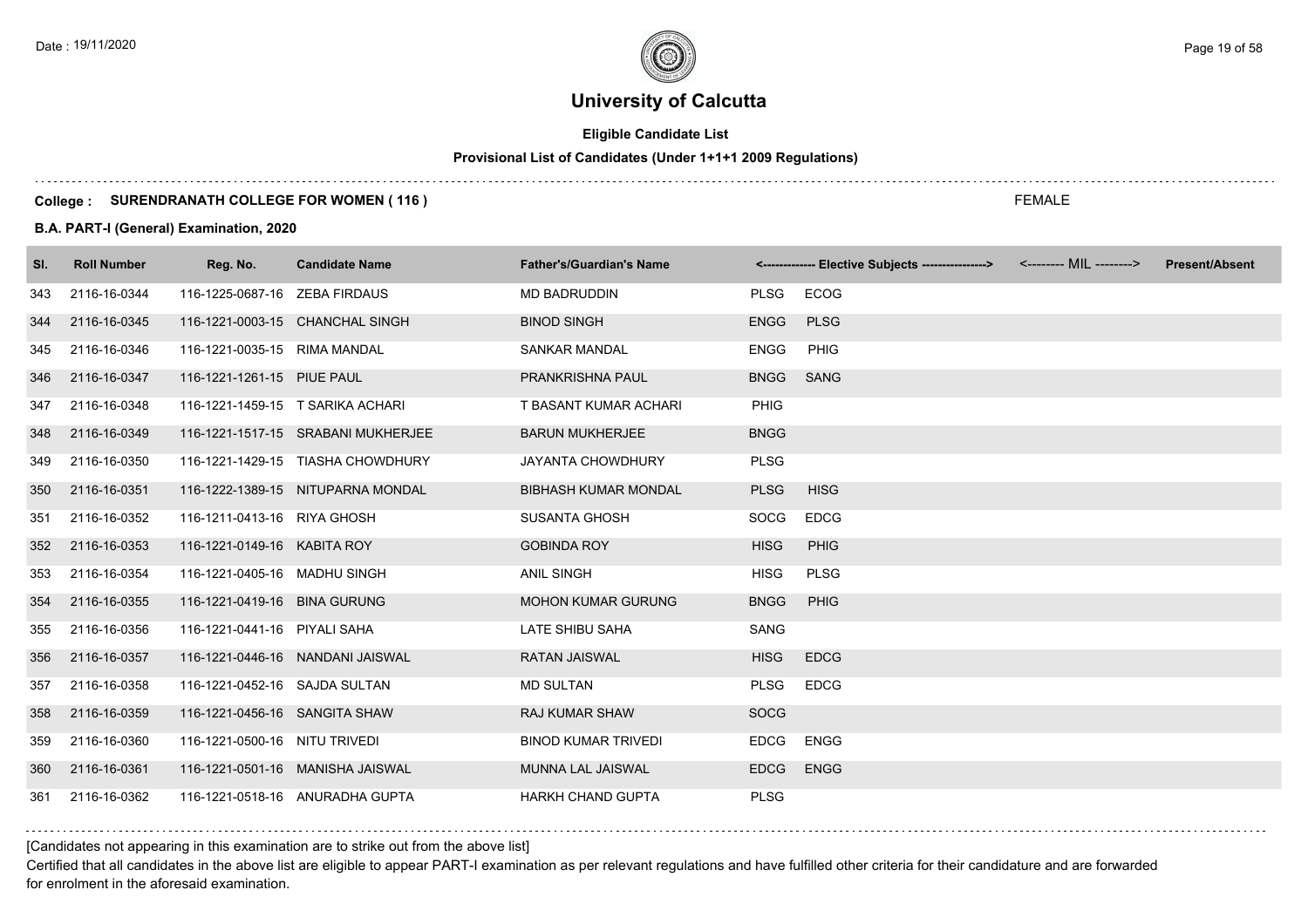# **Eligible Candidate List**

# **Provisional List of Candidates (Under 1+1+1 2009 Regulations)**

#### **College : SURENDRANATH COLLEGE FOR WOMEN ( 116 )**

#### **B.A. PART-I (General) Examination, 2020**

| SI. | <b>Roll Number</b> | Reg. No.                      | <b>Candidate Name</b>              | <b>Father's/Guardian's Name</b> |             | <------------- Elective Subjects ----------------> <-------- MIL --------> | <b>Present/Absent</b> |
|-----|--------------------|-------------------------------|------------------------------------|---------------------------------|-------------|----------------------------------------------------------------------------|-----------------------|
| 343 | 2116-16-0344       | 116-1225-0687-16 ZEBA FIRDAUS |                                    | <b>MD BADRUDDIN</b>             | <b>PLSG</b> | <b>ECOG</b>                                                                |                       |
| 344 | 2116-16-0345       |                               | 116-1221-0003-15 CHANCHAL SINGH    | <b>BINOD SINGH</b>              | <b>ENGG</b> | <b>PLSG</b>                                                                |                       |
| 345 | 2116-16-0346       | 116-1221-0035-15 RIMA MANDAL  |                                    | <b>SANKAR MANDAL</b>            | <b>ENGG</b> | <b>PHIG</b>                                                                |                       |
| 346 | 2116-16-0347       | 116-1221-1261-15 PIUE PAUL    |                                    | PRANKRISHNA PAUL                | <b>BNGG</b> | <b>SANG</b>                                                                |                       |
| 347 | 2116-16-0348       |                               | 116-1221-1459-15 T SARIKA ACHARI   | T BASANT KUMAR ACHARI           | <b>PHIG</b> |                                                                            |                       |
| 348 | 2116-16-0349       |                               | 116-1221-1517-15 SRABANI MUKHERJEE | <b>BARUN MUKHERJEE</b>          | <b>BNGG</b> |                                                                            |                       |
| 349 | 2116-16-0350       |                               | 116-1221-1429-15 TIASHA CHOWDHURY  | <b>JAYANTA CHOWDHURY</b>        | <b>PLSG</b> |                                                                            |                       |
| 350 | 2116-16-0351       |                               | 116-1222-1389-15 NITUPARNA MONDAL  | <b>BIBHASH KUMAR MONDAL</b>     | <b>PLSG</b> | <b>HISG</b>                                                                |                       |
| 351 | 2116-16-0352       | 116-1211-0413-16 RIYA GHOSH   |                                    | <b>SUSANTA GHOSH</b>            | SOCG        | <b>EDCG</b>                                                                |                       |
| 352 | 2116-16-0353       | 116-1221-0149-16 KABITA ROY   |                                    | <b>GOBINDA ROY</b>              | <b>HISG</b> | <b>PHIG</b>                                                                |                       |
| 353 | 2116-16-0354       | 116-1221-0405-16 MADHU SINGH  |                                    | <b>ANIL SINGH</b>               | <b>HISG</b> | <b>PLSG</b>                                                                |                       |
| 354 | 2116-16-0355       | 116-1221-0419-16 BINA GURUNG  |                                    | <b>MOHON KUMAR GURUNG</b>       | <b>BNGG</b> | PHIG                                                                       |                       |
| 355 | 2116-16-0356       | 116-1221-0441-16 PIYALI SAHA  |                                    | LATE SHIBU SAHA                 | SANG        |                                                                            |                       |
| 356 | 2116-16-0357       |                               | 116-1221-0446-16 NANDANI JAISWAL   | <b>RATAN JAISWAL</b>            | <b>HISG</b> | <b>EDCG</b>                                                                |                       |
| 357 | 2116-16-0358       | 116-1221-0452-16 SAJDA SULTAN |                                    | <b>MD SULTAN</b>                | <b>PLSG</b> | <b>EDCG</b>                                                                |                       |
| 358 | 2116-16-0359       | 116-1221-0456-16 SANGITA SHAW |                                    | <b>RAJ KUMAR SHAW</b>           | <b>SOCG</b> |                                                                            |                       |
| 359 | 2116-16-0360       | 116-1221-0500-16 NITU TRIVEDI |                                    | <b>BINOD KUMAR TRIVEDI</b>      | <b>EDCG</b> | <b>ENGG</b>                                                                |                       |
| 360 | 2116-16-0361       |                               | 116-1221-0501-16 MANISHA JAISWAL   | MUNNA LAL JAISWAL               | <b>EDCG</b> | <b>ENGG</b>                                                                |                       |
| 361 | 2116-16-0362       |                               | 116-1221-0518-16 ANURADHA GUPTA    | <b>HARKH CHAND GUPTA</b>        | <b>PLSG</b> |                                                                            |                       |

[Candidates not appearing in this examination are to strike out from the above list]

Certified that all candidates in the above list are eligible to appear PART-I examination as per relevant regulations and have fulfilled other criteria for their candidature and are forwarded for enrolment in the aforesaid examination.

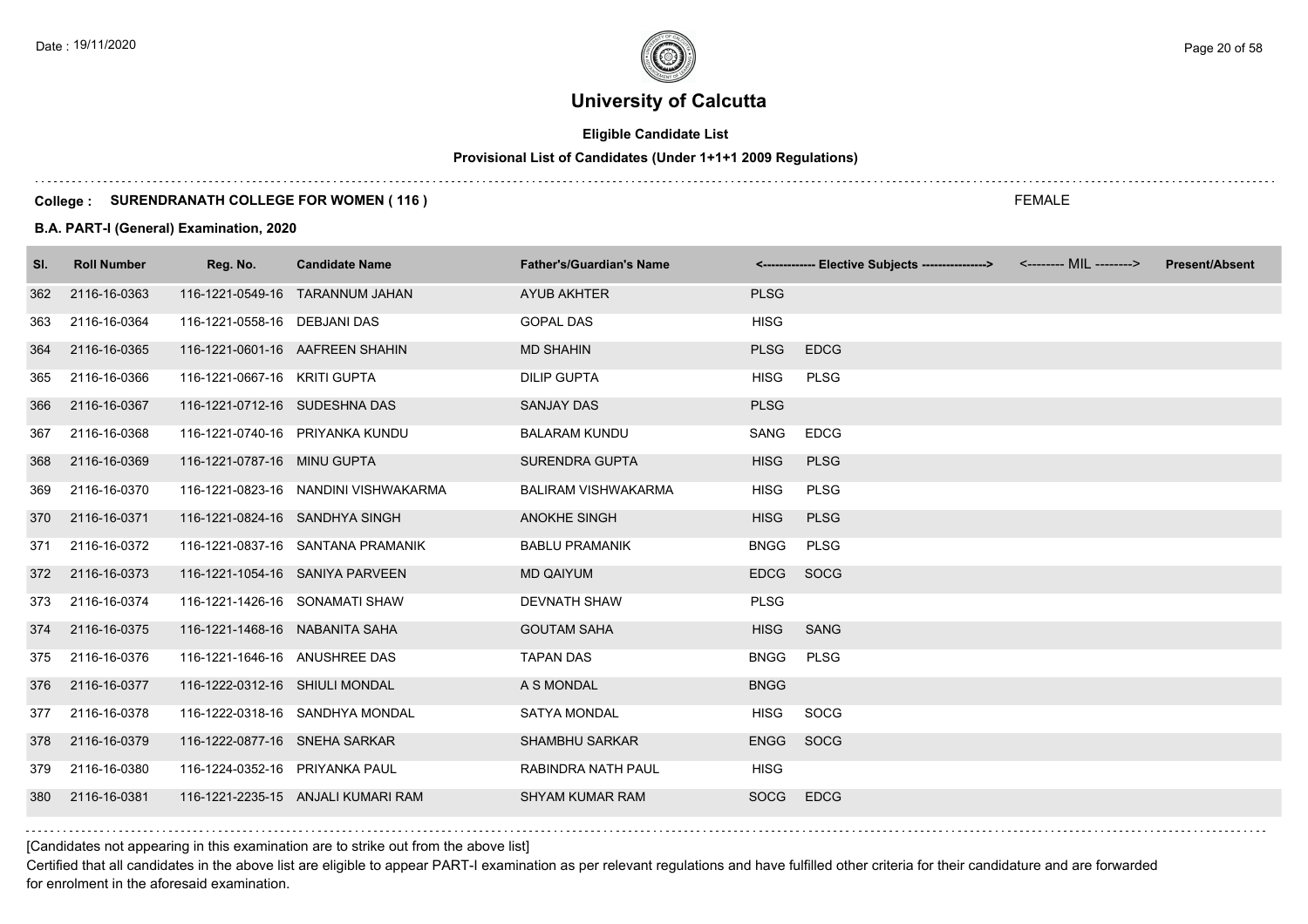# **Eligible Candidate List**

# **Provisional List of Candidates (Under 1+1+1 2009 Regulations)**

#### **College : SURENDRANATH COLLEGE FOR WOMEN ( 116 )**

#### **B.A. PART-I (General) Examination, 2020**

| SI. | <b>Roll Number</b> | Reg. No.                       | <b>Candidate Name</b>                | <b>Father's/Guardian's Name</b> |             | <------------- Elective Subjects ---------------> <-------- MIL --------> | <b>Present/Absent</b> |
|-----|--------------------|--------------------------------|--------------------------------------|---------------------------------|-------------|---------------------------------------------------------------------------|-----------------------|
| 362 | 2116-16-0363       |                                | 116-1221-0549-16 TARANNUM JAHAN      | AYUB AKHTER                     | <b>PLSG</b> |                                                                           |                       |
| 363 | 2116-16-0364       | 116-1221-0558-16 DEBJANI DAS   |                                      | <b>GOPAL DAS</b>                | <b>HISG</b> |                                                                           |                       |
| 364 | 2116-16-0365       |                                | 116-1221-0601-16 AAFREEN SHAHIN      | <b>MD SHAHIN</b>                | <b>PLSG</b> | <b>EDCG</b>                                                               |                       |
| 365 | 2116-16-0366       | 116-1221-0667-16 KRITI GUPTA   |                                      | <b>DILIP GUPTA</b>              | <b>HISG</b> | <b>PLSG</b>                                                               |                       |
| 366 | 2116-16-0367       | 116-1221-0712-16 SUDESHNA DAS  |                                      | <b>SANJAY DAS</b>               | <b>PLSG</b> |                                                                           |                       |
| 367 | 2116-16-0368       |                                | 116-1221-0740-16 PRIYANKA KUNDU      | <b>BALARAM KUNDU</b>            | SANG        | <b>EDCG</b>                                                               |                       |
| 368 | 2116-16-0369       | 116-1221-0787-16 MINU GUPTA    |                                      | <b>SURENDRA GUPTA</b>           | <b>HISG</b> | <b>PLSG</b>                                                               |                       |
| 369 | 2116-16-0370       |                                | 116-1221-0823-16 NANDINI VISHWAKARMA | <b>BALIRAM VISHWAKARMA</b>      | <b>HISG</b> | <b>PLSG</b>                                                               |                       |
| 370 | 2116-16-0371       | 116-1221-0824-16 SANDHYA SINGH |                                      | <b>ANOKHE SINGH</b>             | <b>HISG</b> | <b>PLSG</b>                                                               |                       |
| 371 | 2116-16-0372       |                                | 116-1221-0837-16 SANTANA PRAMANIK    | <b>BABLU PRAMANIK</b>           | <b>BNGG</b> | <b>PLSG</b>                                                               |                       |
| 372 | 2116-16-0373       |                                | 116-1221-1054-16 SANIYA PARVEEN      | <b>MD QAIYUM</b>                | EDCG SOCG   |                                                                           |                       |
| 373 | 2116-16-0374       |                                | 116-1221-1426-16 SONAMATI SHAW       | <b>DEVNATH SHAW</b>             | <b>PLSG</b> |                                                                           |                       |
| 374 | 2116-16-0375       | 116-1221-1468-16 NABANITA SAHA |                                      | <b>GOUTAM SAHA</b>              | <b>HISG</b> | SANG                                                                      |                       |
| 375 | 2116-16-0376       | 116-1221-1646-16 ANUSHREE DAS  |                                      | <b>TAPAN DAS</b>                | <b>BNGG</b> | <b>PLSG</b>                                                               |                       |
| 376 | 2116-16-0377       | 116-1222-0312-16 SHIULI MONDAL |                                      | A S MONDAL                      | <b>BNGG</b> |                                                                           |                       |
| 377 | 2116-16-0378       |                                | 116-1222-0318-16 SANDHYA MONDAL      | <b>SATYA MONDAL</b>             | HISG        | SOCG                                                                      |                       |
| 378 | 2116-16-0379       | 116-1222-0877-16 SNEHA SARKAR  |                                      | <b>SHAMBHU SARKAR</b>           | <b>ENGG</b> | SOCG                                                                      |                       |
| 379 | 2116-16-0380       | 116-1224-0352-16 PRIYANKA PAUL |                                      | RABINDRA NATH PAUL              | <b>HISG</b> |                                                                           |                       |
| 380 | 2116-16-0381       |                                | 116-1221-2235-15 ANJALI KUMARI RAM   | <b>SHYAM KUMAR RAM</b>          | <b>SOCG</b> | <b>EDCG</b>                                                               |                       |

[Candidates not appearing in this examination are to strike out from the above list]

Certified that all candidates in the above list are eligible to appear PART-I examination as per relevant regulations and have fulfilled other criteria for their candidature and are forwarded for enrolment in the aforesaid examination.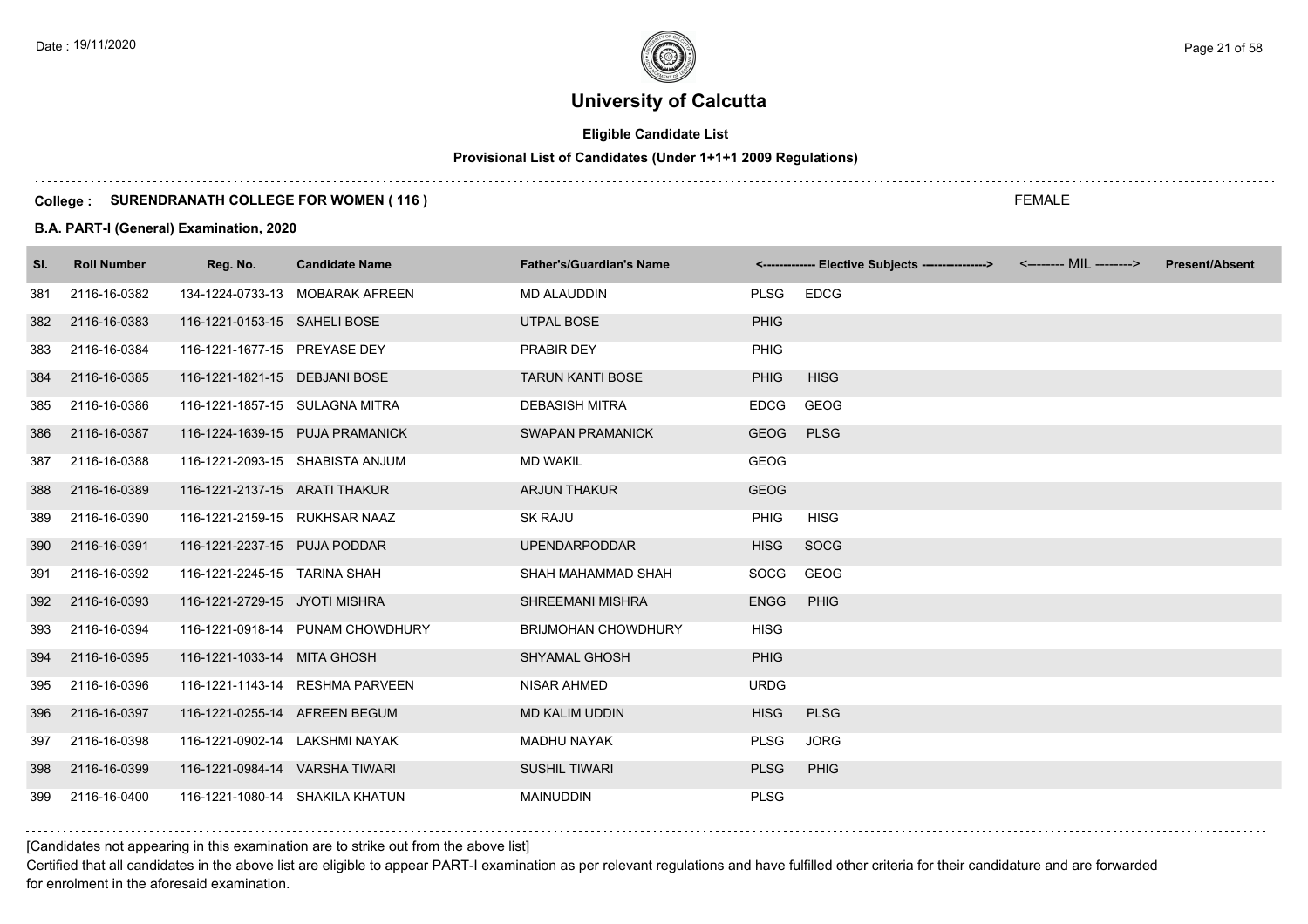# **Eligible Candidate List**

# **Provisional List of Candidates (Under 1+1+1 2009 Regulations)**

#### **College : SURENDRANATH COLLEGE FOR WOMEN ( 116 )**

### **B.A. PART-I (General) Examination, 2020**

| SI. | <b>Roll Number</b> | Reg. No.                       | <b>Candidate Name</b>            | <b>Father's/Guardian's Name</b> |             | <------------- Elective Subjects ----------------> <-------- MIL --------> | <b>Present/Absent</b> |
|-----|--------------------|--------------------------------|----------------------------------|---------------------------------|-------------|----------------------------------------------------------------------------|-----------------------|
| 381 | 2116-16-0382       |                                | 134-1224-0733-13 MOBARAK AFREEN  | <b>MD ALAUDDIN</b>              | <b>PLSG</b> | <b>EDCG</b>                                                                |                       |
| 382 | 2116-16-0383       | 116-1221-0153-15 SAHELI BOSE   |                                  | <b>UTPAL BOSE</b>               | <b>PHIG</b> |                                                                            |                       |
| 383 | 2116-16-0384       | 116-1221-1677-15 PREYASE DEY   |                                  | <b>PRABIR DEY</b>               | <b>PHIG</b> |                                                                            |                       |
| 384 | 2116-16-0385       | 116-1221-1821-15 DEBJANI BOSE  |                                  | <b>TARUN KANTI BOSE</b>         | <b>PHIG</b> | <b>HISG</b>                                                                |                       |
| 385 | 2116-16-0386       | 116-1221-1857-15 SULAGNA MITRA |                                  | <b>DEBASISH MITRA</b>           | <b>EDCG</b> | <b>GEOG</b>                                                                |                       |
| 386 | 2116-16-0387       |                                | 116-1224-1639-15 PUJA PRAMANICK  | <b>SWAPAN PRAMANICK</b>         | <b>GEOG</b> | <b>PLSG</b>                                                                |                       |
| 387 | 2116-16-0388       |                                | 116-1221-2093-15 SHABISTA ANJUM  | <b>MD WAKIL</b>                 | <b>GEOG</b> |                                                                            |                       |
| 388 | 2116-16-0389       | 116-1221-2137-15 ARATI THAKUR  |                                  | <b>ARJUN THAKUR</b>             | <b>GEOG</b> |                                                                            |                       |
| 389 | 2116-16-0390       | 116-1221-2159-15 RUKHSAR NAAZ  |                                  | <b>SK RAJU</b>                  | <b>PHIG</b> | <b>HISG</b>                                                                |                       |
| 390 | 2116-16-0391       | 116-1221-2237-15 PUJA PODDAR   |                                  | <b>UPENDARPODDAR</b>            | <b>HISG</b> | SOCG                                                                       |                       |
| 391 | 2116-16-0392       | 116-1221-2245-15 TARINA SHAH   |                                  | SHAH MAHAMMAD SHAH              | <b>SOCG</b> | <b>GEOG</b>                                                                |                       |
| 392 | 2116-16-0393       | 116-1221-2729-15 JYOTI MISHRA  |                                  | <b>SHREEMANI MISHRA</b>         | <b>ENGG</b> | PHIG                                                                       |                       |
| 393 | 2116-16-0394       |                                | 116-1221-0918-14 PUNAM CHOWDHURY | <b>BRIJMOHAN CHOWDHURY</b>      | <b>HISG</b> |                                                                            |                       |
| 394 | 2116-16-0395       | 116-1221-1033-14 MITA GHOSH    |                                  | <b>SHYAMAL GHOSH</b>            | <b>PHIG</b> |                                                                            |                       |
| 395 | 2116-16-0396       |                                | 116-1221-1143-14 RESHMA PARVEEN  | NISAR AHMED                     | <b>URDG</b> |                                                                            |                       |
| 396 | 2116-16-0397       | 116-1221-0255-14 AFREEN BEGUM  |                                  | <b>MD KALIM UDDIN</b>           | <b>HISG</b> | <b>PLSG</b>                                                                |                       |
| 397 | 2116-16-0398       | 116-1221-0902-14 LAKSHMI NAYAK |                                  | <b>MADHU NAYAK</b>              | <b>PLSG</b> | <b>JORG</b>                                                                |                       |
| 398 | 2116-16-0399       | 116-1221-0984-14 VARSHA TIWARI |                                  | <b>SUSHIL TIWARI</b>            | <b>PLSG</b> | PHIG                                                                       |                       |
| 399 | 2116-16-0400       |                                | 116-1221-1080-14 SHAKILA KHATUN  | <b>MAINUDDIN</b>                | <b>PLSG</b> |                                                                            |                       |

[Candidates not appearing in this examination are to strike out from the above list]

Certified that all candidates in the above list are eligible to appear PART-I examination as per relevant regulations and have fulfilled other criteria for their candidature and are forwarded for enrolment in the aforesaid examination.

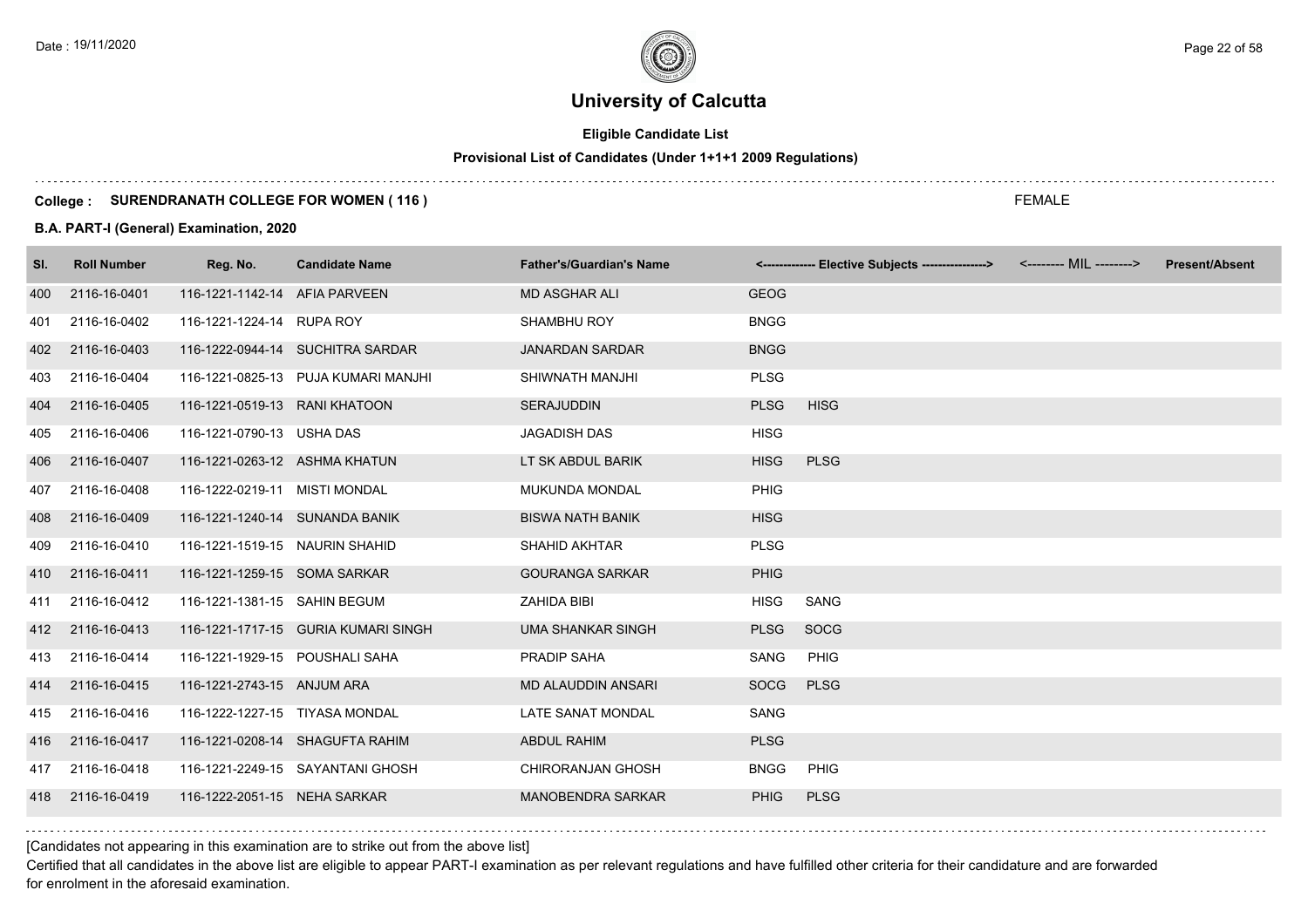# **Eligible Candidate List**

# **Provisional List of Candidates (Under 1+1+1 2009 Regulations)**

#### **College : SURENDRANATH COLLEGE FOR WOMEN ( 116 )**

#### **B.A. PART-I (General) Examination, 2020**

| SI. | <b>Roll Number</b> | Reg. No.                       | <b>Candidate Name</b>               | <b>Father's/Guardian's Name</b> |             | <------------- Elective Subjects ----------------> | <b>Present/Absent</b> |
|-----|--------------------|--------------------------------|-------------------------------------|---------------------------------|-------------|----------------------------------------------------|-----------------------|
| 400 | 2116-16-0401       | 116-1221-1142-14 AFIA PARVEEN  |                                     | <b>MD ASGHAR ALI</b>            | <b>GEOG</b> |                                                    |                       |
| 401 | 2116-16-0402       | 116-1221-1224-14 RUPA ROY      |                                     | <b>SHAMBHU ROY</b>              | <b>BNGG</b> |                                                    |                       |
| 402 | 2116-16-0403       |                                | 116-1222-0944-14 SUCHITRA SARDAR    | <b>JANARDAN SARDAR</b>          | <b>BNGG</b> |                                                    |                       |
| 403 | 2116-16-0404       |                                | 116-1221-0825-13 PUJA KUMARI MANJHI | SHIWNATH MANJHI                 | <b>PLSG</b> |                                                    |                       |
| 404 | 2116-16-0405       | 116-1221-0519-13 RANI KHATOON  |                                     | <b>SERAJUDDIN</b>               | <b>PLSG</b> | <b>HISG</b>                                        |                       |
| 405 | 2116-16-0406       | 116-1221-0790-13 USHA DAS      |                                     | <b>JAGADISH DAS</b>             | <b>HISG</b> |                                                    |                       |
| 406 | 2116-16-0407       | 116-1221-0263-12 ASHMA KHATUN  |                                     | LT SK ABDUL BARIK               | <b>HISG</b> | <b>PLSG</b>                                        |                       |
| 407 | 2116-16-0408       | 116-1222-0219-11 MISTI MONDAL  |                                     | <b>MUKUNDA MONDAL</b>           | PHIG        |                                                    |                       |
| 408 | 2116-16-0409       | 116-1221-1240-14 SUNANDA BANIK |                                     | <b>BISWA NATH BANIK</b>         | <b>HISG</b> |                                                    |                       |
| 409 | 2116-16-0410       | 116-1221-1519-15 NAURIN SHAHID |                                     | SHAHID AKHTAR                   | <b>PLSG</b> |                                                    |                       |
| 410 | 2116-16-0411       | 116-1221-1259-15 SOMA SARKAR   |                                     | <b>GOURANGA SARKAR</b>          | <b>PHIG</b> |                                                    |                       |
| 411 | 2116-16-0412       | 116-1221-1381-15 SAHIN BEGUM   |                                     | ZAHIDA BIBI                     | <b>HISG</b> | SANG                                               |                       |
|     | 412 2116-16-0413   |                                | 116-1221-1717-15 GURIA KUMARI SINGH | <b>UMA SHANKAR SINGH</b>        | <b>PLSG</b> | SOCG                                               |                       |
| 413 | 2116-16-0414       | 116-1221-1929-15 POUSHALI SAHA |                                     | PRADIP SAHA                     | SANG        | PHIG                                               |                       |
| 414 | 2116-16-0415       | 116-1221-2743-15 ANJUM ARA     |                                     | <b>MD ALAUDDIN ANSARI</b>       | SOCG        | <b>PLSG</b>                                        |                       |
| 415 | 2116-16-0416       | 116-1222-1227-15 TIYASA MONDAL |                                     | LATE SANAT MONDAL               | SANG        |                                                    |                       |
| 416 | 2116-16-0417       |                                | 116-1221-0208-14 SHAGUFTA RAHIM     | <b>ABDUL RAHIM</b>              | <b>PLSG</b> |                                                    |                       |
| 417 | 2116-16-0418       |                                | 116-1221-2249-15 SAYANTANI GHOSH    | <b>CHIRORANJAN GHOSH</b>        | <b>BNGG</b> | PHIG                                               |                       |
| 418 | 2116-16-0419       | 116-1222-2051-15 NEHA SARKAR   |                                     | <b>MANOBENDRA SARKAR</b>        | <b>PHIG</b> | <b>PLSG</b>                                        |                       |

[Candidates not appearing in this examination are to strike out from the above list]

Certified that all candidates in the above list are eligible to appear PART-I examination as per relevant regulations and have fulfilled other criteria for their candidature and are forwarded for enrolment in the aforesaid examination.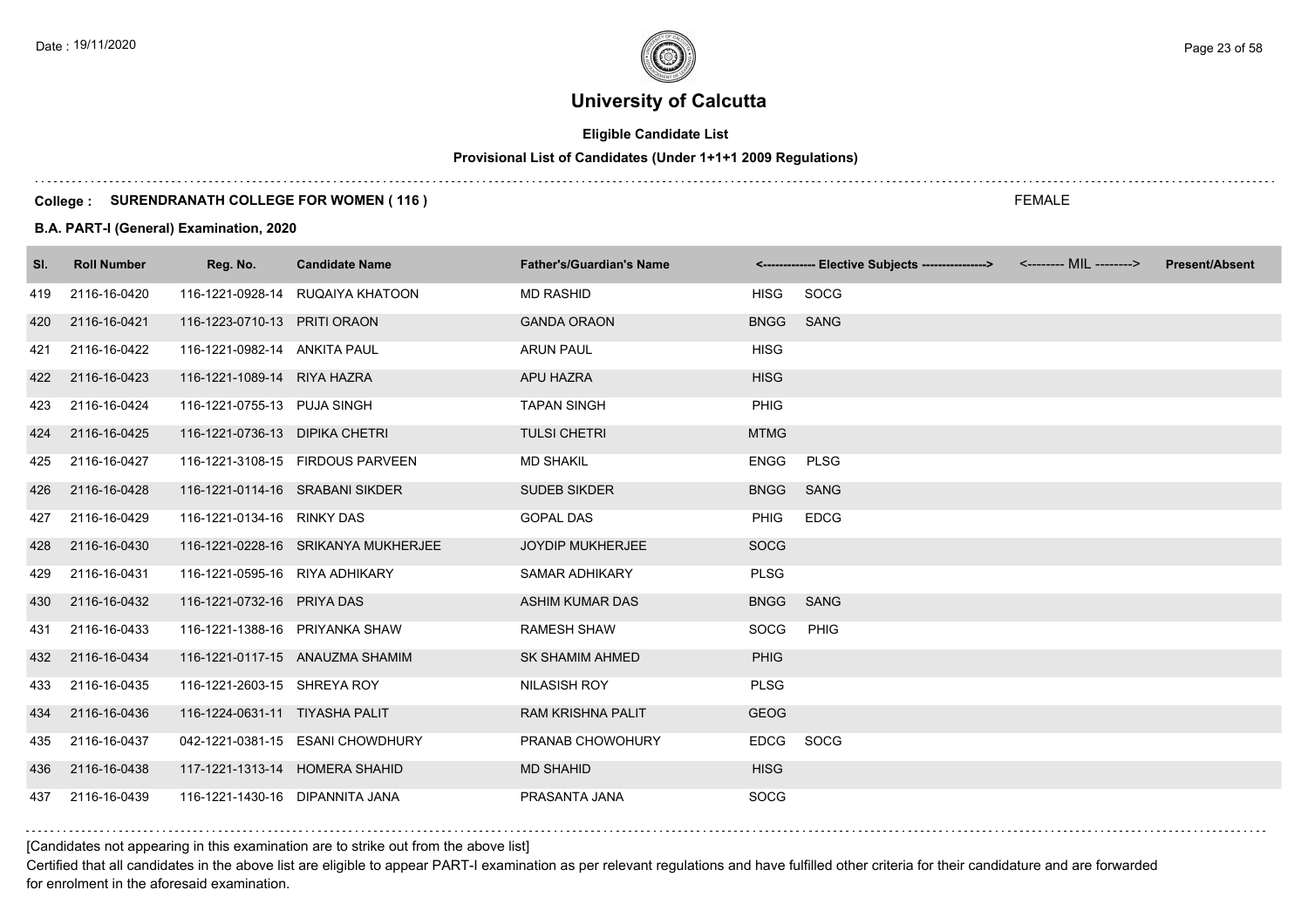# **Eligible Candidate List**

# **Provisional List of Candidates (Under 1+1+1 2009 Regulations)**

#### **College : SURENDRANATH COLLEGE FOR WOMEN ( 116 )**

### **B.A. PART-I (General) Examination, 2020**

| SI. | <b>Roll Number</b> | Reg. No.                        | <b>Candidate Name</b>               | <b>Father's/Guardian's Name</b> |             | <------------- Elective Subjects ----------------> | <-------- MIL --------> | <b>Present/Absent</b> |
|-----|--------------------|---------------------------------|-------------------------------------|---------------------------------|-------------|----------------------------------------------------|-------------------------|-----------------------|
| 419 | 2116-16-0420       |                                 | 116-1221-0928-14 RUQAIYA KHATOON    | <b>MD RASHID</b>                | <b>HISG</b> | SOCG                                               |                         |                       |
| 420 | 2116-16-0421       | 116-1223-0710-13 PRITI ORAON    |                                     | <b>GANDA ORAON</b>              | <b>BNGG</b> | SANG                                               |                         |                       |
| 421 | 2116-16-0422       | 116-1221-0982-14 ANKITA PAUL    |                                     | <b>ARUN PAUL</b>                | <b>HISG</b> |                                                    |                         |                       |
| 422 | 2116-16-0423       | 116-1221-1089-14 RIYA HAZRA     |                                     | <b>APU HAZRA</b>                | <b>HISG</b> |                                                    |                         |                       |
| 423 | 2116-16-0424       | 116-1221-0755-13 PUJA SINGH     |                                     | <b>TAPAN SINGH</b>              | <b>PHIG</b> |                                                    |                         |                       |
| 424 | 2116-16-0425       | 116-1221-0736-13 DIPIKA CHETRI  |                                     | <b>TULSI CHETRI</b>             | <b>MTMG</b> |                                                    |                         |                       |
| 425 | 2116-16-0427       |                                 | 116-1221-3108-15 FIRDOUS PARVEEN    | <b>MD SHAKIL</b>                | ENGG        | <b>PLSG</b>                                        |                         |                       |
| 426 | 2116-16-0428       | 116-1221-0114-16 SRABANI SIKDER |                                     | <b>SUDEB SIKDER</b>             | BNGG SANG   |                                                    |                         |                       |
| 427 | 2116-16-0429       | 116-1221-0134-16 RINKY DAS      |                                     | <b>GOPAL DAS</b>                | <b>PHIG</b> | <b>EDCG</b>                                        |                         |                       |
| 428 | 2116-16-0430       |                                 | 116-1221-0228-16 SRIKANYA MUKHERJEE | <b>JOYDIP MUKHERJEE</b>         | <b>SOCG</b> |                                                    |                         |                       |
| 429 | 2116-16-0431       | 116-1221-0595-16 RIYA ADHIKARY  |                                     | <b>SAMAR ADHIKARY</b>           | <b>PLSG</b> |                                                    |                         |                       |
| 430 | 2116-16-0432       | 116-1221-0732-16 PRIYA DAS      |                                     | <b>ASHIM KUMAR DAS</b>          | <b>BNGG</b> | SANG                                               |                         |                       |
| 431 | 2116-16-0433       | 116-1221-1388-16 PRIYANKA SHAW  |                                     | <b>RAMESH SHAW</b>              | SOCG        | PHIG                                               |                         |                       |
|     | 432 2116-16-0434   |                                 | 116-1221-0117-15 ANAUZMA SHAMIM     | <b>SK SHAMIM AHMED</b>          | <b>PHIG</b> |                                                    |                         |                       |
| 433 | 2116-16-0435       | 116-1221-2603-15 SHREYA ROY     |                                     | NILASISH ROY                    | <b>PLSG</b> |                                                    |                         |                       |
| 434 | 2116-16-0436       | 116-1224-0631-11 TIYASHA PALIT  |                                     | <b>RAM KRISHNA PALIT</b>        | <b>GEOG</b> |                                                    |                         |                       |
| 435 | 2116-16-0437       |                                 | 042-1221-0381-15 ESANI CHOWDHURY    | PRANAB CHOWOHURY                | <b>EDCG</b> | SOCG                                               |                         |                       |
| 436 | 2116-16-0438       | 117-1221-1313-14 HOMERA SHAHID  |                                     | <b>MD SHAHID</b>                | <b>HISG</b> |                                                    |                         |                       |
| 437 | 2116-16-0439       | 116-1221-1430-16 DIPANNITA JANA |                                     | PRASANTA JANA                   | <b>SOCG</b> |                                                    |                         |                       |

[Candidates not appearing in this examination are to strike out from the above list]

Certified that all candidates in the above list are eligible to appear PART-I examination as per relevant regulations and have fulfilled other criteria for their candidature and are forwarded for enrolment in the aforesaid examination.

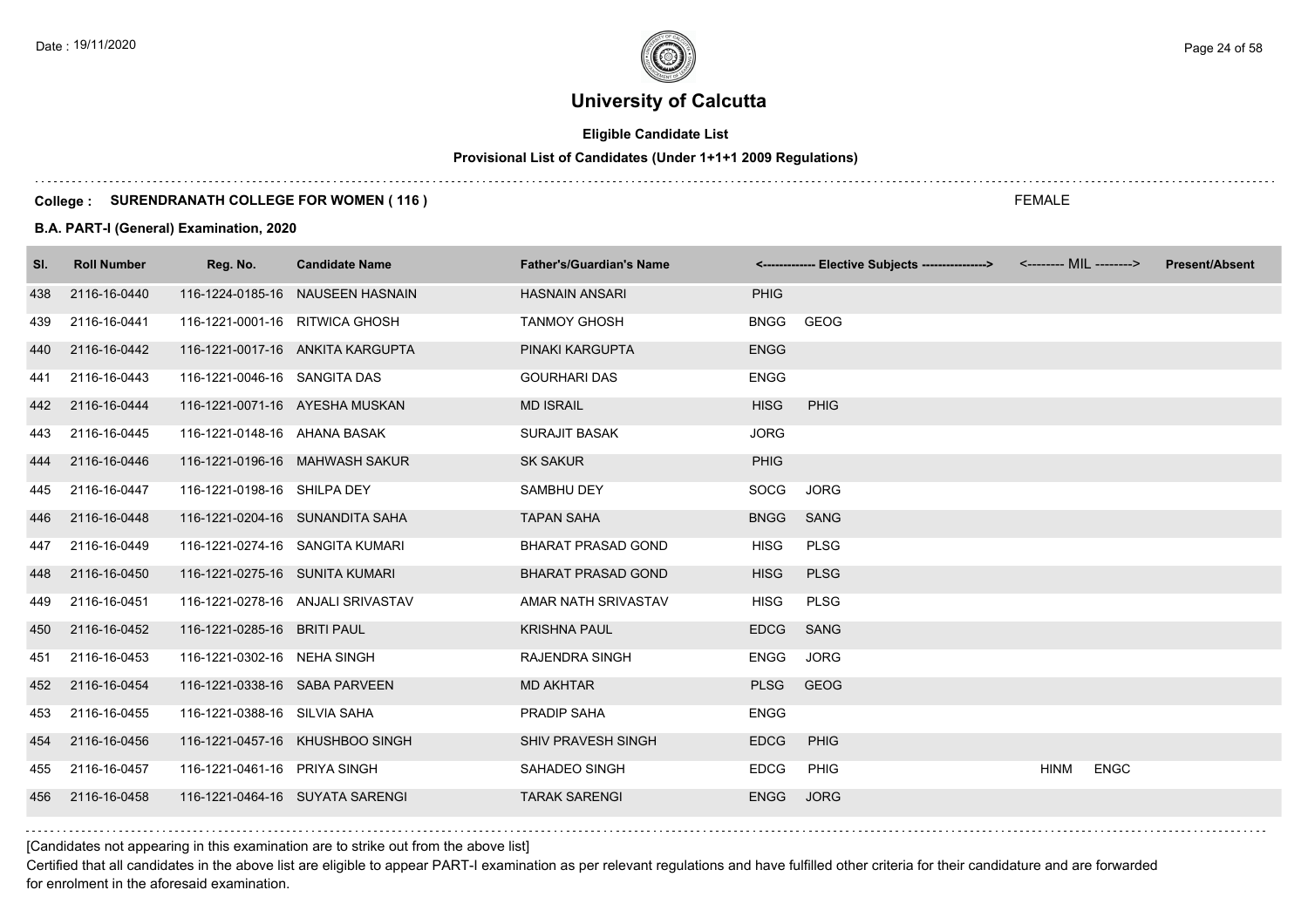# **Eligible Candidate List**

# **Provisional List of Candidates (Under 1+1+1 2009 Regulations)**

#### **College : SURENDRANATH COLLEGE FOR WOMEN ( 116 )**

#### **B.A. PART-I (General) Examination, 2020**

| SI. | <b>Roll Number</b> | Reg. No.                       | <b>Candidate Name</b>             | <b>Father's/Guardian's Name</b> |             | <------------- Elective Subjects ----------------> <-------- MIL --------> |             |             | <b>Present/Absent</b> |
|-----|--------------------|--------------------------------|-----------------------------------|---------------------------------|-------------|----------------------------------------------------------------------------|-------------|-------------|-----------------------|
| 438 | 2116-16-0440       |                                | 116-1224-0185-16 NAUSEEN HASNAIN  | <b>HASNAIN ANSARI</b>           | <b>PHIG</b> |                                                                            |             |             |                       |
| 439 | 2116-16-0441       | 116-1221-0001-16 RITWICA GHOSH |                                   | <b>TANMOY GHOSH</b>             | <b>BNGG</b> | GEOG                                                                       |             |             |                       |
| 440 | 2116-16-0442       |                                | 116-1221-0017-16 ANKITA KARGUPTA  | PINAKI KARGUPTA                 | <b>ENGG</b> |                                                                            |             |             |                       |
| 441 | 2116-16-0443       | 116-1221-0046-16 SANGITA DAS   |                                   | <b>GOURHARI DAS</b>             | <b>ENGG</b> |                                                                            |             |             |                       |
| 442 | 2116-16-0444       |                                | 116-1221-0071-16 AYESHA MUSKAN    | <b>MD ISRAIL</b>                | <b>HISG</b> | <b>PHIG</b>                                                                |             |             |                       |
| 443 | 2116-16-0445       | 116-1221-0148-16 AHANA BASAK   |                                   | <b>SURAJIT BASAK</b>            | <b>JORG</b> |                                                                            |             |             |                       |
| 444 | 2116-16-0446       |                                | 116-1221-0196-16 MAHWASH SAKUR    | <b>SK SAKUR</b>                 | <b>PHIG</b> |                                                                            |             |             |                       |
| 445 | 2116-16-0447       | 116-1221-0198-16 SHILPA DEY    |                                   | SAMBHU DEY                      | SOCG        | <b>JORG</b>                                                                |             |             |                       |
| 446 | 2116-16-0448       |                                | 116-1221-0204-16 SUNANDITA SAHA   | <b>TAPAN SAHA</b>               | <b>BNGG</b> | <b>SANG</b>                                                                |             |             |                       |
| 447 | 2116-16-0449       |                                | 116-1221-0274-16 SANGITA KUMARI   | <b>BHARAT PRASAD GOND</b>       | <b>HISG</b> | PLSG                                                                       |             |             |                       |
| 448 | 2116-16-0450       | 116-1221-0275-16 SUNITA KUMARI |                                   | <b>BHARAT PRASAD GOND</b>       | <b>HISG</b> | <b>PLSG</b>                                                                |             |             |                       |
| 449 | 2116-16-0451       |                                | 116-1221-0278-16 ANJALI SRIVASTAV | AMAR NATH SRIVASTAV             | <b>HISG</b> | <b>PLSG</b>                                                                |             |             |                       |
| 450 | 2116-16-0452       | 116-1221-0285-16 BRITI PAUL    |                                   | <b>KRISHNA PAUL</b>             | <b>EDCG</b> | SANG                                                                       |             |             |                       |
| 451 | 2116-16-0453       | 116-1221-0302-16 NEHA SINGH    |                                   | <b>RAJENDRA SINGH</b>           | <b>ENGG</b> | <b>JORG</b>                                                                |             |             |                       |
| 452 | 2116-16-0454       | 116-1221-0338-16 SABA PARVEEN  |                                   | <b>MD AKHTAR</b>                | <b>PLSG</b> | GEOG                                                                       |             |             |                       |
| 453 | 2116-16-0455       | 116-1221-0388-16 SILVIA SAHA   |                                   | PRADIP SAHA                     | <b>ENGG</b> |                                                                            |             |             |                       |
| 454 | 2116-16-0456       |                                | 116-1221-0457-16 KHUSHBOO SINGH   | <b>SHIV PRAVESH SINGH</b>       | <b>EDCG</b> | PHIG                                                                       |             |             |                       |
| 455 | 2116-16-0457       | 116-1221-0461-16 PRIYA SINGH   |                                   | SAHADEO SINGH                   | <b>EDCG</b> | <b>PHIG</b>                                                                | <b>HINM</b> | <b>ENGC</b> |                       |
| 456 | 2116-16-0458       |                                | 116-1221-0464-16 SUYATA SARENGI   | <b>TARAK SARENGI</b>            | <b>ENGG</b> | <b>JORG</b>                                                                |             |             |                       |
|     |                    |                                |                                   |                                 |             |                                                                            |             |             |                       |

[Candidates not appearing in this examination are to strike out from the above list]

Certified that all candidates in the above list are eligible to appear PART-I examination as per relevant regulations and have fulfilled other criteria for their candidature and are forwarded for enrolment in the aforesaid examination.

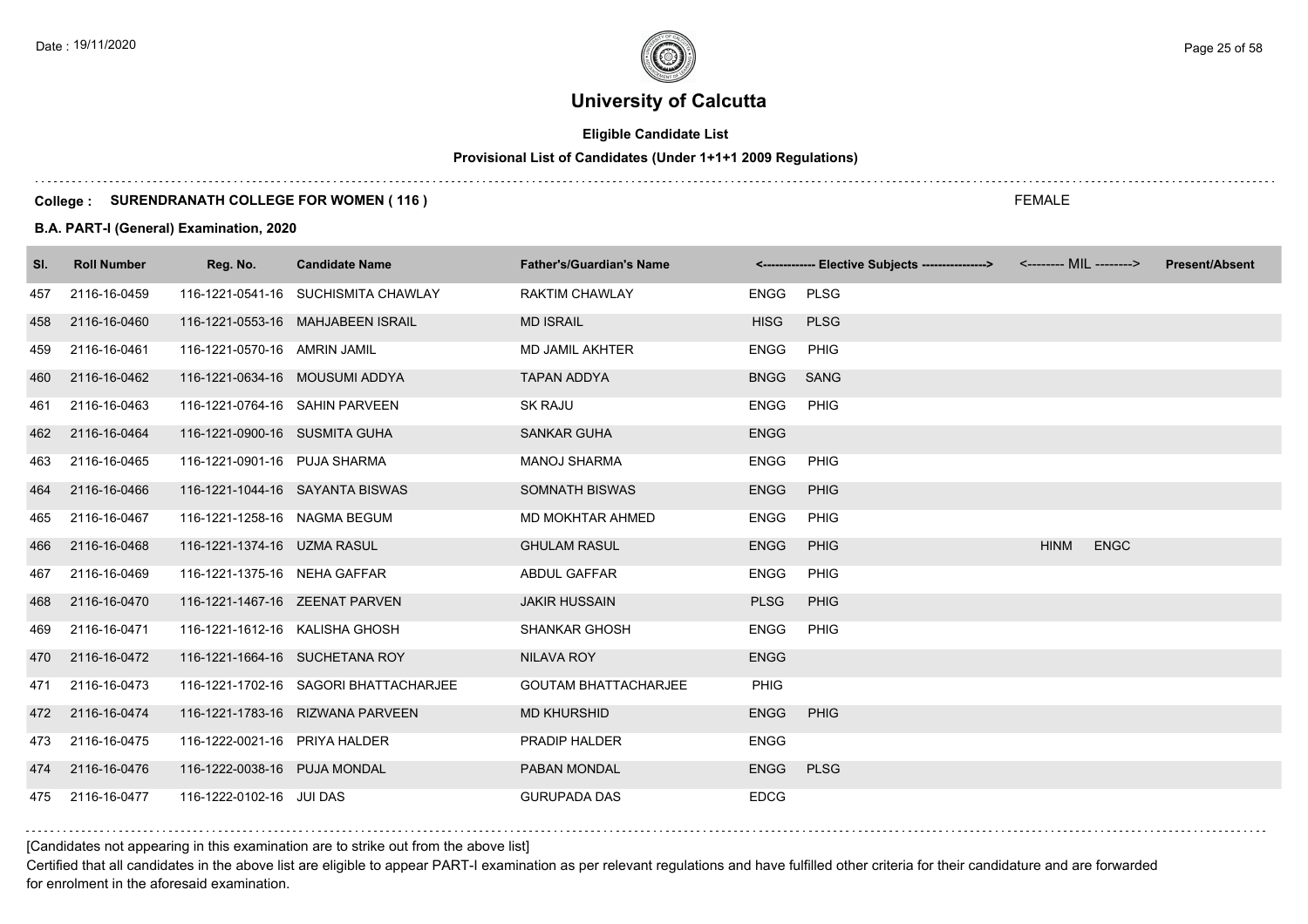# **Eligible Candidate List**

# **Provisional List of Candidates (Under 1+1+1 2009 Regulations)**

#### **College : SURENDRANATH COLLEGE FOR WOMEN ( 116 )**

#### **B.A. PART-I (General) Examination, 2020**

| SI. | <b>Roll Number</b> | Reg. No.                       | <b>Candidate Name</b>                 | <b>Father's/Guardian's Name</b> |             | <------------- Elective Subjects ----------------> <-------- MIL --------> |             |             | <b>Present/Absent</b> |
|-----|--------------------|--------------------------------|---------------------------------------|---------------------------------|-------------|----------------------------------------------------------------------------|-------------|-------------|-----------------------|
| 457 | 2116-16-0459       |                                | 116-1221-0541-16 SUCHISMITA CHAWLAY   | <b>RAKTIM CHAWLAY</b>           | <b>ENGG</b> | <b>PLSG</b>                                                                |             |             |                       |
| 458 | 2116-16-0460       |                                | 116-1221-0553-16 MAHJABEEN ISRAIL     | <b>MD ISRAIL</b>                | <b>HISG</b> | <b>PLSG</b>                                                                |             |             |                       |
| 459 | 2116-16-0461       | 116-1221-0570-16 AMRIN JAMIL   |                                       | <b>MD JAMIL AKHTER</b>          | <b>ENGG</b> | PHIG                                                                       |             |             |                       |
| 460 | 2116-16-0462       | 116-1221-0634-16 MOUSUMI ADDYA |                                       | <b>TAPAN ADDYA</b>              | <b>BNGG</b> | <b>SANG</b>                                                                |             |             |                       |
| 461 | 2116-16-0463       | 116-1221-0764-16 SAHIN PARVEEN |                                       | <b>SK RAJU</b>                  | <b>ENGG</b> | PHIG                                                                       |             |             |                       |
| 462 | 2116-16-0464       | 116-1221-0900-16 SUSMITA GUHA  |                                       | <b>SANKAR GUHA</b>              | <b>ENGG</b> |                                                                            |             |             |                       |
| 463 | 2116-16-0465       | 116-1221-0901-16 PUJA SHARMA   |                                       | <b>MANOJ SHARMA</b>             | <b>ENGG</b> | <b>PHIG</b>                                                                |             |             |                       |
| 464 | 2116-16-0466       |                                | 116-1221-1044-16 SAYANTA BISWAS       | <b>SOMNATH BISWAS</b>           | <b>ENGG</b> | PHIG                                                                       |             |             |                       |
| 465 | 2116-16-0467       | 116-1221-1258-16 NAGMA BEGUM   |                                       | MD MOKHTAR AHMED                | <b>ENGG</b> | <b>PHIG</b>                                                                |             |             |                       |
| 466 | 2116-16-0468       | 116-1221-1374-16 UZMA RASUL    |                                       | <b>GHULAM RASUL</b>             | <b>ENGG</b> | PHIG                                                                       | <b>HINM</b> | <b>ENGC</b> |                       |
| 467 | 2116-16-0469       | 116-1221-1375-16 NEHA GAFFAR   |                                       | <b>ABDUL GAFFAR</b>             | <b>ENGG</b> | <b>PHIG</b>                                                                |             |             |                       |
| 468 | 2116-16-0470       | 116-1221-1467-16 ZEENAT PARVEN |                                       | <b>JAKIR HUSSAIN</b>            | <b>PLSG</b> | <b>PHIG</b>                                                                |             |             |                       |
| 469 | 2116-16-0471       | 116-1221-1612-16 KALISHA GHOSH |                                       | <b>SHANKAR GHOSH</b>            | <b>ENGG</b> | PHIG                                                                       |             |             |                       |
| 470 | 2116-16-0472       |                                | 116-1221-1664-16 SUCHETANA ROY        | <b>NILAVA ROY</b>               | <b>ENGG</b> |                                                                            |             |             |                       |
| 471 | 2116-16-0473       |                                | 116-1221-1702-16 SAGORI BHATTACHARJEE | <b>GOUTAM BHATTACHARJEE</b>     | <b>PHIG</b> |                                                                            |             |             |                       |
| 472 | 2116-16-0474       |                                | 116-1221-1783-16 RIZWANA PARVEEN      | <b>MD KHURSHID</b>              | <b>ENGG</b> | PHIG                                                                       |             |             |                       |
| 473 | 2116-16-0475       | 116-1222-0021-16 PRIYA HALDER  |                                       | <b>PRADIP HALDER</b>            | <b>ENGG</b> |                                                                            |             |             |                       |
| 474 | 2116-16-0476       | 116-1222-0038-16 PUJA MONDAL   |                                       | PABAN MONDAL                    | <b>ENGG</b> | <b>PLSG</b>                                                                |             |             |                       |
| 475 | 2116-16-0477       | 116-1222-0102-16 JUI DAS       |                                       | <b>GURUPADA DAS</b>             | <b>EDCG</b> |                                                                            |             |             |                       |

[Candidates not appearing in this examination are to strike out from the above list]

Certified that all candidates in the above list are eligible to appear PART-I examination as per relevant regulations and have fulfilled other criteria for their candidature and are forwarded for enrolment in the aforesaid examination.

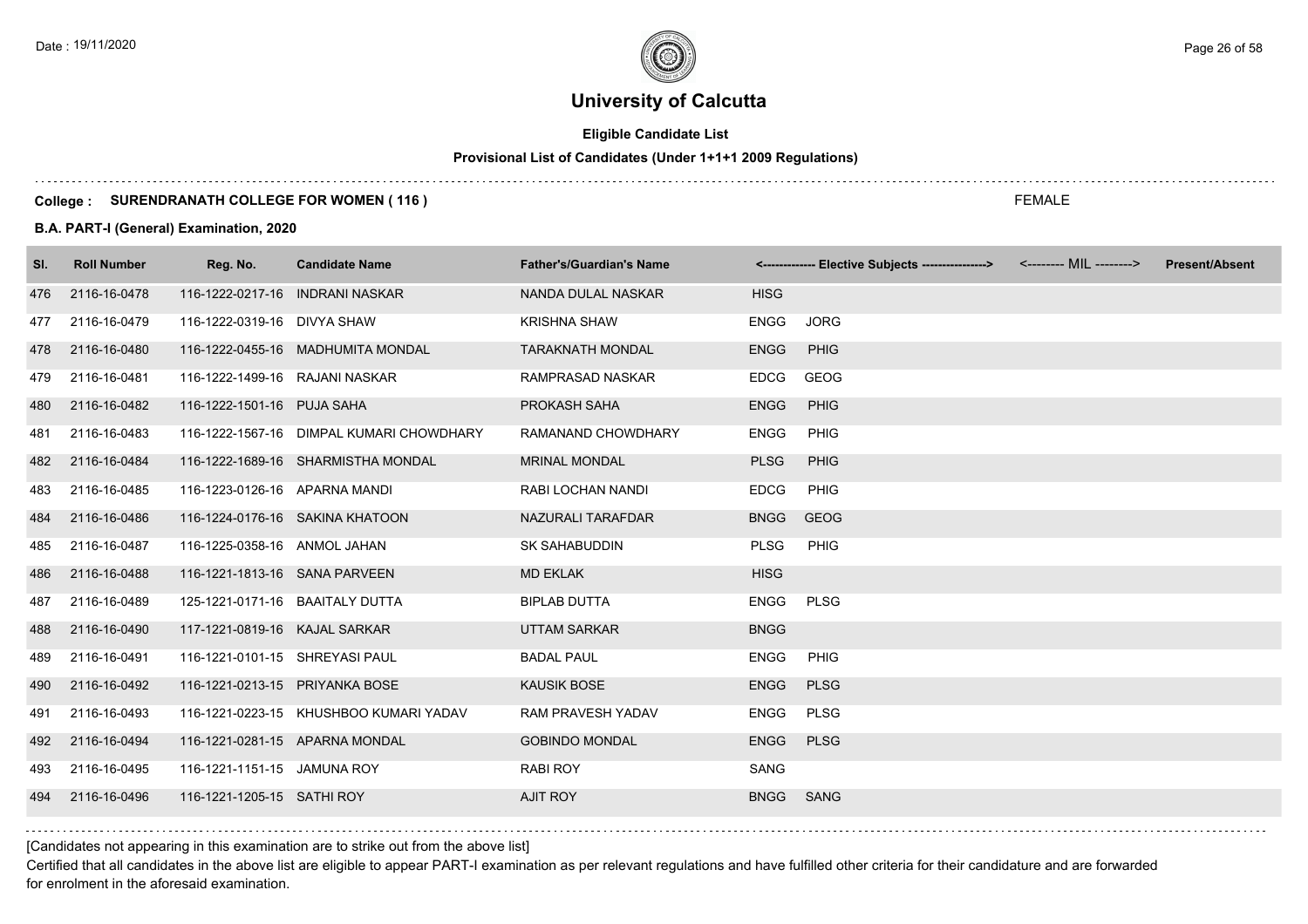# **Eligible Candidate List**

# **Provisional List of Candidates (Under 1+1+1 2009 Regulations)**

#### **College : SURENDRANATH COLLEGE FOR WOMEN ( 116 )**

#### **B.A. PART-I (General) Examination, 2020**

| SI. | <b>Roll Number</b> | Reg. No.                        | <b>Candidate Name</b>                    | <b>Father's/Guardian's Name</b> |             | <------------- Elective Subjects ----------------> <-------- MIL --------> | <b>Present/Absent</b> |
|-----|--------------------|---------------------------------|------------------------------------------|---------------------------------|-------------|----------------------------------------------------------------------------|-----------------------|
| 476 | 2116-16-0478       |                                 | 116-1222-0217-16 INDRANI NASKAR          | NANDA DULAL NASKAR              | <b>HISG</b> |                                                                            |                       |
| 477 | 2116-16-0479       | 116-1222-0319-16 DIVYA SHAW     |                                          | <b>KRISHNA SHAW</b>             | <b>ENGG</b> | <b>JORG</b>                                                                |                       |
| 478 | 2116-16-0480       |                                 | 116-1222-0455-16 MADHUMITA MONDAL        | <b>TARAKNATH MONDAL</b>         | <b>ENGG</b> | PHIG                                                                       |                       |
| 479 | 2116-16-0481       | 116-1222-1499-16 RAJANI NASKAR  |                                          | RAMPRASAD NASKAR                | <b>EDCG</b> | GEOG                                                                       |                       |
| 480 | 2116-16-0482       | 116-1222-1501-16 PUJA SAHA      |                                          | PROKASH SAHA                    | <b>ENGG</b> | PHIG                                                                       |                       |
| 481 | 2116-16-0483       |                                 | 116-1222-1567-16 DIMPAL KUMARI CHOWDHARY | RAMANAND CHOWDHARY              | <b>ENGG</b> | PHIG                                                                       |                       |
| 482 | 2116-16-0484       |                                 | 116-1222-1689-16 SHARMISTHA MONDAL       | <b>MRINAL MONDAL</b>            | <b>PLSG</b> | PHIG                                                                       |                       |
| 483 | 2116-16-0485       | 116-1223-0126-16 APARNA MANDI   |                                          | RABI LOCHAN NANDI               | <b>EDCG</b> | PHIG                                                                       |                       |
| 484 | 2116-16-0486       |                                 | 116-1224-0176-16 SAKINA KHATOON          | NAZURALI TARAFDAR               | <b>BNGG</b> | <b>GEOG</b>                                                                |                       |
| 485 | 2116-16-0487       | 116-1225-0358-16 ANMOL JAHAN    |                                          | <b>SK SAHABUDDIN</b>            | <b>PLSG</b> | PHIG                                                                       |                       |
| 486 | 2116-16-0488       | 116-1221-1813-16 SANA PARVEEN   |                                          | <b>MD EKLAK</b>                 | <b>HISG</b> |                                                                            |                       |
| 487 | 2116-16-0489       | 125-1221-0171-16 BAAITALY DUTTA |                                          | <b>BIPLAB DUTTA</b>             | <b>ENGG</b> | PLSG                                                                       |                       |
| 488 | 2116-16-0490       | 117-1221-0819-16 KAJAL SARKAR   |                                          | <b>UTTAM SARKAR</b>             | <b>BNGG</b> |                                                                            |                       |
| 489 | 2116-16-0491       | 116-1221-0101-15 SHREYASI PAUL  |                                          | <b>BADAL PAUL</b>               | <b>ENGG</b> | PHIG                                                                       |                       |
| 490 | 2116-16-0492       | 116-1221-0213-15 PRIYANKA BOSE  |                                          | <b>KAUSIK BOSE</b>              | <b>ENGG</b> | <b>PLSG</b>                                                                |                       |
| 491 | 2116-16-0493       |                                 | 116-1221-0223-15 KHUSHBOO KUMARI YADAV   | RAM PRAVESH YADAV               | <b>ENGG</b> | PLSG                                                                       |                       |
| 492 | 2116-16-0494       |                                 | 116-1221-0281-15 APARNA MONDAL           | <b>GOBINDO MONDAL</b>           | <b>ENGG</b> | <b>PLSG</b>                                                                |                       |
| 493 | 2116-16-0495       | 116-1221-1151-15 JAMUNA ROY     |                                          | <b>RABI ROY</b>                 | SANG        |                                                                            |                       |
| 494 | 2116-16-0496       | 116-1221-1205-15 SATHI ROY      |                                          | <b>AJIT ROY</b>                 | <b>BNGG</b> | SANG                                                                       |                       |

[Candidates not appearing in this examination are to strike out from the above list]

Certified that all candidates in the above list are eligible to appear PART-I examination as per relevant regulations and have fulfilled other criteria for their candidature and are forwarded for enrolment in the aforesaid examination.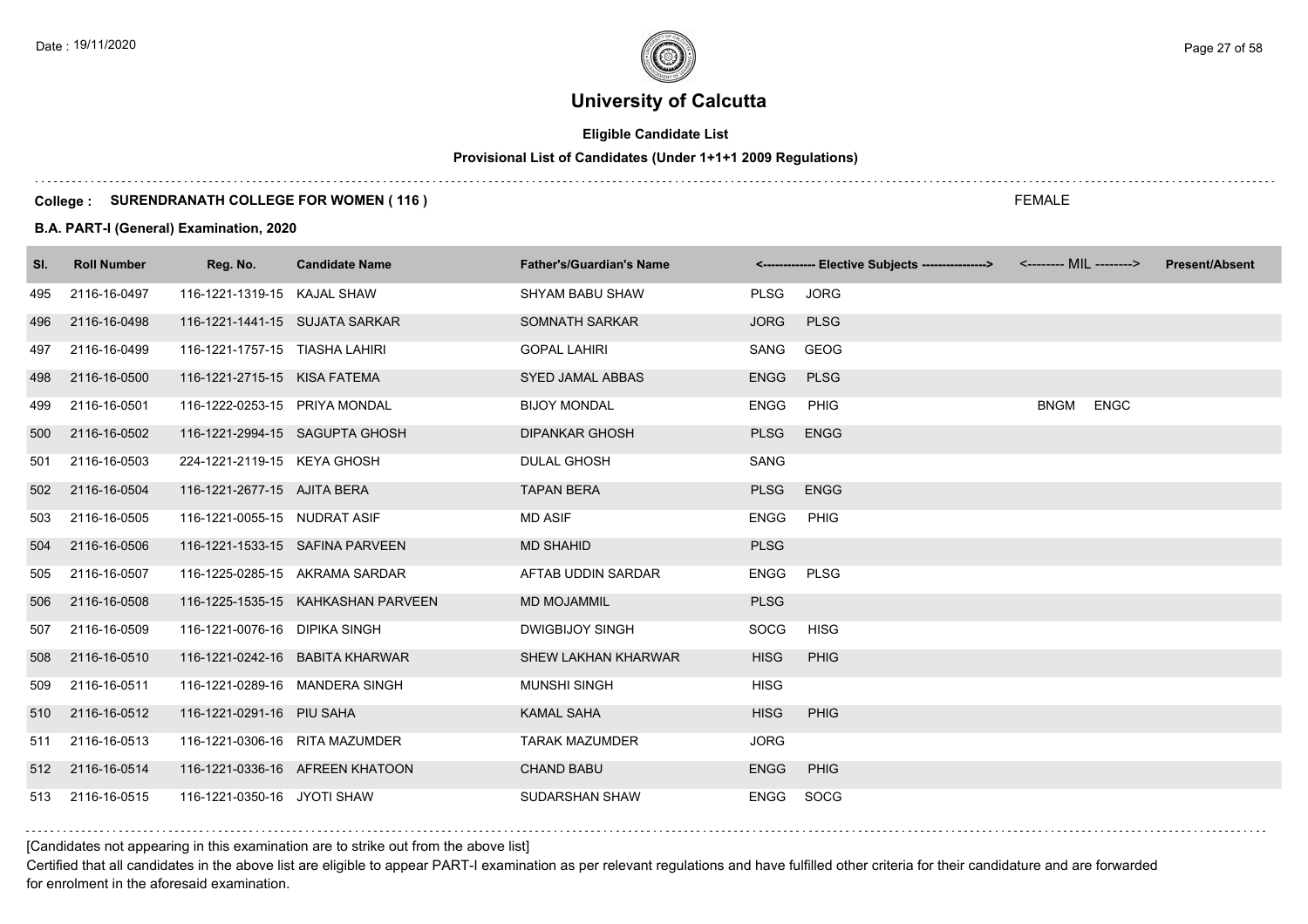# **Eligible Candidate List**

# **Provisional List of Candidates (Under 1+1+1 2009 Regulations)**

#### **College : SURENDRANATH COLLEGE FOR WOMEN ( 116 )**

#### **B.A. PART-I (General) Examination, 2020**

| SI. | <b>Roll Number</b> | Reg. No.                       | <b>Candidate Name</b>              | <b>Father's/Guardian's Name</b> |             | <------------- Elective Subjects ---------------> <-------- MIL --------> |             |             | <b>Present/Absent</b> |
|-----|--------------------|--------------------------------|------------------------------------|---------------------------------|-------------|---------------------------------------------------------------------------|-------------|-------------|-----------------------|
| 495 | 2116-16-0497       | 116-1221-1319-15 KAJAL SHAW    |                                    | <b>SHYAM BABU SHAW</b>          | <b>PLSG</b> | <b>JORG</b>                                                               |             |             |                       |
| 496 | 2116-16-0498       | 116-1221-1441-15 SUJATA SARKAR |                                    | SOMNATH SARKAR                  | <b>JORG</b> | <b>PLSG</b>                                                               |             |             |                       |
| 497 | 2116-16-0499       | 116-1221-1757-15 TIASHA LAHIRI |                                    | <b>GOPAL LAHIRI</b>             | SANG        | <b>GEOG</b>                                                               |             |             |                       |
| 498 | 2116-16-0500       | 116-1221-2715-15 KISA FATEMA   |                                    | <b>SYED JAMAL ABBAS</b>         | <b>ENGG</b> | <b>PLSG</b>                                                               |             |             |                       |
| 499 | 2116-16-0501       | 116-1222-0253-15 PRIYA MONDAL  |                                    | <b>BIJOY MONDAL</b>             | <b>ENGG</b> | PHIG                                                                      | <b>BNGM</b> | <b>ENGC</b> |                       |
| 500 | 2116-16-0502       |                                | 116-1221-2994-15 SAGUPTA GHOSH     | <b>DIPANKAR GHOSH</b>           | <b>PLSG</b> | <b>ENGG</b>                                                               |             |             |                       |
| 501 | 2116-16-0503       | 224-1221-2119-15 KEYA GHOSH    |                                    | <b>DULAL GHOSH</b>              | SANG        |                                                                           |             |             |                       |
| 502 | 2116-16-0504       | 116-1221-2677-15 AJITA BERA    |                                    | <b>TAPAN BERA</b>               | <b>PLSG</b> | <b>ENGG</b>                                                               |             |             |                       |
| 503 | 2116-16-0505       | 116-1221-0055-15 NUDRAT ASIF   |                                    | <b>MD ASIF</b>                  | <b>ENGG</b> | PHIG                                                                      |             |             |                       |
| 504 | 2116-16-0506       |                                | 116-1221-1533-15 SAFINA PARVEEN    | <b>MD SHAHID</b>                | <b>PLSG</b> |                                                                           |             |             |                       |
| 505 | 2116-16-0507       |                                | 116-1225-0285-15 AKRAMA SARDAR     | AFTAB UDDIN SARDAR              | <b>ENGG</b> | <b>PLSG</b>                                                               |             |             |                       |
| 506 | 2116-16-0508       |                                | 116-1225-1535-15 KAHKASHAN PARVEEN | <b>MD MOJAMMIL</b>              | <b>PLSG</b> |                                                                           |             |             |                       |
| 507 | 2116-16-0509       | 116-1221-0076-16 DIPIKA SINGH  |                                    | <b>DWIGBIJOY SINGH</b>          | <b>SOCG</b> | HISG                                                                      |             |             |                       |
| 508 | 2116-16-0510       |                                | 116-1221-0242-16 BABITA KHARWAR    | <b>SHEW LAKHAN KHARWAR</b>      | <b>HISG</b> | <b>PHIG</b>                                                               |             |             |                       |
| 509 | 2116-16-0511       | 116-1221-0289-16 MANDERA SINGH |                                    | <b>MUNSHI SINGH</b>             | <b>HISG</b> |                                                                           |             |             |                       |
| 510 | 2116-16-0512       | 116-1221-0291-16 PIU SAHA      |                                    | <b>KAMAL SAHA</b>               | <b>HISG</b> | <b>PHIG</b>                                                               |             |             |                       |
| 511 | 2116-16-0513       | 116-1221-0306-16 RITA MAZUMDER |                                    | <b>TARAK MAZUMDER</b>           | <b>JORG</b> |                                                                           |             |             |                       |
| 512 | 2116-16-0514       |                                | 116-1221-0336-16 AFREEN KHATOON    | <b>CHAND BABU</b>               | <b>ENGG</b> | PHIG                                                                      |             |             |                       |
| 513 | 2116-16-0515       | 116-1221-0350-16 JYOTI SHAW    |                                    | SUDARSHAN SHAW                  | <b>ENGG</b> | SOCG                                                                      |             |             |                       |

[Candidates not appearing in this examination are to strike out from the above list]

Certified that all candidates in the above list are eligible to appear PART-I examination as per relevant regulations and have fulfilled other criteria for their candidature and are forwarded for enrolment in the aforesaid examination.

FEMALE

Date : 19/11/2020 Page 27 of 58  $\sim$  Page 27 of 58  $\sim$  Page 27 of 58  $\sim$  Page 27 of 58  $\sim$  Page 27 of 58  $\sim$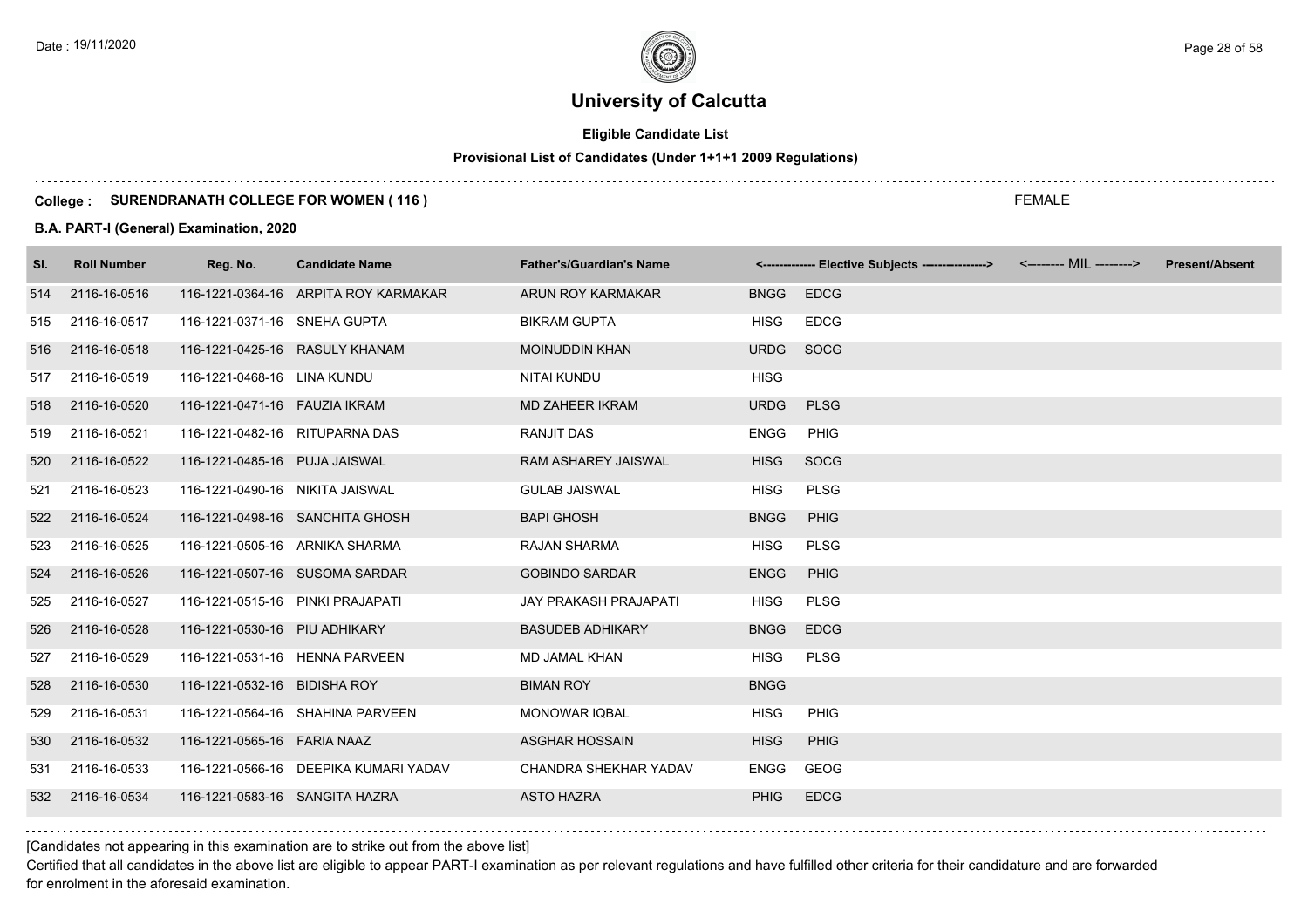# **Eligible Candidate List**

# **Provisional List of Candidates (Under 1+1+1 2009 Regulations)**

#### **College : SURENDRANATH COLLEGE FOR WOMEN ( 116 )**

#### **B.A. PART-I (General) Examination, 2020**

| SI. | <b>Roll Number</b> | Reg. No.                         | <b>Candidate Name</b>                 | <b>Father's/Guardian's Name</b> |             | <------------- Elective Subjects ---------------> <-------- MIL --------> | <b>Present/Absent</b> |
|-----|--------------------|----------------------------------|---------------------------------------|---------------------------------|-------------|---------------------------------------------------------------------------|-----------------------|
| 514 | 2116-16-0516       |                                  | 116-1221-0364-16 ARPITA ROY KARMAKAR  | ARUN ROY KARMAKAR               | <b>BNGG</b> | <b>EDCG</b>                                                               |                       |
| 515 | 2116-16-0517       | 116-1221-0371-16 SNEHA GUPTA     |                                       | <b>BIKRAM GUPTA</b>             | <b>HISG</b> | <b>EDCG</b>                                                               |                       |
| 516 | 2116-16-0518       | 116-1221-0425-16 RASULY KHANAM   |                                       | <b>MOINUDDIN KHAN</b>           | <b>URDG</b> | SOCG                                                                      |                       |
| 517 | 2116-16-0519       | 116-1221-0468-16 LINA KUNDU      |                                       | NITAI KUNDU                     | <b>HISG</b> |                                                                           |                       |
| 518 | 2116-16-0520       | 116-1221-0471-16    FAUZIA IKRAM |                                       | MD ZAHEER IKRAM                 | <b>URDG</b> | <b>PLSG</b>                                                               |                       |
| 519 | 2116-16-0521       | 116-1221-0482-16 RITUPARNA DAS   |                                       | <b>RANJIT DAS</b>               | <b>ENGG</b> | PHIG                                                                      |                       |
| 520 | 2116-16-0522       | 116-1221-0485-16 PUJA JAISWAL    |                                       | <b>RAM ASHAREY JAISWAL</b>      | <b>HISG</b> | SOCG                                                                      |                       |
| 521 | 2116-16-0523       | 116-1221-0490-16 NIKITA JAISWAL  |                                       | <b>GULAB JAISWAL</b>            | <b>HISG</b> | <b>PLSG</b>                                                               |                       |
| 522 | 2116-16-0524       |                                  | 116-1221-0498-16 SANCHITA GHOSH       | <b>BAPI GHOSH</b>               | <b>BNGG</b> | PHIG                                                                      |                       |
| 523 | 2116-16-0525       | 116-1221-0505-16 ARNIKA SHARMA   |                                       | <b>RAJAN SHARMA</b>             | <b>HISG</b> | <b>PLSG</b>                                                               |                       |
| 524 | 2116-16-0526       |                                  | 116-1221-0507-16 SUSOMA SARDAR        | <b>GOBINDO SARDAR</b>           | <b>ENGG</b> | <b>PHIG</b>                                                               |                       |
| 525 | 2116-16-0527       | 116-1221-0515-16 PINKI PRAJAPATI |                                       | JAY PRAKASH PRAJAPATI           | <b>HISG</b> | <b>PLSG</b>                                                               |                       |
| 526 | 2116-16-0528       | 116-1221-0530-16 PIU ADHIKARY    |                                       | <b>BASUDEB ADHIKARY</b>         | <b>BNGG</b> | <b>EDCG</b>                                                               |                       |
| 527 | 2116-16-0529       |                                  | 116-1221-0531-16 HENNA PARVEEN        | <b>MD JAMAL KHAN</b>            | <b>HISG</b> | <b>PLSG</b>                                                               |                       |
| 528 | 2116-16-0530       | 116-1221-0532-16 BIDISHA ROY     |                                       | <b>BIMAN ROY</b>                | <b>BNGG</b> |                                                                           |                       |
| 529 | 2116-16-0531       |                                  | 116-1221-0564-16 SHAHINA PARVEEN      | <b>MONOWAR IQBAL</b>            | <b>HISG</b> | <b>PHIG</b>                                                               |                       |
| 530 | 2116-16-0532       | 116-1221-0565-16 FARIA NAAZ      |                                       | <b>ASGHAR HOSSAIN</b>           | <b>HISG</b> | PHIG                                                                      |                       |
| 531 | 2116-16-0533       |                                  | 116-1221-0566-16 DEEPIKA KUMARI YADAV | CHANDRA SHEKHAR YADAV           | <b>ENGG</b> | GEOG                                                                      |                       |
| 532 | 2116-16-0534       | 116-1221-0583-16 SANGITA HAZRA   |                                       | <b>ASTO HAZRA</b>               | <b>PHIG</b> | <b>EDCG</b>                                                               |                       |

[Candidates not appearing in this examination are to strike out from the above list]

Certified that all candidates in the above list are eligible to appear PART-I examination as per relevant regulations and have fulfilled other criteria for their candidature and are forwarded for enrolment in the aforesaid examination.

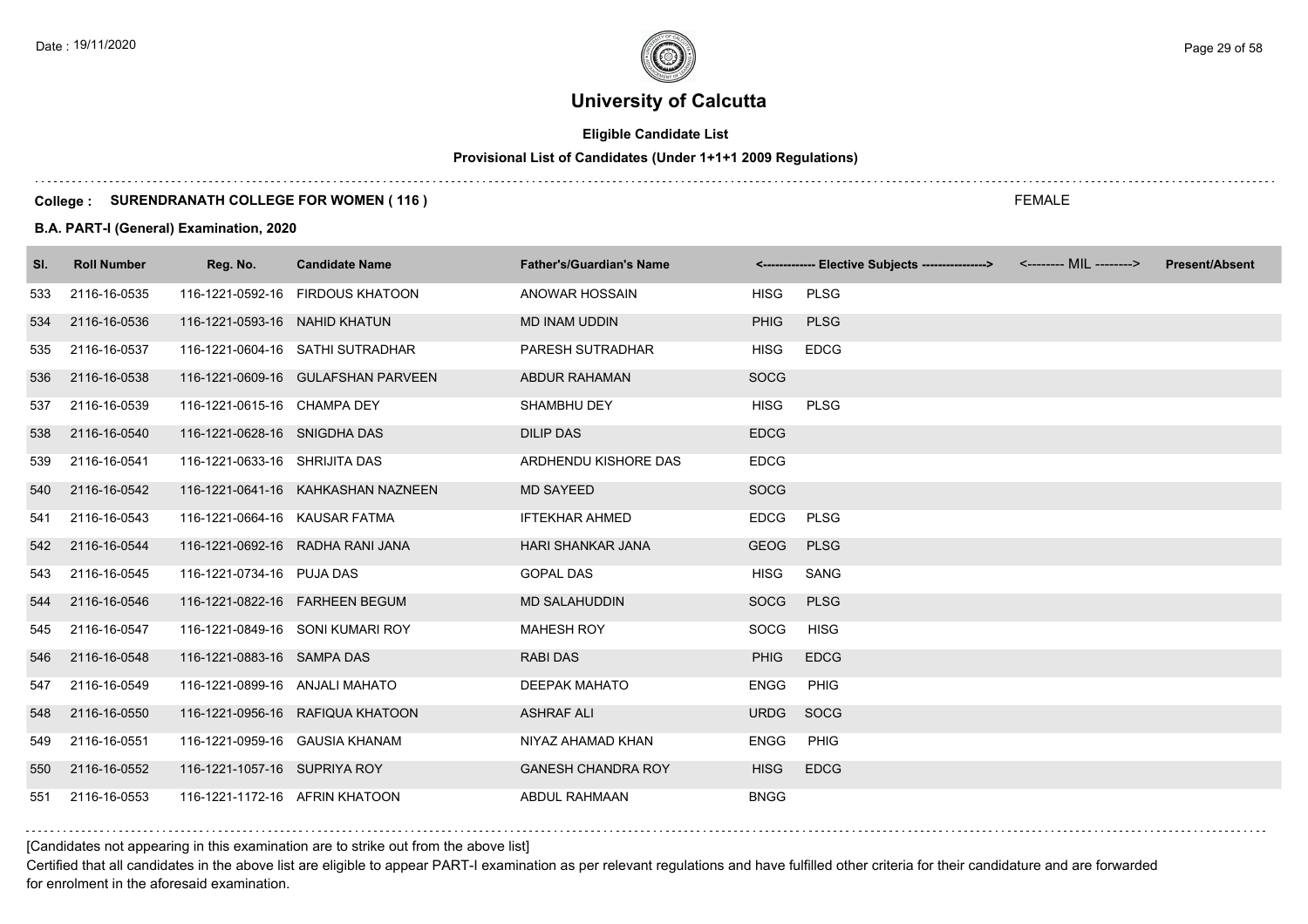# **Eligible Candidate List**

# **Provisional List of Candidates (Under 1+1+1 2009 Regulations)**

#### **College : SURENDRANATH COLLEGE FOR WOMEN ( 116 )**

#### **B.A. PART-I (General) Examination, 2020**

| SI. | <b>Roll Number</b> | Reg. No.                       | <b>Candidate Name</b>              | <b>Father's/Guardian's Name</b> |             | <------------- Elective Subjects ----------------> | <-------- MIL --------> | <b>Present/Absent</b> |
|-----|--------------------|--------------------------------|------------------------------------|---------------------------------|-------------|----------------------------------------------------|-------------------------|-----------------------|
| 533 | 2116-16-0535       |                                | 116-1221-0592-16 FIRDOUS KHATOON   | <b>ANOWAR HOSSAIN</b>           | <b>HISG</b> | <b>PLSG</b>                                        |                         |                       |
| 534 | 2116-16-0536       | 116-1221-0593-16 NAHID KHATUN  |                                    | <b>MD INAM UDDIN</b>            | <b>PHIG</b> | <b>PLSG</b>                                        |                         |                       |
| 535 | 2116-16-0537       |                                | 116-1221-0604-16 SATHI SUTRADHAR   | PARESH SUTRADHAR                | <b>HISG</b> | <b>EDCG</b>                                        |                         |                       |
| 536 | 2116-16-0538       |                                | 116-1221-0609-16 GULAFSHAN PARVEEN | ABDUR RAHAMAN                   | <b>SOCG</b> |                                                    |                         |                       |
| 537 | 2116-16-0539       | 116-1221-0615-16 CHAMPA DEY    |                                    | SHAMBHU DEY                     | <b>HISG</b> | <b>PLSG</b>                                        |                         |                       |
| 538 | 2116-16-0540       | 116-1221-0628-16 SNIGDHA DAS   |                                    | <b>DILIP DAS</b>                | <b>EDCG</b> |                                                    |                         |                       |
| 539 | 2116-16-0541       | 116-1221-0633-16 SHRIJITA DAS  |                                    | ARDHENDU KISHORE DAS            | <b>EDCG</b> |                                                    |                         |                       |
| 540 | 2116-16-0542       |                                | 116-1221-0641-16 KAHKASHAN NAZNEEN | <b>MD SAYEED</b>                | <b>SOCG</b> |                                                    |                         |                       |
| 541 | 2116-16-0543       | 116-1221-0664-16 KAUSAR FATMA  |                                    | <b>IFTEKHAR AHMED</b>           | <b>EDCG</b> | <b>PLSG</b>                                        |                         |                       |
| 542 | 2116-16-0544       |                                | 116-1221-0692-16 RADHA RANI JANA   | HARI SHANKAR JANA               | <b>GEOG</b> | <b>PLSG</b>                                        |                         |                       |
| 543 | 2116-16-0545       | 116-1221-0734-16 PUJA DAS      |                                    | <b>GOPAL DAS</b>                | <b>HISG</b> | SANG                                               |                         |                       |
| 544 | 2116-16-0546       |                                | 116-1221-0822-16    FARHEEN BEGUM  | <b>MD SALAHUDDIN</b>            | SOCG        | <b>PLSG</b>                                        |                         |                       |
| 545 | 2116-16-0547       |                                | 116-1221-0849-16 SONI KUMARI ROY   | <b>MAHESH ROY</b>               | SOCG        | <b>HISG</b>                                        |                         |                       |
| 546 | 2116-16-0548       | 116-1221-0883-16 SAMPA DAS     |                                    | <b>RABI DAS</b>                 | <b>PHIG</b> | <b>EDCG</b>                                        |                         |                       |
| 547 | 2116-16-0549       | 116-1221-0899-16 ANJALI MAHATO |                                    | <b>DEEPAK MAHATO</b>            | <b>ENGG</b> | PHIG                                               |                         |                       |
| 548 | 2116-16-0550       |                                | 116-1221-0956-16 RAFIQUA KHATOON   | <b>ASHRAF ALI</b>               | <b>URDG</b> | SOCG                                               |                         |                       |
| 549 | 2116-16-0551       | 116-1221-0959-16 GAUSIA KHANAM |                                    | NIYAZ AHAMAD KHAN               | <b>ENGG</b> | <b>PHIG</b>                                        |                         |                       |
| 550 | 2116-16-0552       | 116-1221-1057-16 SUPRIYA ROY   |                                    | <b>GANESH CHANDRA ROY</b>       | <b>HISG</b> | <b>EDCG</b>                                        |                         |                       |
| 551 | 2116-16-0553       | 116-1221-1172-16 AFRIN KHATOON |                                    | <b>ABDUL RAHMAAN</b>            | <b>BNGG</b> |                                                    |                         |                       |

### [Candidates not appearing in this examination are to strike out from the above list]

Certified that all candidates in the above list are eligible to appear PART-I examination as per relevant regulations and have fulfilled other criteria for their candidature and are forwarded for enrolment in the aforesaid examination.

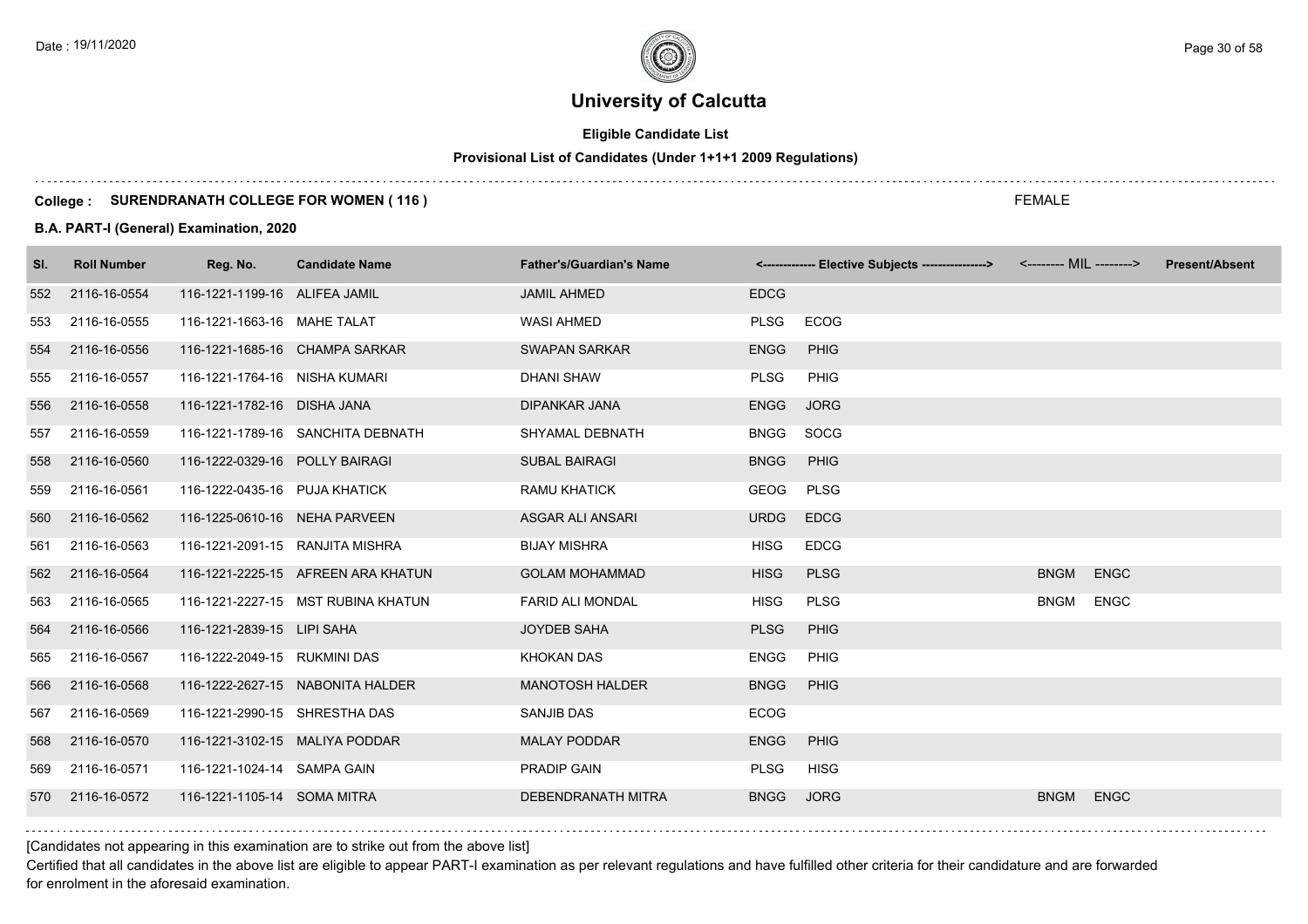# **Eligible Candidate List**

# **Provisional List of Candidates (Under 1+1+1 2009 Regulations)**

#### **College : SURENDRANATH COLLEGE FOR WOMEN ( 116 )**

#### **B.A. PART-I (General) Examination, 2020**

| SI. | <b>Roll Number</b> | Reg. No.                        | <b>Candidate Name</b>              | <b>Father's/Guardian's Name</b> |             | <-------------- Elective Subjects ----------------> <-------- MIL --------> |             |             | <b>Present/Absent</b> |
|-----|--------------------|---------------------------------|------------------------------------|---------------------------------|-------------|-----------------------------------------------------------------------------|-------------|-------------|-----------------------|
| 552 | 2116-16-0554       | 116-1221-1199-16 ALIFEA JAMIL   |                                    | <b>JAMIL AHMED</b>              | <b>EDCG</b> |                                                                             |             |             |                       |
| 553 | 2116-16-0555       | 116-1221-1663-16 MAHE TALAT     |                                    | <b>WASI AHMED</b>               | <b>PLSG</b> | ECOG                                                                        |             |             |                       |
| 554 | 2116-16-0556       |                                 | 116-1221-1685-16 CHAMPA SARKAR     | <b>SWAPAN SARKAR</b>            | <b>ENGG</b> | PHIG                                                                        |             |             |                       |
| 555 | 2116-16-0557       | 116-1221-1764-16 NISHA KUMARI   |                                    | <b>DHANI SHAW</b>               | <b>PLSG</b> | PHIG                                                                        |             |             |                       |
| 556 | 2116-16-0558       | 116-1221-1782-16 DISHA JANA     |                                    | <b>DIPANKAR JANA</b>            | <b>ENGG</b> | <b>JORG</b>                                                                 |             |             |                       |
| 557 | 2116-16-0559       |                                 | 116-1221-1789-16 SANCHITA DEBNATH  | SHYAMAL DEBNATH                 | <b>BNGG</b> | SOCG                                                                        |             |             |                       |
| 558 | 2116-16-0560       | 116-1222-0329-16 POLLY BAIRAGI  |                                    | <b>SUBAL BAIRAGI</b>            | <b>BNGG</b> | PHIG                                                                        |             |             |                       |
| 559 | 2116-16-0561       | 116-1222-0435-16 PUJA KHATICK   |                                    | <b>RAMU KHATICK</b>             | <b>GEOG</b> | <b>PLSG</b>                                                                 |             |             |                       |
| 560 | 2116-16-0562       | 116-1225-0610-16 NEHA PARVEEN   |                                    | ASGAR ALI ANSARI                | <b>URDG</b> | <b>EDCG</b>                                                                 |             |             |                       |
| 561 | 2116-16-0563       | 116-1221-2091-15 RANJITA MISHRA |                                    | <b>BIJAY MISHRA</b>             | <b>HISG</b> | <b>EDCG</b>                                                                 |             |             |                       |
| 562 | 2116-16-0564       |                                 | 116-1221-2225-15 AFREEN ARA KHATUN | <b>GOLAM MOHAMMAD</b>           | <b>HISG</b> | <b>PLSG</b>                                                                 | <b>BNGM</b> | <b>ENGC</b> |                       |
| 563 | 2116-16-0565       |                                 | 116-1221-2227-15 MST RUBINA KHATUN | <b>FARID ALI MONDAL</b>         | <b>HISG</b> | <b>PLSG</b>                                                                 | <b>BNGM</b> | <b>ENGC</b> |                       |
| 564 | 2116-16-0566       | 116-1221-2839-15 LIPI SAHA      |                                    | <b>JOYDEB SAHA</b>              | <b>PLSG</b> | PHIG                                                                        |             |             |                       |
| 565 | 2116-16-0567       | 116-1222-2049-15 RUKMINI DAS    |                                    | <b>KHOKAN DAS</b>               | <b>ENGG</b> | PHIG                                                                        |             |             |                       |
| 566 | 2116-16-0568       |                                 | 116-1222-2627-15 NABONITA HALDER   | <b>MANOTOSH HALDER</b>          | <b>BNGG</b> | PHIG                                                                        |             |             |                       |
| 567 | 2116-16-0569       | 116-1221-2990-15 SHRESTHA DAS   |                                    | SANJIB DAS                      | <b>ECOG</b> |                                                                             |             |             |                       |
| 568 | 2116-16-0570       | 116-1221-3102-15 MALIYA PODDAR  |                                    | <b>MALAY PODDAR</b>             | <b>ENGG</b> | PHIG                                                                        |             |             |                       |
| 569 | 2116-16-0571       | 116-1221-1024-14 SAMPA GAIN     |                                    | PRADIP GAIN                     | <b>PLSG</b> | <b>HISG</b>                                                                 |             |             |                       |
| 570 | 2116-16-0572       | 116-1221-1105-14 SOMA MITRA     |                                    | <b>DEBENDRANATH MITRA</b>       | <b>BNGG</b> | <b>JORG</b>                                                                 | <b>BNGM</b> | <b>ENGC</b> |                       |

[Candidates not appearing in this examination are to strike out from the above list]

Certified that all candidates in the above list are eligible to appear PART-I examination as per relevant regulations and have fulfilled other criteria for their candidature and are forwarded for enrolment in the aforesaid examination.

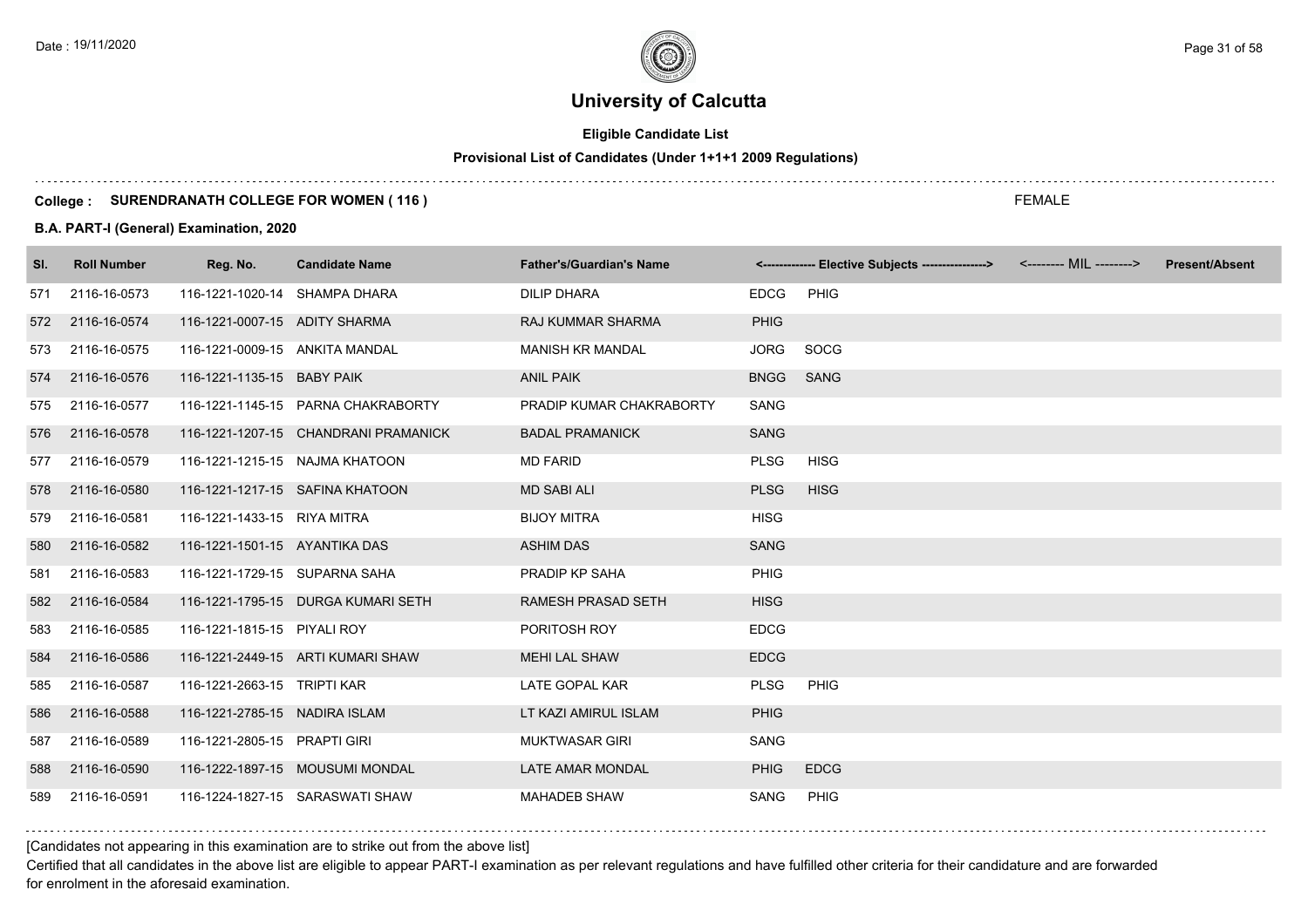# **Eligible Candidate List**

# **Provisional List of Candidates (Under 1+1+1 2009 Regulations)**

#### **College : SURENDRANATH COLLEGE FOR WOMEN ( 116 )**

#### **B.A. PART-I (General) Examination, 2020**

| SI. | <b>Roll Number</b> | Reg. No.                       | <b>Candidate Name</b>                | <b>Father's/Guardian's Name</b> |             | <------------- Elective Subjects ----------------> <-------- MIL --------> | <b>Present/Absent</b> |
|-----|--------------------|--------------------------------|--------------------------------------|---------------------------------|-------------|----------------------------------------------------------------------------|-----------------------|
| 571 | 2116-16-0573       | 116-1221-1020-14 SHAMPA DHARA  |                                      | <b>DILIP DHARA</b>              | <b>EDCG</b> | PHIG                                                                       |                       |
| 572 | 2116-16-0574       | 116-1221-0007-15 ADITY SHARMA  |                                      | <b>RAJ KUMMAR SHARMA</b>        | <b>PHIG</b> |                                                                            |                       |
| 573 | 2116-16-0575       | 116-1221-0009-15 ANKITA MANDAL |                                      | <b>MANISH KR MANDAL</b>         | <b>JORG</b> | SOCG                                                                       |                       |
| 574 | 2116-16-0576       | 116-1221-1135-15 BABY PAIK     |                                      | <b>ANIL PAIK</b>                | <b>BNGG</b> | <b>SANG</b>                                                                |                       |
| 575 | 2116-16-0577       |                                | 116-1221-1145-15 PARNA CHAKRABORTY   | PRADIP KUMAR CHAKRABORTY        | SANG        |                                                                            |                       |
| 576 | 2116-16-0578       |                                | 116-1221-1207-15 CHANDRANI PRAMANICK | <b>BADAL PRAMANICK</b>          | <b>SANG</b> |                                                                            |                       |
| 577 | 2116-16-0579       |                                | 116-1221-1215-15 NAJMA KHATOON       | <b>MD FARID</b>                 | <b>PLSG</b> | <b>HISG</b>                                                                |                       |
| 578 | 2116-16-0580       |                                | 116-1221-1217-15 SAFINA KHATOON      | <b>MD SABI ALI</b>              | <b>PLSG</b> | <b>HISG</b>                                                                |                       |
| 579 | 2116-16-0581       | 116-1221-1433-15 RIYA MITRA    |                                      | <b>BIJOY MITRA</b>              | <b>HISG</b> |                                                                            |                       |
| 580 | 2116-16-0582       | 116-1221-1501-15 AYANTIKA DAS  |                                      | <b>ASHIM DAS</b>                | <b>SANG</b> |                                                                            |                       |
| 581 | 2116-16-0583       | 116-1221-1729-15 SUPARNA SAHA  |                                      | PRADIP KP SAHA                  | PHIG        |                                                                            |                       |
| 582 | 2116-16-0584       |                                | 116-1221-1795-15 DURGA KUMARI SETH   | <b>RAMESH PRASAD SETH</b>       | <b>HISG</b> |                                                                            |                       |
| 583 | 2116-16-0585       | 116-1221-1815-15 PIYALI ROY    |                                      | PORITOSH ROY                    | <b>EDCG</b> |                                                                            |                       |
| 584 | 2116-16-0586       |                                | 116-1221-2449-15 ARTI KUMARI SHAW    | <b>MEHI LAL SHAW</b>            | <b>EDCG</b> |                                                                            |                       |
| 585 | 2116-16-0587       | 116-1221-2663-15 TRIPTI KAR    |                                      | <b>LATE GOPAL KAR</b>           | <b>PLSG</b> | PHIG                                                                       |                       |
| 586 | 2116-16-0588       | 116-1221-2785-15 NADIRA ISLAM  |                                      | LT KAZI AMIRUL ISLAM            | <b>PHIG</b> |                                                                            |                       |
| 587 | 2116-16-0589       | 116-1221-2805-15 PRAPTI GIRI   |                                      | <b>MUKTWASAR GIRI</b>           | SANG        |                                                                            |                       |
| 588 | 2116-16-0590       |                                | 116-1222-1897-15 MOUSUMI MONDAL      | LATE AMAR MONDAL                | <b>PHIG</b> | <b>EDCG</b>                                                                |                       |
| 589 | 2116-16-0591       |                                | 116-1224-1827-15 SARASWATI SHAW      | <b>MAHADEB SHAW</b>             | SANG        | <b>PHIG</b>                                                                |                       |

[Candidates not appearing in this examination are to strike out from the above list]

Certified that all candidates in the above list are eligible to appear PART-I examination as per relevant regulations and have fulfilled other criteria for their candidature and are forwarded for enrolment in the aforesaid examination.

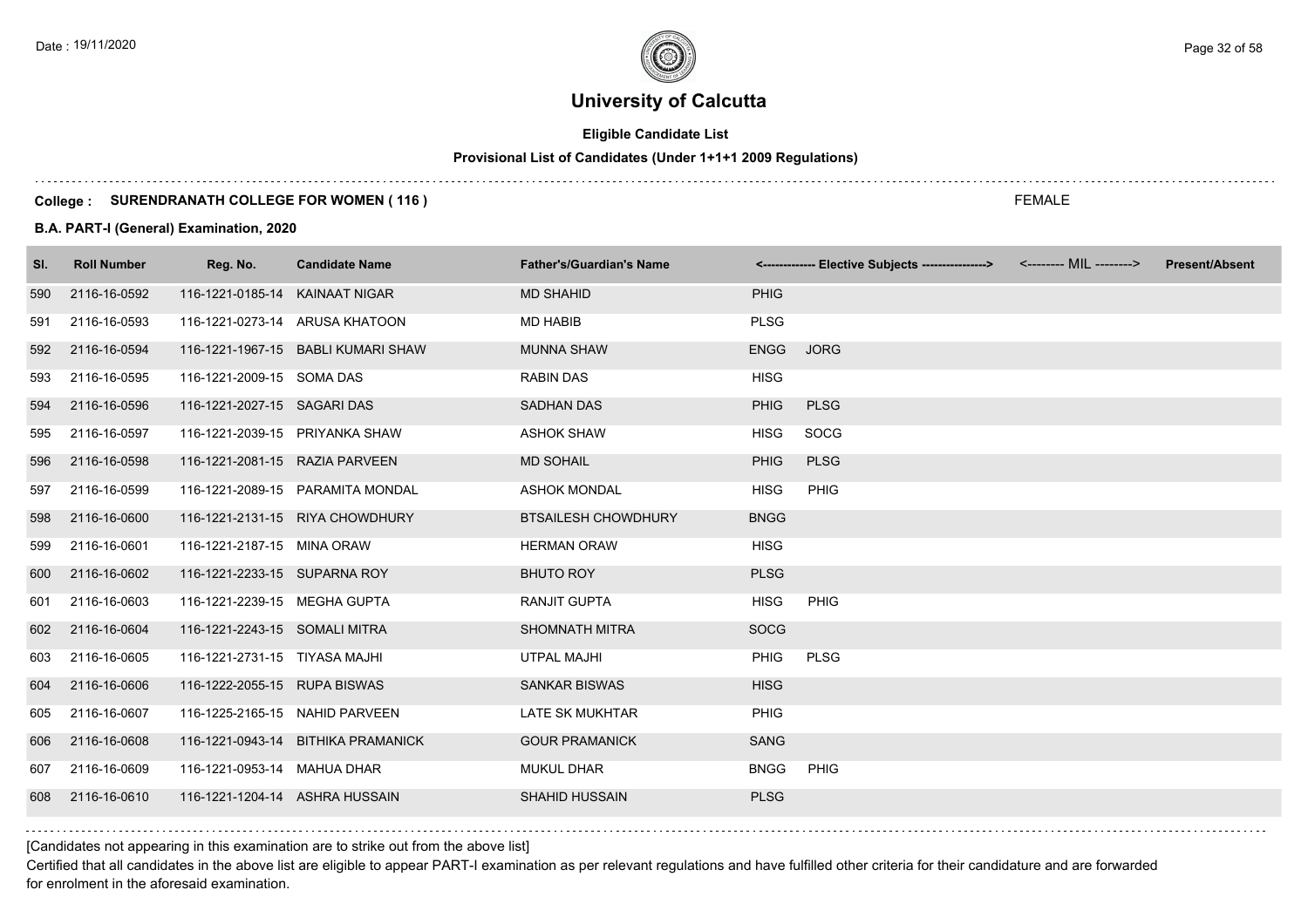# **Eligible Candidate List**

# **Provisional List of Candidates (Under 1+1+1 2009 Regulations)**

#### **College : SURENDRANATH COLLEGE FOR WOMEN ( 116 )**

#### **B.A. PART-I (General) Examination, 2020**

| SI. | <b>Roll Number</b> | Reg. No.                       | <b>Candidate Name</b>              | <b>Father's/Guardian's Name</b> |             | <------------- Elective Subjects ----------------> | <b>Present/Absent</b> |
|-----|--------------------|--------------------------------|------------------------------------|---------------------------------|-------------|----------------------------------------------------|-----------------------|
| 590 | 2116-16-0592       | 116-1221-0185-14 KAINAAT NIGAR |                                    | <b>MD SHAHID</b>                | <b>PHIG</b> |                                                    |                       |
| 591 | 2116-16-0593       |                                | 116-1221-0273-14 ARUSA KHATOON     | <b>MD HABIB</b>                 | <b>PLSG</b> |                                                    |                       |
| 592 | 2116-16-0594       |                                | 116-1221-1967-15 BABLI KUMARI SHAW | <b>MUNNA SHAW</b>               | <b>ENGG</b> | <b>JORG</b>                                        |                       |
| 593 | 2116-16-0595       | 116-1221-2009-15 SOMA DAS      |                                    | <b>RABIN DAS</b>                | <b>HISG</b> |                                                    |                       |
| 594 | 2116-16-0596       | 116-1221-2027-15 SAGARI DAS    |                                    | <b>SADHAN DAS</b>               | <b>PHIG</b> | <b>PLSG</b>                                        |                       |
| 595 | 2116-16-0597       | 116-1221-2039-15 PRIYANKA SHAW |                                    | <b>ASHOK SHAW</b>               | <b>HISG</b> | SOCG                                               |                       |
| 596 | 2116-16-0598       | 116-1221-2081-15 RAZIA PARVEEN |                                    | <b>MD SOHAIL</b>                | <b>PHIG</b> | <b>PLSG</b>                                        |                       |
| 597 | 2116-16-0599       |                                | 116-1221-2089-15 PARAMITA MONDAL   | <b>ASHOK MONDAL</b>             | <b>HISG</b> | PHIG                                               |                       |
| 598 | 2116-16-0600       |                                | 116-1221-2131-15 RIYA CHOWDHURY    | <b>BTSAILESH CHOWDHURY</b>      | <b>BNGG</b> |                                                    |                       |
| 599 | 2116-16-0601       | 116-1221-2187-15 MINA ORAW     |                                    | <b>HERMAN ORAW</b>              | <b>HISG</b> |                                                    |                       |
| 600 | 2116-16-0602       | 116-1221-2233-15 SUPARNA ROY   |                                    | <b>BHUTO ROY</b>                | <b>PLSG</b> |                                                    |                       |
| 601 | 2116-16-0603       | 116-1221-2239-15 MEGHA GUPTA   |                                    | <b>RANJIT GUPTA</b>             | <b>HISG</b> | <b>PHIG</b>                                        |                       |
| 602 | 2116-16-0604       | 116-1221-2243-15 SOMALI MITRA  |                                    | <b>SHOMNATH MITRA</b>           | <b>SOCG</b> |                                                    |                       |
| 603 | 2116-16-0605       | 116-1221-2731-15 TIYASA MAJHI  |                                    | <b>UTPAL MAJHI</b>              | <b>PHIG</b> | <b>PLSG</b>                                        |                       |
| 604 | 2116-16-0606       | 116-1222-2055-15 RUPA BISWAS   |                                    | <b>SANKAR BISWAS</b>            | <b>HISG</b> |                                                    |                       |
| 605 | 2116-16-0607       | 116-1225-2165-15 NAHID PARVEEN |                                    | LATE SK MUKHTAR                 | PHIG        |                                                    |                       |
| 606 | 2116-16-0608       |                                | 116-1221-0943-14 BITHIKA PRAMANICK | <b>GOUR PRAMANICK</b>           | <b>SANG</b> |                                                    |                       |
| 607 | 2116-16-0609       | 116-1221-0953-14 MAHUA DHAR    |                                    | <b>MUKUL DHAR</b>               | <b>BNGG</b> | <b>PHIG</b>                                        |                       |
| 608 | 2116-16-0610       | 116-1221-1204-14 ASHRA HUSSAIN |                                    | <b>SHAHID HUSSAIN</b>           | <b>PLSG</b> |                                                    |                       |
|     |                    |                                |                                    |                                 |             |                                                    |                       |

[Candidates not appearing in this examination are to strike out from the above list]

Certified that all candidates in the above list are eligible to appear PART-I examination as per relevant regulations and have fulfilled other criteria for their candidature and are forwarded for enrolment in the aforesaid examination.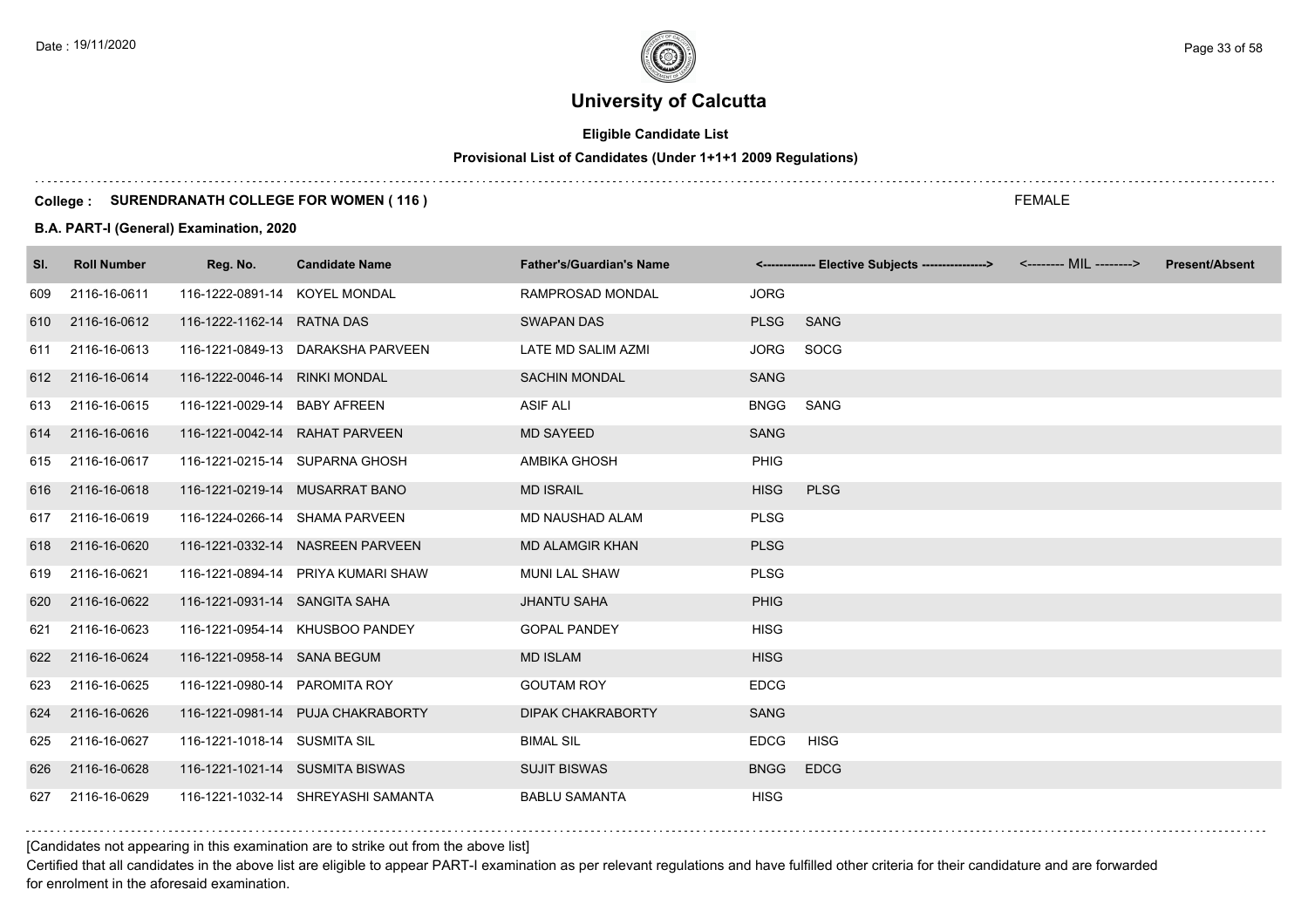# **Eligible Candidate List**

# **Provisional List of Candidates (Under 1+1+1 2009 Regulations)**

#### **College : SURENDRANATH COLLEGE FOR WOMEN ( 116 )**

#### **B.A. PART-I (General) Examination, 2020**

| SI. | <b>Roll Number</b> | Reg. No.                       | <b>Candidate Name</b>              | <b>Father's/Guardian's Name</b> |             | <------------- Elective Subjects ----------------> <-------- MIL --------> | <b>Present/Absent</b> |
|-----|--------------------|--------------------------------|------------------------------------|---------------------------------|-------------|----------------------------------------------------------------------------|-----------------------|
| 609 | 2116-16-0611       | 116-1222-0891-14 KOYEL MONDAL  |                                    | <b>RAMPROSAD MONDAL</b>         | <b>JORG</b> |                                                                            |                       |
| 610 | 2116-16-0612       | 116-1222-1162-14 RATNA DAS     |                                    | <b>SWAPAN DAS</b>               | <b>PLSG</b> | <b>SANG</b>                                                                |                       |
| 611 | 2116-16-0613       |                                | 116-1221-0849-13 DARAKSHA PARVEEN  | LATE MD SALIM AZMI              | <b>JORG</b> | SOCG                                                                       |                       |
| 612 | 2116-16-0614       | 116-1222-0046-14 RINKI MONDAL  |                                    | <b>SACHIN MONDAL</b>            | <b>SANG</b> |                                                                            |                       |
| 613 | 2116-16-0615       | 116-1221-0029-14 BABY AFREEN   |                                    | <b>ASIF ALI</b>                 | <b>BNGG</b> | SANG                                                                       |                       |
|     | 614 2116-16-0616   | 116-1221-0042-14 RAHAT PARVEEN |                                    | <b>MD SAYEED</b>                | <b>SANG</b> |                                                                            |                       |
| 615 | 2116-16-0617       |                                | 116-1221-0215-14 SUPARNA GHOSH     | AMBIKA GHOSH                    | PHIG        |                                                                            |                       |
|     | 616 2116-16-0618   |                                | 116-1221-0219-14 MUSARRAT BANO     | <b>MD ISRAIL</b>                | <b>HISG</b> | <b>PLSG</b>                                                                |                       |
| 617 | 2116-16-0619       |                                | 116-1224-0266-14 SHAMA PARVEEN     | <b>MD NAUSHAD ALAM</b>          | <b>PLSG</b> |                                                                            |                       |
| 618 | 2116-16-0620       |                                | 116-1221-0332-14 NASREEN PARVEEN   | <b>MD ALAMGIR KHAN</b>          | <b>PLSG</b> |                                                                            |                       |
| 619 | 2116-16-0621       |                                | 116-1221-0894-14 PRIYA KUMARI SHAW | <b>MUNI LAL SHAW</b>            | <b>PLSG</b> |                                                                            |                       |
| 620 | 2116-16-0622       | 116-1221-0931-14 SANGITA SAHA  |                                    | <b>JHANTU SAHA</b>              | <b>PHIG</b> |                                                                            |                       |
| 621 | 2116-16-0623       |                                | 116-1221-0954-14 KHUSBOO PANDEY    | <b>GOPAL PANDEY</b>             | <b>HISG</b> |                                                                            |                       |
| 622 | 2116-16-0624       | 116-1221-0958-14 SANA BEGUM    |                                    | <b>MD ISLAM</b>                 | <b>HISG</b> |                                                                            |                       |
| 623 | 2116-16-0625       | 116-1221-0980-14 PAROMITA ROY  |                                    | <b>GOUTAM ROY</b>               | <b>EDCG</b> |                                                                            |                       |
| 624 | 2116-16-0626       |                                | 116-1221-0981-14 PUJA CHAKRABORTY  | <b>DIPAK CHAKRABORTY</b>        | <b>SANG</b> |                                                                            |                       |
| 625 | 2116-16-0627       | 116-1221-1018-14 SUSMITA SIL   |                                    | <b>BIMAL SIL</b>                | <b>EDCG</b> | HISG                                                                       |                       |
| 626 | 2116-16-0628       |                                | 116-1221-1021-14 SUSMITA BISWAS    | <b>SUJIT BISWAS</b>             | <b>BNGG</b> | <b>EDCG</b>                                                                |                       |
| 627 | 2116-16-0629       |                                | 116-1221-1032-14 SHREYASHI SAMANTA | <b>BABLU SAMANTA</b>            | <b>HISG</b> |                                                                            |                       |

### [Candidates not appearing in this examination are to strike out from the above list]

Certified that all candidates in the above list are eligible to appear PART-I examination as per relevant regulations and have fulfilled other criteria for their candidature and are forwarded for enrolment in the aforesaid examination.

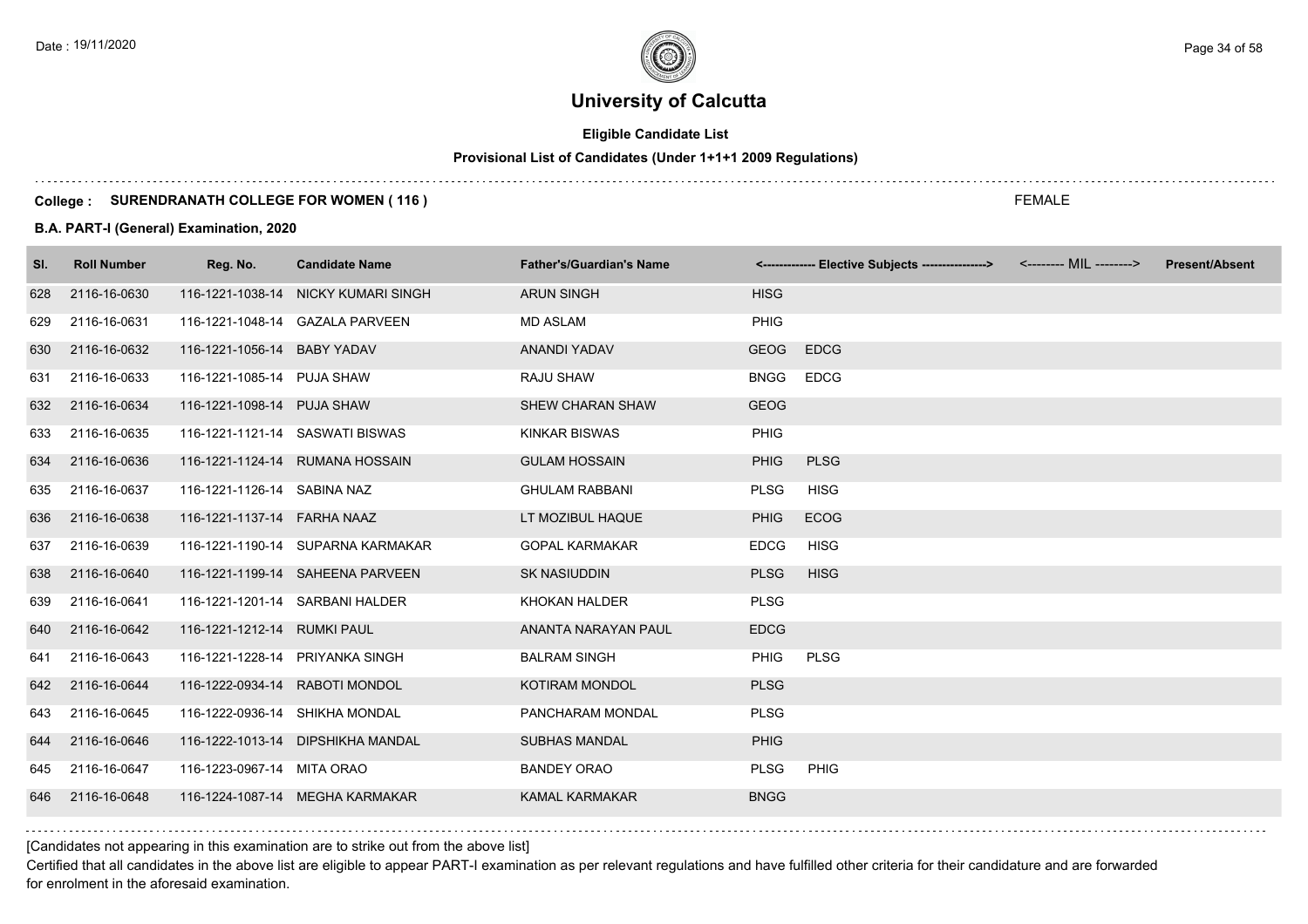# **Eligible Candidate List**

# **Provisional List of Candidates (Under 1+1+1 2009 Regulations)**

#### **College : SURENDRANATH COLLEGE FOR WOMEN ( 116 )**

#### **B.A. PART-I (General) Examination, 2020**

| SI. | <b>Roll Number</b> | Reg. No.                       | <b>Candidate Name</b>               | <b>Father's/Guardian's Name</b> |             | <------------- Elective Subjects ----------------> | <b>Present/Absent</b> |
|-----|--------------------|--------------------------------|-------------------------------------|---------------------------------|-------------|----------------------------------------------------|-----------------------|
| 628 | 2116-16-0630       |                                | 116-1221-1038-14 NICKY KUMARI SINGH | <b>ARUN SINGH</b>               | <b>HISG</b> |                                                    |                       |
| 629 | 2116-16-0631       |                                | 116-1221-1048-14 GAZALA PARVEEN     | <b>MD ASLAM</b>                 | <b>PHIG</b> |                                                    |                       |
| 630 | 2116-16-0632       | 116-1221-1056-14 BABY YADAV    |                                     | ANANDI YADAV                    | <b>GEOG</b> | <b>EDCG</b>                                        |                       |
| 631 | 2116-16-0633       | 116-1221-1085-14 PUJA SHAW     |                                     | RAJU SHAW                       | <b>BNGG</b> | <b>EDCG</b>                                        |                       |
| 632 | 2116-16-0634       | 116-1221-1098-14 PUJA SHAW     |                                     | <b>SHEW CHARAN SHAW</b>         | <b>GEOG</b> |                                                    |                       |
| 633 | 2116-16-0635       |                                | 116-1221-1121-14 SASWATI BISWAS     | <b>KINKAR BISWAS</b>            | PHIG        |                                                    |                       |
| 634 | 2116-16-0636       |                                | 116-1221-1124-14 RUMANA HOSSAIN     | <b>GULAM HOSSAIN</b>            | <b>PHIG</b> | <b>PLSG</b>                                        |                       |
| 635 | 2116-16-0637       | 116-1221-1126-14 SABINA NAZ    |                                     | <b>GHULAM RABBANI</b>           | <b>PLSG</b> | <b>HISG</b>                                        |                       |
| 636 | 2116-16-0638       | 116-1221-1137-14 FARHA NAAZ    |                                     | LT MOZIBUL HAQUE                | <b>PHIG</b> | <b>ECOG</b>                                        |                       |
| 637 | 2116-16-0639       |                                | 116-1221-1190-14 SUPARNA KARMAKAR   | <b>GOPAL KARMAKAR</b>           | <b>EDCG</b> | <b>HISG</b>                                        |                       |
| 638 | 2116-16-0640       |                                | 116-1221-1199-14 SAHEENA PARVEEN    | <b>SK NASIUDDIN</b>             | <b>PLSG</b> | <b>HISG</b>                                        |                       |
| 639 | 2116-16-0641       |                                | 116-1221-1201-14 SARBANI HALDER     | KHOKAN HALDER                   | <b>PLSG</b> |                                                    |                       |
| 640 | 2116-16-0642       | 116-1221-1212-14 RUMKI PAUL    |                                     | ANANTA NARAYAN PAUL             | <b>EDCG</b> |                                                    |                       |
| 641 | 2116-16-0643       |                                | 116-1221-1228-14 PRIYANKA SINGH     | <b>BALRAM SINGH</b>             | <b>PHIG</b> | <b>PLSG</b>                                        |                       |
| 642 | 2116-16-0644       | 116-1222-0934-14 RABOTI MONDOL |                                     | KOTIRAM MONDOL                  | <b>PLSG</b> |                                                    |                       |
| 643 | 2116-16-0645       | 116-1222-0936-14 SHIKHA MONDAL |                                     | PANCHARAM MONDAL                | <b>PLSG</b> |                                                    |                       |
| 644 | 2116-16-0646       |                                | 116-1222-1013-14 DIPSHIKHA MANDAL   | <b>SUBHAS MANDAL</b>            | <b>PHIG</b> |                                                    |                       |
| 645 | 2116-16-0647       | 116-1223-0967-14 MITA ORAO     |                                     | <b>BANDEY ORAO</b>              | <b>PLSG</b> | PHIG                                               |                       |
| 646 | 2116-16-0648       |                                | 116-1224-1087-14 MEGHA KARMAKAR     | <b>KAMAL KARMAKAR</b>           | <b>BNGG</b> |                                                    |                       |

[Candidates not appearing in this examination are to strike out from the above list]

Certified that all candidates in the above list are eligible to appear PART-I examination as per relevant regulations and have fulfilled other criteria for their candidature and are forwarded for enrolment in the aforesaid examination.

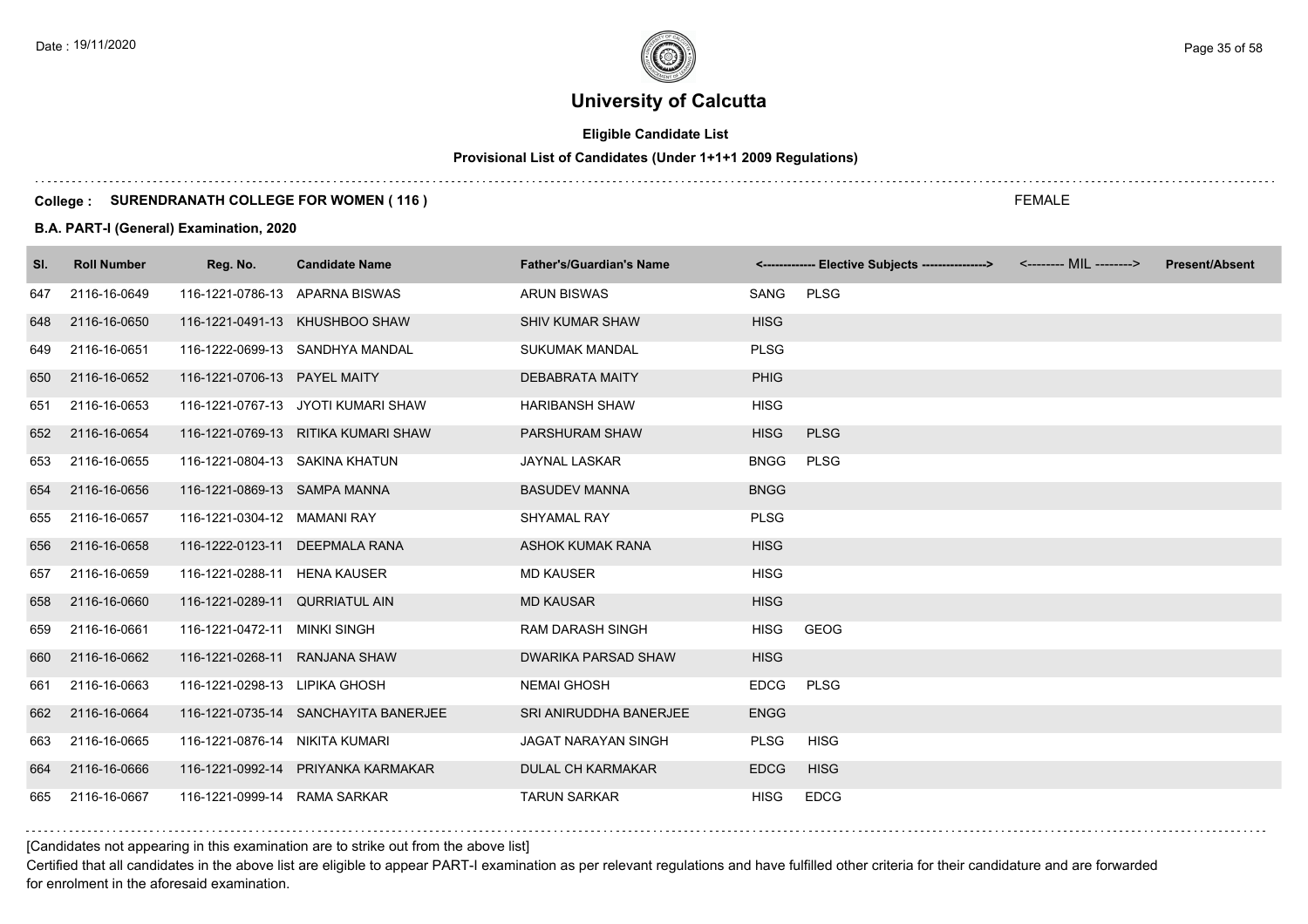# **Eligible Candidate List**

# **Provisional List of Candidates (Under 1+1+1 2009 Regulations)**

### **College : SURENDRANATH COLLEGE FOR WOMEN ( 116 )**

#### **B.A. PART-I (General) Examination, 2020**

| SI. | <b>Roll Number</b> | Reg. No.                       | <b>Candidate Name</b>                | <b>Father's/Guardian's Name</b> |             | <-------------- Elective Subjects ----------------> <-------- MIL --------> | <b>Present/Absent</b> |
|-----|--------------------|--------------------------------|--------------------------------------|---------------------------------|-------------|-----------------------------------------------------------------------------|-----------------------|
| 647 | 2116-16-0649       | 116-1221-0786-13 APARNA BISWAS |                                      | <b>ARUN BISWAS</b>              | SANG        | <b>PLSG</b>                                                                 |                       |
| 648 | 2116-16-0650       |                                | 116-1221-0491-13 KHUSHBOO SHAW       | <b>SHIV KUMAR SHAW</b>          | <b>HISG</b> |                                                                             |                       |
| 649 | 2116-16-0651       |                                | 116-1222-0699-13 SANDHYA MANDAL      | <b>SUKUMAK MANDAL</b>           | <b>PLSG</b> |                                                                             |                       |
| 650 | 2116-16-0652       | 116-1221-0706-13 PAYEL MAITY   |                                      | <b>DEBABRATA MAITY</b>          | <b>PHIG</b> |                                                                             |                       |
| 651 | 2116-16-0653       |                                | 116-1221-0767-13 JYOTI KUMARI SHAW   | <b>HARIBANSH SHAW</b>           | <b>HISG</b> |                                                                             |                       |
| 652 | 2116-16-0654       |                                | 116-1221-0769-13 RITIKA KUMARI SHAW  | PARSHURAM SHAW                  | <b>HISG</b> | <b>PLSG</b>                                                                 |                       |
| 653 | 2116-16-0655       | 116-1221-0804-13 SAKINA KHATUN |                                      | <b>JAYNAL LASKAR</b>            | <b>BNGG</b> | <b>PLSG</b>                                                                 |                       |
| 654 | 2116-16-0656       | 116-1221-0869-13 SAMPA MANNA   |                                      | <b>BASUDEV MANNA</b>            | <b>BNGG</b> |                                                                             |                       |
| 655 | 2116-16-0657       | 116-1221-0304-12 MAMANI RAY    |                                      | SHYAMAL RAY                     | <b>PLSG</b> |                                                                             |                       |
| 656 | 2116-16-0658       |                                | 116-1222-0123-11 DEEPMALA RANA       | <b>ASHOK KUMAK RANA</b>         | <b>HISG</b> |                                                                             |                       |
| 657 | 2116-16-0659       | 116-1221-0288-11 HENA KAUSER   |                                      | <b>MD KAUSER</b>                | <b>HISG</b> |                                                                             |                       |
| 658 | 2116-16-0660       | 116-1221-0289-11 QURRIATUL AIN |                                      | <b>MD KAUSAR</b>                | <b>HISG</b> |                                                                             |                       |
| 659 | 2116-16-0661       | 116-1221-0472-11 MINKI SINGH   |                                      | <b>RAM DARASH SINGH</b>         | <b>HISG</b> | <b>GEOG</b>                                                                 |                       |
| 660 | 2116-16-0662       | 116-1221-0268-11 RANJANA SHAW  |                                      | <b>DWARIKA PARSAD SHAW</b>      | <b>HISG</b> |                                                                             |                       |
| 661 | 2116-16-0663       | 116-1221-0298-13 LIPIKA GHOSH  |                                      | <b>NEMAI GHOSH</b>              | <b>EDCG</b> | <b>PLSG</b>                                                                 |                       |
| 662 | 2116-16-0664       |                                | 116-1221-0735-14 SANCHAYITA BANERJEE | SRI ANIRUDDHA BANERJEE          | <b>ENGG</b> |                                                                             |                       |
| 663 | 2116-16-0665       | 116-1221-0876-14 NIKITA KUMARI |                                      | <b>JAGAT NARAYAN SINGH</b>      | <b>PLSG</b> | <b>HISG</b>                                                                 |                       |
| 664 | 2116-16-0666       |                                | 116-1221-0992-14 PRIYANKA KARMAKAR   | <b>DULAL CH KARMAKAR</b>        | <b>EDCG</b> | <b>HISG</b>                                                                 |                       |
| 665 | 2116-16-0667       | 116-1221-0999-14 RAMA SARKAR   |                                      | <b>TARUN SARKAR</b>             | <b>HISG</b> | <b>EDCG</b>                                                                 |                       |

[Candidates not appearing in this examination are to strike out from the above list]

Certified that all candidates in the above list are eligible to appear PART-I examination as per relevant regulations and have fulfilled other criteria for their candidature and are forwarded for enrolment in the aforesaid examination.

FEMALE

Date : 19/11/2020 Page 35 of 58  $\sim$  Page 35 of 58  $\sim$  Page 35 of 58  $\sim$  Page 35 of 58  $\sim$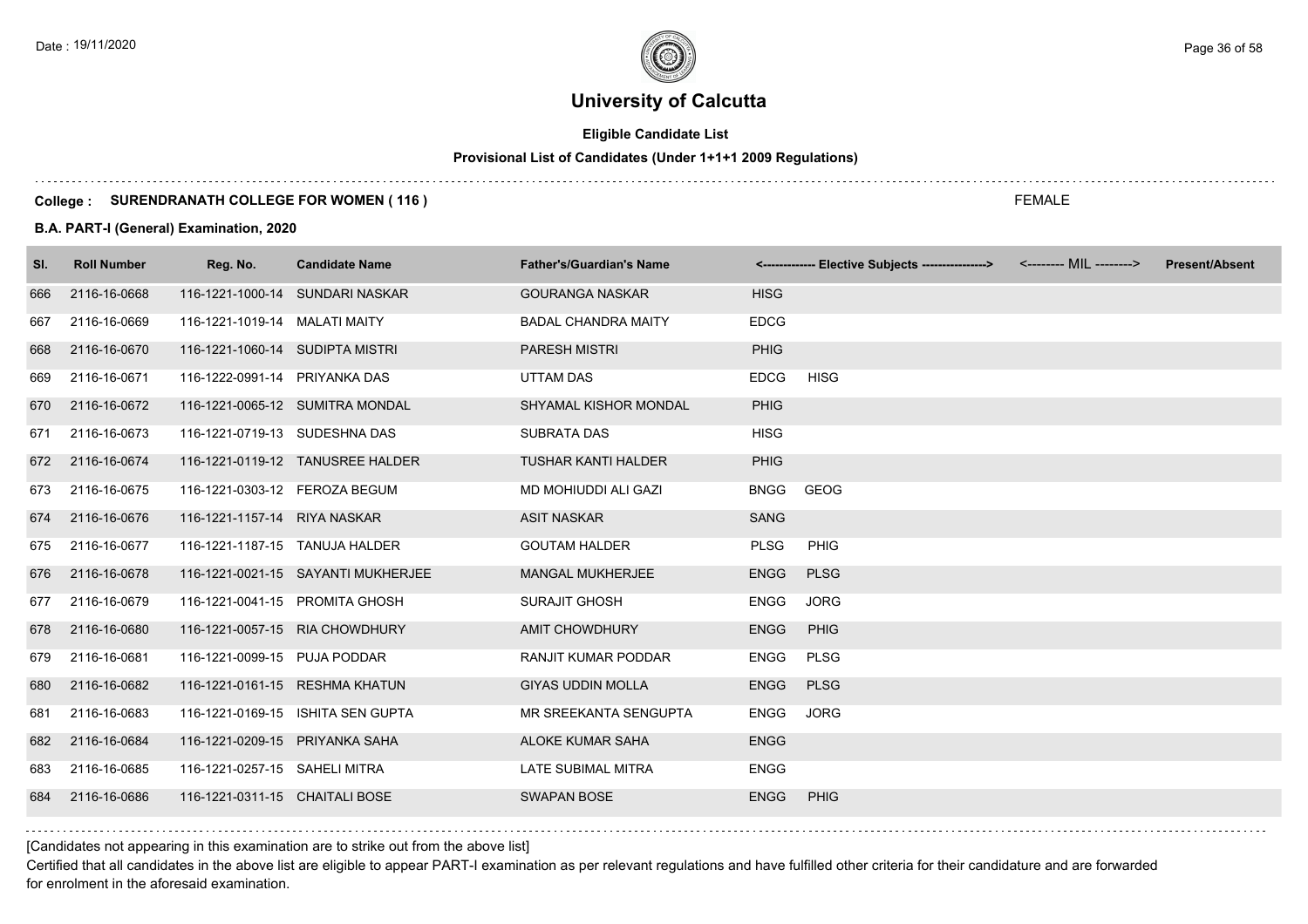# **Eligible Candidate List**

# **Provisional List of Candidates (Under 1+1+1 2009 Regulations)**

#### **College : SURENDRANATH COLLEGE FOR WOMEN ( 116 )**

#### **B.A. PART-I (General) Examination, 2020**

| SI. | <b>Roll Number</b> | Reg. No.                        | <b>Candidate Name</b>              | <b>Father's/Guardian's Name</b> |             | <-------------- Elective Subjects ----------------> | <-------- MIL --------> | <b>Present/Absent</b> |
|-----|--------------------|---------------------------------|------------------------------------|---------------------------------|-------------|-----------------------------------------------------|-------------------------|-----------------------|
| 666 | 2116-16-0668       |                                 | 116-1221-1000-14 SUNDARI NASKAR    | <b>GOURANGA NASKAR</b>          | <b>HISG</b> |                                                     |                         |                       |
| 667 | 2116-16-0669       | 116-1221-1019-14 MALATI MAITY   |                                    | <b>BADAL CHANDRA MAITY</b>      | <b>EDCG</b> |                                                     |                         |                       |
| 668 | 2116-16-0670       | 116-1221-1060-14 SUDIPTA MISTRI |                                    | <b>PARESH MISTRI</b>            | <b>PHIG</b> |                                                     |                         |                       |
| 669 | 2116-16-0671       | 116-1222-0991-14 PRIYANKA DAS   |                                    | UTTAM DAS                       | <b>EDCG</b> | <b>HISG</b>                                         |                         |                       |
| 670 | 2116-16-0672       |                                 | 116-1221-0065-12 SUMITRA MONDAL    | SHYAMAL KISHOR MONDAL           | <b>PHIG</b> |                                                     |                         |                       |
| 671 | 2116-16-0673       | 116-1221-0719-13 SUDESHNA DAS   |                                    | <b>SUBRATA DAS</b>              | <b>HISG</b> |                                                     |                         |                       |
| 672 | 2116-16-0674       |                                 | 116-1221-0119-12 TANUSREE HALDER   | <b>TUSHAR KANTI HALDER</b>      | PHIG        |                                                     |                         |                       |
| 673 | 2116-16-0675       | 116-1221-0303-12 FEROZA BEGUM   |                                    | MD MOHIUDDI ALI GAZI            | <b>BNGG</b> | GEOG                                                |                         |                       |
| 674 | 2116-16-0676       | 116-1221-1157-14 RIYA NASKAR    |                                    | <b>ASIT NASKAR</b>              | <b>SANG</b> |                                                     |                         |                       |
| 675 | 2116-16-0677       | 116-1221-1187-15 TANUJA HALDER  |                                    | <b>GOUTAM HALDER</b>            | <b>PLSG</b> | PHIG                                                |                         |                       |
| 676 | 2116-16-0678       |                                 | 116-1221-0021-15 SAYANTI MUKHERJEE | <b>MANGAL MUKHERJEE</b>         | <b>ENGG</b> | <b>PLSG</b>                                         |                         |                       |
| 677 | 2116-16-0679       | 116-1221-0041-15 PROMITA GHOSH  |                                    | <b>SURAJIT GHOSH</b>            | <b>ENGG</b> | <b>JORG</b>                                         |                         |                       |
| 678 | 2116-16-0680       |                                 | 116-1221-0057-15 RIA CHOWDHURY     | <b>AMIT CHOWDHURY</b>           | <b>ENGG</b> | <b>PHIG</b>                                         |                         |                       |
| 679 | 2116-16-0681       | 116-1221-0099-15 PUJA PODDAR    |                                    | <b>RANJIT KUMAR PODDAR</b>      | <b>ENGG</b> | <b>PLSG</b>                                         |                         |                       |
| 680 | 2116-16-0682       |                                 | 116-1221-0161-15 RESHMA KHATUN     | <b>GIYAS UDDIN MOLLA</b>        | <b>ENGG</b> | <b>PLSG</b>                                         |                         |                       |
| 681 | 2116-16-0683       |                                 | 116-1221-0169-15 ISHITA SEN GUPTA  | MR SREEKANTA SENGUPTA           | <b>ENGG</b> | <b>JORG</b>                                         |                         |                       |
| 682 | 2116-16-0684       | 116-1221-0209-15 PRIYANKA SAHA  |                                    | ALOKE KUMAR SAHA                | <b>ENGG</b> |                                                     |                         |                       |
| 683 | 2116-16-0685       | 116-1221-0257-15 SAHELI MITRA   |                                    | LATE SUBIMAL MITRA              | <b>ENGG</b> |                                                     |                         |                       |
| 684 | 2116-16-0686       | 116-1221-0311-15 CHAITALI BOSE  |                                    | <b>SWAPAN BOSE</b>              | <b>ENGG</b> | <b>PHIG</b>                                         |                         |                       |

[Candidates not appearing in this examination are to strike out from the above list]

Certified that all candidates in the above list are eligible to appear PART-I examination as per relevant regulations and have fulfilled other criteria for their candidature and are forwarded for enrolment in the aforesaid examination.

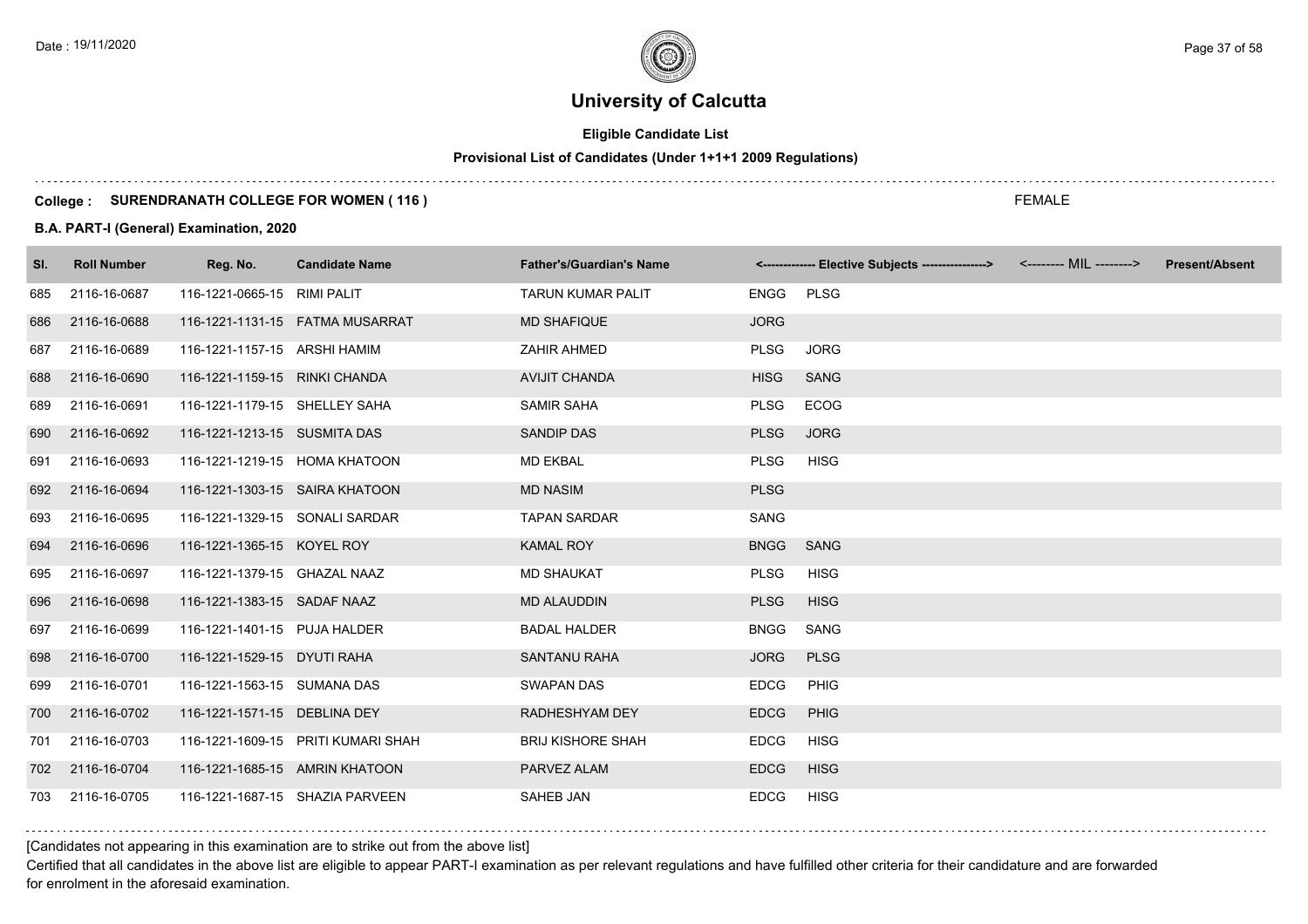# **Eligible Candidate List**

# **Provisional List of Candidates (Under 1+1+1 2009 Regulations)**

#### **College : SURENDRANATH COLLEGE FOR WOMEN ( 116 )**

#### **B.A. PART-I (General) Examination, 2020**

| SI. | <b>Roll Number</b> | Reg. No.                       | <b>Candidate Name</b>              | <b>Father's/Guardian's Name</b> |             | <-------------- Elective Subjects ----------------> <-------- MIL --------> | <b>Present/Absent</b> |
|-----|--------------------|--------------------------------|------------------------------------|---------------------------------|-------------|-----------------------------------------------------------------------------|-----------------------|
| 685 | 2116-16-0687       | 116-1221-0665-15 RIMI PALIT    |                                    | <b>TARUN KUMAR PALIT</b>        | <b>ENGG</b> | <b>PLSG</b>                                                                 |                       |
| 686 | 2116-16-0688       |                                | 116-1221-1131-15    FATMA MUSARRAT | <b>MD SHAFIQUE</b>              | <b>JORG</b> |                                                                             |                       |
| 687 | 2116-16-0689       | 116-1221-1157-15 ARSHI HAMIM   |                                    | ZAHIR AHMED                     | <b>PLSG</b> | <b>JORG</b>                                                                 |                       |
| 688 | 2116-16-0690       | 116-1221-1159-15 RINKI CHANDA  |                                    | <b>AVIJIT CHANDA</b>            | <b>HISG</b> | <b>SANG</b>                                                                 |                       |
| 689 | 2116-16-0691       | 116-1221-1179-15 SHELLEY SAHA  |                                    | <b>SAMIR SAHA</b>               | <b>PLSG</b> | <b>ECOG</b>                                                                 |                       |
| 690 | 2116-16-0692       | 116-1221-1213-15 SUSMITA DAS   |                                    | <b>SANDIP DAS</b>               | <b>PLSG</b> | <b>JORG</b>                                                                 |                       |
| 691 | 2116-16-0693       | 116-1221-1219-15 HOMA KHATOON  |                                    | <b>MD EKBAL</b>                 | <b>PLSG</b> | <b>HISG</b>                                                                 |                       |
| 692 | 2116-16-0694       | 116-1221-1303-15 SAIRA KHATOON |                                    | <b>MD NASIM</b>                 | <b>PLSG</b> |                                                                             |                       |
| 693 | 2116-16-0695       | 116-1221-1329-15 SONALI SARDAR |                                    | <b>TAPAN SARDAR</b>             | SANG        |                                                                             |                       |
| 694 | 2116-16-0696       | 116-1221-1365-15 KOYEL ROY     |                                    | <b>KAMAL ROY</b>                | <b>BNGG</b> | <b>SANG</b>                                                                 |                       |
| 695 | 2116-16-0697       | 116-1221-1379-15 GHAZAL NAAZ   |                                    | <b>MD SHAUKAT</b>               | <b>PLSG</b> | <b>HISG</b>                                                                 |                       |
| 696 | 2116-16-0698       | 116-1221-1383-15 SADAF NAAZ    |                                    | <b>MD ALAUDDIN</b>              | <b>PLSG</b> | <b>HISG</b>                                                                 |                       |
| 697 | 2116-16-0699       | 116-1221-1401-15 PUJA HALDER   |                                    | <b>BADAL HALDER</b>             | <b>BNGG</b> | SANG                                                                        |                       |
| 698 | 2116-16-0700       | 116-1221-1529-15 DYUTI RAHA    |                                    | <b>SANTANU RAHA</b>             | <b>JORG</b> | <b>PLSG</b>                                                                 |                       |
| 699 | 2116-16-0701       | 116-1221-1563-15 SUMANA DAS    |                                    | <b>SWAPAN DAS</b>               | <b>EDCG</b> | <b>PHIG</b>                                                                 |                       |
| 700 | 2116-16-0702       | 116-1221-1571-15 DEBLINA DEY   |                                    | RADHESHYAM DEY                  | <b>EDCG</b> | PHIG                                                                        |                       |
| 701 | 2116-16-0703       |                                | 116-1221-1609-15 PRITI KUMARI SHAH | <b>BRIJ KISHORE SHAH</b>        | <b>EDCG</b> | <b>HISG</b>                                                                 |                       |
| 702 | 2116-16-0704       | 116-1221-1685-15 AMRIN KHATOON |                                    | PARVEZ ALAM                     | <b>EDCG</b> | <b>HISG</b>                                                                 |                       |
| 703 | 2116-16-0705       |                                | 116-1221-1687-15 SHAZIA PARVEEN    | <b>SAHEB JAN</b>                | <b>EDCG</b> | <b>HISG</b>                                                                 |                       |

### [Candidates not appearing in this examination are to strike out from the above list]

Certified that all candidates in the above list are eligible to appear PART-I examination as per relevant regulations and have fulfilled other criteria for their candidature and are forwarded for enrolment in the aforesaid examination.

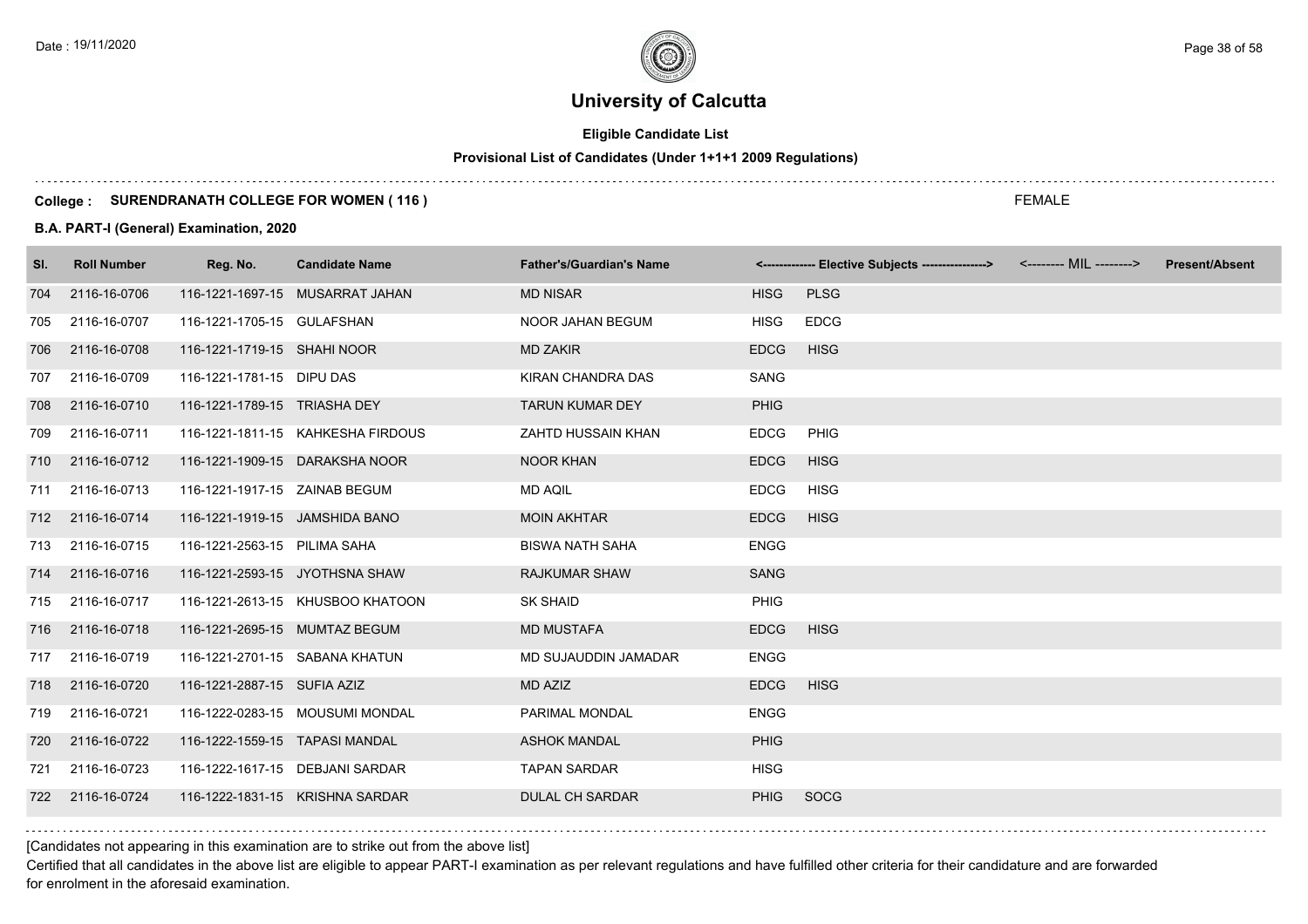# **Eligible Candidate List**

# **Provisional List of Candidates (Under 1+1+1 2009 Regulations)**

#### **College : SURENDRANATH COLLEGE FOR WOMEN ( 116 )**

#### **B.A. PART-I (General) Examination, 2020**

| 2116-16-0706<br>116-1221-1697-15 MUSARRAT JAHAN<br><b>MD NISAR</b><br>704      | <b>PLSG</b><br><b>HISG</b><br><b>EDCG</b><br><b>HISG</b><br><b>EDCG</b><br><b>HISG</b> |
|--------------------------------------------------------------------------------|----------------------------------------------------------------------------------------|
|                                                                                |                                                                                        |
| 2116-16-0707<br>116-1221-1705-15 GULAFSHAN<br><b>NOOR JAHAN BEGUM</b><br>705   |                                                                                        |
| 2116-16-0708<br>116-1221-1719-15 SHAHI NOOR<br><b>MD ZAKIR</b><br>706          |                                                                                        |
| 2116-16-0709<br>116-1221-1781-15 DIPU DAS<br>KIRAN CHANDRA DAS<br>707          | SANG                                                                                   |
| 2116-16-0710<br>116-1221-1789-15 TRIASHA DEY<br><b>TARUN KUMAR DEY</b><br>708  | <b>PHIG</b>                                                                            |
| 2116-16-0711<br>116-1221-1811-15 KAHKESHA FIRDOUS<br>ZAHTD HUSSAIN KHAN<br>709 | <b>EDCG</b><br>PHIG                                                                    |
| <b>NOOR KHAN</b><br>710 2116-16-0712<br>116-1221-1909-15 DARAKSHA NOOR         | <b>EDCG</b><br><b>HISG</b>                                                             |
| 2116-16-0713<br>116-1221-1917-15 ZAINAB BEGUM<br>MD AQIL<br>711                | <b>EDCG</b><br><b>HISG</b>                                                             |
| 712 2116-16-0714<br><b>MOIN AKHTAR</b><br>116-1221-1919-15 JAMSHIDA BANO       | <b>EDCG</b><br><b>HISG</b>                                                             |
| 2116-16-0715<br>116-1221-2563-15 PILIMA SAHA<br><b>BISWA NATH SAHA</b><br>713  | <b>ENGG</b>                                                                            |
| 2116-16-0716<br>116-1221-2593-15 JYOTHSNA SHAW<br><b>RAJKUMAR SHAW</b><br>714  | <b>SANG</b>                                                                            |
| 2116-16-0717<br>116-1221-2613-15 KHUSBOO KHATOON<br><b>SK SHAID</b><br>715     | PHIG                                                                                   |
| 2116-16-0718<br>116-1221-2695-15 MUMTAZ BEGUM<br><b>MD MUSTAFA</b><br>716      | <b>EDCG</b><br><b>HISG</b>                                                             |
| 2116-16-0719<br>116-1221-2701-15 SABANA KHATUN<br>MD SUJAUDDIN JAMADAR<br>717  | <b>ENGG</b>                                                                            |
| 2116-16-0720<br>116-1221-2887-15 SUFIA AZIZ<br>MD AZIZ<br>718                  | <b>HISG</b><br><b>EDCG</b>                                                             |
| 2116-16-0721<br>116-1222-0283-15 MOUSUMI MONDAL<br>PARIMAL MONDAL<br>719       | <b>ENGG</b>                                                                            |
| 2116-16-0722<br>116-1222-1559-15 TAPASI MANDAL<br><b>ASHOK MANDAL</b><br>720   | <b>PHIG</b>                                                                            |
| 2116-16-0723<br>116-1222-1617-15 DEBJANI SARDAR<br><b>TAPAN SARDAR</b><br>721  | <b>HISG</b>                                                                            |
| 116-1222-1831-15 KRISHNA SARDAR<br>722 2116-16-0724<br><b>DULAL CH SARDAR</b>  | <b>PHIG</b><br><b>SOCG</b>                                                             |

[Candidates not appearing in this examination are to strike out from the above list]

Certified that all candidates in the above list are eligible to appear PART-I examination as per relevant regulations and have fulfilled other criteria for their candidature and are forwarded for enrolment in the aforesaid examination.

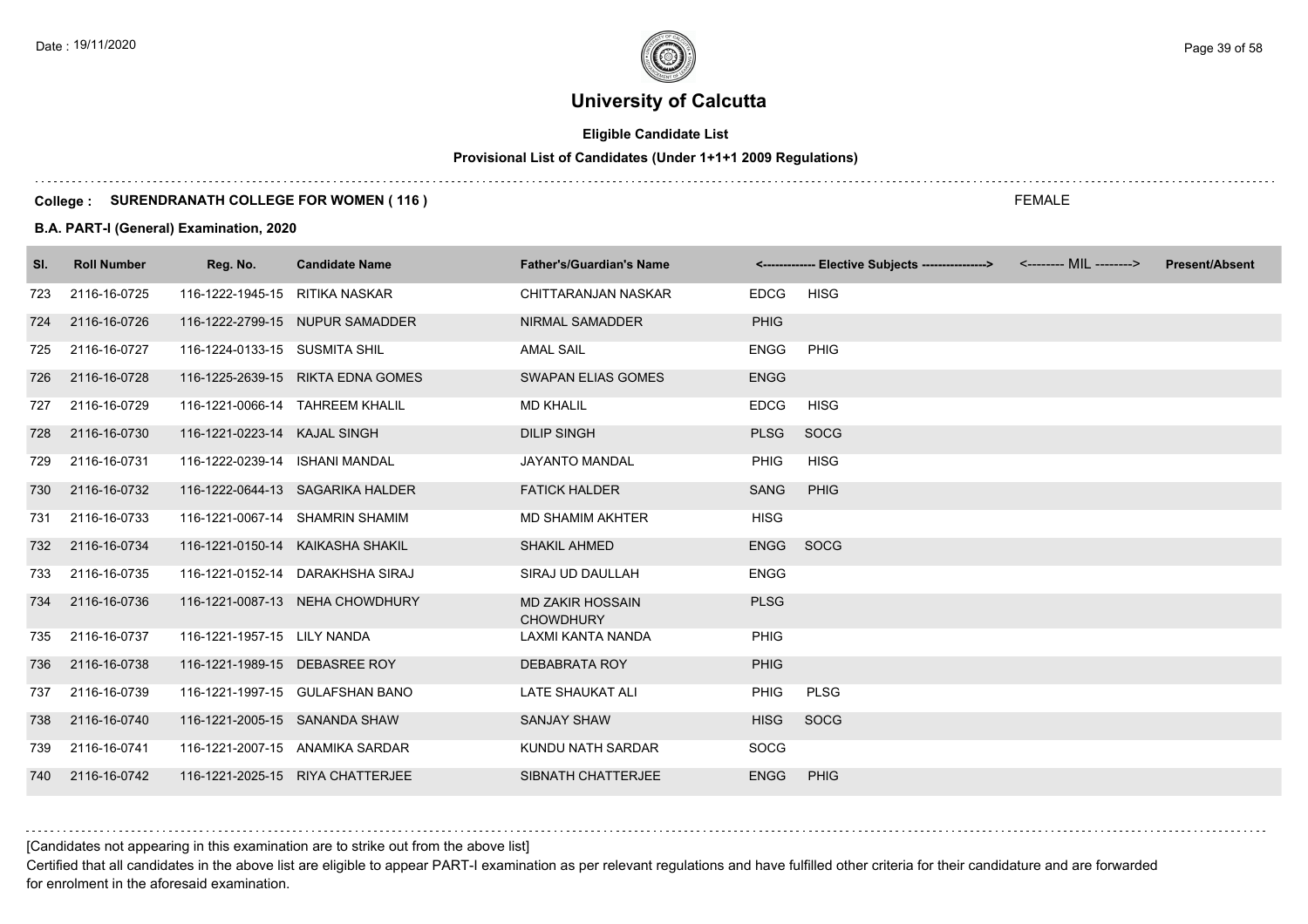# **Eligible Candidate List**

# **Provisional List of Candidates (Under 1+1+1 2009 Regulations)**

#### **College : SURENDRANATH COLLEGE FOR WOMEN ( 116 )**

#### **B.A. PART-I (General) Examination, 2020**

| SI. | <b>Roll Number</b> | Reg. No.                        | <b>Candidate Name</b>             | <b>Father's/Guardian's Name</b>             |             | <------------- Elective Subjects ---------------> <-------- MIL --------> | <b>Present/Absent</b> |
|-----|--------------------|---------------------------------|-----------------------------------|---------------------------------------------|-------------|---------------------------------------------------------------------------|-----------------------|
| 723 | 2116-16-0725       | 116-1222-1945-15 RITIKA NASKAR  |                                   | CHITTARANJAN NASKAR                         | <b>EDCG</b> | <b>HISG</b>                                                               |                       |
| 724 | 2116-16-0726       |                                 | 116-1222-2799-15 NUPUR SAMADDER   | NIRMAL SAMADDER                             | <b>PHIG</b> |                                                                           |                       |
| 725 | 2116-16-0727       | 116-1224-0133-15 SUSMITA SHIL   |                                   | <b>AMAL SAIL</b>                            | <b>ENGG</b> | PHIG                                                                      |                       |
| 726 | 2116-16-0728       |                                 | 116-1225-2639-15 RIKTA EDNA GOMES | <b>SWAPAN ELIAS GOMES</b>                   | <b>ENGG</b> |                                                                           |                       |
| 727 | 2116-16-0729       | 116-1221-0066-14 TAHREEM KHALIL |                                   | <b>MD KHALIL</b>                            | <b>EDCG</b> | <b>HISG</b>                                                               |                       |
| 728 | 2116-16-0730       | 116-1221-0223-14 KAJAL SINGH    |                                   | <b>DILIP SINGH</b>                          | <b>PLSG</b> | <b>SOCG</b>                                                               |                       |
| 729 | 2116-16-0731       | 116-1222-0239-14 ISHANI MANDAL  |                                   | JAYANTO MANDAL                              | <b>PHIG</b> | <b>HISG</b>                                                               |                       |
| 730 | 2116-16-0732       |                                 | 116-1222-0644-13 SAGARIKA HALDER  | <b>FATICK HALDER</b>                        | <b>SANG</b> | <b>PHIG</b>                                                               |                       |
| 731 | 2116-16-0733       |                                 | 116-1221-0067-14 SHAMRIN SHAMIM   | <b>MD SHAMIM AKHTER</b>                     | <b>HISG</b> |                                                                           |                       |
| 732 | 2116-16-0734       |                                 | 116-1221-0150-14 KAIKASHA SHAKIL  | <b>SHAKIL AHMED</b>                         | <b>ENGG</b> | SOCG                                                                      |                       |
| 733 | 2116-16-0735       |                                 | 116-1221-0152-14 DARAKHSHA SIRAJ  | SIRAJ UD DAULLAH                            | <b>ENGG</b> |                                                                           |                       |
| 734 | 2116-16-0736       |                                 | 116-1221-0087-13 NEHA CHOWDHURY   | <b>MD ZAKIR HOSSAIN</b><br><b>CHOWDHURY</b> | <b>PLSG</b> |                                                                           |                       |
| 735 | 2116-16-0737       | 116-1221-1957-15 LILY NANDA     |                                   | LAXMI KANTA NANDA                           | <b>PHIG</b> |                                                                           |                       |
| 736 | 2116-16-0738       | 116-1221-1989-15 DEBASREE ROY   |                                   | <b>DEBABRATA ROY</b>                        | <b>PHIG</b> |                                                                           |                       |
| 737 | 2116-16-0739       |                                 | 116-1221-1997-15 GULAFSHAN BANO   | <b>LATE SHAUKAT ALI</b>                     | <b>PHIG</b> | <b>PLSG</b>                                                               |                       |
| 738 | 2116-16-0740       | 116-1221-2005-15 SANANDA SHAW   |                                   | <b>SANJAY SHAW</b>                          | <b>HISG</b> | <b>SOCG</b>                                                               |                       |
| 739 | 2116-16-0741       |                                 | 116-1221-2007-15 ANAMIKA SARDAR   | KUNDU NATH SARDAR                           | SOCG        |                                                                           |                       |
| 740 | 2116-16-0742       |                                 | 116-1221-2025-15 RIYA CHATTERJEE  | SIBNATH CHATTERJEE                          | <b>ENGG</b> | PHIG                                                                      |                       |

[Candidates not appearing in this examination are to strike out from the above list]

Certified that all candidates in the above list are eligible to appear PART-I examination as per relevant regulations and have fulfilled other criteria for their candidature and are forwarded for enrolment in the aforesaid examination.

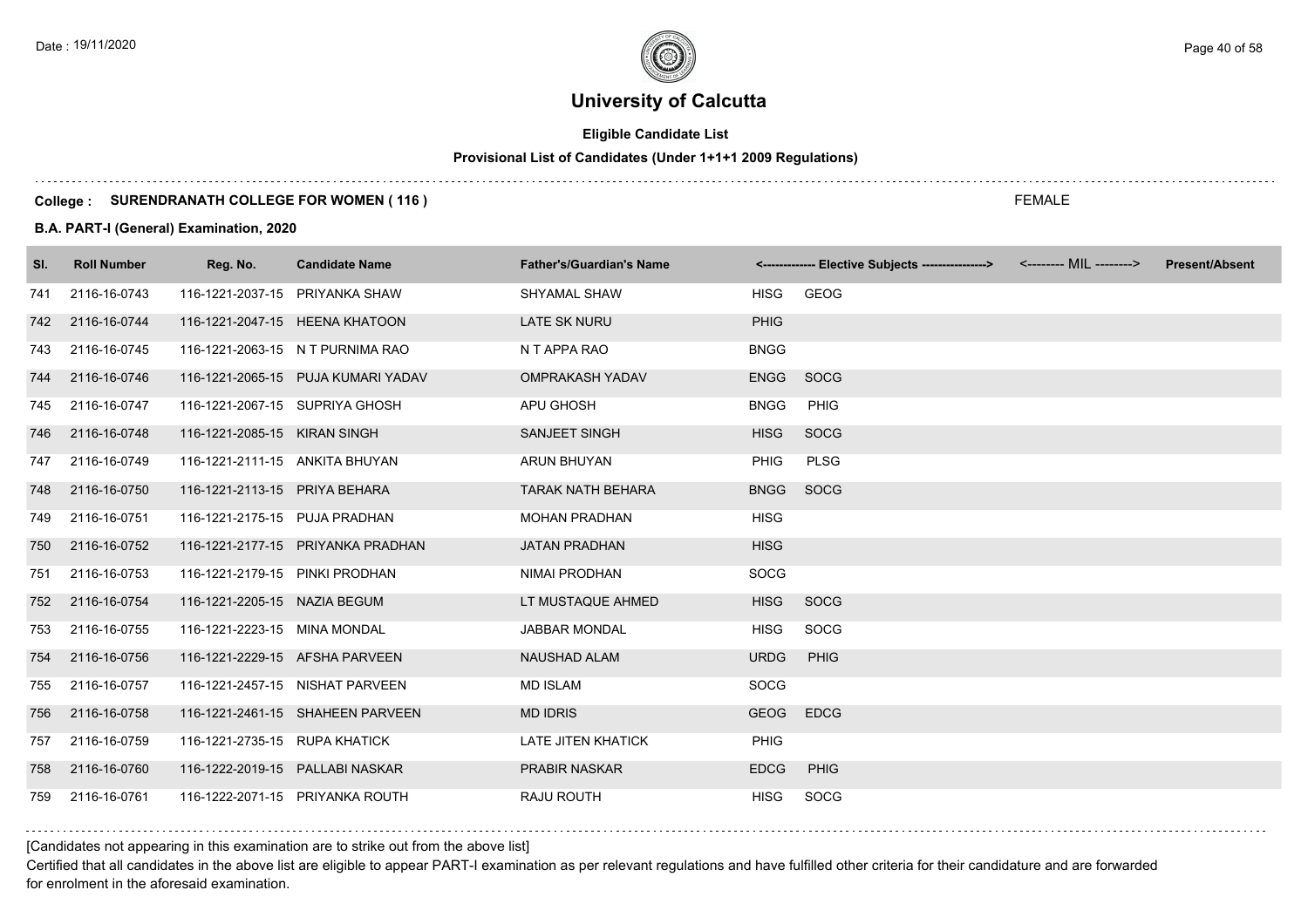# **Eligible Candidate List**

# **Provisional List of Candidates (Under 1+1+1 2009 Regulations)**

#### **College : SURENDRANATH COLLEGE FOR WOMEN ( 116 )**

#### **B.A. PART-I (General) Examination, 2020**

| SI. | <b>Roll Number</b> | Reg. No.                        | <b>Candidate Name</b>              | <b>Father's/Guardian's Name</b> |             | <------------- Elective Subjects ----------------> <-------- MIL --------> | <b>Present/Absent</b> |
|-----|--------------------|---------------------------------|------------------------------------|---------------------------------|-------------|----------------------------------------------------------------------------|-----------------------|
| 741 | 2116-16-0743       | 116-1221-2037-15 PRIYANKA SHAW  |                                    | SHYAMAL SHAW                    | <b>HISG</b> | GEOG                                                                       |                       |
| 742 | 2116-16-0744       |                                 | 116-1221-2047-15 HEENA KHATOON     | <b>LATE SK NURU</b>             | <b>PHIG</b> |                                                                            |                       |
| 743 | 2116-16-0745       |                                 | 116-1221-2063-15 N T PURNIMA RAO   | N T APPA RAO                    | <b>BNGG</b> |                                                                            |                       |
| 744 | 2116-16-0746       |                                 | 116-1221-2065-15 PUJA KUMARI YADAV | <b>OMPRAKASH YADAV</b>          | <b>ENGG</b> | SOCG                                                                       |                       |
| 745 | 2116-16-0747       | 116-1221-2067-15 SUPRIYA GHOSH  |                                    | APU GHOSH                       | <b>BNGG</b> | PHIG                                                                       |                       |
| 746 | 2116-16-0748       | 116-1221-2085-15 KIRAN SINGH    |                                    | SANJEET SINGH                   | <b>HISG</b> | SOCG                                                                       |                       |
| 747 | 2116-16-0749       | 116-1221-2111-15 ANKITA BHUYAN  |                                    | <b>ARUN BHUYAN</b>              | <b>PHIG</b> | <b>PLSG</b>                                                                |                       |
| 748 | 2116-16-0750       | 116-1221-2113-15 PRIYA BEHARA   |                                    | <b>TARAK NATH BEHARA</b>        | <b>BNGG</b> | SOCG                                                                       |                       |
| 749 | 2116-16-0751       | 116-1221-2175-15 PUJA PRADHAN   |                                    | <b>MOHAN PRADHAN</b>            | <b>HISG</b> |                                                                            |                       |
| 750 | 2116-16-0752       |                                 | 116-1221-2177-15 PRIYANKA PRADHAN  | <b>JATAN PRADHAN</b>            | <b>HISG</b> |                                                                            |                       |
| 751 | 2116-16-0753       | 116-1221-2179-15 PINKI PRODHAN  |                                    | NIMAI PRODHAN                   | SOCG        |                                                                            |                       |
| 752 | 2116-16-0754       | 116-1221-2205-15 NAZIA BEGUM    |                                    | LT MUSTAQUE AHMED               | <b>HISG</b> | <b>SOCG</b>                                                                |                       |
| 753 | 2116-16-0755       | 116-1221-2223-15 MINA MONDAL    |                                    | <b>JABBAR MONDAL</b>            | <b>HISG</b> | SOCG                                                                       |                       |
| 754 | 2116-16-0756       | 116-1221-2229-15 AFSHA PARVEEN  |                                    | NAUSHAD ALAM                    | <b>URDG</b> | PHIG                                                                       |                       |
| 755 | 2116-16-0757       |                                 | 116-1221-2457-15 NISHAT PARVEEN    | <b>MD ISLAM</b>                 | <b>SOCG</b> |                                                                            |                       |
| 756 | 2116-16-0758       |                                 | 116-1221-2461-15 SHAHEEN PARVEEN   | <b>MD IDRIS</b>                 | <b>GEOG</b> | <b>EDCG</b>                                                                |                       |
| 757 | 2116-16-0759       | 116-1221-2735-15 RUPA KHATICK   |                                    | <b>LATE JITEN KHATICK</b>       | PHIG        |                                                                            |                       |
| 758 | 2116-16-0760       | 116-1222-2019-15 PALLABI NASKAR |                                    | <b>PRABIR NASKAR</b>            | <b>EDCG</b> | PHIG                                                                       |                       |
| 759 | 2116-16-0761       |                                 | 116-1222-2071-15 PRIYANKA ROUTH    | RAJU ROUTH                      | <b>HISG</b> | SOCG                                                                       |                       |

FEMALE

[Candidates not appearing in this examination are to strike out from the above list]

Certified that all candidates in the above list are eligible to appear PART-I examination as per relevant regulations and have fulfilled other criteria for their candidature and are forwarded for enrolment in the aforesaid examination.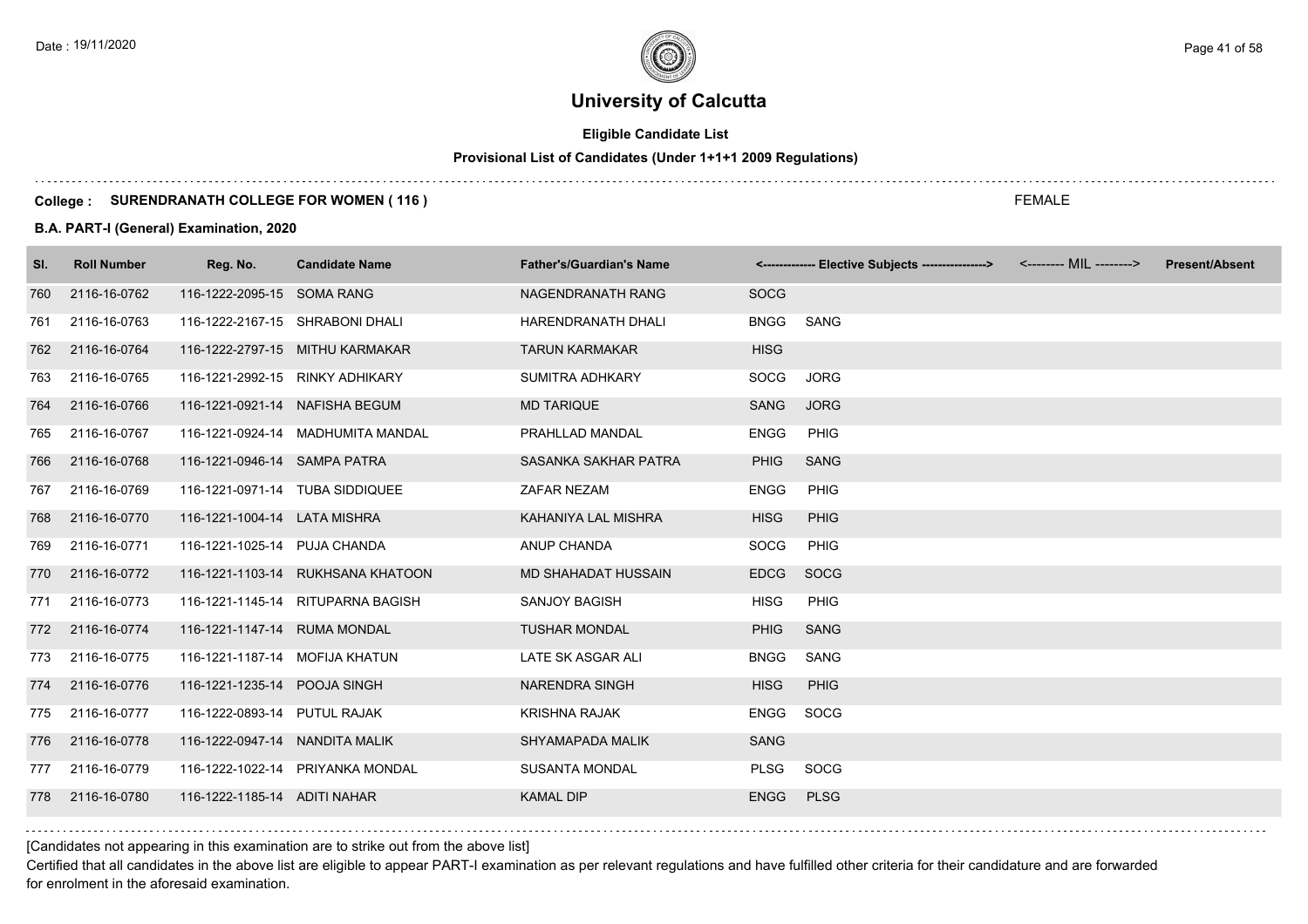# **Eligible Candidate List**

# **Provisional List of Candidates (Under 1+1+1 2009 Regulations)**

#### **College : SURENDRANATH COLLEGE FOR WOMEN ( 116 )**

#### **B.A. PART-I (General) Examination, 2020**

| SI. | <b>Roll Number</b> | Reg. No.                        | <b>Candidate Name</b>             | <b>Father's/Guardian's Name</b> |             | <-------------- Elective Subjects ----------------> <-------- MIL --------> | <b>Present/Absent</b> |
|-----|--------------------|---------------------------------|-----------------------------------|---------------------------------|-------------|-----------------------------------------------------------------------------|-----------------------|
| 760 | 2116-16-0762       | 116-1222-2095-15 SOMA RANG      |                                   | NAGENDRANATH RANG               | <b>SOCG</b> |                                                                             |                       |
| 761 | 2116-16-0763       | 116-1222-2167-15 SHRABONI DHALI |                                   | HARENDRANATH DHALI              | <b>BNGG</b> | SANG                                                                        |                       |
| 762 | 2116-16-0764       |                                 | 116-1222-2797-15 MITHU KARMAKAR   | <b>TARUN KARMAKAR</b>           | <b>HISG</b> |                                                                             |                       |
| 763 | 2116-16-0765       | 116-1221-2992-15 RINKY ADHIKARY |                                   | <b>SUMITRA ADHKARY</b>          | <b>SOCG</b> | <b>JORG</b>                                                                 |                       |
| 764 | 2116-16-0766       | 116-1221-0921-14 NAFISHA BEGUM  |                                   | <b>MD TARIQUE</b>               | <b>SANG</b> | <b>JORG</b>                                                                 |                       |
| 765 | 2116-16-0767       |                                 | 116-1221-0924-14 MADHUMITA MANDAL | PRAHLLAD MANDAL                 | <b>ENGG</b> | PHIG                                                                        |                       |
| 766 | 2116-16-0768       | 116-1221-0946-14 SAMPA PATRA    |                                   | SASANKA SAKHAR PATRA            | <b>PHIG</b> | <b>SANG</b>                                                                 |                       |
| 767 | 2116-16-0769       | 116-1221-0971-14 TUBA SIDDIQUEE |                                   | ZAFAR NEZAM                     | <b>ENGG</b> | <b>PHIG</b>                                                                 |                       |
| 768 | 2116-16-0770       | 116-1221-1004-14 LATA MISHRA    |                                   | KAHANIYA LAL MISHRA             | <b>HISG</b> | PHIG                                                                        |                       |
| 769 | 2116-16-0771       | 116-1221-1025-14 PUJA CHANDA    |                                   | <b>ANUP CHANDA</b>              | SOCG        | PHIG                                                                        |                       |
| 770 | 2116-16-0772       |                                 | 116-1221-1103-14 RUKHSANA KHATOON | <b>MD SHAHADAT HUSSAIN</b>      | <b>EDCG</b> | <b>SOCG</b>                                                                 |                       |
| 771 | 2116-16-0773       |                                 | 116-1221-1145-14 RITUPARNA BAGISH | <b>SANJOY BAGISH</b>            | <b>HISG</b> | <b>PHIG</b>                                                                 |                       |
|     | 772 2116-16-0774   | 116-1221-1147-14 RUMA MONDAL    |                                   | <b>TUSHAR MONDAL</b>            | <b>PHIG</b> | <b>SANG</b>                                                                 |                       |
| 773 | 2116-16-0775       | 116-1221-1187-14 MOFIJA KHATUN  |                                   | LATE SK ASGAR ALI               | <b>BNGG</b> | SANG                                                                        |                       |
| 774 | 2116-16-0776       | 116-1221-1235-14 POOJA SINGH    |                                   | <b>NARENDRA SINGH</b>           | <b>HISG</b> | <b>PHIG</b>                                                                 |                       |
| 775 | 2116-16-0777       | 116-1222-0893-14 PUTUL RAJAK    |                                   | <b>KRISHNA RAJAK</b>            | ENGG        | SOCG                                                                        |                       |
| 776 | 2116-16-0778       | 116-1222-0947-14 NANDITA MALIK  |                                   | SHYAMAPADA MALIK                | <b>SANG</b> |                                                                             |                       |
| 777 | 2116-16-0779       |                                 | 116-1222-1022-14 PRIYANKA MONDAL  | <b>SUSANTA MONDAL</b>           | <b>PLSG</b> | SOCG                                                                        |                       |
| 778 | 2116-16-0780       | 116-1222-1185-14 ADITI NAHAR    |                                   | <b>KAMAL DIP</b>                | <b>ENGG</b> | <b>PLSG</b>                                                                 |                       |

FEMALE

[Candidates not appearing in this examination are to strike out from the above list]

Certified that all candidates in the above list are eligible to appear PART-I examination as per relevant regulations and have fulfilled other criteria for their candidature and are forwarded for enrolment in the aforesaid examination.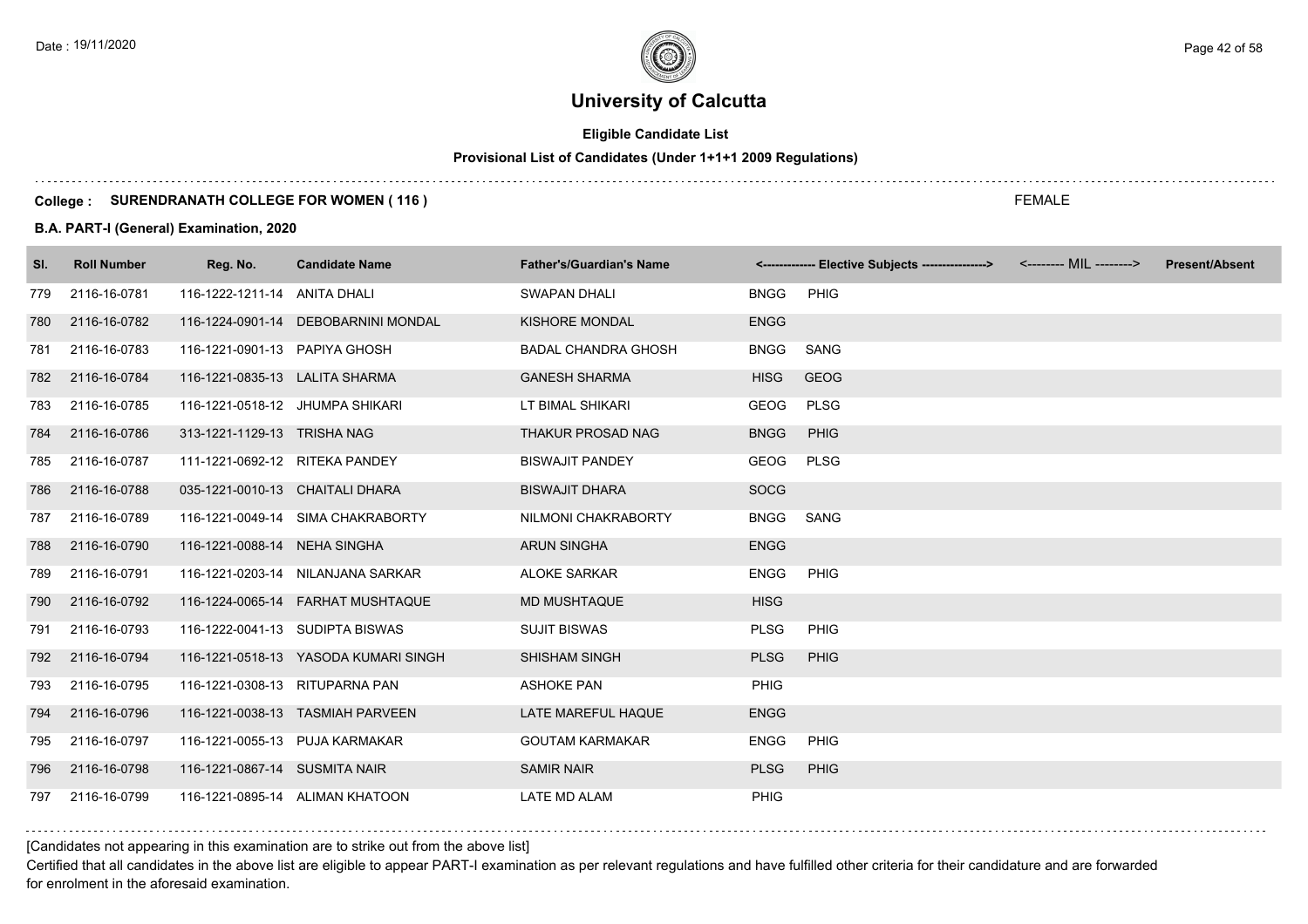# **Eligible Candidate List**

# **Provisional List of Candidates (Under 1+1+1 2009 Regulations)**

#### **College : SURENDRANATH COLLEGE FOR WOMEN ( 116 )**

#### **B.A. PART-I (General) Examination, 2020**

| SI. | <b>Roll Number</b> | Reg. No.                        | <b>Candidate Name</b>                | <b>Father's/Guardian's Name</b> |             | <------------- Elective Subjects ---------------> <-------- MIL --------> | <b>Present/Absent</b> |
|-----|--------------------|---------------------------------|--------------------------------------|---------------------------------|-------------|---------------------------------------------------------------------------|-----------------------|
| 779 | 2116-16-0781       | 116-1222-1211-14 ANITA DHALI    |                                      | <b>SWAPAN DHALI</b>             | <b>BNGG</b> | PHIG                                                                      |                       |
| 780 | 2116-16-0782       |                                 | 116-1224-0901-14 DEBOBARNINI MONDAL  | KISHORE MONDAL                  | <b>ENGG</b> |                                                                           |                       |
| 781 | 2116-16-0783       | 116-1221-0901-13 PAPIYA GHOSH   |                                      | <b>BADAL CHANDRA GHOSH</b>      | <b>BNGG</b> | SANG                                                                      |                       |
| 782 | 2116-16-0784       | 116-1221-0835-13 LALITA SHARMA  |                                      | <b>GANESH SHARMA</b>            | <b>HISG</b> | <b>GEOG</b>                                                               |                       |
| 783 | 2116-16-0785       | 116-1221-0518-12 JHUMPA SHIKARI |                                      | LT BIMAL SHIKARI                | <b>GEOG</b> | <b>PLSG</b>                                                               |                       |
| 784 | 2116-16-0786       | 313-1221-1129-13 TRISHA NAG     |                                      | THAKUR PROSAD NAG               | <b>BNGG</b> | PHIG                                                                      |                       |
| 785 | 2116-16-0787       | 111-1221-0692-12 RITEKA PANDEY  |                                      | <b>BISWAJIT PANDEY</b>          | <b>GEOG</b> | <b>PLSG</b>                                                               |                       |
| 786 | 2116-16-0788       | 035-1221-0010-13 CHAITALI DHARA |                                      | <b>BISWAJIT DHARA</b>           | <b>SOCG</b> |                                                                           |                       |
| 787 | 2116-16-0789       |                                 | 116-1221-0049-14 SIMA CHAKRABORTY    | NILMONI CHAKRABORTY             | <b>BNGG</b> | SANG                                                                      |                       |
| 788 | 2116-16-0790       | 116-1221-0088-14 NEHA SINGHA    |                                      | <b>ARUN SINGHA</b>              | <b>ENGG</b> |                                                                           |                       |
| 789 | 2116-16-0791       |                                 | 116-1221-0203-14 NILANJANA SARKAR    | <b>ALOKE SARKAR</b>             | <b>ENGG</b> | PHIG                                                                      |                       |
| 790 | 2116-16-0792       |                                 |                                      | <b>MD MUSHTAQUE</b>             | <b>HISG</b> |                                                                           |                       |
| 791 | 2116-16-0793       | 116-1222-0041-13 SUDIPTA BISWAS |                                      | <b>SUJIT BISWAS</b>             | <b>PLSG</b> | PHIG                                                                      |                       |
| 792 | 2116-16-0794       |                                 | 116-1221-0518-13 YASODA KUMARI SINGH | <b>SHISHAM SINGH</b>            | <b>PLSG</b> | <b>PHIG</b>                                                               |                       |
| 793 | 2116-16-0795       | 116-1221-0308-13 RITUPARNA PAN  |                                      | <b>ASHOKE PAN</b>               | PHIG        |                                                                           |                       |
| 794 | 2116-16-0796       |                                 | 116-1221-0038-13 TASMIAH PARVEEN     | LATE MAREFUL HAQUE              | <b>ENGG</b> |                                                                           |                       |
| 795 | 2116-16-0797       | 116-1221-0055-13 PUJA KARMAKAR  |                                      | <b>GOUTAM KARMAKAR</b>          | <b>ENGG</b> | PHIG                                                                      |                       |
| 796 | 2116-16-0798       | 116-1221-0867-14 SUSMITA NAIR   |                                      | <b>SAMIR NAIR</b>               | <b>PLSG</b> | PHIG                                                                      |                       |
| 797 | 2116-16-0799       |                                 | 116-1221-0895-14 ALIMAN KHATOON      | LATE MD ALAM                    | <b>PHIG</b> |                                                                           |                       |

[Candidates not appearing in this examination are to strike out from the above list]

Certified that all candidates in the above list are eligible to appear PART-I examination as per relevant regulations and have fulfilled other criteria for their candidature and are forwarded for enrolment in the aforesaid examination.

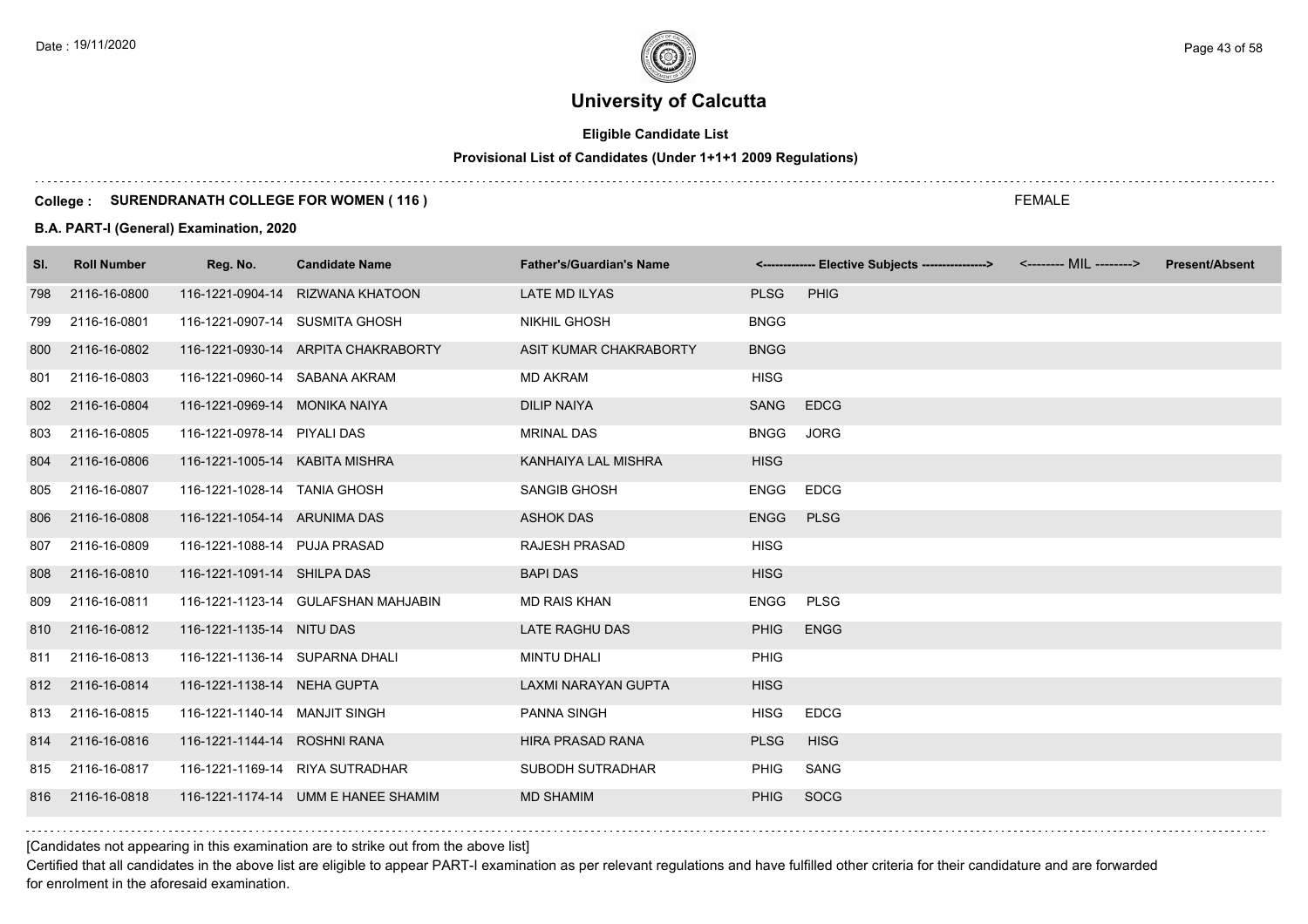# **Eligible Candidate List**

# **Provisional List of Candidates (Under 1+1+1 2009 Regulations)**

#### **College : SURENDRANATH COLLEGE FOR WOMEN ( 116 )**

#### **B.A. PART-I (General) Examination, 2020**

| SI. | <b>Roll Number</b> | Reg. No.                       | <b>Candidate Name</b>               | <b>Father's/Guardian's Name</b> |             | <------------- Elective Subjects ----------------> | <b>Present/Absent</b> |
|-----|--------------------|--------------------------------|-------------------------------------|---------------------------------|-------------|----------------------------------------------------|-----------------------|
| 798 | 2116-16-0800       |                                | 116-1221-0904-14 RIZWANA KHATOON    | LATE MD ILYAS                   | <b>PLSG</b> | PHIG                                               |                       |
| 799 | 2116-16-0801       | 116-1221-0907-14 SUSMITA GHOSH |                                     | <b>NIKHIL GHOSH</b>             | <b>BNGG</b> |                                                    |                       |
| 800 | 2116-16-0802       |                                | 116-1221-0930-14 ARPITA CHAKRABORTY | ASIT KUMAR CHAKRABORTY          | <b>BNGG</b> |                                                    |                       |
| 801 | 2116-16-0803       | 116-1221-0960-14 SABANA AKRAM  |                                     | <b>MD AKRAM</b>                 | <b>HISG</b> |                                                    |                       |
| 802 | 2116-16-0804       | 116-1221-0969-14 MONIKA NAIYA  |                                     | <b>DILIP NAIYA</b>              | SANG        | <b>EDCG</b>                                        |                       |
| 803 | 2116-16-0805       | 116-1221-0978-14 PIYALI DAS    |                                     | <b>MRINAL DAS</b>               | <b>BNGG</b> | <b>JORG</b>                                        |                       |
| 804 | 2116-16-0806       | 116-1221-1005-14 KABITA MISHRA |                                     | KANHAIYA LAL MISHRA             | <b>HISG</b> |                                                    |                       |
| 805 | 2116-16-0807       | 116-1221-1028-14 TANIA GHOSH   |                                     | <b>SANGIB GHOSH</b>             | <b>ENGG</b> | <b>EDCG</b>                                        |                       |
| 806 | 2116-16-0808       | 116-1221-1054-14 ARUNIMA DAS   |                                     | <b>ASHOK DAS</b>                | <b>ENGG</b> | <b>PLSG</b>                                        |                       |
| 807 | 2116-16-0809       | 116-1221-1088-14 PUJA PRASAD   |                                     | <b>RAJESH PRASAD</b>            | <b>HISG</b> |                                                    |                       |
| 808 | 2116-16-0810       | 116-1221-1091-14 SHILPA DAS    |                                     | <b>BAPI DAS</b>                 | <b>HISG</b> |                                                    |                       |
| 809 | 2116-16-0811       |                                | 116-1221-1123-14 GULAFSHAN MAHJABIN | <b>MD RAIS KHAN</b>             | <b>ENGG</b> | <b>PLSG</b>                                        |                       |
| 810 | 2116-16-0812       | 116-1221-1135-14 NITU DAS      |                                     | LATE RAGHU DAS                  | <b>PHIG</b> | <b>ENGG</b>                                        |                       |
| 811 | 2116-16-0813       | 116-1221-1136-14 SUPARNA DHALI |                                     | <b>MINTU DHALI</b>              | <b>PHIG</b> |                                                    |                       |
|     | 812 2116-16-0814   | 116-1221-1138-14 NEHA GUPTA    |                                     | LAXMI NARAYAN GUPTA             | <b>HISG</b> |                                                    |                       |
| 813 | 2116-16-0815       | 116-1221-1140-14 MANJIT SINGH  |                                     | <b>PANNA SINGH</b>              | <b>HISG</b> | <b>EDCG</b>                                        |                       |
| 814 | 2116-16-0816       | 116-1221-1144-14 ROSHNI RANA   |                                     | HIRA PRASAD RANA                | <b>PLSG</b> | <b>HISG</b>                                        |                       |
| 815 | 2116-16-0817       |                                | 116-1221-1169-14 RIYA SUTRADHAR     | SUBODH SUTRADHAR                | <b>PHIG</b> | SANG                                               |                       |
| 816 | 2116-16-0818       |                                | 116-1221-1174-14 UMM E HANEE SHAMIM | <b>MD SHAMIM</b>                | <b>PHIG</b> | <b>SOCG</b>                                        |                       |

[Candidates not appearing in this examination are to strike out from the above list]

Certified that all candidates in the above list are eligible to appear PART-I examination as per relevant regulations and have fulfilled other criteria for their candidature and are forwarded for enrolment in the aforesaid examination.

FEMALE

Date : 19/11/2020 Page 43 of 58  $\sim$  Page 43 of 58  $\sim$  Page 43 of 58  $\sim$  Page 43 of 58  $\sim$  Page 43 of 58  $\sim$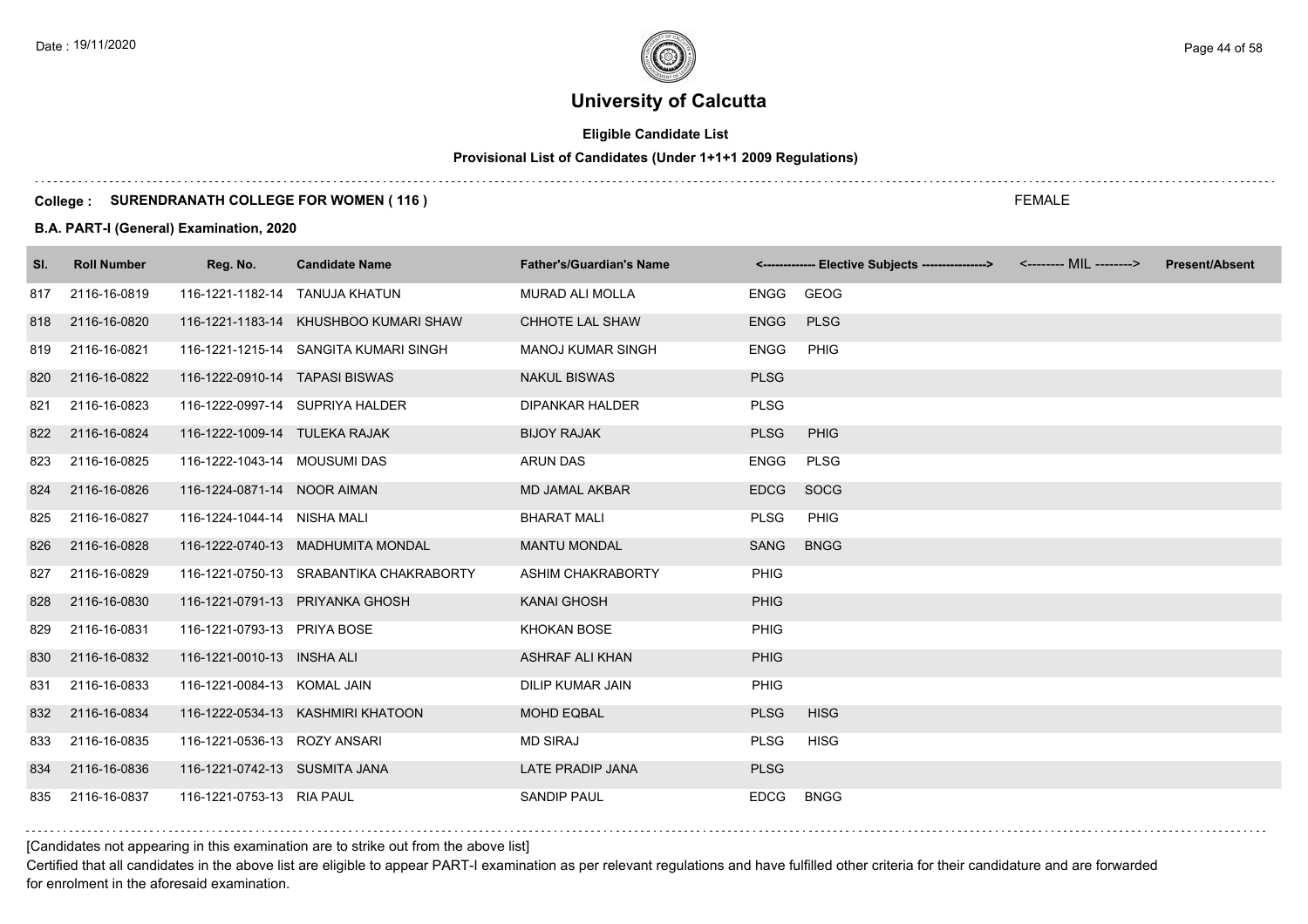# **Eligible Candidate List**

# **Provisional List of Candidates (Under 1+1+1 2009 Regulations)**

#### **College : SURENDRANATH COLLEGE FOR WOMEN ( 116 )**

#### **B.A. PART-I (General) Examination, 2020**

| SI. | <b>Roll Number</b> | Reg. No.                       | <b>Candidate Name</b>                   | <b>Father's/Guardian's Name</b> |             | <------------- Elective Subjects ---------------> <-------- MIL --------> | <b>Present/Absent</b> |
|-----|--------------------|--------------------------------|-----------------------------------------|---------------------------------|-------------|---------------------------------------------------------------------------|-----------------------|
| 817 | 2116-16-0819       | 116-1221-1182-14 TANUJA KHATUN |                                         | <b>MURAD ALI MOLLA</b>          | ENGG        | GEOG                                                                      |                       |
| 818 | 2116-16-0820       |                                | 116-1221-1183-14 KHUSHBOO KUMARI SHAW   | CHHOTE LAL SHAW                 | <b>ENGG</b> | <b>PLSG</b>                                                               |                       |
| 819 | 2116-16-0821       |                                | 116-1221-1215-14 SANGITA KUMARI SINGH   | <b>MANOJ KUMAR SINGH</b>        | <b>ENGG</b> | PHIG                                                                      |                       |
| 820 | 2116-16-0822       | 116-1222-0910-14 TAPASI BISWAS |                                         | <b>NAKUL BISWAS</b>             | <b>PLSG</b> |                                                                           |                       |
| 821 | 2116-16-0823       |                                | 116-1222-0997-14 SUPRIYA HALDER         | <b>DIPANKAR HALDER</b>          | <b>PLSG</b> |                                                                           |                       |
| 822 | 2116-16-0824       | 116-1222-1009-14 TULEKA RAJAK  |                                         | <b>BIJOY RAJAK</b>              | <b>PLSG</b> | PHIG                                                                      |                       |
| 823 | 2116-16-0825       | 116-1222-1043-14 MOUSUMI DAS   |                                         | <b>ARUN DAS</b>                 | <b>ENGG</b> | <b>PLSG</b>                                                               |                       |
| 824 | 2116-16-0826       | 116-1224-0871-14 NOOR AIMAN    |                                         | <b>MD JAMAL AKBAR</b>           | <b>EDCG</b> | SOCG                                                                      |                       |
| 825 | 2116-16-0827       | 116-1224-1044-14 NISHA MALI    |                                         | <b>BHARAT MALI</b>              | <b>PLSG</b> | <b>PHIG</b>                                                               |                       |
| 826 | 2116-16-0828       |                                | 116-1222-0740-13 MADHUMITA MONDAL       | <b>MANTU MONDAL</b>             | SANG        | <b>BNGG</b>                                                               |                       |
| 827 | 2116-16-0829       |                                | 116-1221-0750-13 SRABANTIKA CHAKRABORTY | ASHIM CHAKRABORTY               | <b>PHIG</b> |                                                                           |                       |
| 828 | 2116-16-0830       |                                | 116-1221-0791-13 PRIYANKA GHOSH         | <b>KANAI GHOSH</b>              | <b>PHIG</b> |                                                                           |                       |
| 829 | 2116-16-0831       | 116-1221-0793-13 PRIYA BOSE    |                                         | <b>KHOKAN BOSE</b>              | <b>PHIG</b> |                                                                           |                       |
| 830 | 2116-16-0832       | 116-1221-0010-13 INSHA ALI     |                                         | <b>ASHRAF ALI KHAN</b>          | <b>PHIG</b> |                                                                           |                       |
| 831 | 2116-16-0833       | 116-1221-0084-13 KOMAL JAIN    |                                         | <b>DILIP KUMAR JAIN</b>         | <b>PHIG</b> |                                                                           |                       |
| 832 | 2116-16-0834       |                                | 116-1222-0534-13 KASHMIRI KHATOON       | <b>MOHD EQBAL</b>               | <b>PLSG</b> | <b>HISG</b>                                                               |                       |
| 833 | 2116-16-0835       | 116-1221-0536-13 ROZY ANSARI   |                                         | <b>MD SIRAJ</b>                 | <b>PLSG</b> | <b>HISG</b>                                                               |                       |
| 834 | 2116-16-0836       | 116-1221-0742-13 SUSMITA JANA  |                                         | <b>LATE PRADIP JANA</b>         | <b>PLSG</b> |                                                                           |                       |
| 835 | 2116-16-0837       | 116-1221-0753-13 RIA PAUL      |                                         | <b>SANDIP PAUL</b>              | <b>EDCG</b> | <b>BNGG</b>                                                               |                       |

[Candidates not appearing in this examination are to strike out from the above list]

Certified that all candidates in the above list are eligible to appear PART-I examination as per relevant regulations and have fulfilled other criteria for their candidature and are forwarded for enrolment in the aforesaid examination.

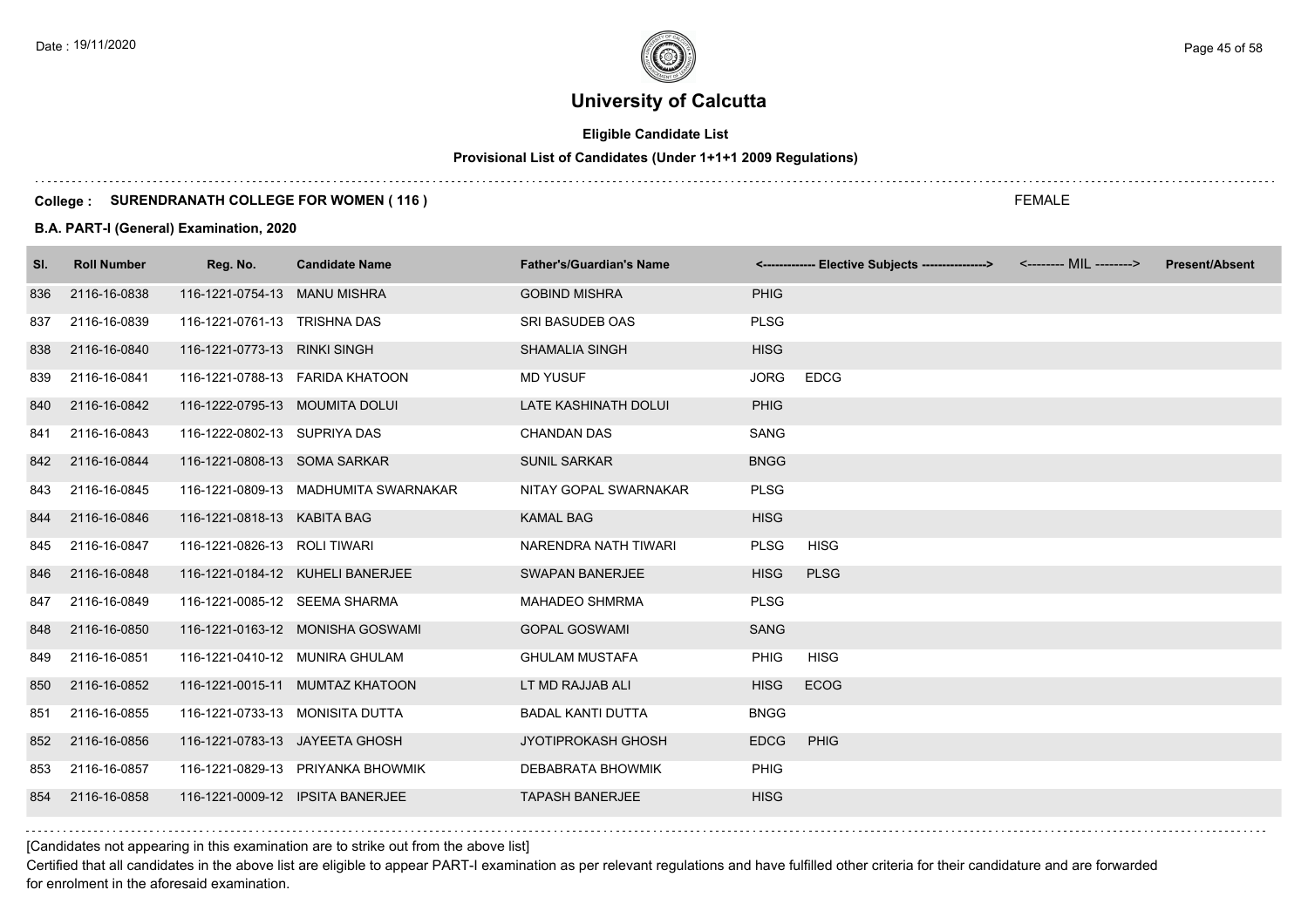# **Eligible Candidate List**

# **Provisional List of Candidates (Under 1+1+1 2009 Regulations)**

#### **College : SURENDRANATH COLLEGE FOR WOMEN ( 116 )**

#### **B.A. PART-I (General) Examination, 2020**

| SI. | <b>Roll Number</b> | Reg. No.                         | <b>Candidate Name</b>                | <b>Father's/Guardian's Name</b> |             | <------------- Elective Subjects ---------------> <-------- MIL --------> | <b>Present/Absent</b> |
|-----|--------------------|----------------------------------|--------------------------------------|---------------------------------|-------------|---------------------------------------------------------------------------|-----------------------|
| 836 | 2116-16-0838       | 116-1221-0754-13 MANU MISHRA     |                                      | <b>GOBIND MISHRA</b>            | <b>PHIG</b> |                                                                           |                       |
| 837 | 2116-16-0839       | 116-1221-0761-13 TRISHNA DAS     |                                      | SRI BASUDEB OAS                 | <b>PLSG</b> |                                                                           |                       |
| 838 | 2116-16-0840       | 116-1221-0773-13 RINKI SINGH     |                                      | <b>SHAMALIA SINGH</b>           | <b>HISG</b> |                                                                           |                       |
| 839 | 2116-16-0841       |                                  | 116-1221-0788-13  FARIDA KHATOON     | <b>MD YUSUF</b>                 | <b>JORG</b> | <b>EDCG</b>                                                               |                       |
| 840 | 2116-16-0842       | 116-1222-0795-13 MOUMITA DOLUI   |                                      | <b>LATE KASHINATH DOLUI</b>     | <b>PHIG</b> |                                                                           |                       |
| 841 | 2116-16-0843       | 116-1222-0802-13 SUPRIYA DAS     |                                      | <b>CHANDAN DAS</b>              | <b>SANG</b> |                                                                           |                       |
| 842 | 2116-16-0844       | 116-1221-0808-13 SOMA SARKAR     |                                      | <b>SUNIL SARKAR</b>             | <b>BNGG</b> |                                                                           |                       |
| 843 | 2116-16-0845       |                                  | 116-1221-0809-13 MADHUMITA SWARNAKAR | NITAY GOPAL SWARNAKAR           | <b>PLSG</b> |                                                                           |                       |
| 844 | 2116-16-0846       | 116-1221-0818-13 KABITA BAG      |                                      | <b>KAMAL BAG</b>                | <b>HISG</b> |                                                                           |                       |
| 845 | 2116-16-0847       | 116-1221-0826-13 ROLI TIWARI     |                                      | NARENDRA NATH TIWARI            | <b>PLSG</b> | <b>HISG</b>                                                               |                       |
| 846 | 2116-16-0848       |                                  | 116-1221-0184-12 KUHELI BANERJEE     | <b>SWAPAN BANERJEE</b>          | <b>HISG</b> | <b>PLSG</b>                                                               |                       |
| 847 | 2116-16-0849       | 116-1221-0085-12 SEEMA SHARMA    |                                      | <b>MAHADEO SHMRMA</b>           | <b>PLSG</b> |                                                                           |                       |
| 848 | 2116-16-0850       |                                  | 116-1221-0163-12 MONISHA GOSWAMI     | <b>GOPAL GOSWAMI</b>            | <b>SANG</b> |                                                                           |                       |
| 849 | 2116-16-0851       | 116-1221-0410-12 MUNIRA GHULAM   |                                      | <b>GHULAM MUSTAFA</b>           | <b>PHIG</b> | <b>HISG</b>                                                               |                       |
| 850 | 2116-16-0852       |                                  | 116-1221-0015-11 MUMTAZ KHATOON      | LT MD RAJJAB ALI                | <b>HISG</b> | <b>ECOG</b>                                                               |                       |
| 851 | 2116-16-0855       | 116-1221-0733-13 MONISITA DUTTA  |                                      | <b>BADAL KANTI DUTTA</b>        | <b>BNGG</b> |                                                                           |                       |
| 852 | 2116-16-0856       | 116-1221-0783-13 JAYEETA GHOSH   |                                      | <b>JYOTIPROKASH GHOSH</b>       | <b>EDCG</b> | PHIG                                                                      |                       |
| 853 | 2116-16-0857       |                                  | 116-1221-0829-13 PRIYANKA BHOWMIK    | <b>DEBABRATA BHOWMIK</b>        | <b>PHIG</b> |                                                                           |                       |
| 854 | 2116-16-0858       | 116-1221-0009-12 IPSITA BANERJEE |                                      | <b>TAPASH BANERJEE</b>          | <b>HISG</b> |                                                                           |                       |

[Candidates not appearing in this examination are to strike out from the above list]

Certified that all candidates in the above list are eligible to appear PART-I examination as per relevant regulations and have fulfilled other criteria for their candidature and are forwarded for enrolment in the aforesaid examination.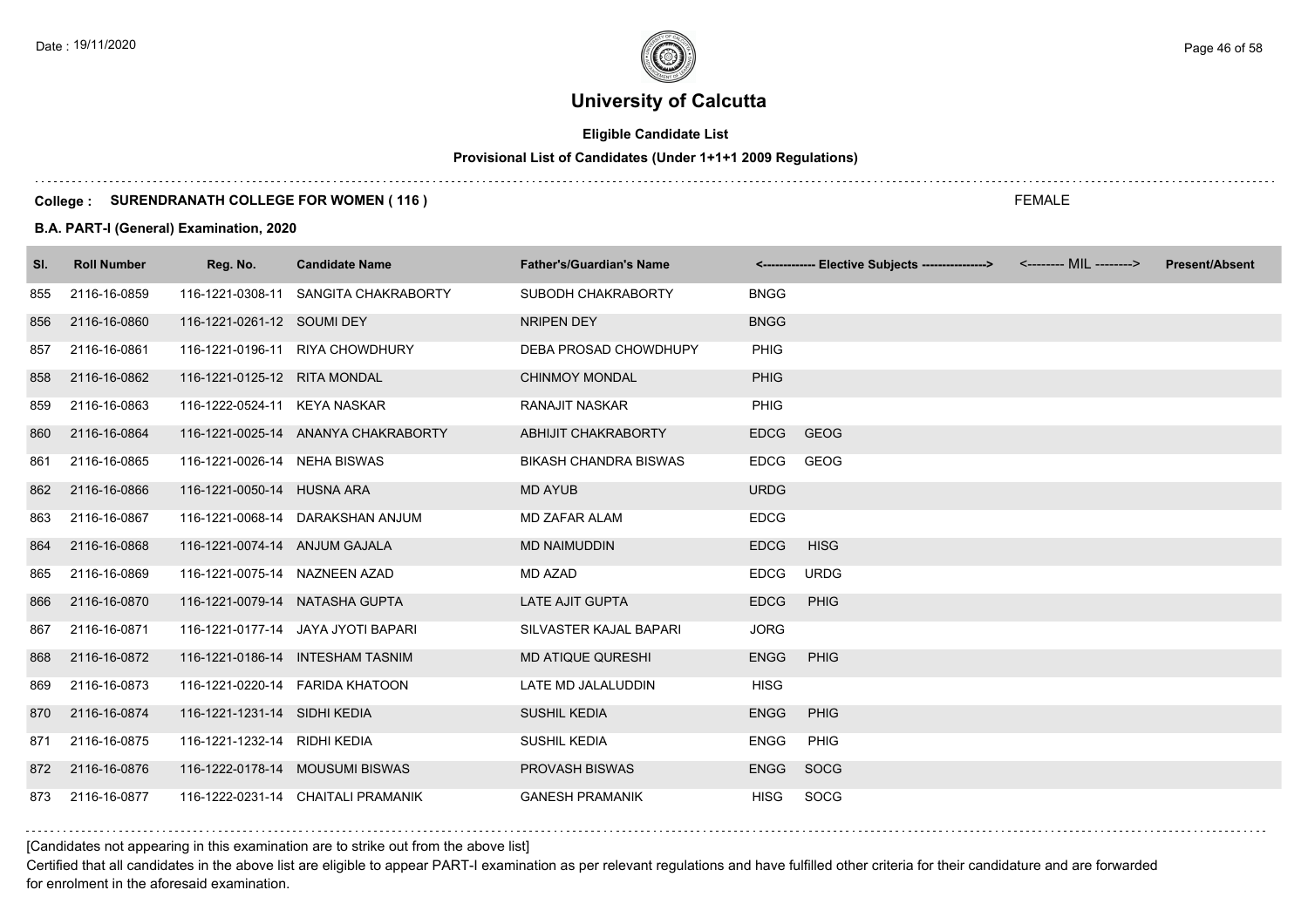# **Eligible Candidate List**

# **Provisional List of Candidates (Under 1+1+1 2009 Regulations)**

#### **College : SURENDRANATH COLLEGE FOR WOMEN ( 116 )**

#### **B.A. PART-I (General) Examination, 2020**

| SI. | <b>Roll Number</b> | Reg. No.                       | <b>Candidate Name</b>                | <b>Father's/Guardian's Name</b> |             | <------------- Elective Subjects ----------------> | <b>Present/Absent</b> |
|-----|--------------------|--------------------------------|--------------------------------------|---------------------------------|-------------|----------------------------------------------------|-----------------------|
| 855 | 2116-16-0859       |                                | 116-1221-0308-11 SANGITA CHAKRABORTY | SUBODH CHAKRABORTY              | <b>BNGG</b> |                                                    |                       |
| 856 | 2116-16-0860       | 116-1221-0261-12 SOUMI DEY     |                                      | NRIPEN DEY                      | <b>BNGG</b> |                                                    |                       |
| 857 | 2116-16-0861       |                                | 116-1221-0196-11 RIYA CHOWDHURY      | DEBA PROSAD CHOWDHUPY           | PHIG        |                                                    |                       |
| 858 | 2116-16-0862       | 116-1221-0125-12 RITA MONDAL   |                                      | <b>CHINMOY MONDAL</b>           | PHIG        |                                                    |                       |
| 859 | 2116-16-0863       | 116-1222-0524-11 KEYA NASKAR   |                                      | <b>RANAJIT NASKAR</b>           | PHIG        |                                                    |                       |
| 860 | 2116-16-0864       |                                | 116-1221-0025-14 ANANYA CHAKRABORTY  | ABHIJIT CHAKRABORTY             | <b>EDCG</b> | <b>GEOG</b>                                        |                       |
| 861 | 2116-16-0865       | 116-1221-0026-14 NEHA BISWAS   |                                      | <b>BIKASH CHANDRA BISWAS</b>    | <b>EDCG</b> | GEOG                                               |                       |
| 862 | 2116-16-0866       | 116-1221-0050-14 HUSNA ARA     |                                      | <b>MD AYUB</b>                  | <b>URDG</b> |                                                    |                       |
| 863 | 2116-16-0867       |                                | 116-1221-0068-14 DARAKSHAN ANJUM     | <b>MD ZAFAR ALAM</b>            | <b>EDCG</b> |                                                    |                       |
| 864 | 2116-16-0868       | 116-1221-0074-14 ANJUM GAJALA  |                                      | <b>MD NAIMUDDIN</b>             | <b>EDCG</b> | <b>HISG</b>                                        |                       |
| 865 | 2116-16-0869       | 116-1221-0075-14 NAZNEEN AZAD  |                                      | <b>MD AZAD</b>                  | <b>EDCG</b> | <b>URDG</b>                                        |                       |
| 866 | 2116-16-0870       | 116-1221-0079-14 NATASHA GUPTA |                                      | <b>LATE AJIT GUPTA</b>          | <b>EDCG</b> | PHIG                                               |                       |
| 867 | 2116-16-0871       |                                | 116-1221-0177-14 JAYA JYOTI BAPARI   | SILVASTER KAJAL BAPARI          | <b>JORG</b> |                                                    |                       |
| 868 | 2116-16-0872       |                                | 116-1221-0186-14 INTESHAM TASNIM     | <b>MD ATIQUE QURESHI</b>        | <b>ENGG</b> | PHIG                                               |                       |
| 869 | 2116-16-0873       |                                | 116-1221-0220-14    FARIDA KHATOON   | LATE MD JALALUDDIN              | <b>HISG</b> |                                                    |                       |
| 870 | 2116-16-0874       | 116-1221-1231-14 SIDHI KEDIA   |                                      | <b>SUSHIL KEDIA</b>             | <b>ENGG</b> | <b>PHIG</b>                                        |                       |
| 871 | 2116-16-0875       | 116-1221-1232-14 RIDHI KEDIA   |                                      | SUSHIL KEDIA                    | <b>ENGG</b> | <b>PHIG</b>                                        |                       |
| 872 | 2116-16-0876       |                                | 116-1222-0178-14 MOUSUMI BISWAS      | <b>PROVASH BISWAS</b>           | <b>ENGG</b> | SOCG                                               |                       |
| 873 | 2116-16-0877       |                                | 116-1222-0231-14 CHAITALI PRAMANIK   | <b>GANESH PRAMANIK</b>          | <b>HISG</b> | SOCG                                               |                       |

[Candidates not appearing in this examination are to strike out from the above list]

Certified that all candidates in the above list are eligible to appear PART-I examination as per relevant regulations and have fulfilled other criteria for their candidature and are forwarded for enrolment in the aforesaid examination.

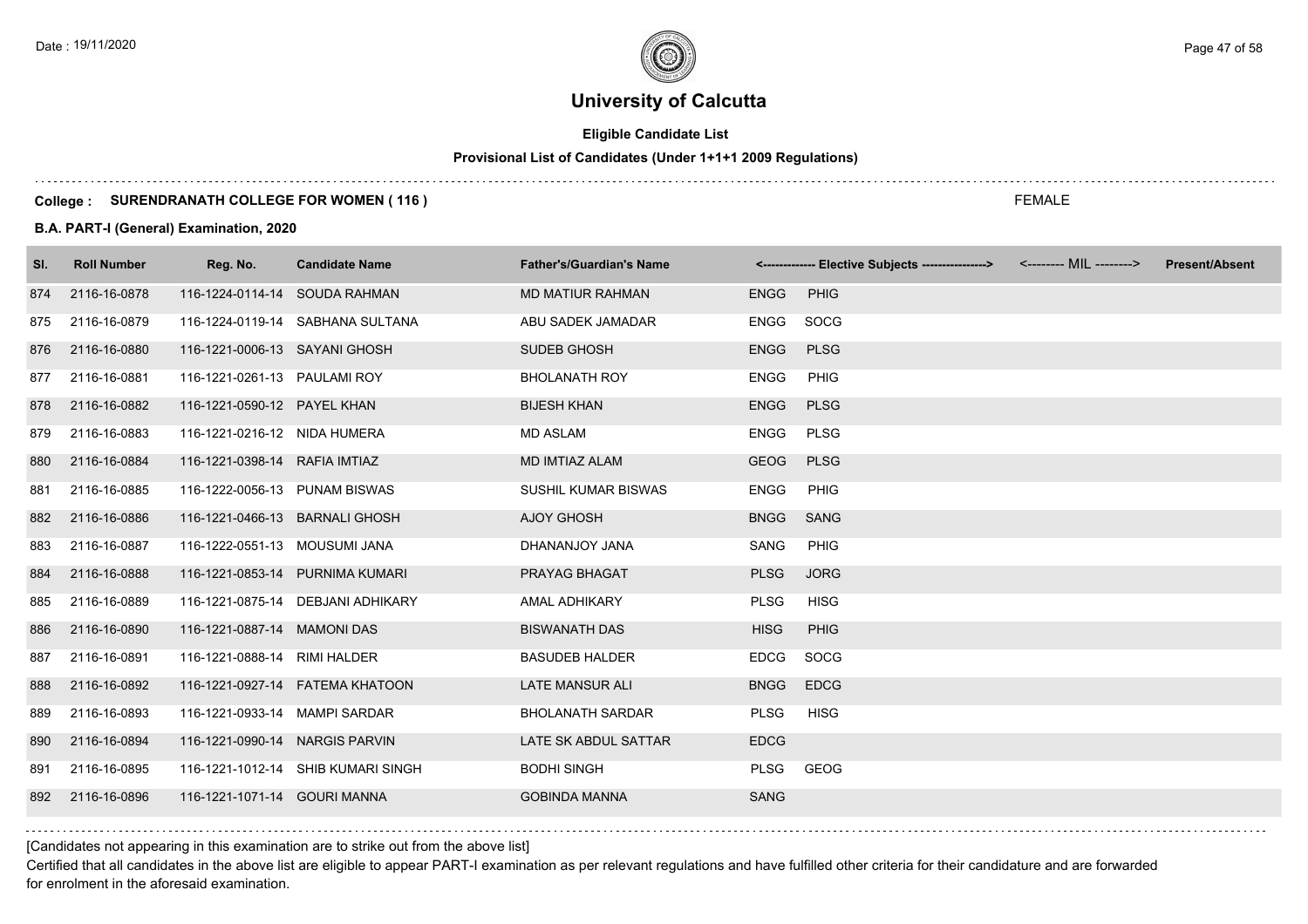# **Eligible Candidate List**

# **Provisional List of Candidates (Under 1+1+1 2009 Regulations)**

#### **College : SURENDRANATH COLLEGE FOR WOMEN ( 116 )**

#### **B.A. PART-I (General) Examination, 2020**

| SI. | <b>Roll Number</b> | Reg. No.                       | <b>Candidate Name</b>              | <b>Father's/Guardian's Name</b> |             | <------------- Elective Subjects ----------------> | <-------- MIL --------> | <b>Present/Absent</b> |
|-----|--------------------|--------------------------------|------------------------------------|---------------------------------|-------------|----------------------------------------------------|-------------------------|-----------------------|
| 874 | 2116-16-0878       | 116-1224-0114-14 SOUDA RAHMAN  |                                    | <b>MD MATIUR RAHMAN</b>         | <b>ENGG</b> | <b>PHIG</b>                                        |                         |                       |
| 875 | 2116-16-0879       |                                | 116-1224-0119-14 SABHANA SULTANA   | ABU SADEK JAMADAR               | ENGG        | SOCG                                               |                         |                       |
| 876 | 2116-16-0880       | 116-1221-0006-13 SAYANI GHOSH  |                                    | SUDEB GHOSH                     | <b>ENGG</b> | <b>PLSG</b>                                        |                         |                       |
| 877 | 2116-16-0881       | 116-1221-0261-13 PAULAMI ROY   |                                    | <b>BHOLANATH ROY</b>            | <b>ENGG</b> | <b>PHIG</b>                                        |                         |                       |
| 878 | 2116-16-0882       | 116-1221-0590-12 PAYEL KHAN    |                                    | <b>BIJESH KHAN</b>              | <b>ENGG</b> | <b>PLSG</b>                                        |                         |                       |
| 879 | 2116-16-0883       | 116-1221-0216-12 NIDA HUMERA   |                                    | <b>MD ASLAM</b>                 | <b>ENGG</b> | <b>PLSG</b>                                        |                         |                       |
| 880 | 2116-16-0884       | 116-1221-0398-14 RAFIA IMTIAZ  |                                    | <b>MD IMTIAZ ALAM</b>           | <b>GEOG</b> | <b>PLSG</b>                                        |                         |                       |
| 881 | 2116-16-0885       | 116-1222-0056-13 PUNAM BISWAS  |                                    | <b>SUSHIL KUMAR BISWAS</b>      | <b>ENGG</b> | PHIG                                               |                         |                       |
| 882 | 2116-16-0886       | 116-1221-0466-13 BARNALI GHOSH |                                    | <b>AJOY GHOSH</b>               | <b>BNGG</b> | SANG                                               |                         |                       |
| 883 | 2116-16-0887       | 116-1222-0551-13 MOUSUMI JANA  |                                    | DHANANJOY JANA                  | SANG        | PHIG                                               |                         |                       |
| 884 | 2116-16-0888       |                                | 116-1221-0853-14 PURNIMA KUMARI    | PRAYAG BHAGAT                   | <b>PLSG</b> | <b>JORG</b>                                        |                         |                       |
| 885 | 2116-16-0889       |                                | 116-1221-0875-14 DEBJANI ADHIKARY  | <b>AMAL ADHIKARY</b>            | <b>PLSG</b> | <b>HISG</b>                                        |                         |                       |
| 886 | 2116-16-0890       | 116-1221-0887-14 MAMONI DAS    |                                    | <b>BISWANATH DAS</b>            | <b>HISG</b> | <b>PHIG</b>                                        |                         |                       |
| 887 | 2116-16-0891       | 116-1221-0888-14 RIMI HALDER   |                                    | <b>BASUDEB HALDER</b>           | <b>EDCG</b> | SOCG                                               |                         |                       |
| 888 | 2116-16-0892       |                                | 116-1221-0927-14    FATEMA KHATOON | <b>LATE MANSUR ALI</b>          | <b>BNGG</b> | <b>EDCG</b>                                        |                         |                       |
| 889 | 2116-16-0893       | 116-1221-0933-14 MAMPI SARDAR  |                                    | <b>BHOLANATH SARDAR</b>         | <b>PLSG</b> | <b>HISG</b>                                        |                         |                       |
| 890 | 2116-16-0894       | 116-1221-0990-14 NARGIS PARVIN |                                    | LATE SK ABDUL SATTAR            | <b>EDCG</b> |                                                    |                         |                       |
| 891 | 2116-16-0895       |                                | 116-1221-1012-14 SHIB KUMARI SINGH | <b>BODHI SINGH</b>              | PLSG        | GEOG                                               |                         |                       |
| 892 | 2116-16-0896       | 116-1221-1071-14 GOURI MANNA   |                                    | <b>GOBINDA MANNA</b>            | <b>SANG</b> |                                                    |                         |                       |

[Candidates not appearing in this examination are to strike out from the above list]

Certified that all candidates in the above list are eligible to appear PART-I examination as per relevant regulations and have fulfilled other criteria for their candidature and are forwarded for enrolment in the aforesaid examination.

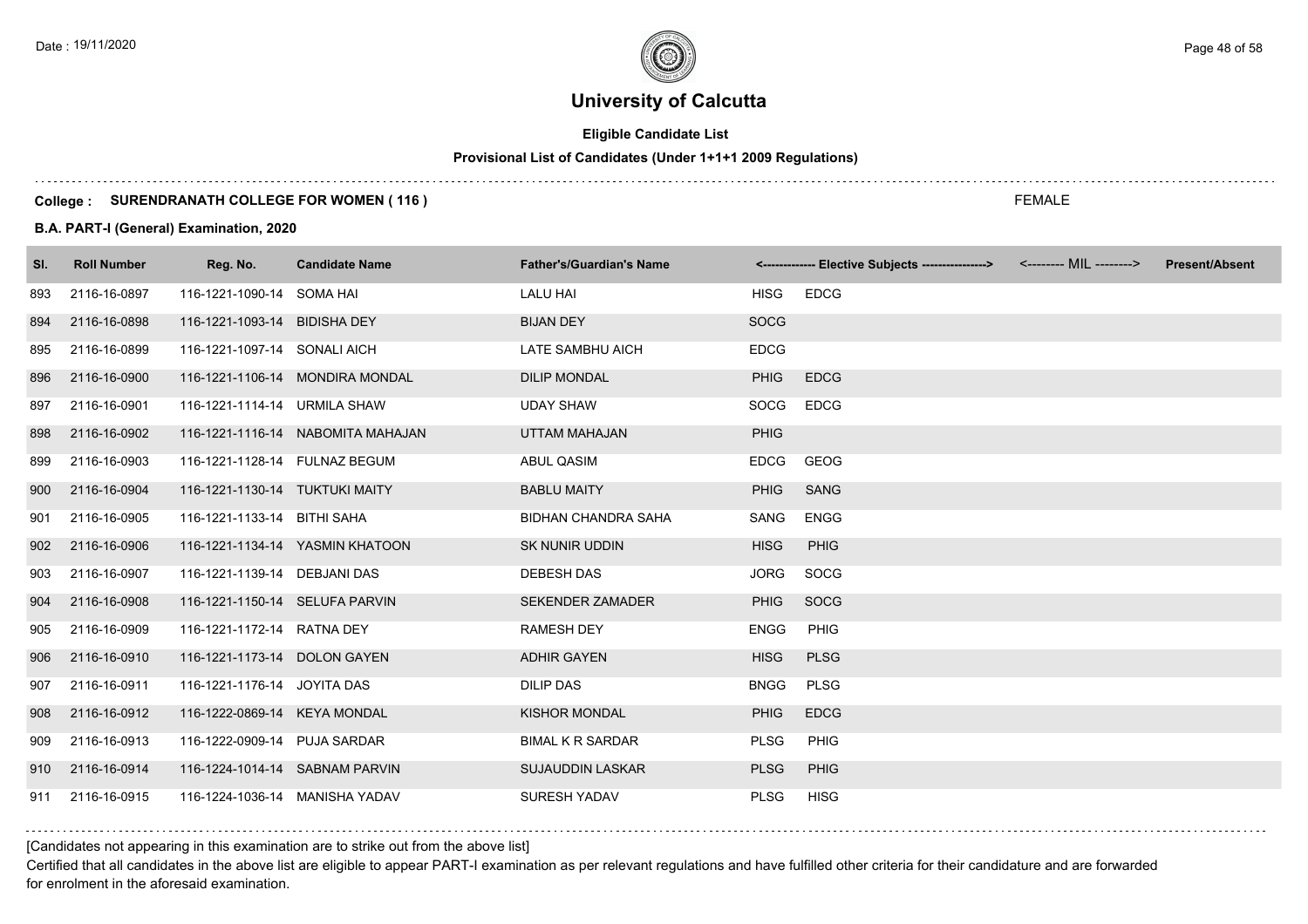# **Eligible Candidate List**

# **Provisional List of Candidates (Under 1+1+1 2009 Regulations)**

#### **College : SURENDRANATH COLLEGE FOR WOMEN ( 116 )**

#### **B.A. PART-I (General) Examination, 2020**

| SI. | <b>Roll Number</b> | Reg. No.                       | <b>Candidate Name</b>             | <b>Father's/Guardian's Name</b> |             | <------------- Elective Subjects ----------------> <-------- MIL --------> | <b>Present/Absent</b> |
|-----|--------------------|--------------------------------|-----------------------------------|---------------------------------|-------------|----------------------------------------------------------------------------|-----------------------|
| 893 | 2116-16-0897       | 116-1221-1090-14 SOMA HAI      |                                   | <b>LALU HAI</b>                 | <b>HISG</b> | <b>EDCG</b>                                                                |                       |
| 894 | 2116-16-0898       | 116-1221-1093-14 BIDISHA DEY   |                                   | <b>BIJAN DEY</b>                | <b>SOCG</b> |                                                                            |                       |
| 895 | 2116-16-0899       | 116-1221-1097-14 SONALI AICH   |                                   | <b>LATE SAMBHU AICH</b>         | <b>EDCG</b> |                                                                            |                       |
| 896 | 2116-16-0900       |                                | 116-1221-1106-14 MONDIRA MONDAL   | <b>DILIP MONDAL</b>             | <b>PHIG</b> | <b>EDCG</b>                                                                |                       |
| 897 | 2116-16-0901       | 116-1221-1114-14 URMILA SHAW   |                                   | <b>UDAY SHAW</b>                | SOCG        | <b>EDCG</b>                                                                |                       |
| 898 | 2116-16-0902       |                                | 116-1221-1116-14 NABOMITA MAHAJAN | <b>UTTAM MAHAJAN</b>            | <b>PHIG</b> |                                                                            |                       |
| 899 | 2116-16-0903       | 116-1221-1128-14 FULNAZ BEGUM  |                                   | <b>ABUL QASIM</b>               | <b>EDCG</b> | <b>GEOG</b>                                                                |                       |
| 900 | 2116-16-0904       | 116-1221-1130-14 TUKTUKI MAITY |                                   | <b>BABLU MAITY</b>              | <b>PHIG</b> | <b>SANG</b>                                                                |                       |
| 901 | 2116-16-0905       | 116-1221-1133-14 BITHI SAHA    |                                   | <b>BIDHAN CHANDRA SAHA</b>      | SANG        | <b>ENGG</b>                                                                |                       |
| 902 | 2116-16-0906       |                                | 116-1221-1134-14 YASMIN KHATOON   | <b>SK NUNIR UDDIN</b>           | <b>HISG</b> | PHIG                                                                       |                       |
| 903 | 2116-16-0907       | 116-1221-1139-14 DEBJANI DAS   |                                   | <b>DEBESH DAS</b>               | <b>JORG</b> | SOCG                                                                       |                       |
| 904 | 2116-16-0908       | 116-1221-1150-14 SELUFA PARVIN |                                   | <b>SEKENDER ZAMADER</b>         | <b>PHIG</b> | SOCG                                                                       |                       |
| 905 | 2116-16-0909       | 116-1221-1172-14 RATNA DEY     |                                   | <b>RAMESH DEY</b>               | <b>ENGG</b> | <b>PHIG</b>                                                                |                       |
| 906 | 2116-16-0910       | 116-1221-1173-14 DOLON GAYEN   |                                   | <b>ADHIR GAYEN</b>              | <b>HISG</b> | <b>PLSG</b>                                                                |                       |
| 907 | 2116-16-0911       | 116-1221-1176-14 JOYITA DAS    |                                   | <b>DILIP DAS</b>                | <b>BNGG</b> | <b>PLSG</b>                                                                |                       |
| 908 | 2116-16-0912       | 116-1222-0869-14 KEYA MONDAL   |                                   | <b>KISHOR MONDAL</b>            | <b>PHIG</b> | <b>EDCG</b>                                                                |                       |
| 909 | 2116-16-0913       | 116-1222-0909-14 PUJA SARDAR   |                                   | <b>BIMAL K R SARDAR</b>         | <b>PLSG</b> | PHIG                                                                       |                       |
| 910 | 2116-16-0914       | 116-1224-1014-14 SABNAM PARVIN |                                   | <b>SUJAUDDIN LASKAR</b>         | <b>PLSG</b> | PHIG                                                                       |                       |
| 911 | 2116-16-0915       | 116-1224-1036-14 MANISHA YADAV |                                   | <b>SURESH YADAV</b>             | <b>PLSG</b> | <b>HISG</b>                                                                |                       |

### [Candidates not appearing in this examination are to strike out from the above list]

Certified that all candidates in the above list are eligible to appear PART-I examination as per relevant regulations and have fulfilled other criteria for their candidature and are forwarded for enrolment in the aforesaid examination.

FEMALE

Date : 19/11/2020 Page 48 of 58  $\sim$  Page 48 of 58  $\sim$  Page 48 of 58  $\sim$  Page 48 of 58  $\sim$  Page 48 of 58  $\sim$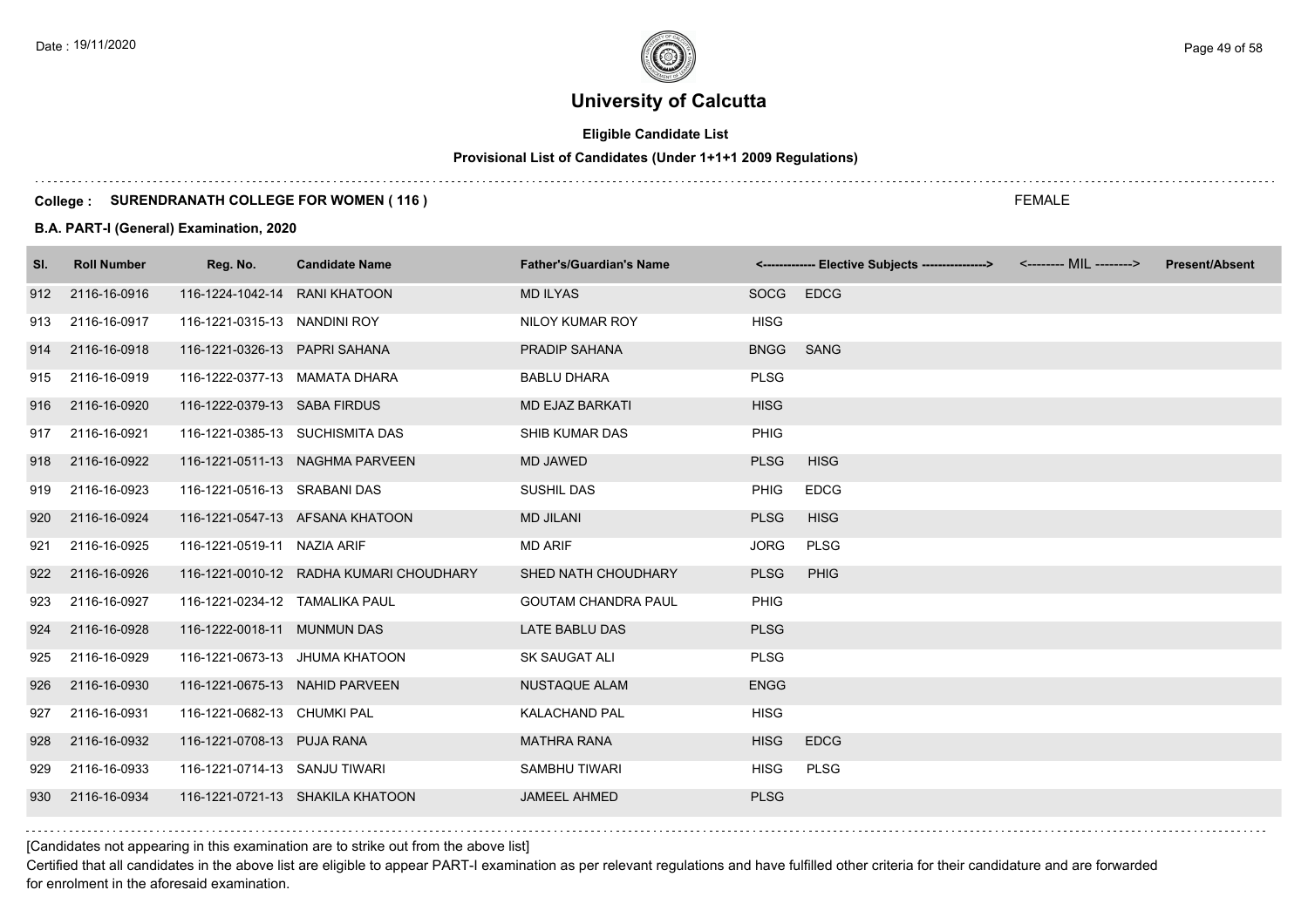# **Eligible Candidate List**

# **Provisional List of Candidates (Under 1+1+1 2009 Regulations)**

#### **College : SURENDRANATH COLLEGE FOR WOMEN ( 116 )**

#### **B.A. PART-I (General) Examination, 2020**

| SI. | <b>Roll Number</b> | Reg. No.                       | <b>Candidate Name</b>                   | <b>Father's/Guardian's Name</b> |             | <------------- Elective Subjects ----------------> <-------- MIL --------> | <b>Present/Absent</b> |
|-----|--------------------|--------------------------------|-----------------------------------------|---------------------------------|-------------|----------------------------------------------------------------------------|-----------------------|
| 912 | 2116-16-0916       | 116-1224-1042-14 RANI KHATOON  |                                         | <b>MD ILYAS</b>                 | SOCG EDCG   |                                                                            |                       |
| 913 | 2116-16-0917       | 116-1221-0315-13 NANDINI ROY   |                                         | NILOY KUMAR ROY                 | <b>HISG</b> |                                                                            |                       |
| 914 | 2116-16-0918       | 116-1221-0326-13 PAPRI SAHANA  |                                         | <b>PRADIP SAHANA</b>            | <b>BNGG</b> | <b>SANG</b>                                                                |                       |
| 915 | 2116-16-0919       | 116-1222-0377-13 MAMATA DHARA  |                                         | <b>BABLU DHARA</b>              | <b>PLSG</b> |                                                                            |                       |
| 916 | 2116-16-0920       | 116-1222-0379-13 SABA FIRDUS   |                                         | <b>MD EJAZ BARKATI</b>          | <b>HISG</b> |                                                                            |                       |
| 917 | 2116-16-0921       |                                | 116-1221-0385-13 SUCHISMITA DAS         | SHIB KUMAR DAS                  | <b>PHIG</b> |                                                                            |                       |
| 918 | 2116-16-0922       |                                | 116-1221-0511-13 NAGHMA PARVEEN         | <b>MD JAWED</b>                 | <b>PLSG</b> | <b>HISG</b>                                                                |                       |
| 919 | 2116-16-0923       | 116-1221-0516-13 SRABANI DAS   |                                         | <b>SUSHIL DAS</b>               | <b>PHIG</b> | <b>EDCG</b>                                                                |                       |
| 920 | 2116-16-0924       |                                | 116-1221-0547-13 AFSANA KHATOON         | <b>MD JILANI</b>                | <b>PLSG</b> | <b>HISG</b>                                                                |                       |
| 921 | 2116-16-0925       | 116-1221-0519-11 NAZIA ARIF    |                                         | <b>MD ARIF</b>                  | <b>JORG</b> | <b>PLSG</b>                                                                |                       |
| 922 | 2116-16-0926       |                                | 116-1221-0010-12 RADHA KUMARI CHOUDHARY | SHED NATH CHOUDHARY             | <b>PLSG</b> | PHIG                                                                       |                       |
| 923 | 2116-16-0927       | 116-1221-0234-12 TAMALIKA PAUL |                                         | <b>GOUTAM CHANDRA PAUL</b>      | <b>PHIG</b> |                                                                            |                       |
| 924 | 2116-16-0928       | 116-1222-0018-11 MUNMUN DAS    |                                         | LATE BABLU DAS                  | <b>PLSG</b> |                                                                            |                       |
| 925 | 2116-16-0929       |                                | 116-1221-0673-13 JHUMA KHATOON          | SK SAUGAT ALI                   | <b>PLSG</b> |                                                                            |                       |
| 926 | 2116-16-0930       | 116-1221-0675-13 NAHID PARVEEN |                                         | <b>NUSTAQUE ALAM</b>            | <b>ENGG</b> |                                                                            |                       |
| 927 | 2116-16-0931       | 116-1221-0682-13 CHUMKI PAL    |                                         | <b>KALACHAND PAL</b>            | <b>HISG</b> |                                                                            |                       |
| 928 | 2116-16-0932       | 116-1221-0708-13 PUJA RANA     |                                         | <b>MATHRA RANA</b>              | <b>HISG</b> | <b>EDCG</b>                                                                |                       |
| 929 | 2116-16-0933       | 116-1221-0714-13 SANJU TIWARI  |                                         | SAMBHU TIWARI                   | <b>HISG</b> | <b>PLSG</b>                                                                |                       |
| 930 | 2116-16-0934       |                                | 116-1221-0721-13 SHAKILA KHATOON        | <b>JAMEEL AHMED</b>             | <b>PLSG</b> |                                                                            |                       |
|     |                    |                                |                                         |                                 |             |                                                                            |                       |

[Candidates not appearing in this examination are to strike out from the above list]

Certified that all candidates in the above list are eligible to appear PART-I examination as per relevant regulations and have fulfilled other criteria for their candidature and are forwarded for enrolment in the aforesaid examination.

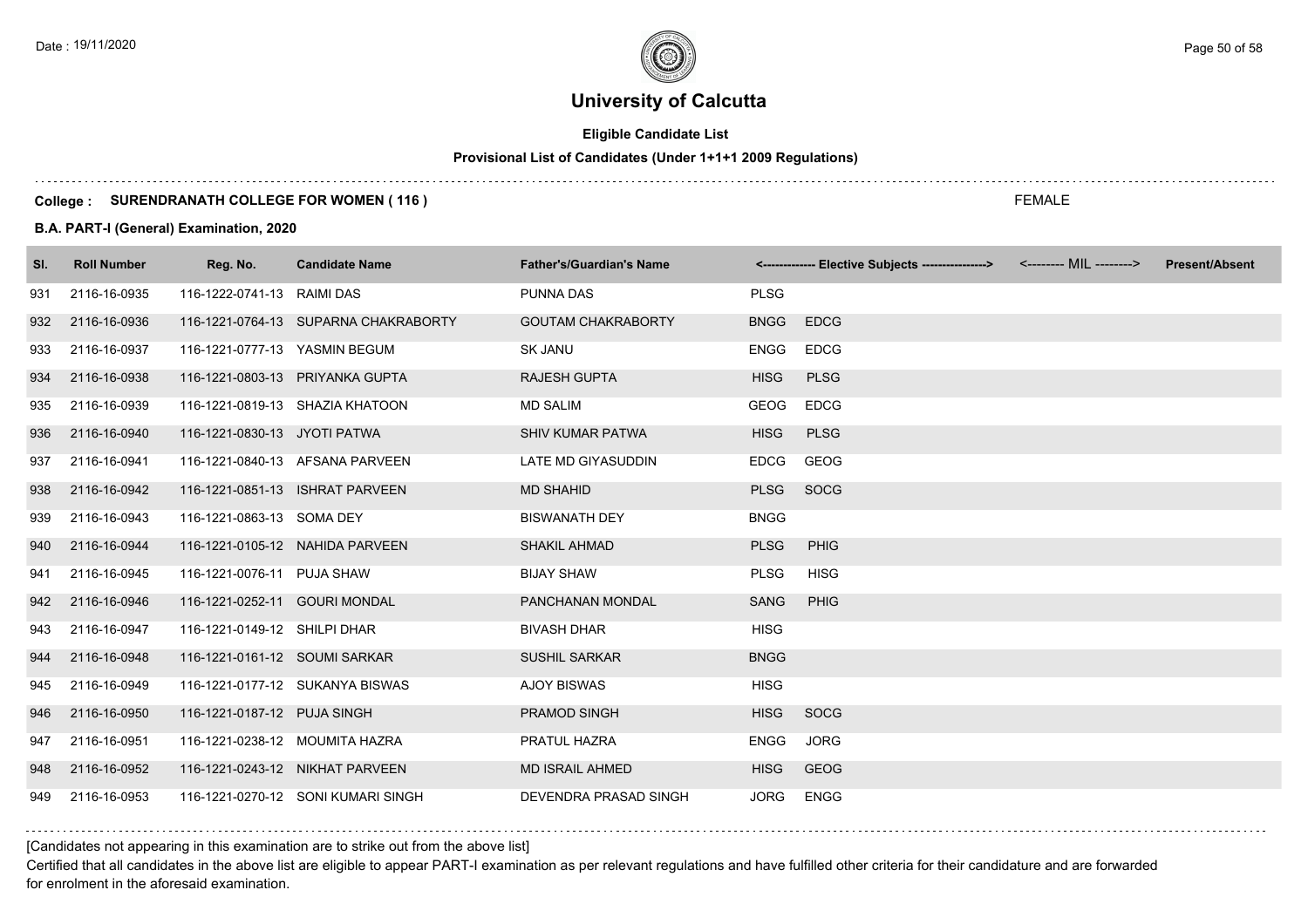# **Eligible Candidate List**

# **Provisional List of Candidates (Under 1+1+1 2009 Regulations)**

#### **College : SURENDRANATH COLLEGE FOR WOMEN ( 116 )**

#### **B.A. PART-I (General) Examination, 2020**

| SI. | <b>Roll Number</b> | Reg. No.                      | <b>Candidate Name</b>                | <b>Father's/Guardian's Name</b> |             | <-------------- Elective Subjects ----------------> <-------- MIL --------> | <b>Present/Absent</b> |
|-----|--------------------|-------------------------------|--------------------------------------|---------------------------------|-------------|-----------------------------------------------------------------------------|-----------------------|
| 931 | 2116-16-0935       | 116-1222-0741-13 RAIMI DAS    |                                      | <b>PUNNA DAS</b>                | <b>PLSG</b> |                                                                             |                       |
| 932 | 2116-16-0936       |                               | 116-1221-0764-13 SUPARNA CHAKRABORTY | <b>GOUTAM CHAKRABORTY</b>       | <b>BNGG</b> | <b>EDCG</b>                                                                 |                       |
| 933 | 2116-16-0937       | 116-1221-0777-13 YASMIN BEGUM |                                      | <b>SK JANU</b>                  | ENGG        | <b>EDCG</b>                                                                 |                       |
| 934 | 2116-16-0938       |                               | 116-1221-0803-13 PRIYANKA GUPTA      | <b>RAJESH GUPTA</b>             | <b>HISG</b> | <b>PLSG</b>                                                                 |                       |
| 935 | 2116-16-0939       |                               | 116-1221-0819-13 SHAZIA KHATOON      | <b>MD SALIM</b>                 | <b>GEOG</b> | <b>EDCG</b>                                                                 |                       |
| 936 | 2116-16-0940       | 116-1221-0830-13 JYOTI PATWA  |                                      | <b>SHIV KUMAR PATWA</b>         | <b>HISG</b> | <b>PLSG</b>                                                                 |                       |
| 937 | 2116-16-0941       |                               | 116-1221-0840-13 AFSANA PARVEEN      | LATE MD GIYASUDDIN              | <b>EDCG</b> | <b>GEOG</b>                                                                 |                       |
| 938 | 2116-16-0942       |                               | 116-1221-0851-13 ISHRAT PARVEEN      | <b>MD SHAHID</b>                | <b>PLSG</b> | SOCG                                                                        |                       |
| 939 | 2116-16-0943       | 116-1221-0863-13 SOMA DEY     |                                      | <b>BISWANATH DEY</b>            | <b>BNGG</b> |                                                                             |                       |
| 940 | 2116-16-0944       |                               | 116-1221-0105-12 NAHIDA PARVEEN      | <b>SHAKIL AHMAD</b>             | <b>PLSG</b> | <b>PHIG</b>                                                                 |                       |
| 941 | 2116-16-0945       | 116-1221-0076-11 PUJA SHAW    |                                      | <b>BIJAY SHAW</b>               | <b>PLSG</b> | <b>HISG</b>                                                                 |                       |
| 942 | 2116-16-0946       | 116-1221-0252-11 GOURI MONDAL |                                      | PANCHANAN MONDAL                | <b>SANG</b> | <b>PHIG</b>                                                                 |                       |
| 943 | 2116-16-0947       | 116-1221-0149-12 SHILPI DHAR  |                                      | <b>BIVASH DHAR</b>              | <b>HISG</b> |                                                                             |                       |
| 944 | 2116-16-0948       | 116-1221-0161-12 SOUMI SARKAR |                                      | <b>SUSHIL SARKAR</b>            | <b>BNGG</b> |                                                                             |                       |
| 945 | 2116-16-0949       |                               | 116-1221-0177-12 SUKANYA BISWAS      | <b>AJOY BISWAS</b>              | <b>HISG</b> |                                                                             |                       |
| 946 | 2116-16-0950       | 116-1221-0187-12 PUJA SINGH   |                                      | <b>PRAMOD SINGH</b>             | <b>HISG</b> | <b>SOCG</b>                                                                 |                       |
| 947 | 2116-16-0951       |                               | 116-1221-0238-12 MOUMITA HAZRA       | PRATUL HAZRA                    | ENGG        | <b>JORG</b>                                                                 |                       |
| 948 | 2116-16-0952       |                               | 116-1221-0243-12 NIKHAT PARVEEN      | <b>MD ISRAIL AHMED</b>          | <b>HISG</b> | <b>GEOG</b>                                                                 |                       |
| 949 | 2116-16-0953       |                               | 116-1221-0270-12 SONI KUMARI SINGH   | DEVENDRA PRASAD SINGH           | <b>JORG</b> | <b>ENGG</b>                                                                 |                       |

[Candidates not appearing in this examination are to strike out from the above list]

Certified that all candidates in the above list are eligible to appear PART-I examination as per relevant regulations and have fulfilled other criteria for their candidature and are forwarded for enrolment in the aforesaid examination.

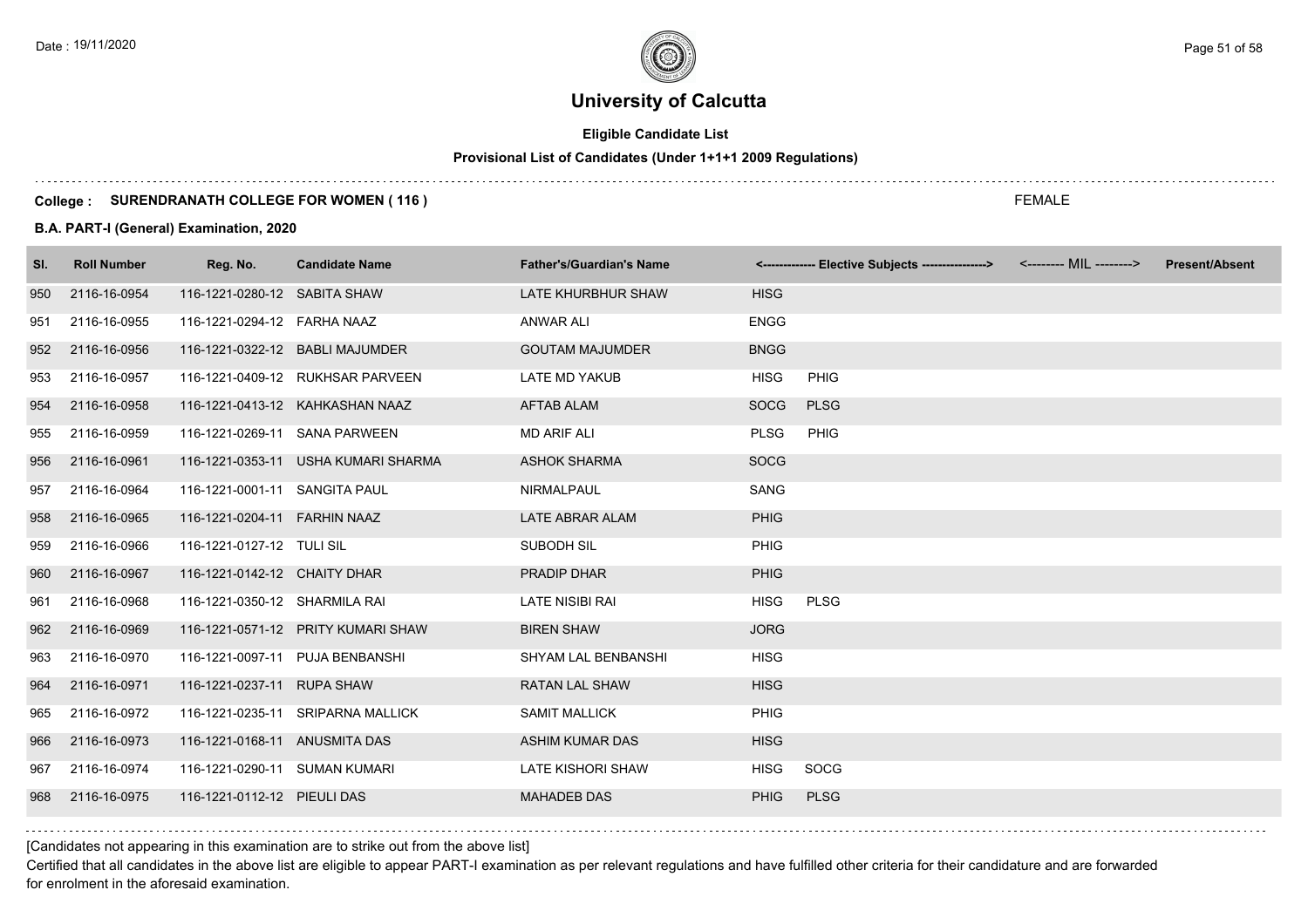# **Eligible Candidate List**

# **Provisional List of Candidates (Under 1+1+1 2009 Regulations)**

#### **College : SURENDRANATH COLLEGE FOR WOMEN ( 116 )**

#### **B.A. PART-I (General) Examination, 2020**

| SI. | <b>Roll Number</b> | Reg. No.                      | <b>Candidate Name</b>               | <b>Father's/Guardian's Name</b> |             | <-------------- Elective Subjects ----------------> | <-------- MIL --------> | <b>Present/Absent</b> |
|-----|--------------------|-------------------------------|-------------------------------------|---------------------------------|-------------|-----------------------------------------------------|-------------------------|-----------------------|
| 950 | 2116-16-0954       | 116-1221-0280-12 SABITA SHAW  |                                     | LATE KHURBHUR SHAW              | <b>HISG</b> |                                                     |                         |                       |
| 951 | 2116-16-0955       | 116-1221-0294-12 FARHA NAAZ   |                                     | ANWAR ALI                       | <b>ENGG</b> |                                                     |                         |                       |
| 952 | 2116-16-0956       |                               | 116-1221-0322-12 BABLI MAJUMDER     | <b>GOUTAM MAJUMDER</b>          | <b>BNGG</b> |                                                     |                         |                       |
| 953 | 2116-16-0957       |                               | 116-1221-0409-12 RUKHSAR PARVEEN    | <b>LATE MD YAKUB</b>            | <b>HISG</b> | PHIG                                                |                         |                       |
| 954 | 2116-16-0958       |                               | 116-1221-0413-12 KAHKASHAN NAAZ     | <b>AFTAB ALAM</b>               | <b>SOCG</b> | <b>PLSG</b>                                         |                         |                       |
| 955 | 2116-16-0959       | 116-1221-0269-11 SANA PARWEEN |                                     | <b>MD ARIF ALI</b>              | <b>PLSG</b> | PHIG                                                |                         |                       |
| 956 | 2116-16-0961       |                               | 116-1221-0353-11 USHA KUMARI SHARMA | <b>ASHOK SHARMA</b>             | <b>SOCG</b> |                                                     |                         |                       |
| 957 | 2116-16-0964       | 116-1221-0001-11 SANGITA PAUL |                                     | <b>NIRMALPAUL</b>               | SANG        |                                                     |                         |                       |
| 958 | 2116-16-0965       | 116-1221-0204-11 FARHIN NAAZ  |                                     | LATE ABRAR ALAM                 | <b>PHIG</b> |                                                     |                         |                       |
| 959 | 2116-16-0966       | 116-1221-0127-12 TULI SIL     |                                     | SUBODH SIL                      | PHIG        |                                                     |                         |                       |
| 960 | 2116-16-0967       | 116-1221-0142-12 CHAITY DHAR  |                                     | PRADIP DHAR                     | <b>PHIG</b> |                                                     |                         |                       |
| 961 | 2116-16-0968       | 116-1221-0350-12 SHARMILA RAI |                                     | <b>LATE NISIBI RAI</b>          | <b>HISG</b> | <b>PLSG</b>                                         |                         |                       |
| 962 | 2116-16-0969       |                               | 116-1221-0571-12 PRITY KUMARI SHAW  | <b>BIREN SHAW</b>               | <b>JORG</b> |                                                     |                         |                       |
| 963 | 2116-16-0970       |                               | 116-1221-0097-11 PUJA BENBANSHI     | SHYAM LAL BENBANSHI             | <b>HISG</b> |                                                     |                         |                       |
| 964 | 2116-16-0971       | 116-1221-0237-11 RUPA SHAW    |                                     | <b>RATAN LAL SHAW</b>           | <b>HISG</b> |                                                     |                         |                       |
| 965 | 2116-16-0972       |                               | 116-1221-0235-11 SRIPARNA MALLICK   | <b>SAMIT MALLICK</b>            | PHIG        |                                                     |                         |                       |
| 966 | 2116-16-0973       | 116-1221-0168-11 ANUSMITA DAS |                                     | <b>ASHIM KUMAR DAS</b>          | <b>HISG</b> |                                                     |                         |                       |
| 967 | 2116-16-0974       | 116-1221-0290-11 SUMAN KUMARI |                                     | <b>LATE KISHORI SHAW</b>        | <b>HISG</b> | SOCG                                                |                         |                       |
| 968 | 2116-16-0975       | 116-1221-0112-12 PIEULI DAS   |                                     | <b>MAHADEB DAS</b>              | <b>PHIG</b> | <b>PLSG</b>                                         |                         |                       |
|     |                    |                               |                                     |                                 |             |                                                     |                         |                       |

FEMALE

[Candidates not appearing in this examination are to strike out from the above list]

Certified that all candidates in the above list are eligible to appear PART-I examination as per relevant regulations and have fulfilled other criteria for their candidature and are forwarded for enrolment in the aforesaid examination.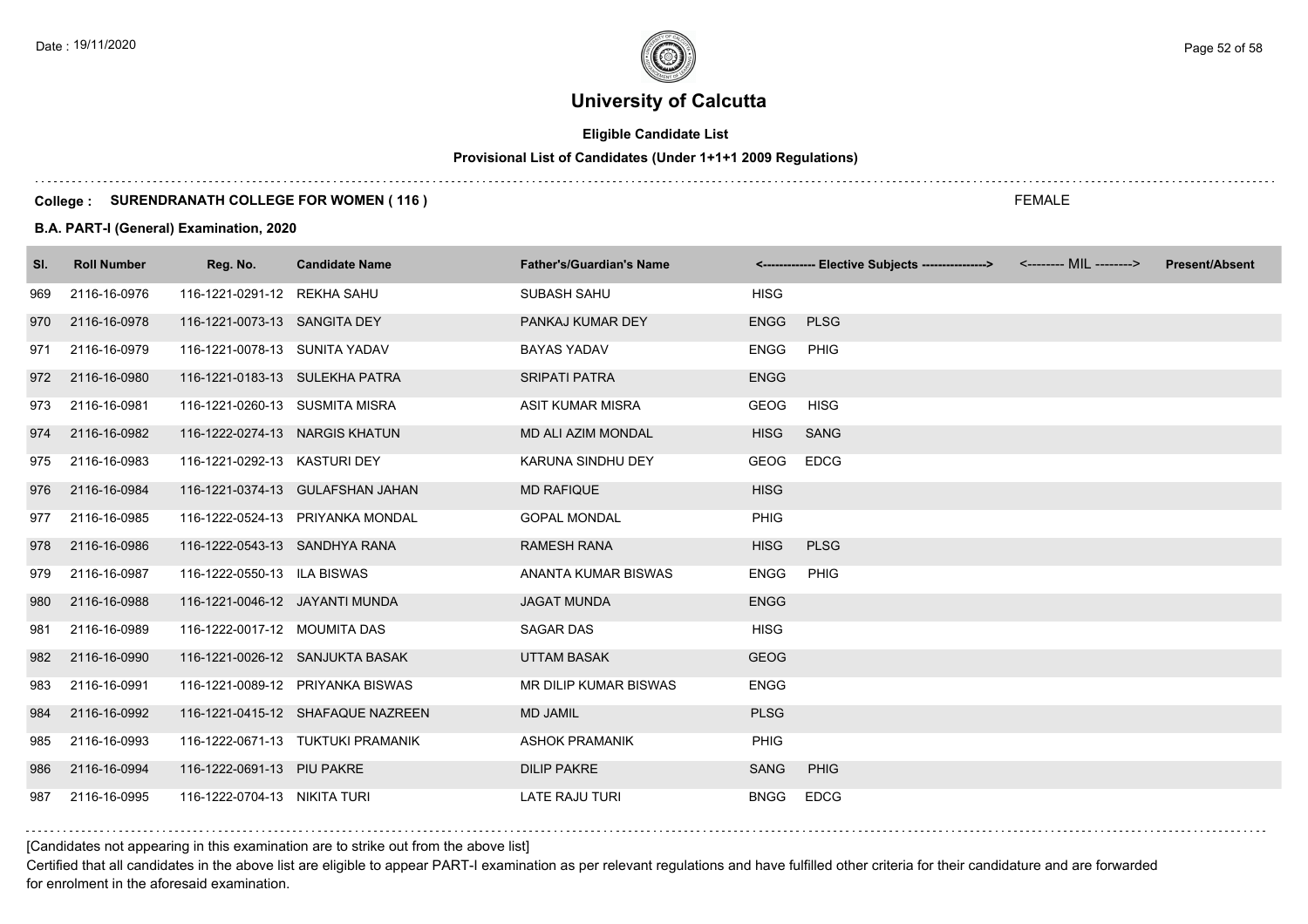# **Eligible Candidate List**

# **Provisional List of Candidates (Under 1+1+1 2009 Regulations)**

#### **College : SURENDRANATH COLLEGE FOR WOMEN ( 116 )**

#### **B.A. PART-I (General) Examination, 2020**

| SI. | <b>Roll Number</b> | Reg. No.                       | <b>Candidate Name</b>             | <b>Father's/Guardian's Name</b> |             | <------------- Elective Subjects ----------------> <-------- MIL --------> | <b>Present/Absent</b> |
|-----|--------------------|--------------------------------|-----------------------------------|---------------------------------|-------------|----------------------------------------------------------------------------|-----------------------|
| 969 | 2116-16-0976       | 116-1221-0291-12 REKHA SAHU    |                                   | SUBASH SAHU                     | <b>HISG</b> |                                                                            |                       |
| 970 | 2116-16-0978       | 116-1221-0073-13 SANGITA DEY   |                                   | PANKAJ KUMAR DEY                | <b>ENGG</b> | <b>PLSG</b>                                                                |                       |
| 971 | 2116-16-0979       | 116-1221-0078-13 SUNITA YADAV  |                                   | <b>BAYAS YADAV</b>              | <b>ENGG</b> | <b>PHIG</b>                                                                |                       |
| 972 | 2116-16-0980       | 116-1221-0183-13 SULEKHA PATRA |                                   | <b>SRIPATI PATRA</b>            | <b>ENGG</b> |                                                                            |                       |
| 973 | 2116-16-0981       | 116-1221-0260-13 SUSMITA MISRA |                                   | <b>ASIT KUMAR MISRA</b>         | <b>GEOG</b> | <b>HISG</b>                                                                |                       |
| 974 | 2116-16-0982       | 116-1222-0274-13 NARGIS KHATUN |                                   | <b>MD ALI AZIM MONDAL</b>       | <b>HISG</b> | <b>SANG</b>                                                                |                       |
| 975 | 2116-16-0983       | 116-1221-0292-13 KASTURI DEY   |                                   | KARUNA SINDHU DEY               | <b>GEOG</b> | <b>EDCG</b>                                                                |                       |
| 976 | 2116-16-0984       |                                | 116-1221-0374-13 GULAFSHAN JAHAN  | <b>MD RAFIQUE</b>               | <b>HISG</b> |                                                                            |                       |
| 977 | 2116-16-0985       |                                | 116-1222-0524-13 PRIYANKA MONDAL  | <b>GOPAL MONDAL</b>             | <b>PHIG</b> |                                                                            |                       |
| 978 | 2116-16-0986       | 116-1222-0543-13 SANDHYA RANA  |                                   | <b>RAMESH RANA</b>              | <b>HISG</b> | <b>PLSG</b>                                                                |                       |
| 979 | 2116-16-0987       | 116-1222-0550-13 ILA BISWAS    |                                   | ANANTA KUMAR BISWAS             | <b>ENGG</b> | PHIG                                                                       |                       |
| 980 | 2116-16-0988       | 116-1221-0046-12 JAYANTI MUNDA |                                   | <b>JAGAT MUNDA</b>              | <b>ENGG</b> |                                                                            |                       |
| 981 | 2116-16-0989       | 116-1222-0017-12 MOUMITA DAS   |                                   | <b>SAGAR DAS</b>                | <b>HISG</b> |                                                                            |                       |
| 982 | 2116-16-0990       |                                | 116-1221-0026-12 SANJUKTA BASAK   | <b>UTTAM BASAK</b>              | <b>GEOG</b> |                                                                            |                       |
| 983 | 2116-16-0991       |                                | 116-1221-0089-12 PRIYANKA BISWAS  | <b>MR DILIP KUMAR BISWAS</b>    | <b>ENGG</b> |                                                                            |                       |
| 984 | 2116-16-0992       |                                | 116-1221-0415-12 SHAFAQUE NAZREEN | <b>MD JAMIL</b>                 | <b>PLSG</b> |                                                                            |                       |
| 985 | 2116-16-0993       |                                | 116-1222-0671-13 TUKTUKI PRAMANIK | <b>ASHOK PRAMANIK</b>           | PHIG        |                                                                            |                       |
| 986 | 2116-16-0994       | 116-1222-0691-13 PIU PAKRE     |                                   | <b>DILIP PAKRE</b>              | <b>SANG</b> | <b>PHIG</b>                                                                |                       |
| 987 | 2116-16-0995       | 116-1222-0704-13 NIKITA TURI   |                                   | <b>LATE RAJU TURI</b>           | <b>BNGG</b> | <b>EDCG</b>                                                                |                       |

[Candidates not appearing in this examination are to strike out from the above list]

Certified that all candidates in the above list are eligible to appear PART-I examination as per relevant regulations and have fulfilled other criteria for their candidature and are forwarded for enrolment in the aforesaid examination.

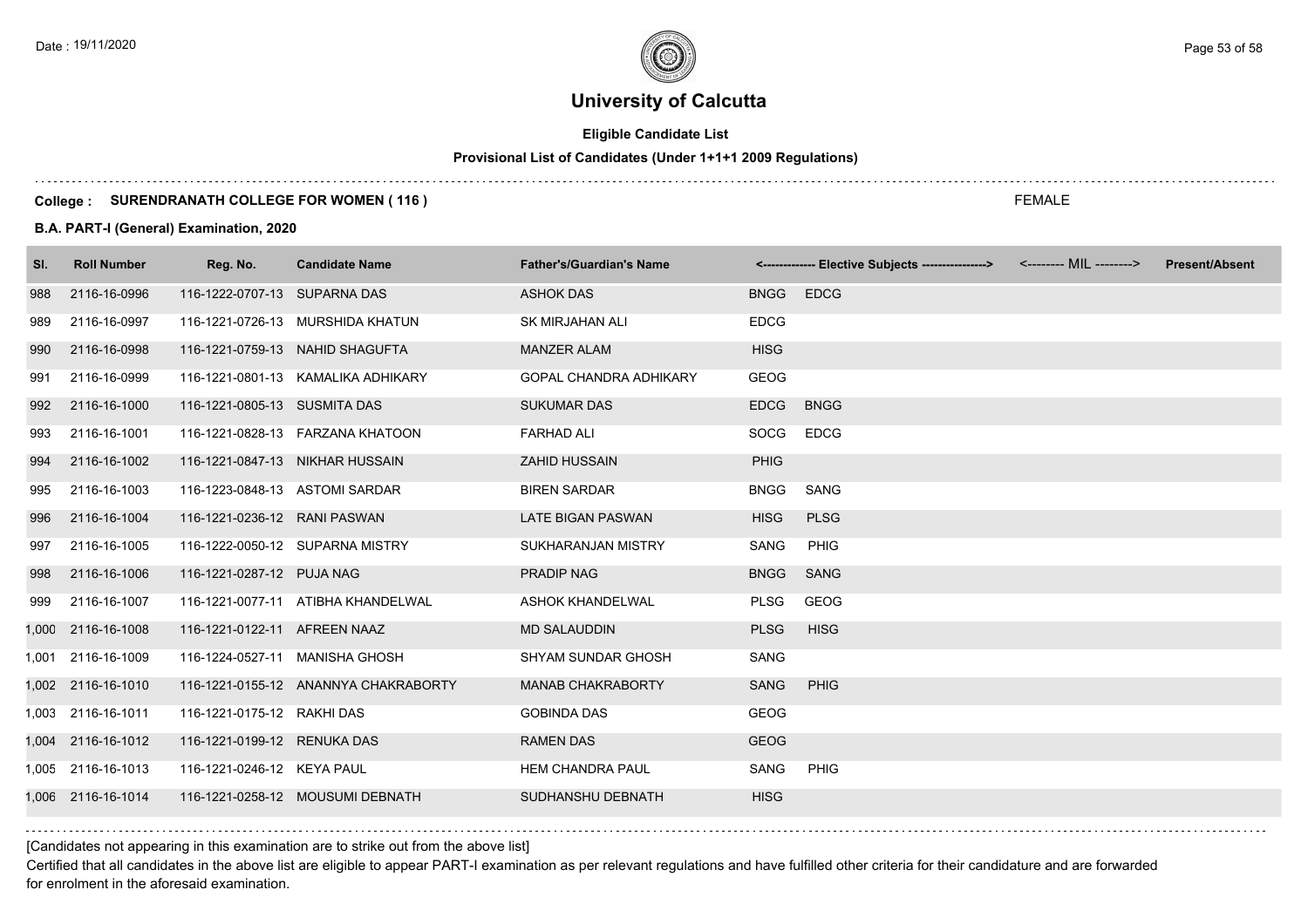# **Eligible Candidate List**

# **Provisional List of Candidates (Under 1+1+1 2009 Regulations)**

#### **College : SURENDRANATH COLLEGE FOR WOMEN ( 116 )**

#### **B.A. PART-I (General) Examination, 2020**

| SI.   | <b>Roll Number</b> | Reg. No.                       | <b>Candidate Name</b>                | <b>Father's/Guardian's Name</b> |             | <------------- Elective Subjects ----------------> <-------- MIL --------> | <b>Present/Absent</b> |
|-------|--------------------|--------------------------------|--------------------------------------|---------------------------------|-------------|----------------------------------------------------------------------------|-----------------------|
| 988   | 2116-16-0996       | 116-1222-0707-13 SUPARNA DAS   |                                      | <b>ASHOK DAS</b>                | <b>BNGG</b> | <b>EDCG</b>                                                                |                       |
| 989   | 2116-16-0997       |                                | 116-1221-0726-13 MURSHIDA KHATUN     | <b>SK MIRJAHAN ALI</b>          | <b>EDCG</b> |                                                                            |                       |
| 990   | 2116-16-0998       |                                | 116-1221-0759-13 NAHID SHAGUFTA      | <b>MANZER ALAM</b>              | <b>HISG</b> |                                                                            |                       |
| 991   | 2116-16-0999       |                                | 116-1221-0801-13 KAMALIKA ADHIKARY   | <b>GOPAL CHANDRA ADHIKARY</b>   | <b>GEOG</b> |                                                                            |                       |
| 992   | 2116-16-1000       | 116-1221-0805-13 SUSMITA DAS   |                                      | <b>SUKUMAR DAS</b>              | <b>EDCG</b> | <b>BNGG</b>                                                                |                       |
| 993   | 2116-16-1001       |                                | 116-1221-0828-13    FARZANA KHATOON  | <b>FARHAD ALI</b>               | SOCG        | <b>EDCG</b>                                                                |                       |
| 994   | 2116-16-1002       |                                | 116-1221-0847-13 NIKHAR HUSSAIN      | <b>ZAHID HUSSAIN</b>            | <b>PHIG</b> |                                                                            |                       |
| 995   | 2116-16-1003       | 116-1223-0848-13 ASTOMI SARDAR |                                      | <b>BIREN SARDAR</b>             | <b>BNGG</b> | SANG                                                                       |                       |
| 996   | 2116-16-1004       | 116-1221-0236-12 RANI PASWAN   |                                      | LATE BIGAN PASWAN               | <b>HISG</b> | <b>PLSG</b>                                                                |                       |
| 997   | 2116-16-1005       |                                | 116-1222-0050-12 SUPARNA MISTRY      | SUKHARANJAN MISTRY              | SANG        | <b>PHIG</b>                                                                |                       |
| 998   | 2116-16-1006       | 116-1221-0287-12 PUJA NAG      |                                      | <b>PRADIP NAG</b>               | <b>BNGG</b> | <b>SANG</b>                                                                |                       |
| 999   | 2116-16-1007       |                                | 116-1221-0077-11 ATIBHA KHANDELWAL   | ASHOK KHANDELWAL                | <b>PLSG</b> | GEOG                                                                       |                       |
|       | 1,000 2116-16-1008 | 116-1221-0122-11 AFREEN NAAZ   |                                      | <b>MD SALAUDDIN</b>             | <b>PLSG</b> | <b>HISG</b>                                                                |                       |
| 1.001 | 2116-16-1009       |                                | 116-1224-0527-11 MANISHA GHOSH       | <b>SHYAM SUNDAR GHOSH</b>       | SANG        |                                                                            |                       |
|       | 1,002 2116-16-1010 |                                | 116-1221-0155-12 ANANNYA CHAKRABORTY | <b>MANAB CHAKRABORTY</b>        | <b>SANG</b> | <b>PHIG</b>                                                                |                       |
|       | 1,003 2116-16-1011 | 116-1221-0175-12 RAKHI DAS     |                                      | <b>GOBINDA DAS</b>              | <b>GEOG</b> |                                                                            |                       |
|       | 1,004 2116-16-1012 | 116-1221-0199-12 RENUKA DAS    |                                      | <b>RAMEN DAS</b>                | <b>GEOG</b> |                                                                            |                       |
|       | 1,005 2116-16-1013 | 116-1221-0246-12 KEYA PAUL     |                                      | <b>HEM CHANDRA PAUL</b>         | SANG        | PHIG                                                                       |                       |
|       | 1.006 2116-16-1014 |                                | 116-1221-0258-12 MOUSUMI DEBNATH     | SUDHANSHU DEBNATH               | <b>HISG</b> |                                                                            |                       |

[Candidates not appearing in this examination are to strike out from the above list]

Certified that all candidates in the above list are eligible to appear PART-I examination as per relevant regulations and have fulfilled other criteria for their candidature and are forwarded for enrolment in the aforesaid examination.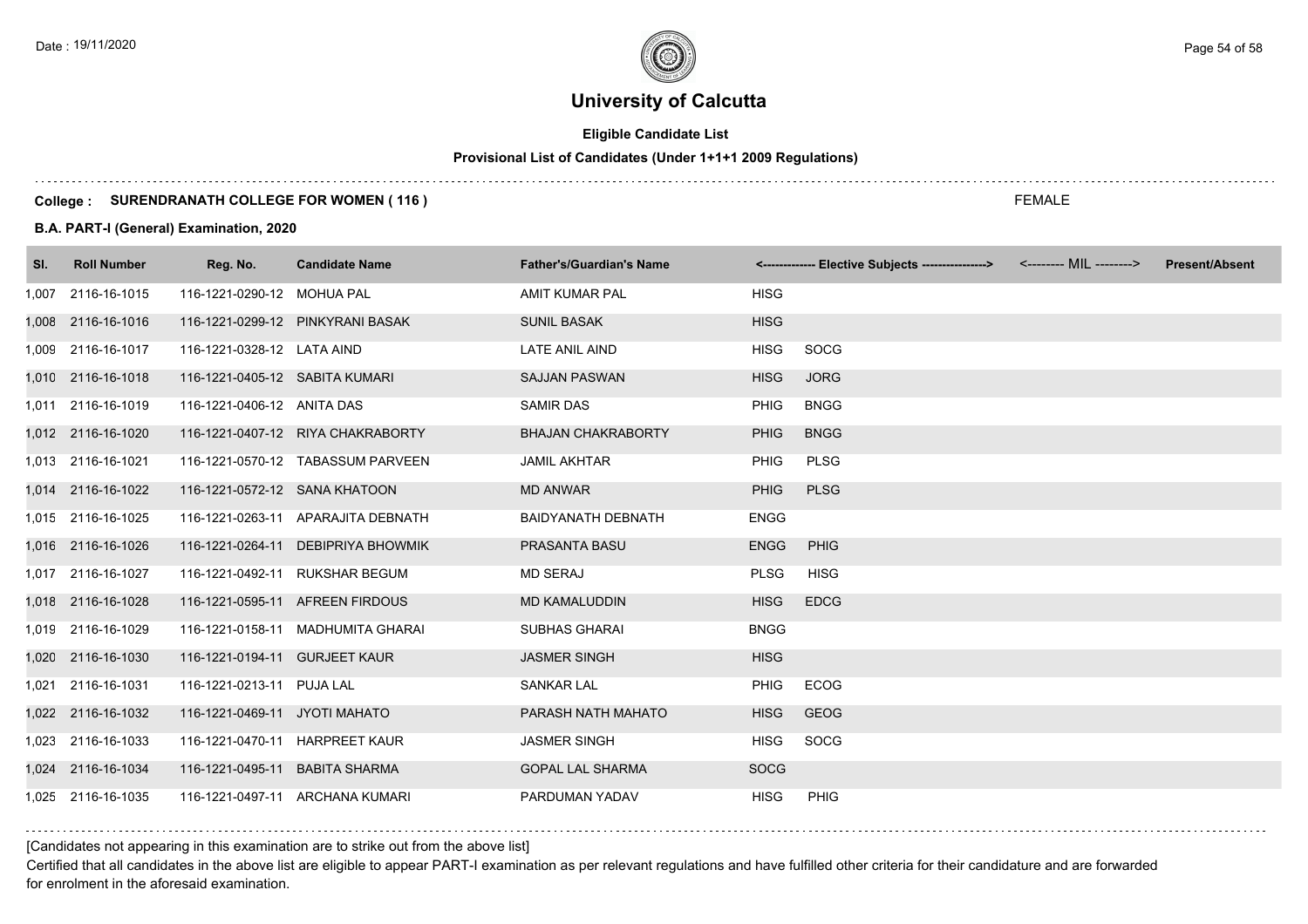# **Eligible Candidate List**

# **Provisional List of Candidates (Under 1+1+1 2009 Regulations)**

#### **College : SURENDRANATH COLLEGE FOR WOMEN ( 116 )**

#### **B.A. PART-I (General) Examination, 2020**

| SI. | <b>Roll Number</b> | Reg. No.                       | <b>Candidate Name</b>              | <b>Father's/Guardian's Name</b> |             | <------------- Elective Subjects ----------------> <-------- MIL --------> | <b>Present/Absent</b> |
|-----|--------------------|--------------------------------|------------------------------------|---------------------------------|-------------|----------------------------------------------------------------------------|-----------------------|
|     | 1,007 2116-16-1015 | 116-1221-0290-12 MOHUA PAL     |                                    | AMIT KUMAR PAL                  | <b>HISG</b> |                                                                            |                       |
|     | 1,008 2116-16-1016 |                                | 116-1221-0299-12 PINKYRANI BASAK   | <b>SUNIL BASAK</b>              | <b>HISG</b> |                                                                            |                       |
|     | 1,009 2116-16-1017 | 116-1221-0328-12 LATA AIND     |                                    | LATE ANIL AIND                  | <b>HISG</b> | SOCG                                                                       |                       |
|     | 1,010 2116-16-1018 | 116-1221-0405-12 SABITA KUMARI |                                    | <b>SAJJAN PASWAN</b>            | <b>HISG</b> | <b>JORG</b>                                                                |                       |
|     | 1,011 2116-16-1019 | 116-1221-0406-12 ANITA DAS     |                                    | <b>SAMIR DAS</b>                | <b>PHIG</b> | <b>BNGG</b>                                                                |                       |
|     | 1,012 2116-16-1020 |                                | 116-1221-0407-12 RIYA CHAKRABORTY  | <b>BHAJAN CHAKRABORTY</b>       | <b>PHIG</b> | <b>BNGG</b>                                                                |                       |
|     | 1,013 2116-16-1021 |                                | 116-1221-0570-12 TABASSUM PARVEEN  | <b>JAMIL AKHTAR</b>             | <b>PHIG</b> | <b>PLSG</b>                                                                |                       |
|     | 1,014 2116-16-1022 | 116-1221-0572-12 SANA KHATOON  |                                    | <b>MD ANWAR</b>                 | <b>PHIG</b> | <b>PLSG</b>                                                                |                       |
|     | 1,015 2116-16-1025 |                                | 116-1221-0263-11 APARAJITA DEBNATH | <b>BAIDYANATH DEBNATH</b>       | ENGG        |                                                                            |                       |
|     | 1,016 2116-16-1026 |                                | 116-1221-0264-11 DEBIPRIYA BHOWMIK | PRASANTA BASU                   | <b>ENGG</b> | <b>PHIG</b>                                                                |                       |
|     | 1,017 2116-16-1027 |                                | 116-1221-0492-11 RUKSHAR BEGUM     | <b>MD SERAJ</b>                 | <b>PLSG</b> | <b>HISG</b>                                                                |                       |
|     | 1,018 2116-16-1028 |                                | 116-1221-0595-11 AFREEN FIRDOUS    | <b>MD KAMALUDDIN</b>            | <b>HISG</b> | <b>EDCG</b>                                                                |                       |
|     | 1,019 2116-16-1029 |                                | 116-1221-0158-11 MADHUMITA GHARAI  | <b>SUBHAS GHARAI</b>            | <b>BNGG</b> |                                                                            |                       |
|     | 1,020 2116-16-1030 | 116-1221-0194-11 GURJEET KAUR  |                                    | <b>JASMER SINGH</b>             | <b>HISG</b> |                                                                            |                       |
|     | 1,021 2116-16-1031 | 116-1221-0213-11 PUJA LAL      |                                    | <b>SANKAR LAL</b>               | <b>PHIG</b> | <b>ECOG</b>                                                                |                       |
|     | 1,022 2116-16-1032 | 116-1221-0469-11 JYOTI MAHATO  |                                    | PARASH NATH MAHATO              | <b>HISG</b> | <b>GEOG</b>                                                                |                       |
|     | 1,023 2116-16-1033 |                                | 116-1221-0470-11 HARPREET KAUR     | <b>JASMER SINGH</b>             | <b>HISG</b> | SOCG                                                                       |                       |
|     | 1,024 2116-16-1034 | 116-1221-0495-11 BABITA SHARMA |                                    | <b>GOPAL LAL SHARMA</b>         | <b>SOCG</b> |                                                                            |                       |
|     | 1,025 2116-16-1035 |                                | 116-1221-0497-11 ARCHANA KUMARI    | PARDUMAN YADAV                  | <b>HISG</b> | <b>PHIG</b>                                                                |                       |

### [Candidates not appearing in this examination are to strike out from the above list]

Certified that all candidates in the above list are eligible to appear PART-I examination as per relevant regulations and have fulfilled other criteria for their candidature and are forwarded for enrolment in the aforesaid examination.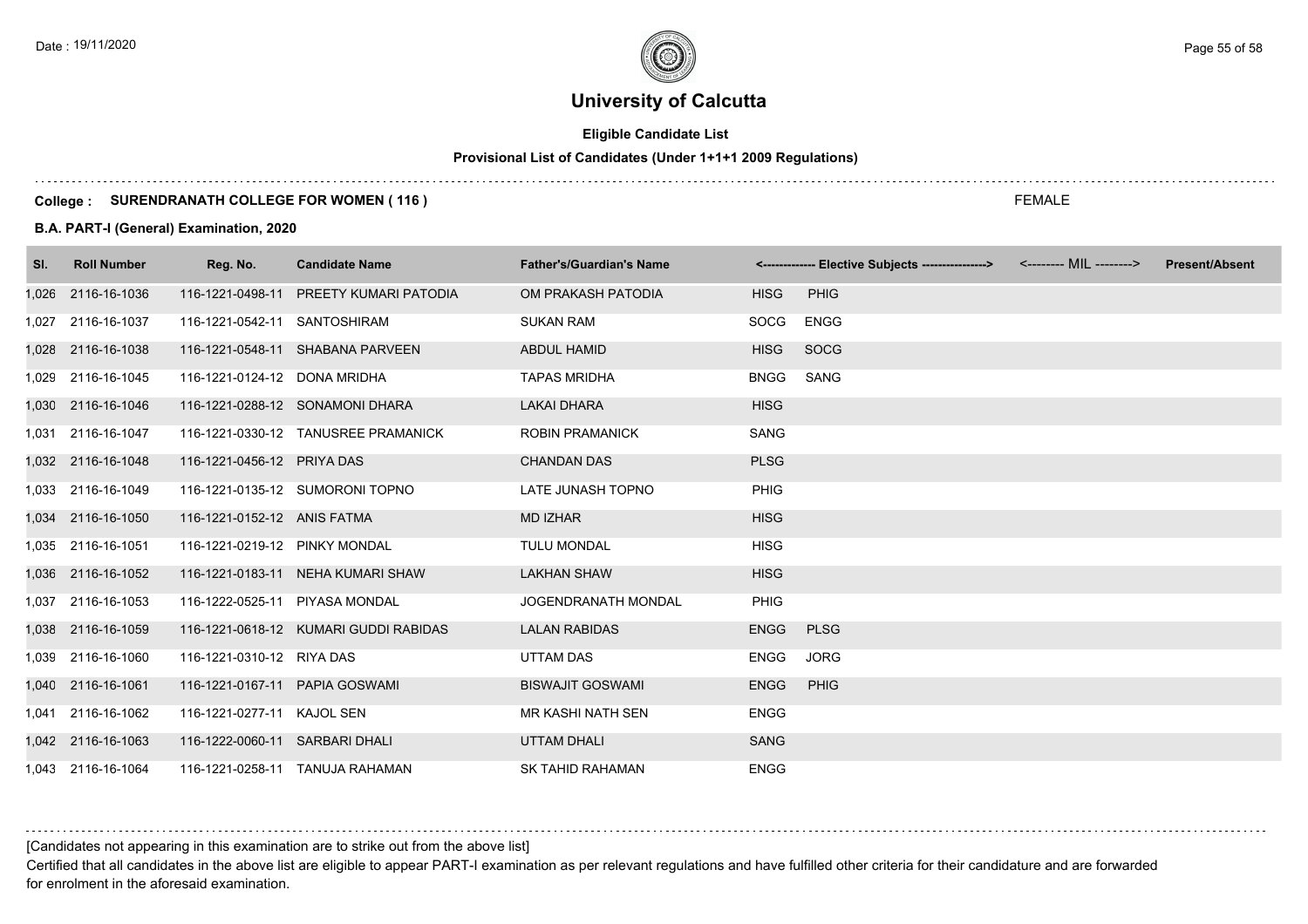# **Eligible Candidate List**

# **Provisional List of Candidates (Under 1+1+1 2009 Regulations)**

#### **College : SURENDRANATH COLLEGE FOR WOMEN ( 116 )**

#### **B.A. PART-I (General) Examination, 2020**

| SI. | <b>Roll Number</b> | Reg. No.                       | <b>Candidate Name</b>                  | <b>Father's/Guardian's Name</b> |             | <------------- Elective Subjects ---------------> <-------- MIL --------> | <b>Present/Absent</b> |
|-----|--------------------|--------------------------------|----------------------------------------|---------------------------------|-------------|---------------------------------------------------------------------------|-----------------------|
|     | 1,026 2116-16-1036 |                                | 116-1221-0498-11 PREETY KUMARI PATODIA | OM PRAKASH PATODIA              | <b>HISG</b> | <b>PHIG</b>                                                               |                       |
|     | 1,027 2116-16-1037 | 116-1221-0542-11 SANTOSHIRAM   |                                        | <b>SUKAN RAM</b>                | SOCG        | <b>ENGG</b>                                                               |                       |
|     | 1,028 2116-16-1038 |                                | 116-1221-0548-11 SHABANA PARVEEN       | <b>ABDUL HAMID</b>              | <b>HISG</b> | SOCG                                                                      |                       |
|     | 1,029 2116-16-1045 | 116-1221-0124-12 DONA MRIDHA   |                                        | <b>TAPAS MRIDHA</b>             | <b>BNGG</b> | SANG                                                                      |                       |
|     | 1,030 2116-16-1046 |                                | 116-1221-0288-12 SONAMONI DHARA        | <b>LAKAI DHARA</b>              | <b>HISG</b> |                                                                           |                       |
|     | 1,031 2116-16-1047 |                                | 116-1221-0330-12 TANUSREE PRAMANICK    | <b>ROBIN PRAMANICK</b>          | <b>SANG</b> |                                                                           |                       |
|     | 1,032 2116-16-1048 | 116-1221-0456-12 PRIYA DAS     |                                        | <b>CHANDAN DAS</b>              | <b>PLSG</b> |                                                                           |                       |
|     | 1,033 2116-16-1049 |                                | 116-1221-0135-12 SUMORONI TOPNO        | LATE JUNASH TOPNO               | <b>PHIG</b> |                                                                           |                       |
|     | 1,034 2116-16-1050 | 116-1221-0152-12 ANIS FATMA    |                                        | <b>MD IZHAR</b>                 | <b>HISG</b> |                                                                           |                       |
|     | 1,035 2116-16-1051 | 116-1221-0219-12 PINKY MONDAL  |                                        | <b>TULU MONDAL</b>              | <b>HISG</b> |                                                                           |                       |
|     | 1,036 2116-16-1052 |                                | 116-1221-0183-11 NEHA KUMARI SHAW      | <b>LAKHAN SHAW</b>              | <b>HISG</b> |                                                                           |                       |
|     | 1,037 2116-16-1053 | 116-1222-0525-11 PIYASA MONDAL |                                        | <b>JOGENDRANATH MONDAL</b>      | <b>PHIG</b> |                                                                           |                       |
|     | 1,038 2116-16-1059 |                                | 116-1221-0618-12 KUMARI GUDDI RABIDAS  | <b>LALAN RABIDAS</b>            | <b>ENGG</b> | <b>PLSG</b>                                                               |                       |
|     | 1,039 2116-16-1060 | 116-1221-0310-12 RIYA DAS      |                                        | <b>UTTAM DAS</b>                | <b>ENGG</b> | <b>JORG</b>                                                               |                       |
|     | 1,040 2116-16-1061 | 116-1221-0167-11 PAPIA GOSWAMI |                                        | <b>BISWAJIT GOSWAMI</b>         | <b>ENGG</b> | <b>PHIG</b>                                                               |                       |
|     | 1,041 2116-16-1062 | 116-1221-0277-11 KAJOL SEN     |                                        | MR KASHI NATH SEN               | <b>ENGG</b> |                                                                           |                       |
|     | 1,042 2116-16-1063 | 116-1222-0060-11 SARBARI DHALI |                                        | <b>UTTAM DHALI</b>              | <b>SANG</b> |                                                                           |                       |
|     | 1,043 2116-16-1064 |                                | 116-1221-0258-11 TANUJA RAHAMAN        | <b>SK TAHID RAHAMAN</b>         | <b>ENGG</b> |                                                                           |                       |

[Candidates not appearing in this examination are to strike out from the above list]

Certified that all candidates in the above list are eligible to appear PART-I examination as per relevant regulations and have fulfilled other criteria for their candidature and are forwarded for enrolment in the aforesaid examination.

FEMALE

Date : 19/11/2020 Page 55 of 58  $\sim$  Page 55 of 58  $\sim$  Page 55 of 58  $\sim$  Page 55 of 58  $\sim$  Page 55 of 58  $\sim$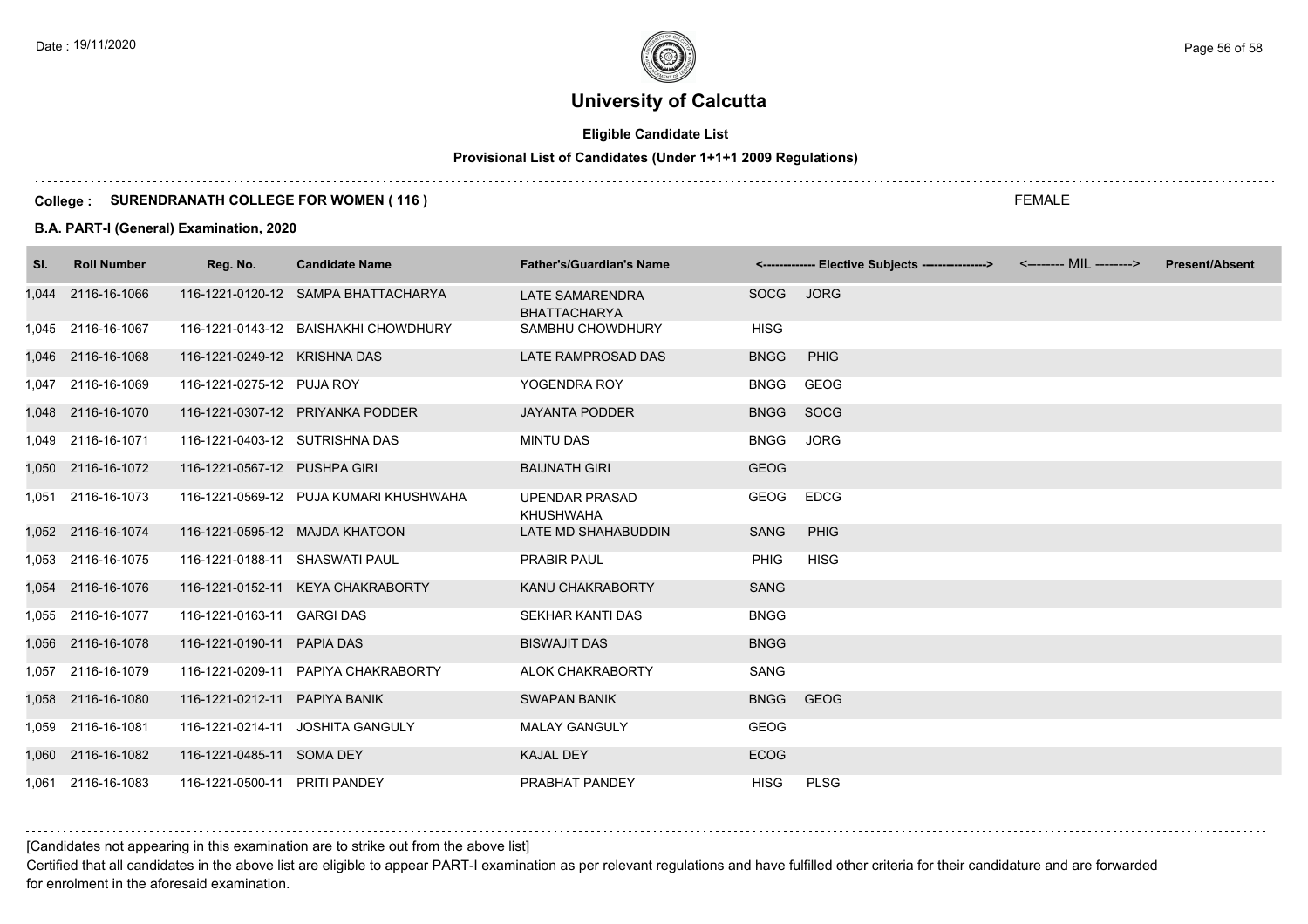# **Eligible Candidate List**

# **Provisional List of Candidates (Under 1+1+1 2009 Regulations)**

#### **College : SURENDRANATH COLLEGE FOR WOMEN ( 116 )**

#### **B.A. PART-I (General) Examination, 2020**

| SI. | <b>Roll Number</b> | Reg. No.                       | <b>Candidate Name</b>                  | <b>Father's/Guardian's Name</b>               |             | <------------- Elective Subjects ---------------> <-------- MIL --------> | <b>Present/Absent</b> |
|-----|--------------------|--------------------------------|----------------------------------------|-----------------------------------------------|-------------|---------------------------------------------------------------------------|-----------------------|
|     | 1,044 2116-16-1066 |                                | 116-1221-0120-12 SAMPA BHATTACHARYA    | <b>LATE SAMARENDRA</b><br><b>BHATTACHARYA</b> | SOCG        | <b>JORG</b>                                                               |                       |
|     | 1,045 2116-16-1067 |                                | 116-1221-0143-12 BAISHAKHI CHOWDHURY   | SAMBHU CHOWDHURY                              | <b>HISG</b> |                                                                           |                       |
|     | 1,046 2116-16-1068 | 116-1221-0249-12 KRISHNA DAS   |                                        | LATE RAMPROSAD DAS                            | <b>BNGG</b> | <b>PHIG</b>                                                               |                       |
|     | 1,047 2116-16-1069 | 116-1221-0275-12 PUJA ROY      |                                        | YOGENDRA ROY                                  | <b>BNGG</b> | GEOG                                                                      |                       |
|     | 1,048 2116-16-1070 |                                | 116-1221-0307-12 PRIYANKA PODDER       | <b>JAYANTA PODDER</b>                         | <b>BNGG</b> | SOCG                                                                      |                       |
|     | 1,049 2116-16-1071 | 116-1221-0403-12 SUTRISHNA DAS |                                        | <b>MINTU DAS</b>                              | <b>BNGG</b> | <b>JORG</b>                                                               |                       |
|     | 1,050 2116-16-1072 | 116-1221-0567-12 PUSHPA GIRI   |                                        | <b>BAIJNATH GIRI</b>                          | <b>GEOG</b> |                                                                           |                       |
|     | 1,051 2116-16-1073 |                                | 116-1221-0569-12 PUJA KUMARI KHUSHWAHA | <b>UPENDAR PRASAD</b><br><b>KHUSHWAHA</b>     | GEOG        | <b>EDCG</b>                                                               |                       |
|     | 1,052 2116-16-1074 |                                | 116-1221-0595-12 MAJDA KHATOON         | LATE MD SHAHABUDDIN                           | SANG        | <b>PHIG</b>                                                               |                       |
|     | 1,053 2116-16-1075 | 116-1221-0188-11 SHASWATI PAUL |                                        | <b>PRABIR PAUL</b>                            | <b>PHIG</b> | <b>HISG</b>                                                               |                       |
|     | 1,054 2116-16-1076 |                                | 116-1221-0152-11 KEYA CHAKRABORTY      | KANU CHAKRABORTY                              | <b>SANG</b> |                                                                           |                       |
|     | 1,055 2116-16-1077 | 116-1221-0163-11 GARGI DAS     |                                        | <b>SEKHAR KANTI DAS</b>                       | <b>BNGG</b> |                                                                           |                       |
|     | 1,056 2116-16-1078 | 116-1221-0190-11 PAPIA DAS     |                                        | <b>BISWAJIT DAS</b>                           | <b>BNGG</b> |                                                                           |                       |
|     | 1,057 2116-16-1079 |                                | 116-1221-0209-11 PAPIYA CHAKRABORTY    | ALOK CHAKRABORTY                              | SANG        |                                                                           |                       |
|     | 1,058 2116-16-1080 | 116-1221-0212-11 PAPIYA BANIK  |                                        | <b>SWAPAN BANIK</b>                           | <b>BNGG</b> | <b>GEOG</b>                                                               |                       |
|     | 1,059 2116-16-1081 |                                | 116-1221-0214-11 JOSHITA GANGULY       | <b>MALAY GANGULY</b>                          | <b>GEOG</b> |                                                                           |                       |
|     | 1,060 2116-16-1082 | 116-1221-0485-11 SOMA DEY      |                                        | <b>KAJAL DEY</b>                              | <b>ECOG</b> |                                                                           |                       |
|     | 1,061 2116-16-1083 | 116-1221-0500-11 PRITI PANDEY  |                                        | PRABHAT PANDEY                                | <b>HISG</b> | <b>PLSG</b>                                                               |                       |

### [Candidates not appearing in this examination are to strike out from the above list]

Certified that all candidates in the above list are eligible to appear PART-I examination as per relevant regulations and have fulfilled other criteria for their candidature and are forwarded for enrolment in the aforesaid examination.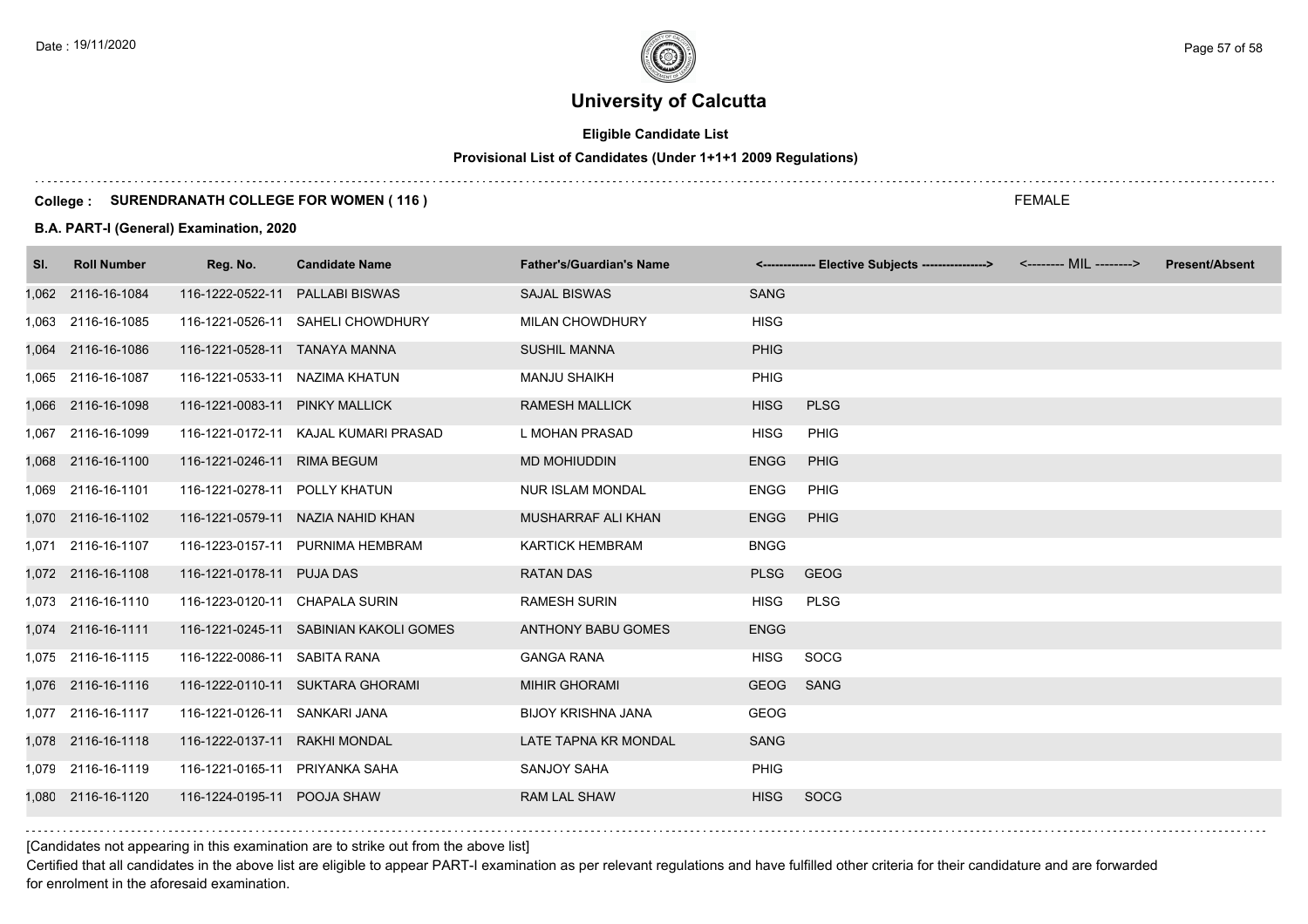# **Eligible Candidate List**

# **Provisional List of Candidates (Under 1+1+1 2009 Regulations)**

#### **College : SURENDRANATH COLLEGE FOR WOMEN ( 116 )**

#### **B.A. PART-I (General) Examination, 2020**

| SI. | <b>Roll Number</b> | Reg. No.                       | <b>Candidate Name</b>                  | <b>Father's/Guardian's Name</b> |             | <------------- Elective Subjects ----------------> <-------- MIL --------> | <b>Present/Absent</b> |
|-----|--------------------|--------------------------------|----------------------------------------|---------------------------------|-------------|----------------------------------------------------------------------------|-----------------------|
|     | 1,062 2116-16-1084 | 116-1222-0522-11               | <b>PALLABI BISWAS</b>                  | <b>SAJAL BISWAS</b>             | <b>SANG</b> |                                                                            |                       |
|     | 1,063 2116-16-1085 |                                | 116-1221-0526-11 SAHELI CHOWDHURY      | <b>MILAN CHOWDHURY</b>          | <b>HISG</b> |                                                                            |                       |
|     | 1,064 2116-16-1086 | 116-1221-0528-11 TANAYA MANNA  |                                        | <b>SUSHIL MANNA</b>             | <b>PHIG</b> |                                                                            |                       |
|     | 1,065 2116-16-1087 | 116-1221-0533-11 NAZIMA KHATUN |                                        | <b>MANJU SHAIKH</b>             | PHIG        |                                                                            |                       |
|     | 1,066 2116-16-1098 | 116-1221-0083-11 PINKY MALLICK |                                        | <b>RAMESH MALLICK</b>           | <b>HISG</b> | <b>PLSG</b>                                                                |                       |
|     | 1,067 2116-16-1099 |                                | 116-1221-0172-11 KAJAL KUMARI PRASAD   | L MOHAN PRASAD                  | <b>HISG</b> | <b>PHIG</b>                                                                |                       |
|     | 1,068 2116-16-1100 | 116-1221-0246-11 RIMA BEGUM    |                                        | MD MOHIUDDIN                    | <b>ENGG</b> | <b>PHIG</b>                                                                |                       |
|     | 1,069 2116-16-1101 | 116-1221-0278-11 POLLY KHATUN  |                                        | <b>NUR ISLAM MONDAL</b>         | <b>ENGG</b> | <b>PHIG</b>                                                                |                       |
|     | 1,070 2116-16-1102 |                                | 116-1221-0579-11 NAZIA NAHID KHAN      | MUSHARRAF ALI KHAN              | <b>ENGG</b> | <b>PHIG</b>                                                                |                       |
|     | 1,071 2116-16-1107 |                                | 116-1223-0157-11 PURNIMA HEMBRAM       | <b>KARTICK HEMBRAM</b>          | <b>BNGG</b> |                                                                            |                       |
|     | 1,072 2116-16-1108 | 116-1221-0178-11 PUJA DAS      |                                        | <b>RATAN DAS</b>                | <b>PLSG</b> | <b>GEOG</b>                                                                |                       |
|     | 1,073 2116-16-1110 | 116-1223-0120-11 CHAPALA SURIN |                                        | <b>RAMESH SURIN</b>             | <b>HISG</b> | <b>PLSG</b>                                                                |                       |
|     | 1,074 2116-16-1111 |                                | 116-1221-0245-11 SABINIAN KAKOLI GOMES | <b>ANTHONY BABU GOMES</b>       | <b>ENGG</b> |                                                                            |                       |
|     | 1,075 2116-16-1115 | 116-1222-0086-11 SABITA RANA   |                                        | <b>GANGA RANA</b>               | <b>HISG</b> | <b>SOCG</b>                                                                |                       |
|     | 1,076 2116-16-1116 |                                | 116-1222-0110-11 SUKTARA GHORAMI       | <b>MIHIR GHORAMI</b>            | <b>GEOG</b> | <b>SANG</b>                                                                |                       |
|     | 1,077 2116-16-1117 | 116-1221-0126-11 SANKARI JANA  |                                        | <b>BIJOY KRISHNA JANA</b>       | <b>GEOG</b> |                                                                            |                       |
|     | 1,078 2116-16-1118 | 116-1222-0137-11 RAKHI MONDAL  |                                        | LATE TAPNA KR MONDAL            | <b>SANG</b> |                                                                            |                       |
|     | 1,079 2116-16-1119 | 116-1221-0165-11 PRIYANKA SAHA |                                        | SANJOY SAHA                     | <b>PHIG</b> |                                                                            |                       |
|     | 1,080 2116-16-1120 | 116-1224-0195-11 POOJA SHAW    |                                        | <b>RAM LAL SHAW</b>             | <b>HISG</b> | <b>SOCG</b>                                                                |                       |
|     |                    |                                |                                        |                                 |             |                                                                            |                       |

### [Candidates not appearing in this examination are to strike out from the above list]

Certified that all candidates in the above list are eligible to appear PART-I examination as per relevant regulations and have fulfilled other criteria for their candidature and are forwarded for enrolment in the aforesaid examination.